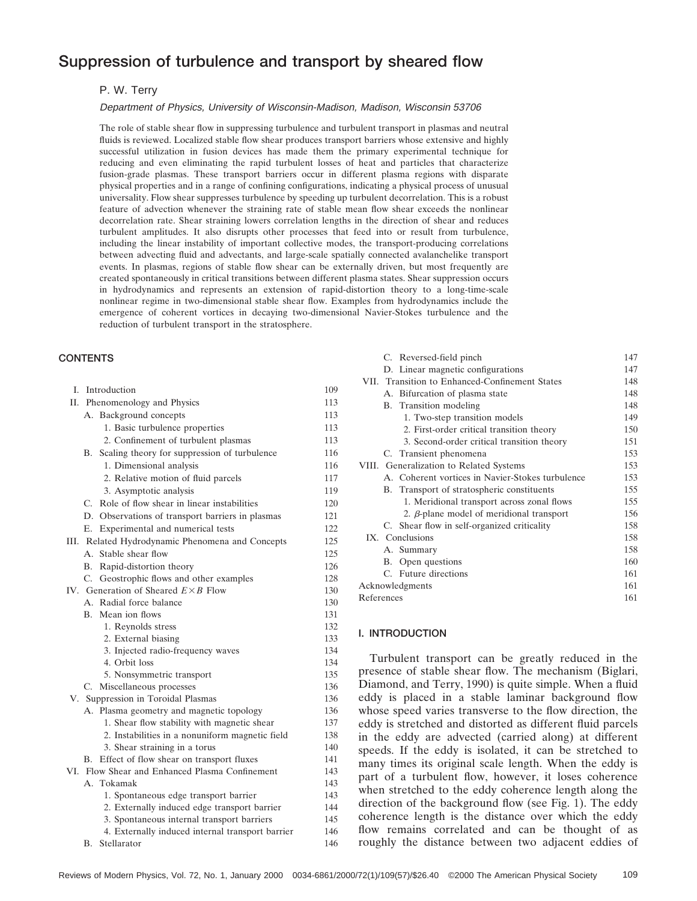# **Suppression of turbulence and transport by sheared flow**

# P. W. Terry

# Department of Physics, University of Wisconsin-Madison, Madison, Wisconsin 53706

The role of stable shear flow in suppressing turbulence and turbulent transport in plasmas and neutral fluids is reviewed. Localized stable flow shear produces transport barriers whose extensive and highly successful utilization in fusion devices has made them the primary experimental technique for reducing and even eliminating the rapid turbulent losses of heat and particles that characterize fusion-grade plasmas. These transport barriers occur in different plasma regions with disparate physical properties and in a range of confining configurations, indicating a physical process of unusual universality. Flow shear suppresses turbulence by speeding up turbulent decorrelation. This is a robust feature of advection whenever the straining rate of stable mean flow shear exceeds the nonlinear decorrelation rate. Shear straining lowers correlation lengths in the direction of shear and reduces turbulent amplitudes. It also disrupts other processes that feed into or result from turbulence, including the linear instability of important collective modes, the transport-producing correlations between advecting fluid and advectants, and large-scale spatially connected avalanchelike transport events. In plasmas, regions of stable flow shear can be externally driven, but most frequently are created spontaneously in critical transitions between different plasma states. Shear suppression occurs in hydrodynamics and represents an extension of rapid-distortion theory to a long-time-scale nonlinear regime in two-dimensional stable shear flow. Examples from hydrodynamics include the emergence of coherent vortices in decaying two-dimensional Navier-Stokes turbulence and the reduction of turbulent transport in the stratosphere.

# **CONTENTS**

| I. Introduction                                                                                |            |  |
|------------------------------------------------------------------------------------------------|------------|--|
| II. Phenomenology and Physics                                                                  |            |  |
| A. Background concepts                                                                         | 113        |  |
| 1. Basic turbulence properties                                                                 | 113        |  |
| 2. Confinement of turbulent plasmas                                                            | 113        |  |
| B. Scaling theory for suppression of turbulence                                                | 116        |  |
| 1. Dimensional analysis                                                                        | 116        |  |
| 2. Relative motion of fluid parcels                                                            | 117        |  |
| 3. Asymptotic analysis                                                                         | 119        |  |
| C. Role of flow shear in linear instabilities                                                  | 120        |  |
| D. Observations of transport barriers in plasmas                                               | 121        |  |
| E. Experimental and numerical tests                                                            | 122        |  |
| III. Related Hydrodynamic Phenomena and Concepts                                               | 125        |  |
| A. Stable shear flow                                                                           | 125        |  |
| Rapid-distortion theory<br>В.                                                                  | 126        |  |
| C. Geostrophic flows and other examples                                                        | 128        |  |
| IV. Generation of Sheared $E \times B$ Flow                                                    | 130        |  |
| A. Radial force balance                                                                        | 130        |  |
| B. Mean ion flows                                                                              | 131        |  |
| 1. Reynolds stress                                                                             | 132        |  |
| 2. External biasing                                                                            | 133        |  |
| 3. Injected radio-frequency waves                                                              | 134        |  |
| 4. Orbit loss                                                                                  | 134        |  |
| 5. Nonsymmetric transport                                                                      | 135        |  |
| C. Miscellaneous processes                                                                     | 136        |  |
| V. Suppression in Toroidal Plasmas                                                             | 136        |  |
| A. Plasma geometry and magnetic topology                                                       | 136        |  |
| 1. Shear flow stability with magnetic shear                                                    | 137        |  |
| 2. Instabilities in a nonuniform magnetic field                                                | 138        |  |
| 3. Shear straining in a torus                                                                  | 140        |  |
| Effect of flow shear on transport fluxes<br>В.                                                 | 141        |  |
| VI. Flow Shear and Enhanced Plasma Confinement                                                 | 143        |  |
| A. Tokamak                                                                                     | 143        |  |
| 1. Spontaneous edge transport barrier                                                          | 143        |  |
| 2. Externally induced edge transport barrier                                                   | 144<br>145 |  |
| 3. Spontaneous internal transport barriers<br>4. Externally induced internal transport barrier | 146        |  |
| В.<br>Stellarator                                                                              | 146        |  |
|                                                                                                |            |  |

|                 |  | C. Reversed-field pinch                          | 147 |
|-----------------|--|--------------------------------------------------|-----|
|                 |  | D. Linear magnetic configurations                | 147 |
|                 |  | VII. Transition to Enhanced-Confinement States   | 148 |
|                 |  | A. Bifurcation of plasma state                   | 148 |
|                 |  | B. Transition modeling                           | 148 |
|                 |  | 1. Two-step transition models                    | 149 |
|                 |  | 2. First-order critical transition theory        | 150 |
|                 |  | 3. Second-order critical transition theory       | 151 |
|                 |  | C. Transient phenomena                           | 153 |
|                 |  | VIII. Generalization to Related Systems          | 153 |
|                 |  | A. Coherent vortices in Navier-Stokes turbulence | 153 |
|                 |  | B. Transport of stratospheric constituents       | 155 |
|                 |  | 1. Meridional transport across zonal flows       | 155 |
|                 |  | 2. $\beta$ -plane model of meridional transport  | 156 |
|                 |  | C. Shear flow in self-organized criticality      | 158 |
|                 |  | IX. Conclusions                                  | 158 |
|                 |  | A. Summary                                       | 158 |
|                 |  | B. Open questions                                | 160 |
|                 |  | C. Future directions                             | 161 |
| Acknowledgments |  |                                                  | 161 |
| References      |  |                                                  | 161 |

# **I. INTRODUCTION**

Turbulent transport can be greatly reduced in the presence of stable shear flow. The mechanism (Biglari, Diamond, and Terry, 1990) is quite simple. When a fluid eddy is placed in a stable laminar background flow whose speed varies transverse to the flow direction, the eddy is stretched and distorted as different fluid parcels in the eddy are advected (carried along) at different speeds. If the eddy is isolated, it can be stretched to many times its original scale length. When the eddy is part of a turbulent flow, however, it loses coherence when stretched to the eddy coherence length along the direction of the background flow (see Fig. 1). The eddy coherence length is the distance over which the eddy flow remains correlated and can be thought of as roughly the distance between two adjacent eddies of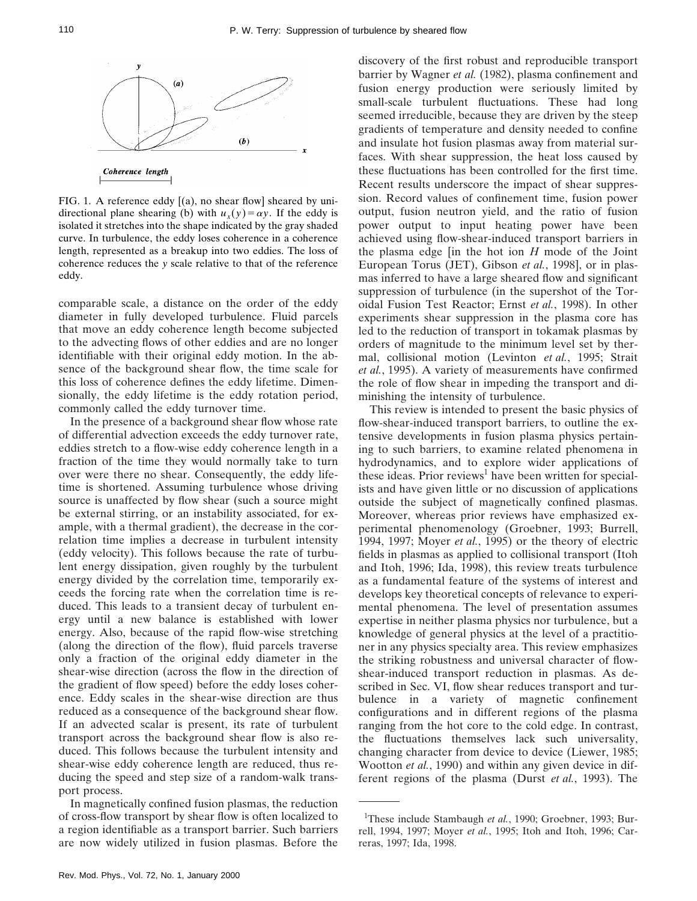

FIG. 1. A reference eddy [(a), no shear flow] sheared by unidirectional plane shearing (b) with  $u_x(y) = \alpha y$ . If the eddy is isolated it stretches into the shape indicated by the gray shaded curve. In turbulence, the eddy loses coherence in a coherence length, represented as a breakup into two eddies. The loss of coherence reduces the *y* scale relative to that of the reference eddy.

comparable scale, a distance on the order of the eddy diameter in fully developed turbulence. Fluid parcels that move an eddy coherence length become subjected to the advecting flows of other eddies and are no longer identifiable with their original eddy motion. In the absence of the background shear flow, the time scale for this loss of coherence defines the eddy lifetime. Dimensionally, the eddy lifetime is the eddy rotation period, commonly called the eddy turnover time.

In the presence of a background shear flow whose rate of differential advection exceeds the eddy turnover rate, eddies stretch to a flow-wise eddy coherence length in a fraction of the time they would normally take to turn over were there no shear. Consequently, the eddy lifetime is shortened. Assuming turbulence whose driving source is unaffected by flow shear (such a source might be external stirring, or an instability associated, for example, with a thermal gradient), the decrease in the correlation time implies a decrease in turbulent intensity (eddy velocity). This follows because the rate of turbulent energy dissipation, given roughly by the turbulent energy divided by the correlation time, temporarily exceeds the forcing rate when the correlation time is reduced. This leads to a transient decay of turbulent energy until a new balance is established with lower energy. Also, because of the rapid flow-wise stretching (along the direction of the flow), fluid parcels traverse only a fraction of the original eddy diameter in the shear-wise direction (across the flow in the direction of the gradient of flow speed) before the eddy loses coherence. Eddy scales in the shear-wise direction are thus reduced as a consequence of the background shear flow. If an advected scalar is present, its rate of turbulent transport across the background shear flow is also reduced. This follows because the turbulent intensity and shear-wise eddy coherence length are reduced, thus reducing the speed and step size of a random-walk transport process.

In magnetically confined fusion plasmas, the reduction of cross-flow transport by shear flow is often localized to a region identifiable as a transport barrier. Such barriers are now widely utilized in fusion plasmas. Before the discovery of the first robust and reproducible transport barrier by Wagner *et al.* (1982), plasma confinement and fusion energy production were seriously limited by small-scale turbulent fluctuations. These had long seemed irreducible, because they are driven by the steep gradients of temperature and density needed to confine and insulate hot fusion plasmas away from material surfaces. With shear suppression, the heat loss caused by these fluctuations has been controlled for the first time. Recent results underscore the impact of shear suppression. Record values of confinement time, fusion power output, fusion neutron yield, and the ratio of fusion power output to input heating power have been achieved using flow-shear-induced transport barriers in the plasma edge [in the hot ion *H* mode of the Joint European Torus (JET), Gibson *et al.*, 1998], or in plasmas inferred to have a large sheared flow and significant suppression of turbulence (in the supershot of the Toroidal Fusion Test Reactor; Ernst *et al.*, 1998). In other experiments shear suppression in the plasma core has led to the reduction of transport in tokamak plasmas by orders of magnitude to the minimum level set by thermal, collisional motion (Levinton *et al.*, 1995; Strait *et al.*, 1995). A variety of measurements have confirmed the role of flow shear in impeding the transport and diminishing the intensity of turbulence.

This review is intended to present the basic physics of flow-shear-induced transport barriers, to outline the extensive developments in fusion plasma physics pertaining to such barriers, to examine related phenomena in hydrodynamics, and to explore wider applications of these ideas. Prior reviews<sup>1</sup> have been written for specialists and have given little or no discussion of applications outside the subject of magnetically confined plasmas. Moreover, whereas prior reviews have emphasized experimental phenomenology (Groebner, 1993; Burrell, 1994, 1997; Moyer *et al.*, 1995) or the theory of electric fields in plasmas as applied to collisional transport (Itoh and Itoh, 1996; Ida, 1998), this review treats turbulence as a fundamental feature of the systems of interest and develops key theoretical concepts of relevance to experimental phenomena. The level of presentation assumes expertise in neither plasma physics nor turbulence, but a knowledge of general physics at the level of a practitioner in any physics specialty area. This review emphasizes the striking robustness and universal character of flowshear-induced transport reduction in plasmas. As described in Sec. VI, flow shear reduces transport and turbulence in a variety of magnetic confinement configurations and in different regions of the plasma ranging from the hot core to the cold edge. In contrast, the fluctuations themselves lack such universality, changing character from device to device (Liewer, 1985; Wootton *et al.*, 1990) and within any given device in different regions of the plasma (Durst *et al.*, 1993). The

<sup>&</sup>lt;sup>1</sup>These include Stambaugh *et al.*, 1990; Groebner, 1993; Burrell, 1994, 1997; Moyer *et al.*, 1995; Itoh and Itoh, 1996; Carreras, 1997; Ida, 1998.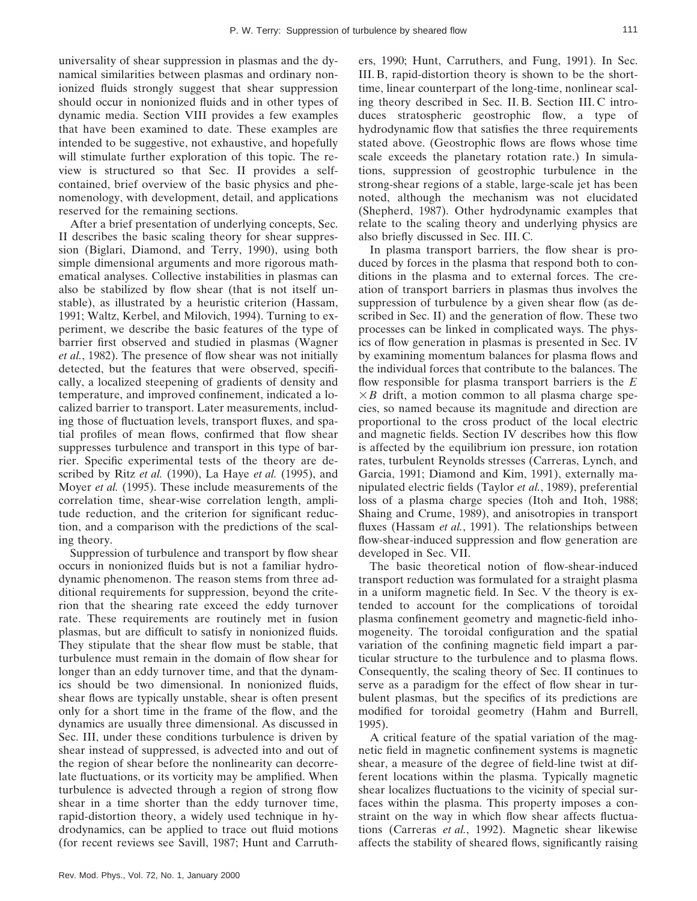universality of shear suppression in plasmas and the dynamical similarities between plasmas and ordinary nonionized fluids strongly suggest that shear suppression should occur in nonionized fluids and in other types of dynamic media. Section VIII provides a few examples that have been examined to date. These examples are intended to be suggestive, not exhaustive, and hopefully will stimulate further exploration of this topic. The review is structured so that Sec. II provides a selfcontained, brief overview of the basic physics and phenomenology, with development, detail, and applications reserved for the remaining sections.

After a brief presentation of underlying concepts, Sec. II describes the basic scaling theory for shear suppression (Biglari, Diamond, and Terry, 1990), using both simple dimensional arguments and more rigorous mathematical analyses. Collective instabilities in plasmas can also be stabilized by flow shear (that is not itself unstable), as illustrated by a heuristic criterion (Hassam, 1991; Waltz, Kerbel, and Milovich, 1994). Turning to experiment, we describe the basic features of the type of barrier first observed and studied in plasmas (Wagner *et al.*, 1982). The presence of flow shear was not initially detected, but the features that were observed, specifically, a localized steepening of gradients of density and temperature, and improved confinement, indicated a localized barrier to transport. Later measurements, including those of fluctuation levels, transport fluxes, and spatial profiles of mean flows, confirmed that flow shear suppresses turbulence and transport in this type of barrier. Specific experimental tests of the theory are described by Ritz *et al.* (1990), La Haye *et al.* (1995), and Moyer *et al.* (1995). These include measurements of the correlation time, shear-wise correlation length, amplitude reduction, and the criterion for significant reduction, and a comparison with the predictions of the scaling theory.

Suppression of turbulence and transport by flow shear occurs in nonionized fluids but is not a familiar hydrodynamic phenomenon. The reason stems from three additional requirements for suppression, beyond the criterion that the shearing rate exceed the eddy turnover rate. These requirements are routinely met in fusion plasmas, but are difficult to satisfy in nonionized fluids. They stipulate that the shear flow must be stable, that turbulence must remain in the domain of flow shear for longer than an eddy turnover time, and that the dynamics should be two dimensional. In nonionized fluids, shear flows are typically unstable, shear is often present only for a short time in the frame of the flow, and the dynamics are usually three dimensional. As discussed in Sec. III, under these conditions turbulence is driven by shear instead of suppressed, is advected into and out of the region of shear before the nonlinearity can decorrelate fluctuations, or its vorticity may be amplified. When turbulence is advected through a region of strong flow shear in a time shorter than the eddy turnover time, rapid-distortion theory, a widely used technique in hydrodynamics, can be applied to trace out fluid motions (for recent reviews see Savill, 1987; Hunt and Carruthers, 1990; Hunt, Carruthers, and Fung, 1991). In Sec. III. B, rapid-distortion theory is shown to be the shorttime, linear counterpart of the long-time, nonlinear scaling theory described in Sec. II. B. Section III. C introduces stratospheric geostrophic flow, a type of hydrodynamic flow that satisfies the three requirements stated above. (Geostrophic flows are flows whose time scale exceeds the planetary rotation rate.) In simulations, suppression of geostrophic turbulence in the strong-shear regions of a stable, large-scale jet has been noted, although the mechanism was not elucidated (Shepherd, 1987). Other hydrodynamic examples that relate to the scaling theory and underlying physics are also briefly discussed in Sec. III. C.

In plasma transport barriers, the flow shear is produced by forces in the plasma that respond both to conditions in the plasma and to external forces. The creation of transport barriers in plasmas thus involves the suppression of turbulence by a given shear flow (as described in Sec. II) and the generation of flow. These two processes can be linked in complicated ways. The physics of flow generation in plasmas is presented in Sec. IV by examining momentum balances for plasma flows and the individual forces that contribute to the balances. The flow responsible for plasma transport barriers is the *E*  $\times B$  drift, a motion common to all plasma charge species, so named because its magnitude and direction are proportional to the cross product of the local electric and magnetic fields. Section IV describes how this flow is affected by the equilibrium ion pressure, ion rotation rates, turbulent Reynolds stresses (Carreras, Lynch, and Garcia, 1991; Diamond and Kim, 1991), externally manipulated electric fields (Taylor *et al.*, 1989), preferential loss of a plasma charge species (Itoh and Itoh, 1988; Shaing and Crume, 1989), and anisotropies in transport fluxes (Hassam *et al.*, 1991). The relationships between flow-shear-induced suppression and flow generation are developed in Sec. VII.

The basic theoretical notion of flow-shear-induced transport reduction was formulated for a straight plasma in a uniform magnetic field. In Sec. V the theory is extended to account for the complications of toroidal plasma confinement geometry and magnetic-field inhomogeneity. The toroidal configuration and the spatial variation of the confining magnetic field impart a particular structure to the turbulence and to plasma flows. Consequently, the scaling theory of Sec. II continues to serve as a paradigm for the effect of flow shear in turbulent plasmas, but the specifics of its predictions are modified for toroidal geometry (Hahm and Burrell, 1995).

A critical feature of the spatial variation of the magnetic field in magnetic confinement systems is magnetic shear, a measure of the degree of field-line twist at different locations within the plasma. Typically magnetic shear localizes fluctuations to the vicinity of special surfaces within the plasma. This property imposes a constraint on the way in which flow shear affects fluctuations (Carreras *et al.*, 1992). Magnetic shear likewise affects the stability of sheared flows, significantly raising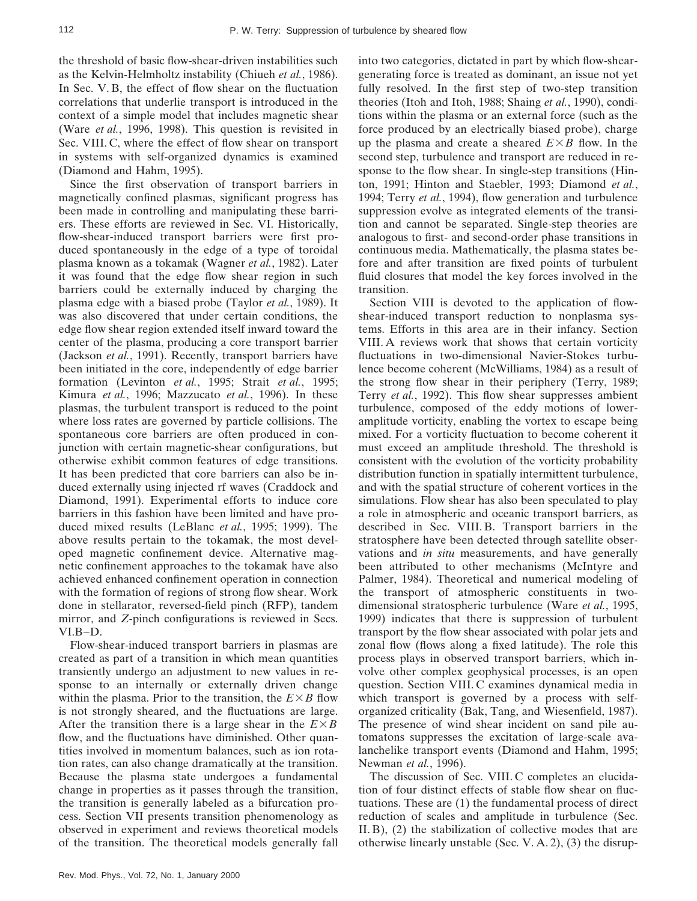the threshold of basic flow-shear-driven instabilities such as the Kelvin-Helmholtz instability (Chiueh *et al.*, 1986). In Sec. V. B, the effect of flow shear on the fluctuation correlations that underlie transport is introduced in the context of a simple model that includes magnetic shear (Ware *et al.*, 1996, 1998). This question is revisited in Sec. VIII. C, where the effect of flow shear on transport in systems with self-organized dynamics is examined (Diamond and Hahm, 1995).

Since the first observation of transport barriers in magnetically confined plasmas, significant progress has been made in controlling and manipulating these barriers. These efforts are reviewed in Sec. VI. Historically, flow-shear-induced transport barriers were first produced spontaneously in the edge of a type of toroidal plasma known as a tokamak (Wagner *et al.*, 1982). Later it was found that the edge flow shear region in such barriers could be externally induced by charging the plasma edge with a biased probe (Taylor *et al.*, 1989). It was also discovered that under certain conditions, the edge flow shear region extended itself inward toward the center of the plasma, producing a core transport barrier (Jackson *et al.*, 1991). Recently, transport barriers have been initiated in the core, independently of edge barrier formation (Levinton *et al.*, 1995; Strait *et al.*, 1995; Kimura *et al.*, 1996; Mazzucato *et al.*, 1996). In these plasmas, the turbulent transport is reduced to the point where loss rates are governed by particle collisions. The spontaneous core barriers are often produced in conjunction with certain magnetic-shear configurations, but otherwise exhibit common features of edge transitions. It has been predicted that core barriers can also be induced externally using injected rf waves (Craddock and Diamond, 1991). Experimental efforts to induce core barriers in this fashion have been limited and have produced mixed results (LeBlanc *et al.*, 1995; 1999). The above results pertain to the tokamak, the most developed magnetic confinement device. Alternative magnetic confinement approaches to the tokamak have also achieved enhanced confinement operation in connection with the formation of regions of strong flow shear. Work done in stellarator, reversed-field pinch (RFP), tandem mirror, and *Z*-pinch configurations is reviewed in Secs. VI.B–D.

Flow-shear-induced transport barriers in plasmas are created as part of a transition in which mean quantities transiently undergo an adjustment to new values in response to an internally or externally driven change within the plasma. Prior to the transition, the  $E \times B$  flow is not strongly sheared, and the fluctuations are large. After the transition there is a large shear in the  $E \times B$ flow, and the fluctuations have diminished. Other quantities involved in momentum balances, such as ion rotation rates, can also change dramatically at the transition. Because the plasma state undergoes a fundamental change in properties as it passes through the transition, the transition is generally labeled as a bifurcation process. Section VII presents transition phenomenology as observed in experiment and reviews theoretical models of the transition. The theoretical models generally fall into two categories, dictated in part by which flow-sheargenerating force is treated as dominant, an issue not yet fully resolved. In the first step of two-step transition theories (Itoh and Itoh, 1988; Shaing *et al.*, 1990), conditions within the plasma or an external force (such as the force produced by an electrically biased probe), charge up the plasma and create a sheared  $E \times B$  flow. In the second step, turbulence and transport are reduced in response to the flow shear. In single-step transitions (Hinton, 1991; Hinton and Staebler, 1993; Diamond *et al.*, 1994; Terry *et al.*, 1994), flow generation and turbulence suppression evolve as integrated elements of the transition and cannot be separated. Single-step theories are analogous to first- and second-order phase transitions in continuous media. Mathematically, the plasma states before and after transition are fixed points of turbulent fluid closures that model the key forces involved in the transition.

Section VIII is devoted to the application of flowshear-induced transport reduction to nonplasma systems. Efforts in this area are in their infancy. Section VIII. A reviews work that shows that certain vorticity fluctuations in two-dimensional Navier-Stokes turbulence become coherent (McWilliams, 1984) as a result of the strong flow shear in their periphery (Terry, 1989; Terry *et al.*, 1992). This flow shear suppresses ambient turbulence, composed of the eddy motions of loweramplitude vorticity, enabling the vortex to escape being mixed. For a vorticity fluctuation to become coherent it must exceed an amplitude threshold. The threshold is consistent with the evolution of the vorticity probability distribution function in spatially intermittent turbulence, and with the spatial structure of coherent vortices in the simulations. Flow shear has also been speculated to play a role in atmospheric and oceanic transport barriers, as described in Sec. VIII. B. Transport barriers in the stratosphere have been detected through satellite observations and *in situ* measurements, and have generally been attributed to other mechanisms (McIntyre and Palmer, 1984). Theoretical and numerical modeling of the transport of atmospheric constituents in twodimensional stratospheric turbulence (Ware *et al.*, 1995, 1999) indicates that there is suppression of turbulent transport by the flow shear associated with polar jets and zonal flow (flows along a fixed latitude). The role this process plays in observed transport barriers, which involve other complex geophysical processes, is an open question. Section VIII. C examines dynamical media in which transport is governed by a process with selforganized criticality (Bak, Tang, and Wiesenfield, 1987). The presence of wind shear incident on sand pile automatons suppresses the excitation of large-scale avalanchelike transport events (Diamond and Hahm, 1995; Newman *et al.*, 1996).

The discussion of Sec. VIII. C completes an elucidation of four distinct effects of stable flow shear on fluctuations. These are (1) the fundamental process of direct reduction of scales and amplitude in turbulence (Sec. II. B), (2) the stabilization of collective modes that are otherwise linearly unstable (Sec. V. A. 2), (3) the disrup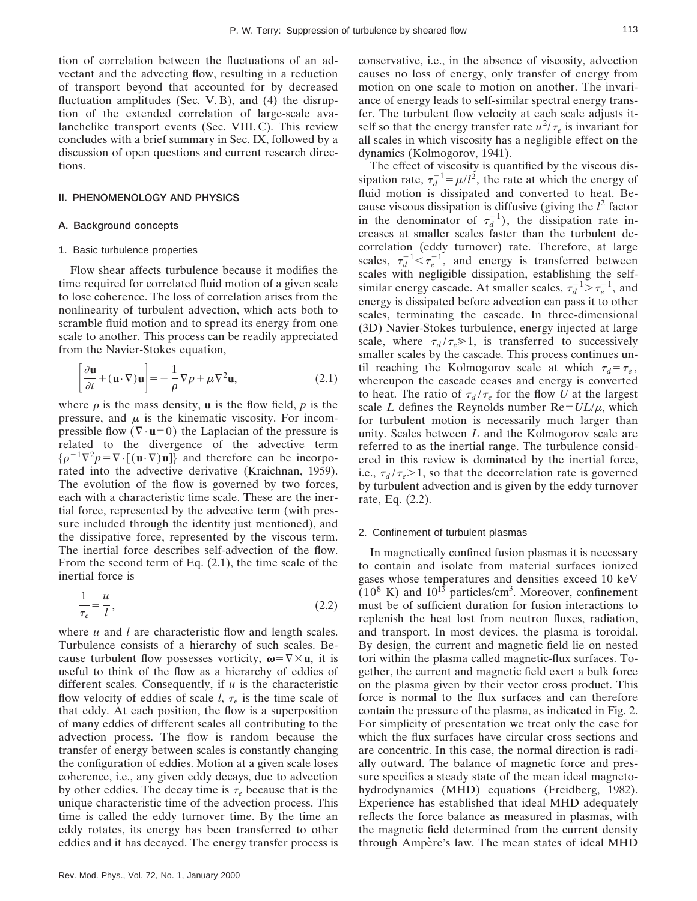tion of correlation between the fluctuations of an advectant and the advecting flow, resulting in a reduction of transport beyond that accounted for by decreased fluctuation amplitudes (Sec. V.B), and (4) the disruption of the extended correlation of large-scale avalanchelike transport events (Sec. VIII. C). This review concludes with a brief summary in Sec. IX, followed by a discussion of open questions and current research directions.

# **II. PHENOMENOLOGY AND PHYSICS**

# **A. Background concepts**

# 1. Basic turbulence properties

Flow shear affects turbulence because it modifies the time required for correlated fluid motion of a given scale to lose coherence. The loss of correlation arises from the nonlinearity of turbulent advection, which acts both to scramble fluid motion and to spread its energy from one scale to another. This process can be readily appreciated from the Navier-Stokes equation,

$$
\left[\frac{\partial \mathbf{u}}{\partial t} + (\mathbf{u} \cdot \nabla) \mathbf{u}\right] = -\frac{1}{\rho} \nabla p + \mu \nabla^2 \mathbf{u},\tag{2.1}
$$

where  $\rho$  is the mass density, **u** is the flow field,  $p$  is the pressure, and  $\mu$  is the kinematic viscosity. For incompressible flow  $(\nabla \cdot \mathbf{u}=0)$  the Laplacian of the pressure is related to the divergence of the advective term  $\{\rho^{-1}\nabla^2 p = \nabla \cdot [(\mathbf{u} \cdot \nabla) \mathbf{u}]\}$  and therefore can be incorporated into the advective derivative (Kraichnan, 1959). The evolution of the flow is governed by two forces, each with a characteristic time scale. These are the inertial force, represented by the advective term (with pressure included through the identity just mentioned), and the dissipative force, represented by the viscous term. The inertial force describes self-advection of the flow. From the second term of Eq. (2.1), the time scale of the inertial force is

$$
\frac{1}{\tau_e} = \frac{u}{l},\tag{2.2}
$$

where *u* and *l* are characteristic flow and length scales. Turbulence consists of a hierarchy of such scales. Because turbulent flow possesses vorticity,  $\boldsymbol{\omega} = \nabla \times \mathbf{u}$ , it is useful to think of the flow as a hierarchy of eddies of different scales. Consequently, if *u* is the characteristic flow velocity of eddies of scale  $l$ ,  $\tau_e$  is the time scale of that eddy. At each position, the flow is a superposition of many eddies of different scales all contributing to the advection process. The flow is random because the transfer of energy between scales is constantly changing the configuration of eddies. Motion at a given scale loses coherence, i.e., any given eddy decays, due to advection by other eddies. The decay time is  $\tau_e$  because that is the unique characteristic time of the advection process. This time is called the eddy turnover time. By the time an eddy rotates, its energy has been transferred to other eddies and it has decayed. The energy transfer process is conservative, i.e., in the absence of viscosity, advection causes no loss of energy, only transfer of energy from motion on one scale to motion on another. The invariance of energy leads to self-similar spectral energy transfer. The turbulent flow velocity at each scale adjusts itself so that the energy transfer rate  $u^2/\tau_e$  is invariant for all scales in which viscosity has a negligible effect on the dynamics (Kolmogorov, 1941).

The effect of viscosity is quantified by the viscous dissipation rate,  $\tau_d^{-1} = \mu/l^2$ , the rate at which the energy of fluid motion is dissipated and converted to heat. Because viscous dissipation is diffusive (giving the *l* <sup>2</sup> factor in the denominator of  $\tau_d^{-1}$ ), the dissipation rate increases at smaller scales faster than the turbulent decorrelation (eddy turnover) rate. Therefore, at large scales,  $\tau_d^{-1} < \tau_e^{-1}$ , and energy is transferred between scales with negligible dissipation, establishing the selfsimilar energy cascade. At smaller scales,  $\tau_d^{-1} > \tau_e^{-1}$ , and energy is dissipated before advection can pass it to other scales, terminating the cascade. In three-dimensional (3D) Navier-Stokes turbulence, energy injected at large scale, where  $\tau_d / \tau_e \ge 1$ , is transferred to successively smaller scales by the cascade. This process continues until reaching the Kolmogorov scale at which  $\tau_d = \tau_e$ , whereupon the cascade ceases and energy is converted to heat. The ratio of  $\tau_d / \tau_e$  for the flow *U* at the largest scale *L* defines the Reynolds number  $Re=UL/\mu$ , which for turbulent motion is necessarily much larger than unity. Scales between *L* and the Kolmogorov scale are referred to as the inertial range. The turbulence considered in this review is dominated by the inertial force, i.e.,  $\tau_d / \tau_e > 1$ , so that the decorrelation rate is governed by turbulent advection and is given by the eddy turnover rate, Eq. (2.2).

# 2. Confinement of turbulent plasmas

In magnetically confined fusion plasmas it is necessary to contain and isolate from material surfaces ionized gases whose temperatures and densities exceed 10 keV  $(10^8 \text{ K})$  and  $10^{13}$  particles/cm<sup>3</sup>. Moreover, confinement must be of sufficient duration for fusion interactions to replenish the heat lost from neutron fluxes, radiation, and transport. In most devices, the plasma is toroidal. By design, the current and magnetic field lie on nested tori within the plasma called magnetic-flux surfaces. Together, the current and magnetic field exert a bulk force on the plasma given by their vector cross product. This force is normal to the flux surfaces and can therefore contain the pressure of the plasma, as indicated in Fig. 2. For simplicity of presentation we treat only the case for which the flux surfaces have circular cross sections and are concentric. In this case, the normal direction is radially outward. The balance of magnetic force and pressure specifies a steady state of the mean ideal magnetohydrodynamics (MHD) equations (Freidberg, 1982). Experience has established that ideal MHD adequately reflects the force balance as measured in plasmas, with the magnetic field determined from the current density through Ampère's law. The mean states of ideal MHD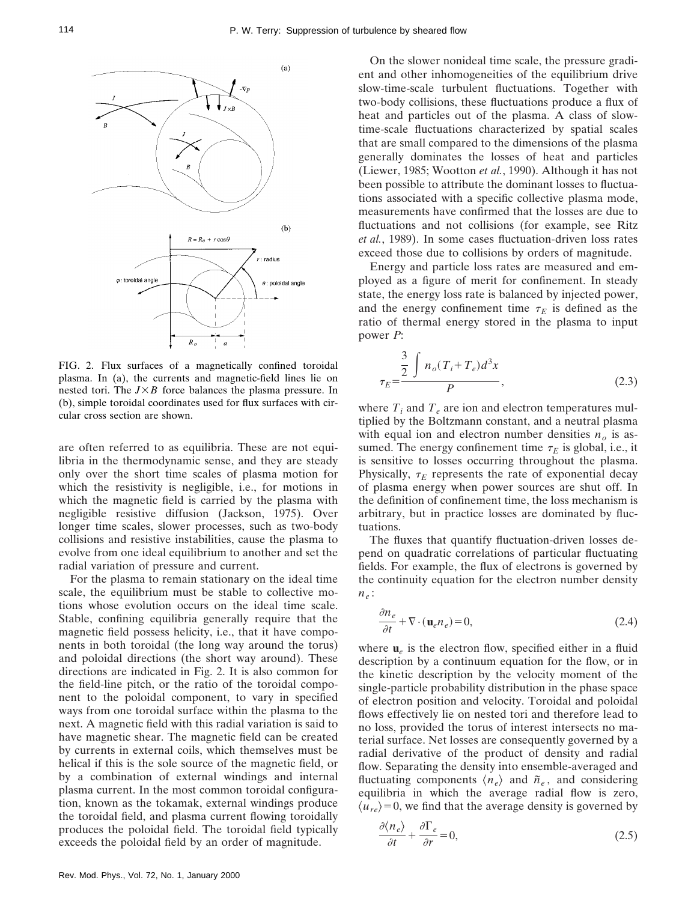

FIG. 2. Flux surfaces of a magnetically confined toroidal plasma. In (a), the currents and magnetic-field lines lie on nested tori. The  $J \times B$  force balances the plasma pressure. In (b), simple toroidal coordinates used for flux surfaces with circular cross section are shown.

are often referred to as equilibria. These are not equilibria in the thermodynamic sense, and they are steady only over the short time scales of plasma motion for which the resistivity is negligible, i.e., for motions in which the magnetic field is carried by the plasma with negligible resistive diffusion (Jackson, 1975). Over longer time scales, slower processes, such as two-body collisions and resistive instabilities, cause the plasma to evolve from one ideal equilibrium to another and set the radial variation of pressure and current.

For the plasma to remain stationary on the ideal time scale, the equilibrium must be stable to collective motions whose evolution occurs on the ideal time scale. Stable, confining equilibria generally require that the magnetic field possess helicity, i.e., that it have components in both toroidal (the long way around the torus) and poloidal directions (the short way around). These directions are indicated in Fig. 2. It is also common for the field-line pitch, or the ratio of the toroidal component to the poloidal component, to vary in specified ways from one toroidal surface within the plasma to the next. A magnetic field with this radial variation is said to have magnetic shear. The magnetic field can be created by currents in external coils, which themselves must be helical if this is the sole source of the magnetic field, or by a combination of external windings and internal plasma current. In the most common toroidal configuration, known as the tokamak, external windings produce the toroidal field, and plasma current flowing toroidally produces the poloidal field. The toroidal field typically exceeds the poloidal field by an order of magnitude.

On the slower nonideal time scale, the pressure gradient and other inhomogeneities of the equilibrium drive slow-time-scale turbulent fluctuations. Together with two-body collisions, these fluctuations produce a flux of heat and particles out of the plasma. A class of slowtime-scale fluctuations characterized by spatial scales that are small compared to the dimensions of the plasma generally dominates the losses of heat and particles (Liewer, 1985; Wootton *et al.*, 1990). Although it has not been possible to attribute the dominant losses to fluctuations associated with a specific collective plasma mode, measurements have confirmed that the losses are due to fluctuations and not collisions (for example, see Ritz *et al.*, 1989). In some cases fluctuation-driven loss rates exceed those due to collisions by orders of magnitude.

Energy and particle loss rates are measured and employed as a figure of merit for confinement. In steady state, the energy loss rate is balanced by injected power, and the energy confinement time  $\tau_F$  is defined as the ratio of thermal energy stored in the plasma to input power *P*:

$$
\tau_E = \frac{\frac{3}{2} \int n_o (T_i + T_e) d^3 x}{P},
$$
\n(2.3)

where  $T_i$  and  $T_e$  are ion and electron temperatures multiplied by the Boltzmann constant, and a neutral plasma with equal ion and electron number densities  $n<sub>o</sub>$  is assumed. The energy confinement time  $\tau_E$  is global, i.e., it is sensitive to losses occurring throughout the plasma. Physically,  $\tau_E$  represents the rate of exponential decay of plasma energy when power sources are shut off. In the definition of confinement time, the loss mechanism is arbitrary, but in practice losses are dominated by fluctuations.

The fluxes that quantify fluctuation-driven losses depend on quadratic correlations of particular fluctuating fields. For example, the flux of electrons is governed by the continuity equation for the electron number density  $n_e$ :

$$
\frac{\partial n_e}{\partial t} + \nabla \cdot (\mathbf{u}_e n_e) = 0,\tag{2.4}
$$

where  $\mathbf{u}_e$  is the electron flow, specified either in a fluid description by a continuum equation for the flow, or in the kinetic description by the velocity moment of the single-particle probability distribution in the phase space of electron position and velocity. Toroidal and poloidal flows effectively lie on nested tori and therefore lead to no loss, provided the torus of interest intersects no material surface. Net losses are consequently governed by a radial derivative of the product of density and radial flow. Separating the density into ensemble-averaged and fluctuating components  $\langle n_e \rangle$  and  $\tilde{n}_e$ , and considering equilibria in which the average radial flow is zero,  $\langle u_{re}\rangle$ =0, we find that the average density is governed by

$$
\frac{\partial \langle n_e \rangle}{\partial t} + \frac{\partial \Gamma_e}{\partial r} = 0,
$$
\n(2.5)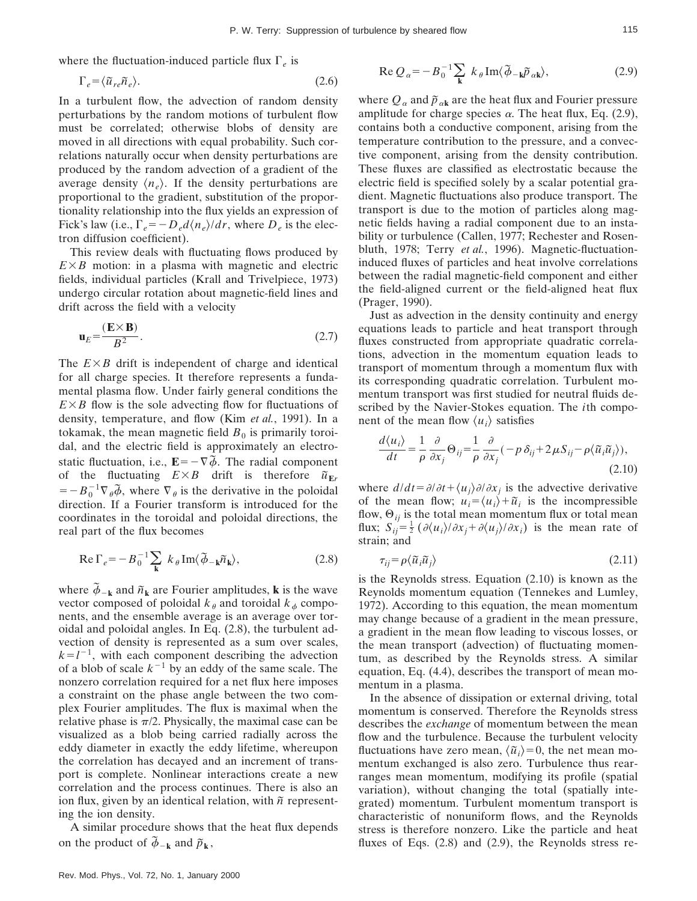where the fluctuation-induced particle flux  $\Gamma_e$  is

$$
\Gamma_e = \langle \tilde{u}_{re} \tilde{n}_e \rangle. \tag{2.6}
$$

In a turbulent flow, the advection of random density perturbations by the random motions of turbulent flow must be correlated; otherwise blobs of density are moved in all directions with equal probability. Such correlations naturally occur when density perturbations are produced by the random advection of a gradient of the average density  $\langle n_e \rangle$ . If the density perturbations are proportional to the gradient, substitution of the proportionality relationship into the flux yields an expression of Fick's law (i.e.,  $\Gamma_e = -D_e d \langle n_e \rangle / dr$ , where  $D_e$  is the electron diffusion coefficient).

This review deals with fluctuating flows produced by  $E \times B$  motion: in a plasma with magnetic and electric fields, individual particles (Krall and Trivelpiece, 1973) undergo circular rotation about magnetic-field lines and drift across the field with a velocity

$$
\mathbf{u}_E = \frac{(\mathbf{E} \times \mathbf{B})}{B^2}.
$$
 (2.7)

The  $E \times B$  drift is independent of charge and identical for all charge species. It therefore represents a fundamental plasma flow. Under fairly general conditions the  $E \times B$  flow is the sole advecting flow for fluctuations of density, temperature, and flow (Kim *et al.*, 1991). In a tokamak, the mean magnetic field  $B_0$  is primarily toroidal, and the electric field is approximately an electrostatic fluctuation, i.e.,  $\mathbf{E} = -\nabla \phi$ . The radial component of the fluctuating  $E \times B$  drift is therefore  $\tilde{u}_{E}$  $= -B_0^{-1} \nabla_{\theta} \tilde{\phi}$ , where  $\nabla_{\theta}$  is the derivative in the poloidal direction. If a Fourier transform is introduced for the coordinates in the toroidal and poloidal directions, the real part of the flux becomes

$$
\operatorname{Re}\Gamma_{e} = -B_{0}^{-1} \sum_{\mathbf{k}} k_{\theta} \operatorname{Im}\langle \tilde{\phi}_{-\mathbf{k}} \tilde{n}_{\mathbf{k}} \rangle, \tag{2.8}
$$

where  $\phi_{-\mathbf{k}}$  and  $\tilde{n}_{\mathbf{k}}$  are Fourier amplitudes, **k** is the wave vector composed of poloidal  $k_{\theta}$  and toroidal  $k_{\phi}$  components, and the ensemble average is an average over toroidal and poloidal angles. In Eq. (2.8), the turbulent advection of density is represented as a sum over scales,  $k=l^{-1}$ , with each component describing the advection of a blob of scale  $k^{-1}$  by an eddy of the same scale. The nonzero correlation required for a net flux here imposes a constraint on the phase angle between the two complex Fourier amplitudes. The flux is maximal when the relative phase is  $\pi/2$ . Physically, the maximal case can be visualized as a blob being carried radially across the eddy diameter in exactly the eddy lifetime, whereupon the correlation has decayed and an increment of transport is complete. Nonlinear interactions create a new correlation and the process continues. There is also an ion flux, given by an identical relation, with  $\tilde{n}$  representing the ion density.

A similar procedure shows that the heat flux depends on the product of  $\tilde{\phi}_{-k}$  and  $\tilde{p}_k$ ,

$$
\operatorname{Re} Q_{\alpha} = -B_0^{-1} \sum_{\mathbf{k}} k_{\theta} \operatorname{Im} \langle \tilde{\phi}_{-\mathbf{k}} \tilde{p}_{\alpha \mathbf{k}} \rangle, \tag{2.9}
$$

where  $Q_{\alpha}$  and  $\bar{p}_{\alpha k}$  are the heat flux and Fourier pressure amplitude for charge species  $\alpha$ . The heat flux, Eq. (2.9), contains both a conductive component, arising from the temperature contribution to the pressure, and a convective component, arising from the density contribution. These fluxes are classified as electrostatic because the electric field is specified solely by a scalar potential gradient. Magnetic fluctuations also produce transport. The transport is due to the motion of particles along magnetic fields having a radial component due to an instability or turbulence (Callen, 1977; Rechester and Rosenbluth, 1978; Terry *et al.*, 1996). Magnetic-fluctuationinduced fluxes of particles and heat involve correlations between the radial magnetic-field component and either the field-aligned current or the field-aligned heat flux (Prager, 1990).

Just as advection in the density continuity and energy equations leads to particle and heat transport through fluxes constructed from appropriate quadratic correlations, advection in the momentum equation leads to transport of momentum through a momentum flux with its corresponding quadratic correlation. Turbulent momentum transport was first studied for neutral fluids described by the Navier-Stokes equation. The *i*th component of the mean flow  $\langle u_i \rangle$  satisfies

$$
\frac{d\langle u_i \rangle}{dt} = \frac{1}{\rho} \frac{\partial}{\partial x_j} \Theta_{ij} = \frac{1}{\rho} \frac{\partial}{\partial x_j} (-p \,\delta_{ij} + 2\,\mu S_{ij} - \rho \langle \tilde{u}_i \tilde{u}_j \rangle),\tag{2.10}
$$

where  $d/dt = \partial/\partial t + \langle u_i \rangle \partial/\partial x_i$  is the advective derivative of the mean flow;  $u_i = \langle u_i \rangle + \tilde{u}_i$  is the incompressible flow,  $\Theta_{ij}$  is the total mean momentum flux or total mean flux;  $S_{ij} = \frac{1}{2} \left( \frac{\partial \langle u_i \rangle}{\partial x_j} + \frac{\partial \langle u_j \rangle}{\partial x_i} \right)$  is the mean rate of strain; and

$$
\tau_{ij} = \rho \langle \tilde{u}_i \tilde{u}_j \rangle \tag{2.11}
$$

is the Reynolds stress. Equation (2.10) is known as the Reynolds momentum equation (Tennekes and Lumley, 1972). According to this equation, the mean momentum may change because of a gradient in the mean pressure, a gradient in the mean flow leading to viscous losses, or the mean transport (advection) of fluctuating momentum, as described by the Reynolds stress. A similar equation, Eq. (4.4), describes the transport of mean momentum in a plasma.

In the absence of dissipation or external driving, total momentum is conserved. Therefore the Reynolds stress describes the *exchange* of momentum between the mean flow and the turbulence. Because the turbulent velocity fluctuations have zero mean,  $\langle \tilde{u}_i \rangle = 0$ , the net mean momentum exchanged is also zero. Turbulence thus rearranges mean momentum, modifying its profile (spatial variation), without changing the total (spatially integrated) momentum. Turbulent momentum transport is characteristic of nonuniform flows, and the Reynolds stress is therefore nonzero. Like the particle and heat fluxes of Eqs. (2.8) and (2.9), the Reynolds stress re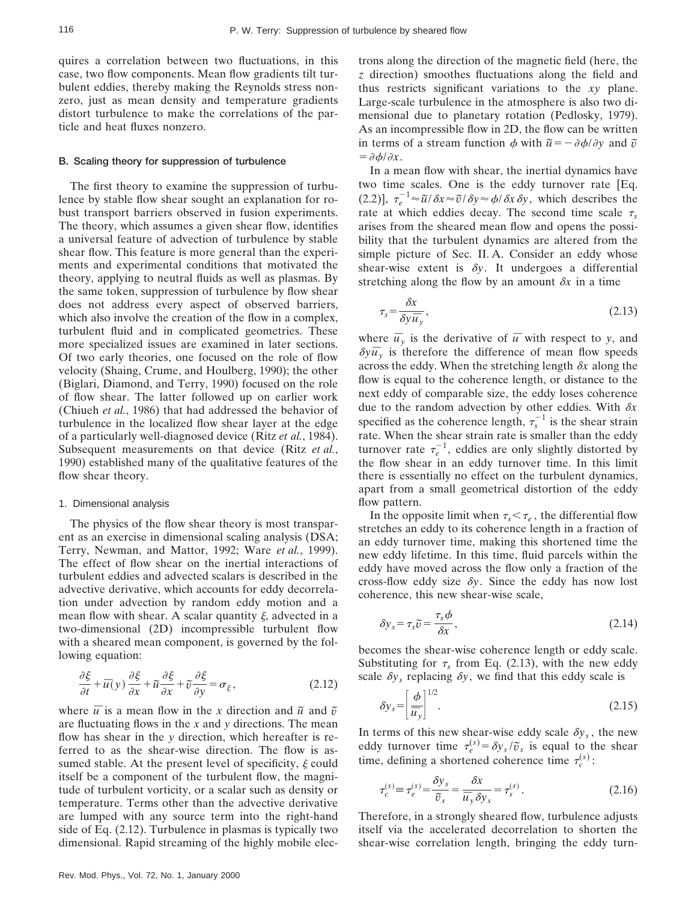quires a correlation between two fluctuations, in this case, two flow components. Mean flow gradients tilt turbulent eddies, thereby making the Reynolds stress nonzero, just as mean density and temperature gradients distort turbulence to make the correlations of the particle and heat fluxes nonzero.

# **B. Scaling theory for suppression of turbulence**

The first theory to examine the suppression of turbulence by stable flow shear sought an explanation for robust transport barriers observed in fusion experiments. The theory, which assumes a given shear flow, identifies a universal feature of advection of turbulence by stable shear flow. This feature is more general than the experiments and experimental conditions that motivated the theory, applying to neutral fluids as well as plasmas. By the same token, suppression of turbulence by flow shear does not address every aspect of observed barriers, which also involve the creation of the flow in a complex, turbulent fluid and in complicated geometries. These more specialized issues are examined in later sections. Of two early theories, one focused on the role of flow velocity (Shaing, Crume, and Houlberg, 1990); the other (Biglari, Diamond, and Terry, 1990) focused on the role of flow shear. The latter followed up on earlier work (Chiueh *et al.*, 1986) that had addressed the behavior of turbulence in the localized flow shear layer at the edge of a particularly well-diagnosed device (Ritz *et al.*, 1984). Subsequent measurements on that device (Ritz *et al.*, 1990) established many of the qualitative features of the flow shear theory.

## 1. Dimensional analysis

The physics of the flow shear theory is most transparent as an exercise in dimensional scaling analysis (DSA; Terry, Newman, and Mattor, 1992; Ware *et al.*, 1999). The effect of flow shear on the inertial interactions of turbulent eddies and advected scalars is described in the advective derivative, which accounts for eddy decorrelation under advection by random eddy motion and a mean flow with shear. A scalar quantity  $\xi$ , advected in a two-dimensional (2D) incompressible turbulent flow with a sheared mean component, is governed by the following equation:

$$
\frac{\partial \xi}{\partial t} + \bar{u}(y) \frac{\partial \xi}{\partial x} + \tilde{u} \frac{\partial \xi}{\partial x} + \tilde{v} \frac{\partial \xi}{\partial y} = \sigma_{\xi},\tag{2.12}
$$

where  $\bar{u}$  is a mean flow in the *x* direction and  $\tilde{u}$  and  $\tilde{v}$ are fluctuating flows in the *x* and *y* directions. The mean flow has shear in the *y* direction, which hereafter is referred to as the shear-wise direction. The flow is assumed stable. At the present level of specificity,  $\xi$  could itself be a component of the turbulent flow, the magnitude of turbulent vorticity, or a scalar such as density or temperature. Terms other than the advective derivative are lumped with any source term into the right-hand side of Eq. (2.12). Turbulence in plasmas is typically two dimensional. Rapid streaming of the highly mobile electrons along the direction of the magnetic field (here, the *z* direction) smoothes fluctuations along the field and thus restricts significant variations to the *xy* plane. Large-scale turbulence in the atmosphere is also two dimensional due to planetary rotation (Pedlosky, 1979). As an incompressible flow in 2D, the flow can be written in terms of a stream function  $\phi$  with  $\tilde{u} = -\partial \phi / \partial y$  and  $\tilde{v}$  $=$  $\partial \phi / \partial x$ .

In a mean flow with shear, the inertial dynamics have two time scales. One is the eddy turnover rate [Eq.  $(2.2)$ ,  $\tau_e^{-1} \approx \tilde{u}/\delta x \approx \tilde{v}/\delta y \approx \phi/\delta x \delta y$ , which describes the rate at which eddies decay. The second time scale  $\tau_s$ arises from the sheared mean flow and opens the possibility that the turbulent dynamics are altered from the simple picture of Sec. II. A. Consider an eddy whose shear-wise extent is  $\delta y$ . It undergoes a differential stretching along the flow by an amount  $\delta x$  in a time

$$
\tau_s = \frac{\delta x}{\delta y \bar{u}_y},\tag{2.13}
$$

where  $\bar{u}_y$  is the derivative of  $\bar{u}$  with respect to *y*, and  $\delta y \bar{u}_y$  is therefore the difference of mean flow speeds across the eddy. When the stretching length  $\delta x$  along the flow is equal to the coherence length, or distance to the next eddy of comparable size, the eddy loses coherence due to the random advection by other eddies. With  $\delta x$ specified as the coherence length,  $\tau_s^{-1}$  is the shear strain rate. When the shear strain rate is smaller than the eddy turnover rate  $\tau_e^{-1}$ , eddies are only slightly distorted by the flow shear in an eddy turnover time. In this limit there is essentially no effect on the turbulent dynamics, apart from a small geometrical distortion of the eddy flow pattern.

In the opposite limit when  $\tau_s < \tau_e$ , the differential flow stretches an eddy to its coherence length in a fraction of an eddy turnover time, making this shortened time the new eddy lifetime. In this time, fluid parcels within the eddy have moved across the flow only a fraction of the cross-flow eddy size  $\delta y$ . Since the eddy has now lost coherence, this new shear-wise scale,

$$
\delta y_s = \tau_s \tilde{v} = \frac{\tau_s \phi}{\delta x},\tag{2.14}
$$

becomes the shear-wise coherence length or eddy scale. Substituting for  $\tau_s$  from Eq. (2.13), with the new eddy scale  $\delta y_s$  replacing  $\delta y$ , we find that this eddy scale is

$$
\delta y_s = \left[\frac{\phi}{\bar{u}_y}\right]^{1/2}.\tag{2.15}
$$

In terms of this new shear-wise eddy scale  $\delta y_s$ , the new eddy turnover time  $\tau_e^{(s)} = \delta y_s / \tilde{v}_s$  is equal to the shear time, defining a shortened coherence time  $\tau_c^{(s)}$ :

$$
\tau_c^{(s)} \equiv \tau_e^{(s)} = \frac{\delta y_s}{\tilde{v}_s} = \frac{\delta x}{\bar{u}_y \delta y_s} = \tau_s^{(s)}.
$$
\n(2.16)

Therefore, in a strongly sheared flow, turbulence adjusts itself via the accelerated decorrelation to shorten the shear-wise correlation length, bringing the eddy turn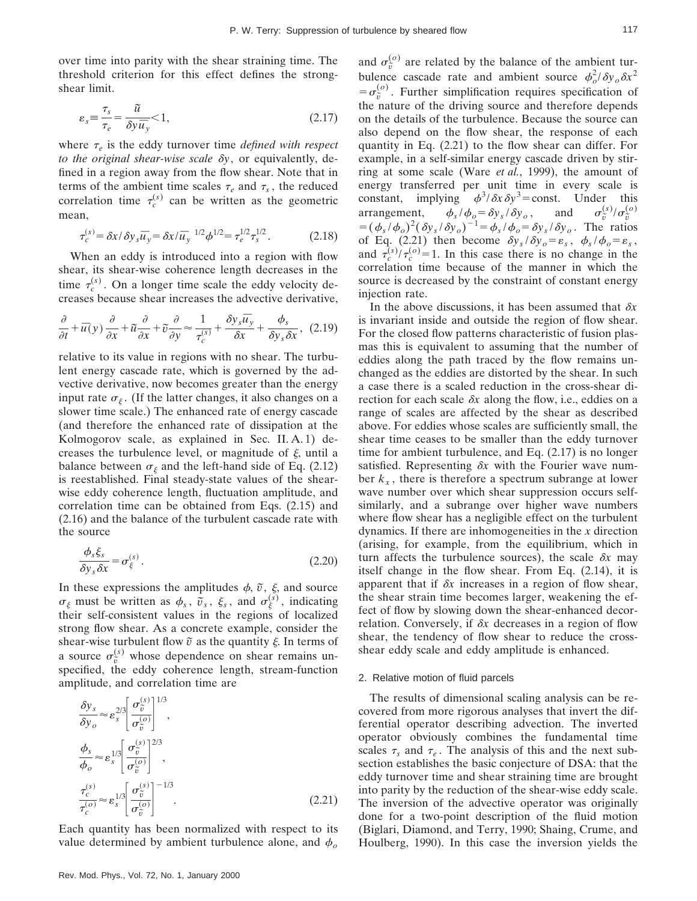over time into parity with the shear straining time. The threshold criterion for this effect defines the strongshear limit.

$$
\varepsilon_s = \frac{\tau_s}{\tau_e} = \frac{\tilde{u}}{\delta y \bar{u}_y} < 1,\tag{2.17}
$$

where  $\tau_e$  is the eddy turnover time *defined with respect to the original shear-wise scale*  $\delta y$ *, or equivalently, de*fined in a region away from the flow shear. Note that in terms of the ambient time scales  $\tau_e$  and  $\tau_s$ , the reduced correlation time  $\tau_c^{(s)}$  can be written as the geometric mean,

$$
\tau_c^{(s)} = \delta x / \delta y_s \bar{u}_y = \delta x / \bar{u}_y^{-1/2} \phi^{1/2} = \tau_e^{1/2} \tau_s^{1/2}.
$$
 (2.18)

When an eddy is introduced into a region with flow shear, its shear-wise coherence length decreases in the time  $\tau_c^{(s)}$ . On a longer time scale the eddy velocity decreases because shear increases the advective derivative,

$$
\frac{\partial}{\partial t} + \bar{u}(y)\frac{\partial}{\partial x} + \tilde{u}\frac{\partial}{\partial x} + \tilde{v}\frac{\partial}{\partial y} \approx \frac{1}{\tau_c^{(s)}} + \frac{\delta y_s \bar{u}_y}{\delta x} + \frac{\phi_s}{\delta y_s \delta x}, \quad (2.19)
$$

relative to its value in regions with no shear. The turbulent energy cascade rate, which is governed by the advective derivative, now becomes greater than the energy input rate  $\sigma_{\xi}$ . (If the latter changes, it also changes on a slower time scale.) The enhanced rate of energy cascade (and therefore the enhanced rate of dissipation at the Kolmogorov scale, as explained in Sec. II. A. 1) decreases the turbulence level, or magnitude of  $\xi$ , until a balance between  $\sigma_{\xi}$  and the left-hand side of Eq. (2.12) is reestablished. Final steady-state values of the shearwise eddy coherence length, fluctuation amplitude, and correlation time can be obtained from Eqs. (2.15) and (2.16) and the balance of the turbulent cascade rate with the source

$$
\frac{\phi_s \xi_s}{\delta y_s \delta x} = \sigma_\xi^{(s)}.
$$
\n(2.20)

In these expressions the amplitudes  $\phi$ ,  $\tilde{v}$ ,  $\xi$ , and source  $\sigma_{\xi}$  must be written as  $\phi_s$ ,  $\bar{v}_s$ ,  $\xi_s$ , and  $\sigma_{\xi}^{(s)}$ , indicating their self-consistent values in the regions of localized strong flow shear. As a concrete example, consider the shear-wise turbulent flow  $\tilde{v}$  as the quantity  $\xi$ . In terms of a source  $\sigma_{\tilde{v}}^{(s)}$  whose dependence on shear remains unspecified, the eddy coherence length, stream-function amplitude, and correlation time are

$$
\frac{\delta y_s}{\delta y_o} \approx \varepsilon_s^{2/3} \left[ \frac{\sigma_{\tilde{v}}^{(s)}}{\sigma_{\tilde{v}}^{(o)}} \right]^{1/3},
$$
  
\n
$$
\frac{\phi_s}{\phi_o} \approx \varepsilon_s^{1/3} \left[ \frac{\sigma_{\tilde{v}}^{(s)}}{\sigma_{\tilde{v}}^{(o)}} \right]^{2/3},
$$
  
\n
$$
\frac{\tau_c^{(s)}}{\tau_c^{(o)}} \approx \varepsilon_s^{1/3} \left[ \frac{\sigma_{\tilde{v}}^{(s)}}{\sigma_{\tilde{v}}^{(o)}} \right]^{-1/3}.
$$
\n(2.21)

Each quantity has been normalized with respect to its value determined by ambient turbulence alone, and  $\phi_o$ 

and  $\sigma_{\tilde{v}}^{(o)}$  are related by the balance of the ambient turbulence cascade rate and ambient source  $\phi_o^2 / \delta y_o \delta x^2$  $= \sigma_{\tilde{v}}^{(o)}$ . Further simplification requires specification of the nature of the driving source and therefore depends on the details of the turbulence. Because the source can also depend on the flow shear, the response of each quantity in Eq. (2.21) to the flow shear can differ. For example, in a self-similar energy cascade driven by stirring at some scale (Ware *et al.*, 1999), the amount of energy transferred per unit time in every scale is constant, implying  $\phi^3/\delta x \delta y^3$ = const. Under this arrangement,  $\phi_s / \phi_o = \delta y_s / \delta y_o$ , and  $\sigma_{\tilde{v}}^{(s)} / \sigma_{\tilde{v}}^{(o)}$  $= (\phi_s/\phi_o)^2(\delta y_s/\delta y_o)^{-1} = \phi_s/\phi_o = \delta y_s/\delta y_o$ . The ratios of Eq. (2.21) then become  $\delta y_s / \delta y_o = \varepsilon_s$ ,  $\phi_s / \phi_o = \varepsilon_s$ , and  $\tau_c^{(s)} / \tau_c^{(o)} = 1$ . In this case there is no change in the correlation time because of the manner in which the source is decreased by the constraint of constant energy injection rate.

In the above discussions, it has been assumed that  $\delta x$ is invariant inside and outside the region of flow shear. For the closed flow patterns characteristic of fusion plasmas this is equivalent to assuming that the number of eddies along the path traced by the flow remains unchanged as the eddies are distorted by the shear. In such a case there is a scaled reduction in the cross-shear direction for each scale  $\delta x$  along the flow, i.e., eddies on a range of scales are affected by the shear as described above. For eddies whose scales are sufficiently small, the shear time ceases to be smaller than the eddy turnover time for ambient turbulence, and Eq. (2.17) is no longer satisfied. Representing  $\delta x$  with the Fourier wave number  $k_x$ , there is therefore a spectrum subrange at lower wave number over which shear suppression occurs selfsimilarly, and a subrange over higher wave numbers where flow shear has a negligible effect on the turbulent dynamics. If there are inhomogeneities in the *x* direction (arising, for example, from the equilibrium, which in turn affects the turbulence sources), the scale  $\delta x$  may itself change in the flow shear. From Eq. (2.14), it is apparent that if  $\delta x$  increases in a region of flow shear, the shear strain time becomes larger, weakening the effect of flow by slowing down the shear-enhanced decorrelation. Conversely, if  $\delta x$  decreases in a region of flow shear, the tendency of flow shear to reduce the crossshear eddy scale and eddy amplitude is enhanced.

## 2. Relative motion of fluid parcels

The results of dimensional scaling analysis can be recovered from more rigorous analyses that invert the differential operator describing advection. The inverted operator obviously combines the fundamental time scales  $\tau_s$  and  $\tau_e$ . The analysis of this and the next subsection establishes the basic conjecture of DSA: that the eddy turnover time and shear straining time are brought into parity by the reduction of the shear-wise eddy scale. The inversion of the advective operator was originally done for a two-point description of the fluid motion (Biglari, Diamond, and Terry, 1990; Shaing, Crume, and Houlberg, 1990). In this case the inversion yields the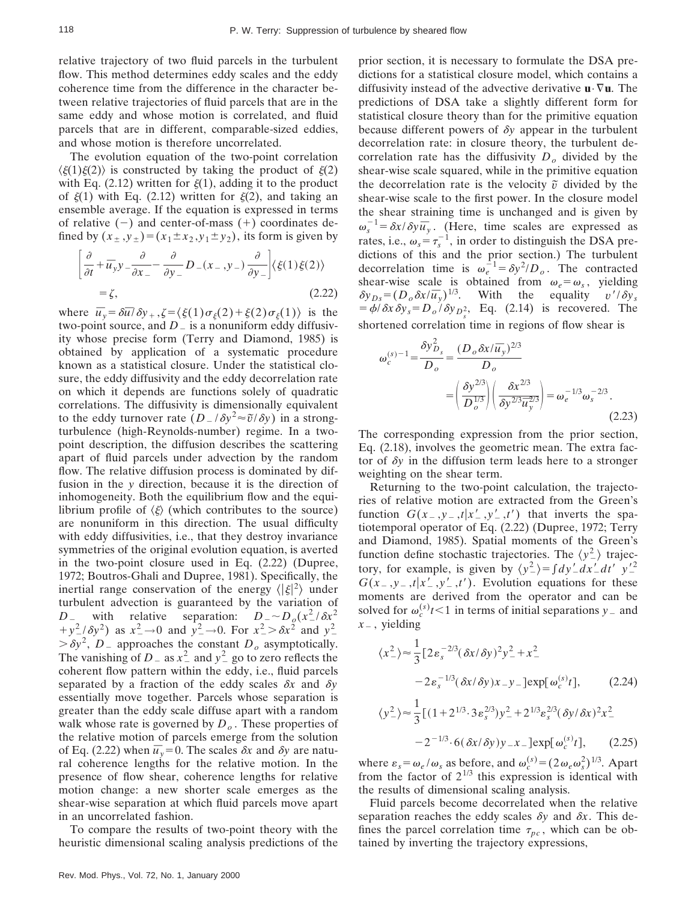relative trajectory of two fluid parcels in the turbulent flow. This method determines eddy scales and the eddy coherence time from the difference in the character between relative trajectories of fluid parcels that are in the same eddy and whose motion is correlated, and fluid parcels that are in different, comparable-sized eddies, and whose motion is therefore uncorrelated.

The evolution equation of the two-point correlation  $\langle \xi(1)\xi(2)\rangle$  is constructed by taking the product of  $\xi(2)$ with Eq. (2.12) written for  $\xi(1)$ , adding it to the product of  $\xi(1)$  with Eq. (2.12) written for  $\xi(2)$ , and taking an ensemble average. If the equation is expressed in terms of relative  $(-)$  and center-of-mass  $(+)$  coordinates defined by  $(x_+, y_+) = (x_1 \pm x_2, y_1 \pm y_2)$ , its form is given by

$$
\left[\frac{\partial}{\partial t} + \bar{u}_y y - \frac{\partial}{\partial x} - \frac{\partial}{\partial y} D_-(x_-, y_-) \frac{\partial}{\partial y_-}\right] \langle \xi(1) \xi(2) \rangle
$$
  
=  $\zeta$ , (2.22)

where  $\bar{u}_y = \delta \bar{u}/\delta y_+, \zeta = \langle \xi(1)\sigma_{\xi}(2) + \xi(2)\sigma_{\xi}(1) \rangle$  is the two-point source, and  $D_{-}$  is a nonuniform eddy diffusivity whose precise form (Terry and Diamond, 1985) is obtained by application of a systematic procedure known as a statistical closure. Under the statistical closure, the eddy diffusivity and the eddy decorrelation rate on which it depends are functions solely of quadratic correlations. The diffusivity is dimensionally equivalent to the eddy turnover rate  $(D_{-}/\delta y^2 \approx \tilde{v}/\delta y)$  in a strongturbulence (high-Reynolds-number) regime. In a twopoint description, the diffusion describes the scattering apart of fluid parcels under advection by the random flow. The relative diffusion process is dominated by diffusion in the *y* direction, because it is the direction of inhomogeneity. Both the equilibrium flow and the equilibrium profile of  $\langle \xi \rangle$  (which contributes to the source) are nonuniform in this direction. The usual difficulty with eddy diffusivities, i.e., that they destroy invariance symmetries of the original evolution equation, is averted in the two-point closure used in Eq. (2.22) (Dupree, 1972; Boutros-Ghali and Dupree, 1981). Specifically, the inertial range conservation of the energy  $\langle |\xi|^2 \rangle$  under turbulent advection is guaranteed by the variation of  $D_{-}$  with relative separation:  $D_{-} \sim D_{0}(x_{-}^{2}/\delta x^{2})$  $(y^2 + y^2)/\delta y^2$  as  $x^2 \to 0$  and  $y^2 \to 0$ . For  $x^2 > \delta x^2$  and  $y^2 \to 0$  $> \delta y^2$ , *D*<sub>-</sub> approaches the constant *D<sub>o</sub>* asymptotically. The vanishing of  $D_{-}$  as  $x_{-}^{2}$  and  $y_{-}^{2}$  go to zero reflects the coherent flow pattern within the eddy, i.e., fluid parcels separated by a fraction of the eddy scales  $\delta x$  and  $\delta y$ essentially move together. Parcels whose separation is greater than the eddy scale diffuse apart with a random walk whose rate is governed by  $D<sub>o</sub>$ . These properties of the relative motion of parcels emerge from the solution of Eq. (2.22) when  $\bar{u}_y = 0$ . The scales  $\delta x$  and  $\delta y$  are natural coherence lengths for the relative motion. In the presence of flow shear, coherence lengths for relative motion change: a new shorter scale emerges as the shear-wise separation at which fluid parcels move apart in an uncorrelated fashion.

To compare the results of two-point theory with the heuristic dimensional scaling analysis predictions of the prior section, it is necessary to formulate the DSA predictions for a statistical closure model, which contains a diffusivity instead of the advective derivative  $\mathbf{u} \cdot \nabla \mathbf{u}$ . The predictions of DSA take a slightly different form for statistical closure theory than for the primitive equation because different powers of  $\delta y$  appear in the turbulent decorrelation rate: in closure theory, the turbulent decorrelation rate has the diffusivity  $D<sub>o</sub>$  divided by the shear-wise scale squared, while in the primitive equation the decorrelation rate is the velocity  $\tilde{v}$  divided by the shear-wise scale to the first power. In the closure model the shear straining time is unchanged and is given by  $\omega_s^{-1} = \frac{\partial x}{\partial y \bar{u}_y}$ . (Here, time scales are expressed as rates, i.e.,  $\omega_s = \tau_s^{-1}$ , in order to distinguish the DSA predictions of this and the prior section.) The turbulent decorrelation time is  $\omega_e^{-1} = \frac{\delta y^2}{D_o}$ . The contracted shear-wise scale is obtained from  $\omega_e = \omega_s$ , yielding  $\delta y_{Ds} = (D_o \delta x / \bar{u}_y)^{1/3}$ . With the equality  $v' / \delta y_s$  $= \phi/\delta x \, \delta y_s = D_o/\delta y_{D_s^2}$ , Eq. (2.14) is recovered. The shortened correlation time in regions of flow shear is

$$
\omega_c^{(s)-1} = \frac{\delta y_{D_s}^2}{D_o} = \frac{(D_o \delta x / \bar{u}_y)^{2/3}}{D_o}
$$

$$
= \left(\frac{\delta y^{2/3}}{D_o^{1/3}}\right) \left(\frac{\delta x^{2/3}}{\delta y^{2/3} \bar{u}_y^{2/3}}\right) = \omega_e^{-1/3} \omega_s^{-2/3}.
$$
(2.23)

The corresponding expression from the prior section, Eq. (2.18), involves the geometric mean. The extra factor of  $\delta y$  in the diffusion term leads here to a stronger weighting on the shear term.

Returning to the two-point calculation, the trajectories of relative motion are extracted from the Green's function  $G(x_-, y_-, t | x_-, y_-, t')$  that inverts the spatiotemporal operator of Eq. (2.22) (Dupree, 1972; Terry and Diamond, 1985). Spatial moments of the Green's function define stochastic trajectories. The  $\langle y_+^2 \rangle$  trajectory, for example, is given by  $\langle y_{-}^{2} \rangle = \int dy'_{-} dx'_{-} dt'$   $y_{-}^{'2}$  $G(x_-, y_-, t | x_-, y_-, t')$ . Evolution equations for these moments are derived from the operator and can be solved for  $\omega_c^{(s)} t < 1$  in terms of initial separations  $y_-$  and  $x_$ , yielding

$$
\langle x_{-}^{2} \rangle \approx \frac{1}{3} [2 \varepsilon_{s}^{-2/3} (\delta x / \delta y)^{2} y_{-}^{2} + x_{-}^{2}
$$
  
\n
$$
-2 \varepsilon_{s}^{-1/3} (\delta x / \delta y) x_{-} y_{-} ] \exp[\omega_{c}^{(s)} t], \qquad (2.24)
$$
  
\n
$$
\langle y_{-}^{2} \rangle \approx \frac{1}{3} [(1 + 2^{1/3} \cdot 3 \varepsilon_{s}^{2/3}) y_{-}^{2} + 2^{1/3} \varepsilon_{s}^{2/3} (\delta y / \delta x)^{2} x_{-}^{2}
$$
  
\n
$$
-2^{-1/3} \cdot 6 (\delta x / \delta y) y_{-} x_{-} ] \exp[\omega_{c}^{(s)} t], \qquad (2.25)
$$

where  $\varepsilon_s = \omega_e / \omega_s$  as before, and  $\omega_c^{(s)} = (2 \omega_e \omega_s^2)^{1/3}$ . Apart from the factor of  $2^{1/3}$  this expression is identical with the results of dimensional scaling analysis.

Fluid parcels become decorrelated when the relative separation reaches the eddy scales  $\delta y$  and  $\delta x$ . This defines the parcel correlation time  $\tau_{pc}$ , which can be obtained by inverting the trajectory expressions,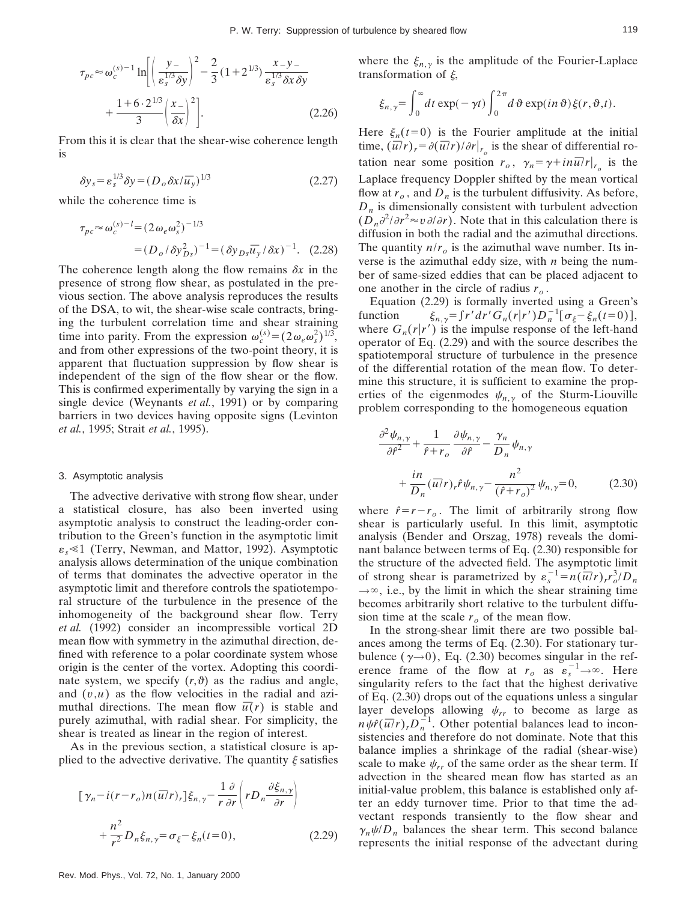$$
\tau_{pc} \approx \omega_c^{(s)-1} \ln \left[ \left( \frac{y}{\varepsilon_s^{1/3} \delta y} \right)^2 - \frac{2}{3} (1 + 2^{1/3}) \frac{x - y}{\varepsilon_s^{1/3} \delta x \delta y} + \frac{1 + 6 \cdot 2^{1/3}}{3} \left( \frac{x}{\delta x} \right)^2 \right].
$$
\n(2.26)

From this it is clear that the shear-wise coherence length is

$$
\delta y_s = \varepsilon_s^{1/3} \delta y = (D_o \delta x / \overline{u}_y)^{1/3}
$$
 (2.27)

while the coherence time is

$$
\tau_{pc} \approx \omega_c^{(s)-1} = (2 \omega_e \omega_s^2)^{-1/3}
$$
  
=  $(D_o / \delta y_{Ds}^2)^{-1} = (\delta y_{Ds} \bar{u}_y / \delta x)^{-1}$ . (2.28)

The coherence length along the flow remains  $\delta x$  in the presence of strong flow shear, as postulated in the previous section. The above analysis reproduces the results of the DSA, to wit, the shear-wise scale contracts, bringing the turbulent correlation time and shear straining time into parity. From the expression  $\omega_c^{(s)} = (2\omega_e \omega_s^2)^{1/3}$ , and from other expressions of the two-point theory, it is apparent that fluctuation suppression by flow shear is independent of the sign of the flow shear or the flow. This is confirmed experimentally by varying the sign in a single device (Weynants *et al.*, 1991) or by comparing barriers in two devices having opposite signs (Levinton *et al.*, 1995; Strait *et al.*, 1995).

## 3. Asymptotic analysis

The advective derivative with strong flow shear, under a statistical closure, has also been inverted using asymptotic analysis to construct the leading-order contribution to the Green's function in the asymptotic limit  $\varepsilon_s \leq 1$  (Terry, Newman, and Mattor, 1992). Asymptotic analysis allows determination of the unique combination of terms that dominates the advective operator in the asymptotic limit and therefore controls the spatiotemporal structure of the turbulence in the presence of the inhomogeneity of the background shear flow. Terry *et al.* (1992) consider an incompressible vortical 2D mean flow with symmetry in the azimuthal direction, defined with reference to a polar coordinate system whose origin is the center of the vortex. Adopting this coordinate system, we specify  $(r, \theta)$  as the radius and angle, and  $(v, u)$  as the flow velocities in the radial and azimuthal directions. The mean flow  $\bar{u}(r)$  is stable and purely azimuthal, with radial shear. For simplicity, the shear is treated as linear in the region of interest.

As in the previous section, a statistical closure is applied to the advective derivative. The quantity  $\xi$  satisfies

$$
[\gamma_n - i(r - r_o)n(\bar{u}/r)_r]\xi_{n,\gamma} - \frac{1}{r \partial r} \left(rD_n \frac{\partial \xi_{n,\gamma}}{\partial r}\right) + \frac{n^2}{r^2}D_n \xi_{n,\gamma} = \sigma_{\xi} - \xi_n(t=0),
$$
 (2.29)

$$
\xi_{n,\gamma} = \int_0^\infty dt \exp(-\gamma t) \int_0^{2\pi} d\vartheta \exp(in\vartheta) \xi(r,\vartheta,t).
$$

Here  $\xi_n(t=0)$  is the Fourier amplitude at the initial time,  $(\bar{u}/r)$ <sup>*r*</sup> =  $\partial(\bar{u}/r)/\partial r|_{r_o}$  is the shear of differential rotation near some position  $r_o$ ,  $\gamma_n = \gamma + i n \bar{u}/r \vert_{r_o}$  is the Laplace frequency Doppler shifted by the mean vortical flow at  $r_o$ , and  $D_n$  is the turbulent diffusivity. As before,  $D_n$  is dimensionally consistent with turbulent advection  $(D_n\partial^2/\partial r^2 \approx v \partial/\partial r)$ . Note that in this calculation there is diffusion in both the radial and the azimuthal directions. The quantity  $n/r<sub>o</sub>$  is the azimuthal wave number. Its inverse is the azimuthal eddy size, with *n* being the number of same-sized eddies that can be placed adjacent to one another in the circle of radius  $r<sub>o</sub>$ .

Equation (2.29) is formally inverted using a Green's function  $\xi_{n,\gamma} = \int r' dr' G_n(r|r') D_n^{-1} [\sigma_{\xi} - \xi_n(t=0)],$ where  $G_n(r|r')$  is the impulse response of the left-hand operator of Eq. (2.29) and with the source describes the spatiotemporal structure of turbulence in the presence of the differential rotation of the mean flow. To determine this structure, it is sufficient to examine the properties of the eigenmodes  $\psi_{n,y}$  of the Sturm-Liouville problem corresponding to the homogeneous equation

$$
\frac{\partial^2 \psi_{n,\gamma}}{\partial \hat{r}^2} + \frac{1}{\hat{r} + r_o} \frac{\partial \psi_{n,\gamma}}{\partial \hat{r}} - \frac{\gamma_n}{D_n} \psi_{n,\gamma} \n+ \frac{in}{D_n} (\bar{u}/r)_r \hat{r} \psi_{n,\gamma} - \frac{n^2}{(\hat{r} + r_o)^2} \psi_{n,\gamma} = 0,
$$
\n(2.30)

where  $\hat{r} = r - r_o$ . The limit of arbitrarily strong flow shear is particularly useful. In this limit, asymptotic analysis (Bender and Orszag, 1978) reveals the dominant balance between terms of Eq. (2.30) responsible for the structure of the advected field. The asymptotic limit of strong shear is parametrized by  $\varepsilon_s^{-1} = n(\bar{u}/r)_r r_o^3/D_n$  $\rightarrow \infty$ , i.e., by the limit in which the shear straining time becomes arbitrarily short relative to the turbulent diffusion time at the scale  $r<sub>o</sub>$  of the mean flow.

In the strong-shear limit there are two possible balances among the terms of Eq. (2.30). For stationary turbulence ( $\gamma \rightarrow 0$ ), Eq. (2.30) becomes singular in the reference frame of the flow at  $r_o$  as  $\varepsilon_s^{-1} \rightarrow \infty$ . Here singularity refers to the fact that the highest derivative of Eq. (2.30) drops out of the equations unless a singular layer develops allowing  $\psi_{rr}$  to become as large as  $n \psi \hat{r} (\bar{u}/r) r D_n^{-1}$ . Other potential balances lead to inconsistencies and therefore do not dominate. Note that this balance implies a shrinkage of the radial (shear-wise) scale to make  $\psi_{rr}$  of the same order as the shear term. If advection in the sheared mean flow has started as an initial-value problem, this balance is established only after an eddy turnover time. Prior to that time the advectant responds transiently to the flow shear and  $\gamma_n \psi/D_n$  balances the shear term. This second balance represents the initial response of the advectant during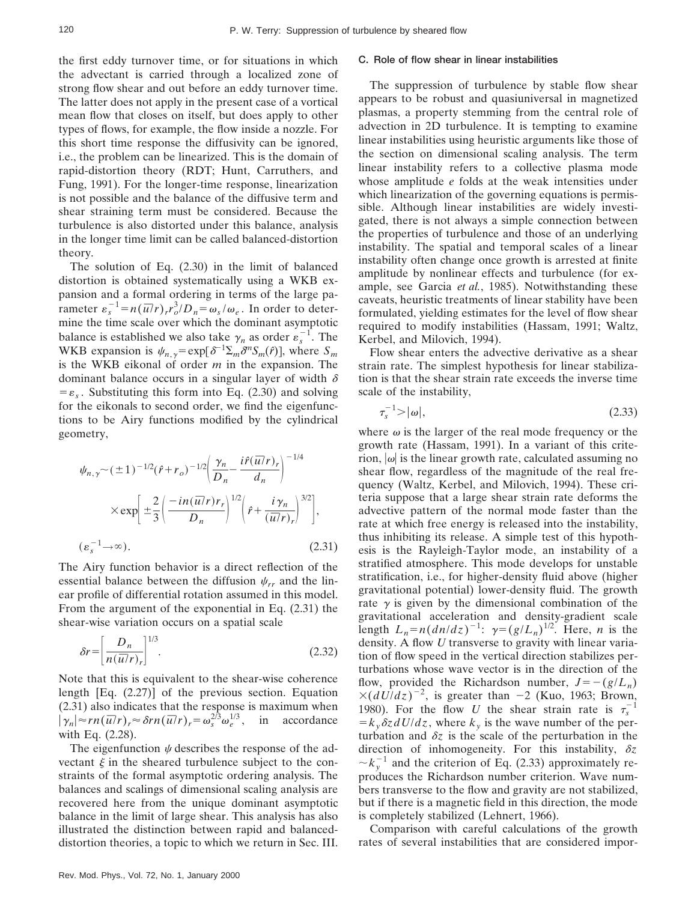the first eddy turnover time, or for situations in which the advectant is carried through a localized zone of strong flow shear and out before an eddy turnover time. The latter does not apply in the present case of a vortical mean flow that closes on itself, but does apply to other types of flows, for example, the flow inside a nozzle. For this short time response the diffusivity can be ignored, i.e., the problem can be linearized. This is the domain of rapid-distortion theory (RDT; Hunt, Carruthers, and Fung, 1991). For the longer-time response, linearization is not possible and the balance of the diffusive term and shear straining term must be considered. Because the turbulence is also distorted under this balance, analysis in the longer time limit can be called balanced-distortion theory.

The solution of Eq. (2.30) in the limit of balanced distortion is obtained systematically using a WKB expansion and a formal ordering in terms of the large parameter  $\varepsilon_s^{-1} = n(\bar{u}/r) r^3 / D_n = \omega_s / \omega_e$ . In order to determine the time scale over which the dominant asymptotic balance is established we also take  $\gamma_n$  as order  $\varepsilon_s^{-1}$ . The WKB expansion is  $\psi_{n,\gamma} = \exp[\delta^{-1} \Sigma_m \delta^m S_m(\hat{r})]$ , where  $S_m$ is the WKB eikonal of order *m* in the expansion. The dominant balance occurs in a singular layer of width  $\delta$  $=\varepsilon_s$ . Substituting this form into Eq. (2.30) and solving for the eikonals to second order, we find the eigenfunctions to be Airy functions modified by the cylindrical geometry,

$$
\psi_{n,\gamma} \sim (\pm 1)^{-1/2} (\hat{r} + r_o)^{-1/2} \left( \frac{\gamma_n}{D_n} - \frac{i\hat{r}(\bar{u}/r)_r}{d_n} \right)^{-1/4}
$$

$$
\times \exp \left[ \pm \frac{2}{3} \left( \frac{-in(\bar{u}/r)r_r}{D_n} \right)^{1/2} \left( \hat{r} + \frac{i\gamma_n}{(\bar{u}/r)_r} \right)^{3/2} \right],
$$

$$
(\varepsilon_s^{-1} \to \infty).
$$
(2.31)

The Airy function behavior is a direct reflection of the essential balance between the diffusion  $\psi_{rr}$  and the linear profile of differential rotation assumed in this model. From the argument of the exponential in Eq. (2.31) the shear-wise variation occurs on a spatial scale

$$
\delta r = \left[\frac{D_n}{n(\bar{u}/r)_r}\right]^{1/3}.\tag{2.32}
$$

Note that this is equivalent to the shear-wise coherence length [Eq. (2.27)] of the previous section. Equation (2.31) also indicates that the response is maximum when  $\left|\gamma_{n}\right|\approx rn(\bar{u}/r)_{r}\approx\delta rn(\bar{u}/r)_{r}=\omega_{s}^{2/3}\omega_{e}^{1/3}$ in accordance with Eq. (2.28).

The eigenfunction  $\psi$  describes the response of the advectant  $\xi$  in the sheared turbulence subject to the constraints of the formal asymptotic ordering analysis. The balances and scalings of dimensional scaling analysis are recovered here from the unique dominant asymptotic balance in the limit of large shear. This analysis has also illustrated the distinction between rapid and balanceddistortion theories, a topic to which we return in Sec. III.

#### **C. Role of flow shear in linear instabilities**

The suppression of turbulence by stable flow shear appears to be robust and quasiuniversal in magnetized plasmas, a property stemming from the central role of advection in 2D turbulence. It is tempting to examine linear instabilities using heuristic arguments like those of the section on dimensional scaling analysis. The term linear instability refers to a collective plasma mode whose amplitude *e* folds at the weak intensities under which linearization of the governing equations is permissible. Although linear instabilities are widely investigated, there is not always a simple connection between the properties of turbulence and those of an underlying instability. The spatial and temporal scales of a linear instability often change once growth is arrested at finite amplitude by nonlinear effects and turbulence (for example, see Garcia *et al.*, 1985). Notwithstanding these caveats, heuristic treatments of linear stability have been formulated, yielding estimates for the level of flow shear required to modify instabilities (Hassam, 1991; Waltz, Kerbel, and Milovich, 1994).

Flow shear enters the advective derivative as a shear strain rate. The simplest hypothesis for linear stabilization is that the shear strain rate exceeds the inverse time scale of the instability,

$$
\tau_s^{-1} > |\omega|,\tag{2.33}
$$

where  $\omega$  is the larger of the real mode frequency or the growth rate (Hassam, 1991). In a variant of this criterion,  $|\omega|$  is the linear growth rate, calculated assuming no shear flow, regardless of the magnitude of the real frequency (Waltz, Kerbel, and Milovich, 1994). These criteria suppose that a large shear strain rate deforms the advective pattern of the normal mode faster than the rate at which free energy is released into the instability, thus inhibiting its release. A simple test of this hypothesis is the Rayleigh-Taylor mode, an instability of a stratified atmosphere. This mode develops for unstable stratification, i.e., for higher-density fluid above (higher gravitational potential) lower-density fluid. The growth rate  $\gamma$  is given by the dimensional combination of the gravitational acceleration and density-gradient scale length  $L_n=n(dn/dz)^{-1}$ :  $\gamma = (g/L_n)^{1/2}$ . Here, *n* is the density. A flow *U* transverse to gravity with linear variation of flow speed in the vertical direction stabilizes perturbations whose wave vector is in the direction of the flow, provided the Richardson number,  $J = -(g/L_n)$  $\times (dU/dz)^{-2}$ , is greater than -2 (Kuo, 1963; Brown, 1980). For the flow *U* the shear strain rate is  $\tau_s^{-1}$  $= k_y \delta z dU/dz$ , where  $k_y$  is the wave number of the perturbation and  $\delta z$  is the scale of the perturbation in the direction of inhomogeneity. For this instability,  $\delta z$  $\sim k_y^{-1}$  and the criterion of Eq. (2.33) approximately reproduces the Richardson number criterion. Wave numbers transverse to the flow and gravity are not stabilized, but if there is a magnetic field in this direction, the mode is completely stabilized (Lehnert, 1966).

Comparison with careful calculations of the growth rates of several instabilities that are considered impor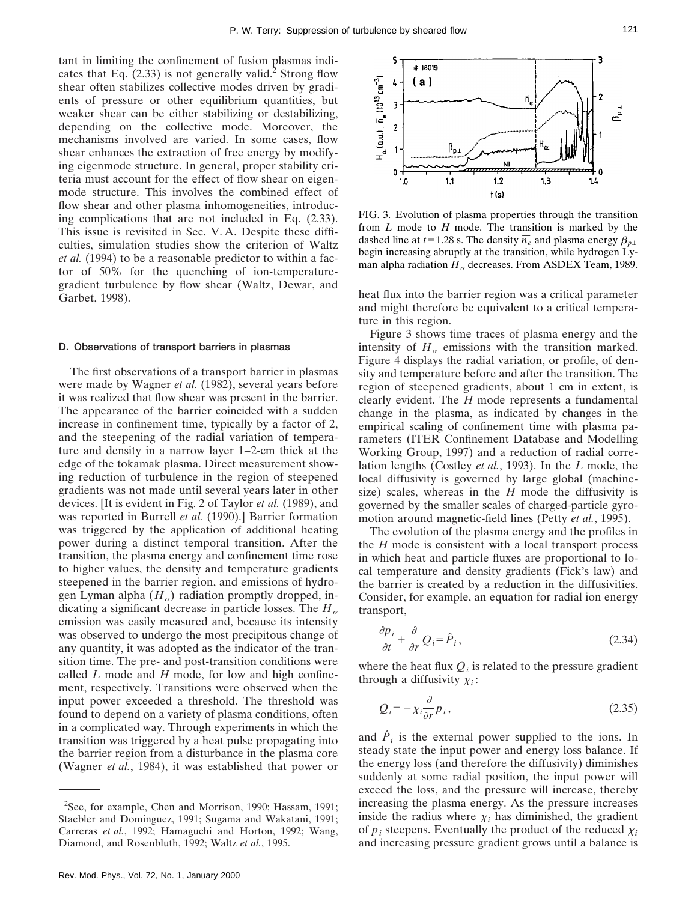tant in limiting the confinement of fusion plasmas indicates that Eq.  $(2.33)$  is not generally valid.<sup>2</sup> Strong flow shear often stabilizes collective modes driven by gradients of pressure or other equilibrium quantities, but weaker shear can be either stabilizing or destabilizing, depending on the collective mode. Moreover, the mechanisms involved are varied. In some cases, flow shear enhances the extraction of free energy by modifying eigenmode structure. In general, proper stability criteria must account for the effect of flow shear on eigenmode structure. This involves the combined effect of flow shear and other plasma inhomogeneities, introducing complications that are not included in Eq. (2.33). This issue is revisited in Sec. V. A. Despite these difficulties, simulation studies show the criterion of Waltz *et al.* (1994) to be a reasonable predictor to within a factor of 50% for the quenching of ion-temperaturegradient turbulence by flow shear (Waltz, Dewar, and Garbet, 1998).

#### **D. Observations of transport barriers in plasmas**

The first observations of a transport barrier in plasmas were made by Wagner *et al.* (1982), several years before it was realized that flow shear was present in the barrier. The appearance of the barrier coincided with a sudden increase in confinement time, typically by a factor of 2, and the steepening of the radial variation of temperature and density in a narrow layer 1–2-cm thick at the edge of the tokamak plasma. Direct measurement showing reduction of turbulence in the region of steepened gradients was not made until several years later in other devices. [It is evident in Fig. 2 of Taylor *et al.* (1989), and was reported in Burrell *et al.* (1990).] Barrier formation was triggered by the application of additional heating power during a distinct temporal transition. After the transition, the plasma energy and confinement time rose to higher values, the density and temperature gradients steepened in the barrier region, and emissions of hydrogen Lyman alpha  $(H_{\alpha})$  radiation promptly dropped, indicating a significant decrease in particle losses. The  $H_a$ emission was easily measured and, because its intensity was observed to undergo the most precipitous change of any quantity, it was adopted as the indicator of the transition time. The pre- and post-transition conditions were called *L* mode and *H* mode, for low and high confinement, respectively. Transitions were observed when the input power exceeded a threshold. The threshold was found to depend on a variety of plasma conditions, often in a complicated way. Through experiments in which the transition was triggered by a heat pulse propagating into the barrier region from a disturbance in the plasma core (Wagner *et al.*, 1984), it was established that power or



FIG. 3. Evolution of plasma properties through the transition from *L* mode to *H* mode. The transition is marked by the dashed line at  $t=1.28$  s. The density  $\bar{n}_e$  and plasma energy  $\beta_{p\perp}$ begin increasing abruptly at the transition, while hydrogen Lyman alpha radiation  $H_{\alpha}$  decreases. From ASDEX Team, 1989.

heat flux into the barrier region was a critical parameter and might therefore be equivalent to a critical temperature in this region.

Figure 3 shows time traces of plasma energy and the intensity of  $H_{\alpha}$  emissions with the transition marked. Figure 4 displays the radial variation, or profile, of density and temperature before and after the transition. The region of steepened gradients, about 1 cm in extent, is clearly evident. The *H* mode represents a fundamental change in the plasma, as indicated by changes in the empirical scaling of confinement time with plasma parameters (ITER Confinement Database and Modelling Working Group, 1997) and a reduction of radial correlation lengths (Costley *et al.*, 1993). In the *L* mode, the local diffusivity is governed by large global (machinesize) scales, whereas in the *H* mode the diffusivity is governed by the smaller scales of charged-particle gyromotion around magnetic-field lines (Petty *et al.*, 1995).

The evolution of the plasma energy and the profiles in the *H* mode is consistent with a local transport process in which heat and particle fluxes are proportional to local temperature and density gradients (Fick's law) and the barrier is created by a reduction in the diffusivities. Consider, for example, an equation for radial ion energy transport,

$$
\frac{\partial p_i}{\partial t} + \frac{\partial}{\partial r} Q_i = \hat{P}_i, \qquad (2.34)
$$

where the heat flux  $Q_i$  is related to the pressure gradient through a diffusivity  $\chi_i$ :

$$
Q_i = -\chi_i \frac{\partial}{\partial r} p_i, \qquad (2.35)
$$

and  $\hat{P}_i$  is the external power supplied to the ions. In steady state the input power and energy loss balance. If the energy loss (and therefore the diffusivity) diminishes suddenly at some radial position, the input power will exceed the loss, and the pressure will increase, thereby increasing the plasma energy. As the pressure increases inside the radius where  $\chi_i$  has diminished, the gradient of  $p_i$  steepens. Eventually the product of the reduced  $\chi_i$ and increasing pressure gradient grows until a balance is

<sup>&</sup>lt;sup>2</sup>See, for example, Chen and Morrison, 1990; Hassam, 1991; Staebler and Dominguez, 1991; Sugama and Wakatani, 1991; Carreras *et al.*, 1992; Hamaguchi and Horton, 1992; Wang, Diamond, and Rosenbluth, 1992; Waltz *et al.*, 1995.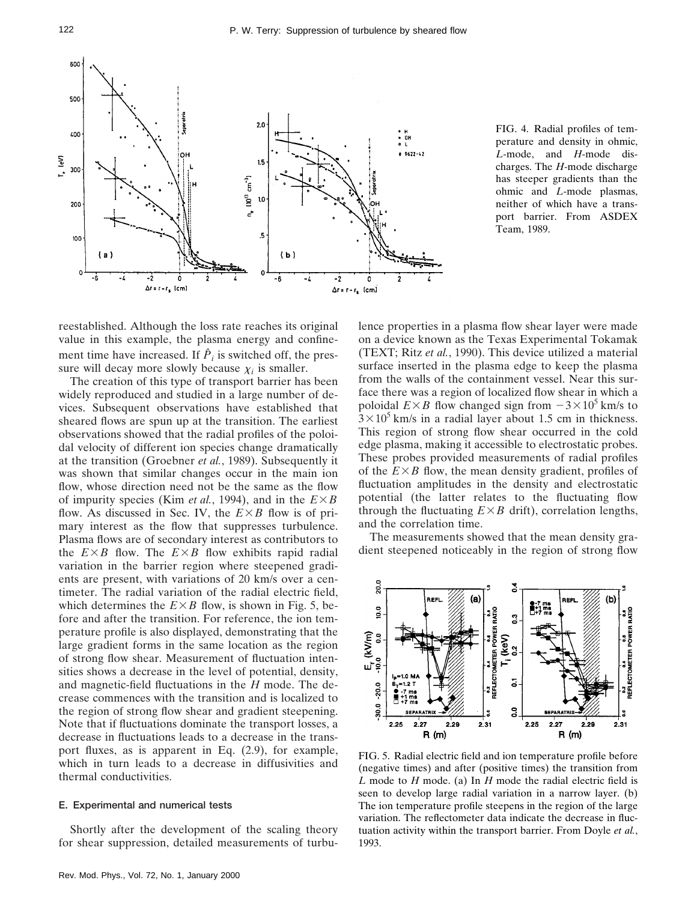

FIG. 4. Radial profiles of temperature and density in ohmic, *L*-mode, and *H*-mode discharges. The *H*-mode discharge has steeper gradients than the ohmic and *L*-mode plasmas, neither of which have a transport barrier. From ASDEX Team, 1989.

reestablished. Although the loss rate reaches its original value in this example, the plasma energy and confinement time have increased. If  $\hat{P}_i$  is switched off, the pressure will decay more slowly because  $\chi_i$  is smaller.

The creation of this type of transport barrier has been widely reproduced and studied in a large number of devices. Subsequent observations have established that sheared flows are spun up at the transition. The earliest observations showed that the radial profiles of the poloidal velocity of different ion species change dramatically at the transition (Groebner *et al.*, 1989). Subsequently it was shown that similar changes occur in the main ion flow, whose direction need not be the same as the flow of impurity species (Kim *et al.*, 1994), and in the  $E \times B$ flow. As discussed in Sec. IV, the  $E \times B$  flow is of primary interest as the flow that suppresses turbulence. Plasma flows are of secondary interest as contributors to the  $E \times B$  flow. The  $E \times B$  flow exhibits rapid radial variation in the barrier region where steepened gradients are present, with variations of 20 km/s over a centimeter. The radial variation of the radial electric field, which determines the  $E \times B$  flow, is shown in Fig. 5, before and after the transition. For reference, the ion temperature profile is also displayed, demonstrating that the large gradient forms in the same location as the region of strong flow shear. Measurement of fluctuation intensities shows a decrease in the level of potential, density, and magnetic-field fluctuations in the *H* mode. The decrease commences with the transition and is localized to the region of strong flow shear and gradient steepening. Note that if fluctuations dominate the transport losses, a decrease in fluctuations leads to a decrease in the transport fluxes, as is apparent in Eq. (2.9), for example, which in turn leads to a decrease in diffusivities and thermal conductivities.

# **E. Experimental and numerical tests**

Shortly after the development of the scaling theory for shear suppression, detailed measurements of turbulence properties in a plasma flow shear layer were made on a device known as the Texas Experimental Tokamak (TEXT; Ritz *et al.*, 1990). This device utilized a material surface inserted in the plasma edge to keep the plasma from the walls of the containment vessel. Near this surface there was a region of localized flow shear in which a poloidal  $E \times B$  flow changed sign from  $-3 \times 10^5$  km/s to  $3 \times 10^5$  km/s in a radial layer about 1.5 cm in thickness. This region of strong flow shear occurred in the cold edge plasma, making it accessible to electrostatic probes. These probes provided measurements of radial profiles of the  $E \times B$  flow, the mean density gradient, profiles of fluctuation amplitudes in the density and electrostatic potential (the latter relates to the fluctuating flow through the fluctuating  $E \times B$  drift), correlation lengths, and the correlation time.

The measurements showed that the mean density gradient steepened noticeably in the region of strong flow



FIG. 5. Radial electric field and ion temperature profile before (negative times) and after (positive times) the transition from *L* mode to *H* mode. (a) In *H* mode the radial electric field is seen to develop large radial variation in a narrow layer. (b) The ion temperature profile steepens in the region of the large variation. The reflectometer data indicate the decrease in fluctuation activity within the transport barrier. From Doyle *et al.*, 1993.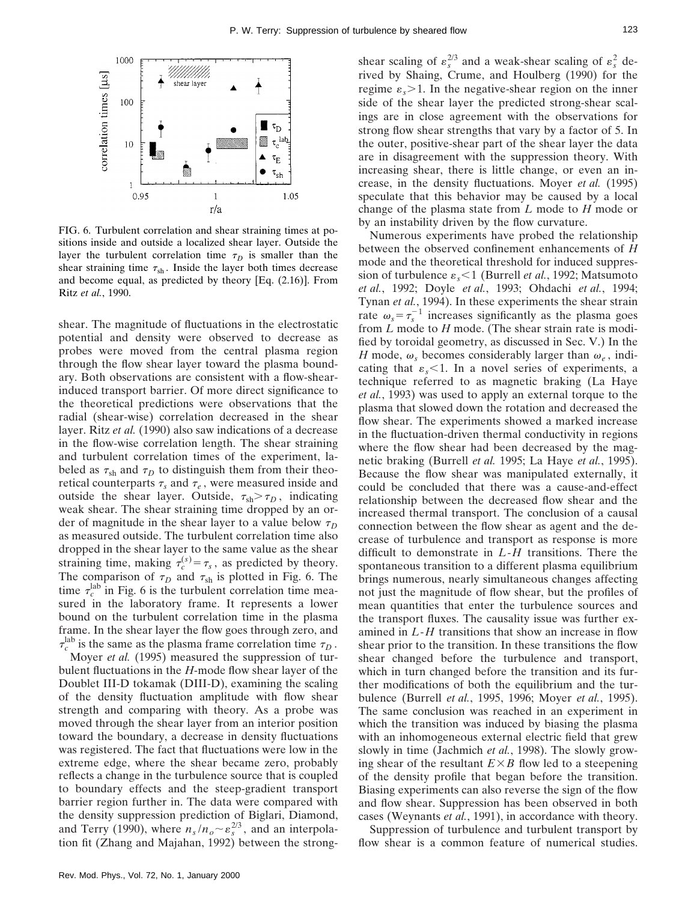

FIG. 6. Turbulent correlation and shear straining times at positions inside and outside a localized shear layer. Outside the layer the turbulent correlation time  $\tau_D$  is smaller than the shear straining time  $\tau_{\rm sh}$ . Inside the layer both times decrease and become equal, as predicted by theory [Eq. (2.16)]. From Ritz *et al.*, 1990.

shear. The magnitude of fluctuations in the electrostatic potential and density were observed to decrease as probes were moved from the central plasma region through the flow shear layer toward the plasma boundary. Both observations are consistent with a flow-shearinduced transport barrier. Of more direct significance to the theoretical predictions were observations that the radial (shear-wise) correlation decreased in the shear layer. Ritz *et al.* (1990) also saw indications of a decrease in the flow-wise correlation length. The shear straining and turbulent correlation times of the experiment, labeled as  $\tau_{\rm sh}$  and  $\tau_D$  to distinguish them from their theoretical counterparts  $\tau_s$  and  $\tau_e$ , were measured inside and outside the shear layer. Outside,  $\tau_{\rm sh} > \tau_D$ , indicating weak shear. The shear straining time dropped by an order of magnitude in the shear layer to a value below  $\tau_D$ as measured outside. The turbulent correlation time also dropped in the shear layer to the same value as the shear straining time, making  $\tau_c^{(s)} = \tau_s$ , as predicted by theory. The comparison of  $\tau_D$  and  $\tau_{sh}$  is plotted in Fig. 6. The time  $\tau_c^{\text{lab}}$  in Fig. 6 is the turbulent correlation time measured in the laboratory frame. It represents a lower bound on the turbulent correlation time in the plasma frame. In the shear layer the flow goes through zero, and  $\tau_c^{\text{lab}}$  is the same as the plasma frame correlation time  $\tau_D$ .

Moyer *et al.* (1995) measured the suppression of turbulent fluctuations in the *H*-mode flow shear layer of the Doublet III-D tokamak (DIII-D), examining the scaling of the density fluctuation amplitude with flow shear strength and comparing with theory. As a probe was moved through the shear layer from an interior position toward the boundary, a decrease in density fluctuations was registered. The fact that fluctuations were low in the extreme edge, where the shear became zero, probably reflects a change in the turbulence source that is coupled to boundary effects and the steep-gradient transport barrier region further in. The data were compared with the density suppression prediction of Biglari, Diamond, and Terry (1990), where  $n_s/n_o \sim \varepsilon_s^{2/3}$ , and an interpolation fit (Zhang and Majahan, 1992) between the strong-

shear scaling of  $\varepsilon_s^{2/3}$  and a weak-shear scaling of  $\varepsilon_s^2$  derived by Shaing, Crume, and Houlberg (1990) for the regime  $\varepsilon_s$  > 1. In the negative-shear region on the inner side of the shear layer the predicted strong-shear scalings are in close agreement with the observations for strong flow shear strengths that vary by a factor of 5. In the outer, positive-shear part of the shear layer the data are in disagreement with the suppression theory. With increasing shear, there is little change, or even an increase, in the density fluctuations. Moyer *et al.* (1995) speculate that this behavior may be caused by a local change of the plasma state from *L* mode to *H* mode or by an instability driven by the flow curvature.

Numerous experiments have probed the relationship between the observed confinement enhancements of *H* mode and the theoretical threshold for induced suppression of turbulence  $\varepsilon_s$ <1 (Burrell *et al.*, 1992; Matsumoto *et al.*, 1992; Doyle *et al.*, 1993; Ohdachi *et al.*, 1994; Tynan *et al.*, 1994). In these experiments the shear strain rate  $\omega_s = \tau_s^{-1}$  increases significantly as the plasma goes from *L* mode to *H* mode. (The shear strain rate is modified by toroidal geometry, as discussed in Sec. V.) In the *H* mode,  $\omega_s$  becomes considerably larger than  $\omega_e$ , indicating that  $\varepsilon_s$ <1. In a novel series of experiments, a technique referred to as magnetic braking (La Haye *et al.*, 1993) was used to apply an external torque to the plasma that slowed down the rotation and decreased the flow shear. The experiments showed a marked increase in the fluctuation-driven thermal conductivity in regions where the flow shear had been decreased by the magnetic braking (Burrell *et al.* 1995; La Haye *et al.*, 1995). Because the flow shear was manipulated externally, it could be concluded that there was a cause-and-effect relationship between the decreased flow shear and the increased thermal transport. The conclusion of a causal connection between the flow shear as agent and the decrease of turbulence and transport as response is more difficult to demonstrate in *L*-*H* transitions. There the spontaneous transition to a different plasma equilibrium brings numerous, nearly simultaneous changes affecting not just the magnitude of flow shear, but the profiles of mean quantities that enter the turbulence sources and the transport fluxes. The causality issue was further examined in *L*-*H* transitions that show an increase in flow shear prior to the transition. In these transitions the flow shear changed before the turbulence and transport, which in turn changed before the transition and its further modifications of both the equilibrium and the turbulence (Burrell *et al.*, 1995, 1996; Moyer *et al.*, 1995). The same conclusion was reached in an experiment in which the transition was induced by biasing the plasma with an inhomogeneous external electric field that grew slowly in time (Jachmich *et al.*, 1998). The slowly growing shear of the resultant  $E \times B$  flow led to a steepening of the density profile that began before the transition. Biasing experiments can also reverse the sign of the flow and flow shear. Suppression has been observed in both cases (Weynants *et al.*, 1991), in accordance with theory.

Suppression of turbulence and turbulent transport by flow shear is a common feature of numerical studies.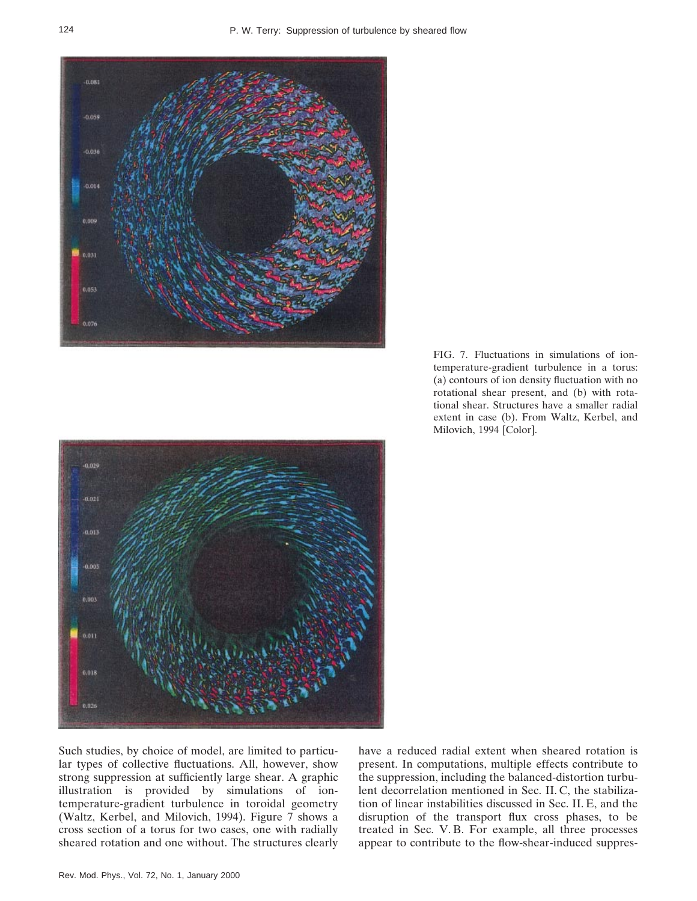

FIG. 7. Fluctuations in simulations of iontemperature-gradient turbulence in a torus: (a) contours of ion density fluctuation with no rotational shear present, and (b) with rotational shear. Structures have a smaller radial extent in case (b). From Waltz, Kerbel, and Milovich, 1994 [Color].



Such studies, by choice of model, are limited to particular types of collective fluctuations. All, however, show strong suppression at sufficiently large shear. A graphic illustration is provided by simulations of iontemperature-gradient turbulence in toroidal geometry (Waltz, Kerbel, and Milovich, 1994). Figure 7 shows a cross section of a torus for two cases, one with radially sheared rotation and one without. The structures clearly have a reduced radial extent when sheared rotation is present. In computations, multiple effects contribute to the suppression, including the balanced-distortion turbulent decorrelation mentioned in Sec. II. C, the stabilization of linear instabilities discussed in Sec. II. E, and the disruption of the transport flux cross phases, to be treated in Sec. V. B. For example, all three processes appear to contribute to the flow-shear-induced suppres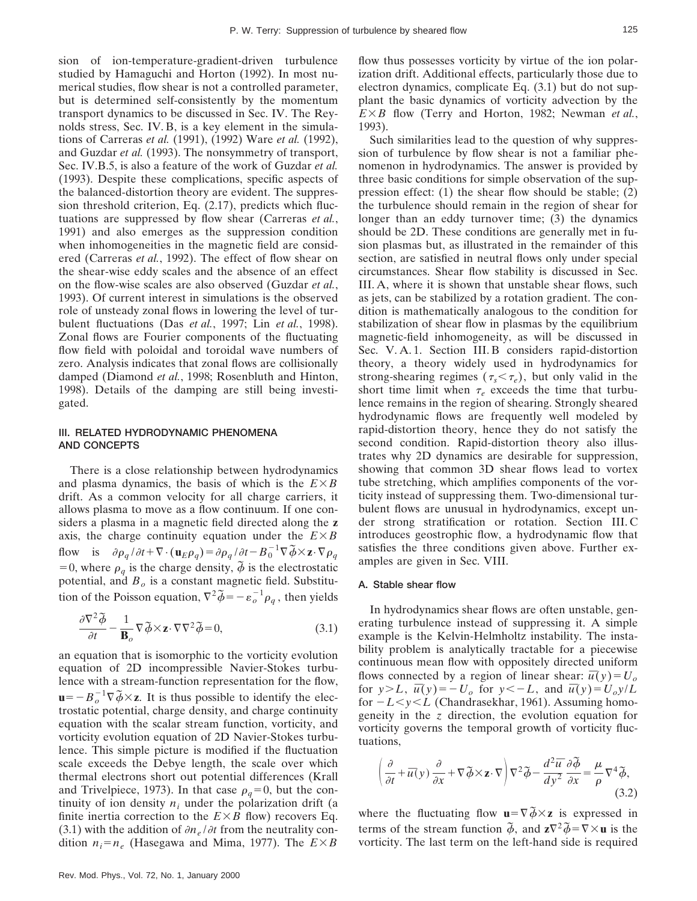sion of ion-temperature-gradient-driven turbulence studied by Hamaguchi and Horton (1992). In most numerical studies, flow shear is not a controlled parameter, but is determined self-consistently by the momentum transport dynamics to be discussed in Sec. IV. The Reynolds stress, Sec. IV. B, is a key element in the simulations of Carreras *et al.* (1991), (1992) Ware *et al.* (1992), and Guzdar *et al.* (1993). The nonsymmetry of transport, Sec. IV.B.5, is also a feature of the work of Guzdar *et al.* (1993). Despite these complications, specific aspects of the balanced-distortion theory are evident. The suppression threshold criterion, Eq. (2.17), predicts which fluctuations are suppressed by flow shear (Carreras *et al.*, 1991) and also emerges as the suppression condition when inhomogeneities in the magnetic field are considered (Carreras *et al.*, 1992). The effect of flow shear on the shear-wise eddy scales and the absence of an effect on the flow-wise scales are also observed (Guzdar *et al.*, 1993). Of current interest in simulations is the observed role of unsteady zonal flows in lowering the level of turbulent fluctuations (Das *et al.*, 1997; Lin *et al.*, 1998). Zonal flows are Fourier components of the fluctuating flow field with poloidal and toroidal wave numbers of zero. Analysis indicates that zonal flows are collisionally damped (Diamond *et al.*, 1998; Rosenbluth and Hinton, 1998). Details of the damping are still being investigated.

# **III. RELATED HYDRODYNAMIC PHENOMENA AND CONCEPTS**

There is a close relationship between hydrodynamics and plasma dynamics, the basis of which is the  $E \times B$ drift. As a common velocity for all charge carriers, it allows plasma to move as a flow continuum. If one considers a plasma in a magnetic field directed along the **z** axis, the charge continuity equation under the  $E \times B$ flow is  $\frac{\partial \rho_q}{\partial t^+} \nabla \cdot (\mathbf{u}_E \rho_q) = \frac{\partial \rho_q}{\partial t^-} \nabla \phi_q + \nabla \cdot (\mathbf{u}_E \rho_q) = \frac{\partial \rho_q}{\partial t^-} \nabla \phi_q$ =0, where  $\rho_q$  is the charge density,  $\tilde{\phi}$  is the electrostatic potential, and  $B_o$  is a constant magnetic field. Substitution of the Poisson equation,  $\nabla^2 \tilde{\phi} = -\varepsilon_o^{-1} \rho_q$ , then yields

$$
\frac{\partial \nabla^2 \widetilde{\phi}}{\partial t} - \frac{1}{\mathbf{B}_o} \nabla \widetilde{\phi} \times \mathbf{z} \cdot \nabla \nabla^2 \widetilde{\phi} = 0, \tag{3.1}
$$

an equation that is isomorphic to the vorticity evolution equation of 2D incompressible Navier-Stokes turbulence with a stream-function representation for the flow,  $\mathbf{u} = -B_o^{-1} \nabla \tilde{\phi} \times \mathbf{z}$ . It is thus possible to identify the electrostatic potential, charge density, and charge continuity equation with the scalar stream function, vorticity, and vorticity evolution equation of 2D Navier-Stokes turbulence. This simple picture is modified if the fluctuation scale exceeds the Debye length, the scale over which thermal electrons short out potential differences (Krall and Trivelpiece, 1973). In that case  $\rho_q = 0$ , but the continuity of ion density  $n_i$  under the polarization drift (a finite inertia correction to the  $E \times B$  flow) recovers Eq. (3.1) with the addition of  $\partial n_e / \partial t$  from the neutrality condition  $n_i = n_e$  (Hasegawa and Mima, 1977). The  $E \times B$ 

flow thus possesses vorticity by virtue of the ion polarization drift. Additional effects, particularly those due to electron dynamics, complicate Eq. (3.1) but do not supplant the basic dynamics of vorticity advection by the  $E \times B$  flow (Terry and Horton, 1982; Newman *et al.*, 1993).

Such similarities lead to the question of why suppression of turbulence by flow shear is not a familiar phenomenon in hydrodynamics. The answer is provided by three basic conditions for simple observation of the suppression effect: (1) the shear flow should be stable; (2) the turbulence should remain in the region of shear for longer than an eddy turnover time; (3) the dynamics should be 2D. These conditions are generally met in fusion plasmas but, as illustrated in the remainder of this section, are satisfied in neutral flows only under special circumstances. Shear flow stability is discussed in Sec. III. A, where it is shown that unstable shear flows, such as jets, can be stabilized by a rotation gradient. The condition is mathematically analogous to the condition for stabilization of shear flow in plasmas by the equilibrium magnetic-field inhomogeneity, as will be discussed in Sec. V. A. 1. Section III. B considers rapid-distortion theory, a theory widely used in hydrodynamics for strong-shearing regimes ( $\tau_s < \tau_e$ ), but only valid in the short time limit when  $\tau_e$  exceeds the time that turbulence remains in the region of shearing. Strongly sheared hydrodynamic flows are frequently well modeled by rapid-distortion theory, hence they do not satisfy the second condition. Rapid-distortion theory also illustrates why 2D dynamics are desirable for suppression, showing that common 3D shear flows lead to vortex tube stretching, which amplifies components of the vorticity instead of suppressing them. Two-dimensional turbulent flows are unusual in hydrodynamics, except under strong stratification or rotation. Section III. C introduces geostrophic flow, a hydrodynamic flow that satisfies the three conditions given above. Further examples are given in Sec. VIII.

## **A. Stable shear flow**

In hydrodynamics shear flows are often unstable, generating turbulence instead of suppressing it. A simple example is the Kelvin-Helmholtz instability. The instability problem is analytically tractable for a piecewise continuous mean flow with oppositely directed uniform flows connected by a region of linear shear:  $\bar{u}(y) = U_o$ for  $y>L$ ,  $\bar{u}(y) = -U_o$  for  $y < -L$ , and  $\bar{u}(y) = U_o y/L$ for  $-L < v < L$  (Chandrasekhar, 1961). Assuming homogeneity in the *z* direction, the evolution equation for vorticity governs the temporal growth of vorticity fluctuations,

$$
\left(\frac{\partial}{\partial t} + \overline{u}(y)\frac{\partial}{\partial x} + \nabla \widetilde{\phi} \times \mathbf{z} \cdot \nabla \right) \nabla^2 \widetilde{\phi} - \frac{d^2 \overline{u}}{dy^2} \frac{\partial \widetilde{\phi}}{\partial x} = \frac{\mu}{\rho} \nabla^4 \widetilde{\phi},\tag{3.2}
$$

where the fluctuating flow  $\mathbf{u} = \nabla \tilde{\phi} \times \mathbf{z}$  is expressed in terms of the stream function  $\tilde{\phi}$ , and  $z\nabla^2 \tilde{\phi} = \nabla \times \mathbf{u}$  is the vorticity. The last term on the left-hand side is required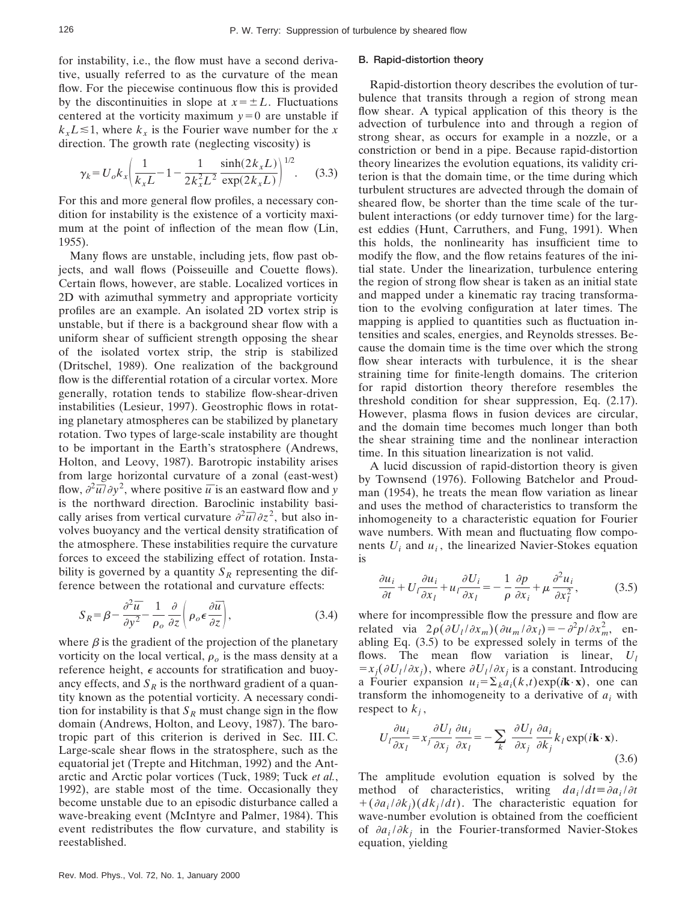for instability, i.e., the flow must have a second derivative, usually referred to as the curvature of the mean flow. For the piecewise continuous flow this is provided by the discontinuities in slope at  $x = \pm L$ . Fluctuations centered at the vorticity maximum  $y=0$  are unstable if  $k_x L \leq 1$ , where  $k_x$  is the Fourier wave number for the *x* direction. The growth rate (neglecting viscosity) is

$$
\gamma_k = U_o k_x \left( \frac{1}{k_x L} - 1 - \frac{1}{2k_x^2 L^2} \frac{\sinh(2k_x L)}{\exp(2k_x L)} \right)^{1/2} . \tag{3.3}
$$

For this and more general flow profiles, a necessary condition for instability is the existence of a vorticity maximum at the point of inflection of the mean flow (Lin, 1955).

Many flows are unstable, including jets, flow past objects, and wall flows (Poisseuille and Couette flows). Certain flows, however, are stable. Localized vortices in 2D with azimuthal symmetry and appropriate vorticity profiles are an example. An isolated 2D vortex strip is unstable, but if there is a background shear flow with a uniform shear of sufficient strength opposing the shear of the isolated vortex strip, the strip is stabilized (Dritschel, 1989). One realization of the background flow is the differential rotation of a circular vortex. More generally, rotation tends to stabilize flow-shear-driven instabilities (Lesieur, 1997). Geostrophic flows in rotating planetary atmospheres can be stabilized by planetary rotation. Two types of large-scale instability are thought to be important in the Earth's stratosphere (Andrews, Holton, and Leovy, 1987). Barotropic instability arises from large horizontal curvature of a zonal (east-west) flow,  $\frac{\partial^2 \overline{u}}{\partial y^2}$ , where positive  $\overline{u}$  is an eastward flow and *y* is the northward direction. Baroclinic instability basically arises from vertical curvature  $\partial^2 \bar{u}/\partial z^2$ , but also involves buoyancy and the vertical density stratification of the atmosphere. These instabilities require the curvature forces to exceed the stabilizing effect of rotation. Instability is governed by a quantity  $S_R$  representing the difference between the rotational and curvature effects:

$$
S_R = \beta - \frac{\partial^2 \bar{u}}{\partial y^2} - \frac{1}{\rho_o} \frac{\partial}{\partial z} \left( \rho_o \epsilon \frac{\partial \bar{u}}{\partial z} \right),
$$
 (3.4)

where  $\beta$  is the gradient of the projection of the planetary vorticity on the local vertical,  $\rho_o$  is the mass density at a reference height,  $\epsilon$  accounts for stratification and buoyancy effects, and  $S_R$  is the northward gradient of a quantity known as the potential vorticity. A necessary condition for instability is that  $S_R$  must change sign in the flow domain (Andrews, Holton, and Leovy, 1987). The barotropic part of this criterion is derived in Sec. III. C. Large-scale shear flows in the stratosphere, such as the equatorial jet (Trepte and Hitchman, 1992) and the Antarctic and Arctic polar vortices (Tuck, 1989; Tuck *et al.*, 1992), are stable most of the time. Occasionally they become unstable due to an episodic disturbance called a wave-breaking event (McIntyre and Palmer, 1984). This event redistributes the flow curvature, and stability is reestablished.

#### **B. Rapid-distortion theory**

Rapid-distortion theory describes the evolution of turbulence that transits through a region of strong mean flow shear. A typical application of this theory is the advection of turbulence into and through a region of strong shear, as occurs for example in a nozzle, or a constriction or bend in a pipe. Because rapid-distortion theory linearizes the evolution equations, its validity criterion is that the domain time, or the time during which turbulent structures are advected through the domain of sheared flow, be shorter than the time scale of the turbulent interactions (or eddy turnover time) for the largest eddies (Hunt, Carruthers, and Fung, 1991). When this holds, the nonlinearity has insufficient time to modify the flow, and the flow retains features of the initial state. Under the linearization, turbulence entering the region of strong flow shear is taken as an initial state and mapped under a kinematic ray tracing transformation to the evolving configuration at later times. The mapping is applied to quantities such as fluctuation intensities and scales, energies, and Reynolds stresses. Because the domain time is the time over which the strong flow shear interacts with turbulence, it is the shear straining time for finite-length domains. The criterion for rapid distortion theory therefore resembles the threshold condition for shear suppression, Eq. (2.17). However, plasma flows in fusion devices are circular, and the domain time becomes much longer than both the shear straining time and the nonlinear interaction time. In this situation linearization is not valid.

A lucid discussion of rapid-distortion theory is given by Townsend (1976). Following Batchelor and Proudman (1954), he treats the mean flow variation as linear and uses the method of characteristics to transform the inhomogeneity to a characteristic equation for Fourier wave numbers. With mean and fluctuating flow components  $U_i$  and  $u_i$ , the linearized Navier-Stokes equation is

$$
\frac{\partial u_i}{\partial t} + U_l \frac{\partial u_i}{\partial x_l} + u_l \frac{\partial U_i}{\partial x_l} = -\frac{1}{\rho} \frac{\partial p}{\partial x_i} + \mu \frac{\partial^2 u_i}{\partial x_l^2},\tag{3.5}
$$

where for incompressible flow the pressure and flow are related via  $2\rho(\partial U_l/\partial x_m)(\partial u_m/\partial x_l) = -\partial^2 p/\partial x_m^2$ , enabling Eq. (3.5) to be expressed solely in terms of the flows. The mean flow variation is linear, *Ul*  $=x_i(\partial U_l/\partial x_i)$ , where  $\partial U_l/\partial x_i$  is a constant. Introducing a Fourier expansion  $u_i = \sum_k a_i(k,t) \exp(i\mathbf{k} \cdot \mathbf{x})$ , one can transform the inhomogeneity to a derivative of  $a_i$  with respect to  $k_i$ ,

$$
U_{l} \frac{\partial u_{i}}{\partial x_{l}} = x_{j} \frac{\partial U_{l}}{\partial x_{j}} \frac{\partial u_{i}}{\partial x_{l}} = -\sum_{k} \frac{\partial U_{l}}{\partial x_{j}} \frac{\partial a_{i}}{\partial k_{j}} k_{l} \exp(i\mathbf{k} \cdot \mathbf{x}).
$$
\n(3.6)

The amplitude evolution equation is solved by the method of characteristics, writing  $da_i/dt \equiv \partial a_i/\partial t$  $+(\partial a_i/\partial k_j)(dk_j/dt)$ . The characteristic equation for wave-number evolution is obtained from the coefficient of  $\partial a_i / \partial k_i$  in the Fourier-transformed Navier-Stokes equation, yielding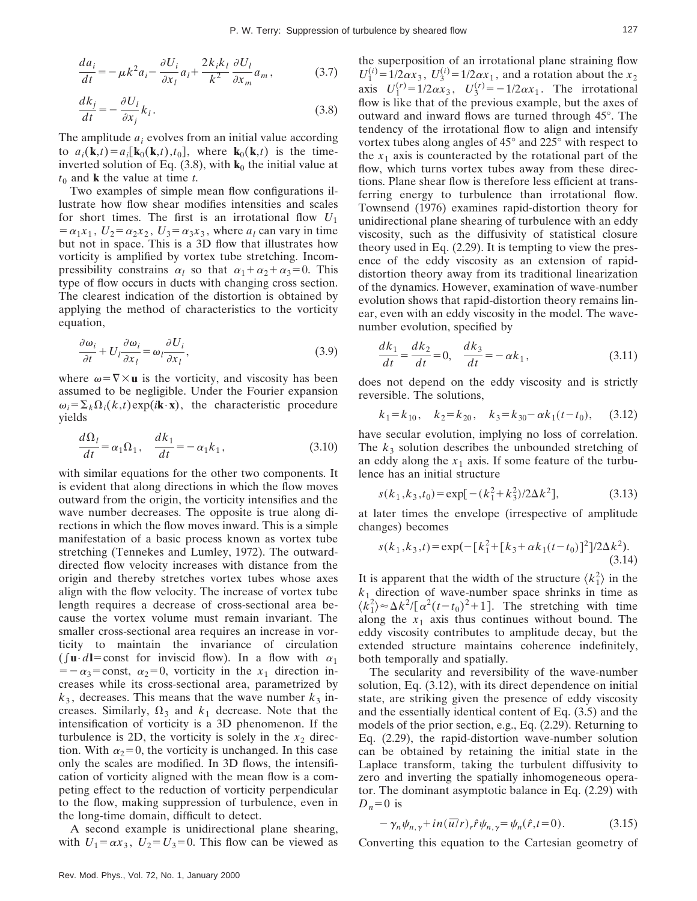$$
\frac{da_i}{dt} = -\mu k^2 a_i - \frac{\partial U_i}{\partial x_l} a_l + \frac{2k_i k_l}{k^2} \frac{\partial U_l}{\partial x_m} a_m, \qquad (3.7)
$$

$$
\frac{dk_j}{dt} = -\frac{\partial U_l}{\partial x_j} k_l.
$$
\n(3.8)

The amplitude  $a_i$  evolves from an initial value according to  $a_i(\mathbf{k},t) = a_i[\mathbf{k}_0(\mathbf{k},t),t_0]$ , where  $\mathbf{k}_0(\mathbf{k},t)$  is the timeinverted solution of Eq.  $(3.8)$ , with  $\mathbf{k}_0$  the initial value at  $t_0$  and **k** the value at time *t*.

Two examples of simple mean flow configurations illustrate how flow shear modifies intensities and scales for short times. The first is an irrotational flow  $U_1$  $= \alpha_1 x_1$ ,  $U_2 = \alpha_2 x_2$ ,  $U_3 = \alpha_3 x_3$ , where  $a_l$  can vary in time but not in space. This is a 3D flow that illustrates how vorticity is amplified by vortex tube stretching. Incompressibility constrains  $\alpha_l$  so that  $\alpha_1 + \alpha_2 + \alpha_3 = 0$ . This type of flow occurs in ducts with changing cross section. The clearest indication of the distortion is obtained by applying the method of characteristics to the vorticity equation,

$$
\frac{\partial \omega_i}{\partial t} + U_l \frac{\partial \omega_i}{\partial x_l} = \omega_l \frac{\partial U_i}{\partial x_l},\tag{3.9}
$$

where  $\omega = \nabla \times \mathbf{u}$  is the vorticity, and viscosity has been assumed to be negligible. Under the Fourier expansion  $\omega_i = \sum_k \Omega_i(k,t) \exp(i\mathbf{k} \cdot \mathbf{x})$ , the characteristic procedure yields

$$
\frac{d\Omega_l}{dt} = \alpha_1 \Omega_1, \quad \frac{dk_1}{dt} = -\alpha_1 k_1,\tag{3.10}
$$

with similar equations for the other two components. It is evident that along directions in which the flow moves outward from the origin, the vorticity intensifies and the wave number decreases. The opposite is true along directions in which the flow moves inward. This is a simple manifestation of a basic process known as vortex tube stretching (Tennekes and Lumley, 1972). The outwarddirected flow velocity increases with distance from the origin and thereby stretches vortex tubes whose axes align with the flow velocity. The increase of vortex tube length requires a decrease of cross-sectional area because the vortex volume must remain invariant. The smaller cross-sectional area requires an increase in vorticity to maintain the invariance of circulation (fu·*d*I=const for inviscid flow). In a flow with  $\alpha_1$  $=$   $-\alpha_3$ = const,  $\alpha_2$ =0, vorticity in the *x*<sub>1</sub> direction increases while its cross-sectional area, parametrized by  $k_3$ , decreases. This means that the wave number  $k_3$  increases. Similarly,  $\Omega_3$  and  $k_1$  decrease. Note that the intensification of vorticity is a 3D phenomenon. If the turbulence is 2D, the vorticity is solely in the  $x_2$  direction. With  $\alpha_2=0$ , the vorticity is unchanged. In this case only the scales are modified. In 3D flows, the intensification of vorticity aligned with the mean flow is a competing effect to the reduction of vorticity perpendicular to the flow, making suppression of turbulence, even in the long-time domain, difficult to detect.

A second example is unidirectional plane shearing, with  $U_1 = \alpha x_3$ ,  $U_2 = U_3 = 0$ . This flow can be viewed as the superposition of an irrotational plane straining flow  $U_1^{(i)} = 1/2\alpha x_3$ ,  $U_3^{(i)} = 1/2\alpha x_1$ , and a rotation about the  $x_2$ axis  $U_1^{(r)} = 1/2\alpha x_3$ ,  $U_3^{(r)} = -1/2\alpha x_1$ . The irrotational flow is like that of the previous example, but the axes of outward and inward flows are turned through 45°. The tendency of the irrotational flow to align and intensify vortex tubes along angles of 45° and 225° with respect to the  $x_1$  axis is counteracted by the rotational part of the flow, which turns vortex tubes away from these directions. Plane shear flow is therefore less efficient at transferring energy to turbulence than irrotational flow. Townsend (1976) examines rapid-distortion theory for unidirectional plane shearing of turbulence with an eddy viscosity, such as the diffusivity of statistical closure theory used in Eq. (2.29). It is tempting to view the presence of the eddy viscosity as an extension of rapiddistortion theory away from its traditional linearization of the dynamics. However, examination of wave-number evolution shows that rapid-distortion theory remains linear, even with an eddy viscosity in the model. The wavenumber evolution, specified by

$$
\frac{dk_1}{dt} = \frac{dk_2}{dt} = 0, \quad \frac{dk_3}{dt} = -\alpha k_1,
$$
\n(3.11)

does not depend on the eddy viscosity and is strictly reversible. The solutions,

$$
k_1 = k_{10}
$$
,  $k_2 = k_{20}$ ,  $k_3 = k_{30} - \alpha k_1 (t - t_0)$ , (3.12)

have secular evolution, implying no loss of correlation. The  $k_3$  solution describes the unbounded stretching of an eddy along the  $x_1$  axis. If some feature of the turbulence has an initial structure

$$
s(k_1, k_3, t_0) = \exp[-(k_1^2 + k_3^2)/2\Delta k^2],
$$
 (3.13)

at later times the envelope (irrespective of amplitude changes) becomes

$$
s(k_1, k_3, t) = \exp(-\left[k_1^2 + [k_3 + \alpha k_1(t - t_0)]^2\right]/2\Delta k^2). \tag{3.14}
$$

It is apparent that the width of the structure  $\langle k_1^2 \rangle$  in the  $k_1$  direction of wave-number space shrinks in time as  $\langle k_1^2 \rangle \approx \Delta k^2 / [\alpha^2 (t - t_0)^2 + 1]$ . The stretching with time along the  $x_1$  axis thus continues without bound. The eddy viscosity contributes to amplitude decay, but the extended structure maintains coherence indefinitely, both temporally and spatially.

The secularity and reversibility of the wave-number solution, Eq. (3.12), with its direct dependence on initial state, are striking given the presence of eddy viscosity and the essentially identical content of Eq. (3.5) and the models of the prior section, e.g., Eq. (2.29). Returning to Eq. (2.29), the rapid-distortion wave-number solution can be obtained by retaining the initial state in the Laplace transform, taking the turbulent diffusivity to zero and inverting the spatially inhomogeneous operator. The dominant asymptotic balance in Eq. (2.29) with  $D_n=0$  is

$$
-\gamma_n \psi_{n,\gamma} + i n(\bar{u}/r)_r \hat{r} \psi_{n,\gamma} = \psi_n(\hat{r}, t=0). \tag{3.15}
$$

Converting this equation to the Cartesian geometry of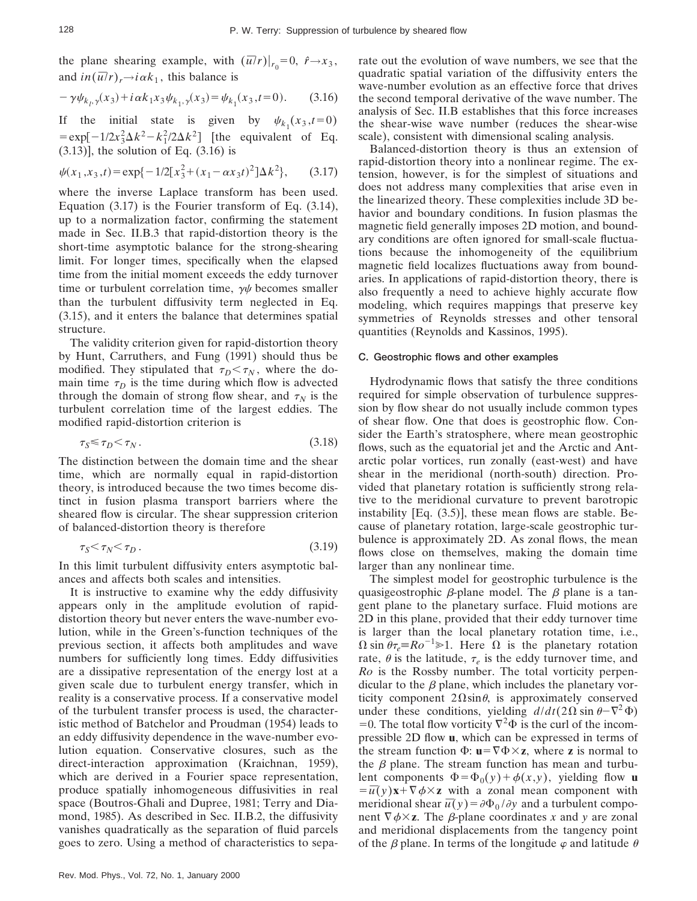the plane shearing example, with  $(\bar{u}/r)|_{r_0} = 0$ ,  $\hat{r} \rightarrow x_3$ , and  $in(\bar{u}/r)$ <sub>r</sub> $\rightarrow$ *i* $\alpha k_1$ , this balance is

$$
-\gamma \psi_{k_1,\gamma}(x_3) + i \alpha k_1 x_3 \psi_{k_1,\gamma}(x_3) = \psi_{k_1}(x_3,t=0). \tag{3.16}
$$

If the initial state is given by  $\psi_{k_1}(x_3,t=0)$  $=\exp[-1/2x_3^2\Delta k^2 - k_1^2/2\Delta k^2]$  [the equivalent of Eq.  $(3.13)$ ], the solution of Eq.  $(3.16)$  is

$$
\psi(x_1, x_3, t) = \exp\{-1/2[x_3^2 + (x_1 - \alpha x_3 t)^2] \Delta k^2\},\qquad(3.17)
$$

where the inverse Laplace transform has been used. Equation (3.17) is the Fourier transform of Eq. (3.14), up to a normalization factor, confirming the statement made in Sec. II.B.3 that rapid-distortion theory is the short-time asymptotic balance for the strong-shearing limit. For longer times, specifically when the elapsed time from the initial moment exceeds the eddy turnover time or turbulent correlation time,  $\gamma\psi$  becomes smaller than the turbulent diffusivity term neglected in Eq. (3.15), and it enters the balance that determines spatial structure.

The validity criterion given for rapid-distortion theory by Hunt, Carruthers, and Fung (1991) should thus be modified. They stipulated that  $\tau_D \leq \tau_N$ , where the domain time  $\tau_D$  is the time during which flow is advected through the domain of strong flow shear, and  $\tau_N$  is the turbulent correlation time of the largest eddies. The modified rapid-distortion criterion is

$$
\tau_S \le \tau_D < \tau_N. \tag{3.18}
$$

The distinction between the domain time and the shear time, which are normally equal in rapid-distortion theory, is introduced because the two times become distinct in fusion plasma transport barriers where the sheared flow is circular. The shear suppression criterion of balanced-distortion theory is therefore

$$
\tau_S < \tau_N < \tau_D. \tag{3.19}
$$

In this limit turbulent diffusivity enters asymptotic balances and affects both scales and intensities.

It is instructive to examine why the eddy diffusivity appears only in the amplitude evolution of rapiddistortion theory but never enters the wave-number evolution, while in the Green's-function techniques of the previous section, it affects both amplitudes and wave numbers for sufficiently long times. Eddy diffusivities are a dissipative representation of the energy lost at a given scale due to turbulent energy transfer, which in reality is a conservative process. If a conservative model of the turbulent transfer process is used, the characteristic method of Batchelor and Proudman (1954) leads to an eddy diffusivity dependence in the wave-number evolution equation. Conservative closures, such as the direct-interaction approximation (Kraichnan, 1959), which are derived in a Fourier space representation, produce spatially inhomogeneous diffusivities in real space (Boutros-Ghali and Dupree, 1981; Terry and Diamond, 1985). As described in Sec. II.B.2, the diffusivity vanishes quadratically as the separation of fluid parcels goes to zero. Using a method of characteristics to separate out the evolution of wave numbers, we see that the quadratic spatial variation of the diffusivity enters the wave-number evolution as an effective force that drives the second temporal derivative of the wave number. The analysis of Sec. II.B establishes that this force increases the shear-wise wave number (reduces the shear-wise scale), consistent with dimensional scaling analysis.

Balanced-distortion theory is thus an extension of rapid-distortion theory into a nonlinear regime. The extension, however, is for the simplest of situations and does not address many complexities that arise even in the linearized theory. These complexities include 3D behavior and boundary conditions. In fusion plasmas the magnetic field generally imposes 2D motion, and boundary conditions are often ignored for small-scale fluctuations because the inhomogeneity of the equilibrium magnetic field localizes fluctuations away from boundaries. In applications of rapid-distortion theory, there is also frequently a need to achieve highly accurate flow modeling, which requires mappings that preserve key symmetries of Reynolds stresses and other tensoral quantities (Reynolds and Kassinos, 1995).

#### **C. Geostrophic flows and other examples**

Hydrodynamic flows that satisfy the three conditions required for simple observation of turbulence suppression by flow shear do not usually include common types of shear flow. One that does is geostrophic flow. Consider the Earth's stratosphere, where mean geostrophic flows, such as the equatorial jet and the Arctic and Antarctic polar vortices, run zonally (east-west) and have shear in the meridional (north-south) direction. Provided that planetary rotation is sufficiently strong relative to the meridional curvature to prevent barotropic instability [Eq. (3.5)], these mean flows are stable. Because of planetary rotation, large-scale geostrophic turbulence is approximately 2D. As zonal flows, the mean flows close on themselves, making the domain time larger than any nonlinear time.

The simplest model for geostrophic turbulence is the quasigeostrophic  $\beta$ -plane model. The  $\beta$  plane is a tangent plane to the planetary surface. Fluid motions are 2D in this plane, provided that their eddy turnover time is larger than the local planetary rotation time, i.e.,  $\Omega \sin \theta \tau_e = R_o^{-1} \gg 1$ . Here  $\Omega$  is the planetary rotation rate,  $\theta$  is the latitude,  $\tau_e$  is the eddy turnover time, and *Ro* is the Rossby number. The total vorticity perpendicular to the  $\beta$  plane, which includes the planetary vorticity component  $2\Omega \sin\theta$ , is approximately conserved under these conditions, yielding  $d/dt(2\Omega \sin \theta - \nabla^2 \Phi)$ =0. The total flow vorticity  $\nabla^2\Phi$  is the curl of the incompressible 2D flow **u**, which can be expressed in terms of the stream function  $\Phi$ :  $\mathbf{u} = \nabla \Phi \times \mathbf{z}$ , where **z** is normal to the  $\beta$  plane. The stream function has mean and turbulent components  $\Phi = \Phi_0(y) + \phi(x, y)$ , yielding flow **u**  $= \bar{u}(y) \mathbf{x} + \nabla \phi \times \mathbf{z}$  with a zonal mean component with meridional shear  $\bar{u}(y) = \partial \Phi_0 / \partial y$  and a turbulent component  $\nabla \phi \times z$ . The  $\beta$ -plane coordinates *x* and *y* are zonal and meridional displacements from the tangency point of the  $\beta$  plane. In terms of the longitude  $\varphi$  and latitude  $\theta$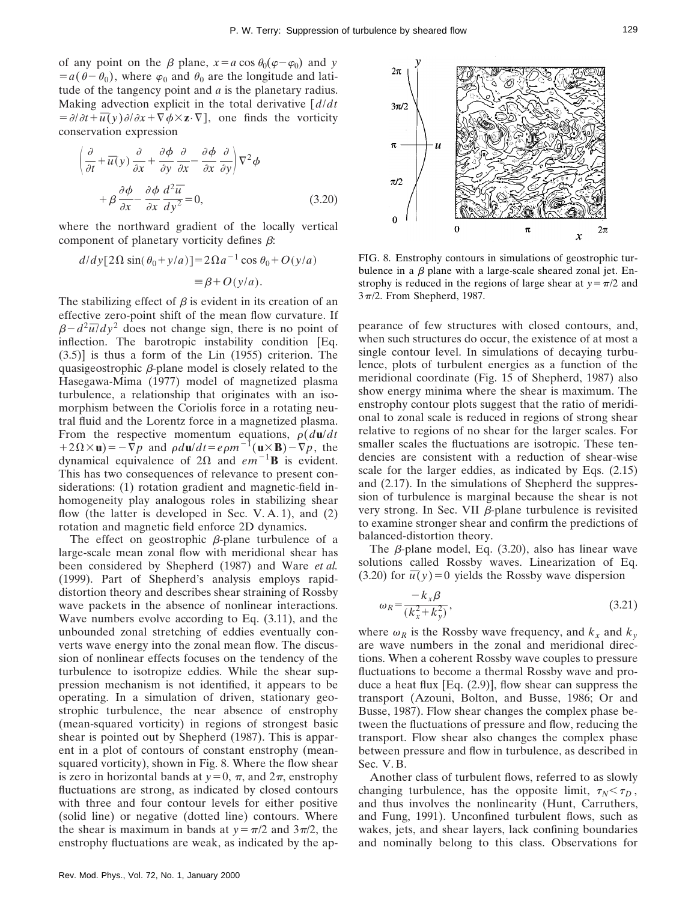of any point on the  $\beta$  plane,  $x = a \cos \theta_0(\varphi - \varphi_0)$  and *y*  $= a(\theta - \theta_0)$ , where  $\varphi_0$  and  $\theta_0$  are the longitude and latitude of the tangency point and *a* is the planetary radius. Making advection explicit in the total derivative  $\frac{d}{dt}$  $= \partial/\partial t + \bar{u}(y)\partial/\partial x + \nabla \phi \times \mathbf{z} \cdot \nabla$ , one finds the vorticity conservation expression

$$
\left(\frac{\partial}{\partial t} + \bar{u}(y)\frac{\partial}{\partial x} + \frac{\partial \phi}{\partial y}\frac{\partial}{\partial x} - \frac{\partial \phi}{\partial x}\frac{\partial}{\partial y}\right)\nabla^2 \phi
$$

$$
+ \beta \frac{\partial \phi}{\partial x} - \frac{\partial \phi}{\partial x}\frac{d^2 \bar{u}}{dy^2} = 0,
$$
(3.20)

where the northward gradient of the locally vertical component of planetary vorticity defines  $\beta$ :

$$
d/dy[2\Omega \sin(\theta_0 + y/a)] = 2\Omega a^{-1} \cos \theta_0 + O(y/a)
$$
  
=  $\beta + O(y/a)$ .

The stabilizing effect of  $\beta$  is evident in its creation of an effective zero-point shift of the mean flow curvature. If  $\beta - d^2 \bar{u}/dy^2$  does not change sign, there is no point of inflection. The barotropic instability condition [Eq. (3.5)] is thus a form of the Lin (1955) criterion. The quasigeostrophic  $\beta$ -plane model is closely related to the Hasegawa-Mima (1977) model of magnetized plasma turbulence, a relationship that originates with an isomorphism between the Coriolis force in a rotating neutral fluid and the Lorentz force in a magnetized plasma. From the respective momentum equations,  $\rho \frac{d\mathbf{u}}{dt}$  $+2\Omega\times\mathbf{u}=-\nabla p$  and  $\rho d\mathbf{u}/dt=e\rho m^{-1}(\mathbf{u}\times\mathbf{B})-\nabla p$ , the dynamical equivalence of  $2\Omega$  and  $em^{-1}$ **B** is evident. This has two consequences of relevance to present considerations: (1) rotation gradient and magnetic-field inhomogeneity play analogous roles in stabilizing shear flow (the latter is developed in Sec. V.A. 1), and (2) rotation and magnetic field enforce 2D dynamics.

The effect on geostrophic  $\beta$ -plane turbulence of a large-scale mean zonal flow with meridional shear has been considered by Shepherd (1987) and Ware *et al.* (1999). Part of Shepherd's analysis employs rapiddistortion theory and describes shear straining of Rossby wave packets in the absence of nonlinear interactions. Wave numbers evolve according to Eq. (3.11), and the unbounded zonal stretching of eddies eventually converts wave energy into the zonal mean flow. The discussion of nonlinear effects focuses on the tendency of the turbulence to isotropize eddies. While the shear suppression mechanism is not identified, it appears to be operating. In a simulation of driven, stationary geostrophic turbulence, the near absence of enstrophy (mean-squared vorticity) in regions of strongest basic shear is pointed out by Shepherd (1987). This is apparent in a plot of contours of constant enstrophy (meansquared vorticity), shown in Fig. 8. Where the flow shear is zero in horizontal bands at  $y=0$ ,  $\pi$ , and  $2\pi$ , enstrophy fluctuations are strong, as indicated by closed contours with three and four contour levels for either positive (solid line) or negative (dotted line) contours. Where the shear is maximum in bands at  $y = \pi/2$  and  $3\pi/2$ , the enstrophy fluctuations are weak, as indicated by the ap-



FIG. 8. Enstrophy contours in simulations of geostrophic turbulence in a  $\beta$  plane with a large-scale sheared zonal jet. Enstrophy is reduced in the regions of large shear at  $y = \pi/2$  and  $3\pi/2$ . From Shepherd, 1987.

pearance of few structures with closed contours, and, when such structures do occur, the existence of at most a single contour level. In simulations of decaying turbulence, plots of turbulent energies as a function of the meridional coordinate (Fig. 15 of Shepherd, 1987) also show energy minima where the shear is maximum. The enstrophy contour plots suggest that the ratio of meridional to zonal scale is reduced in regions of strong shear relative to regions of no shear for the larger scales. For smaller scales the fluctuations are isotropic. These tendencies are consistent with a reduction of shear-wise scale for the larger eddies, as indicated by Eqs. (2.15) and (2.17). In the simulations of Shepherd the suppression of turbulence is marginal because the shear is not very strong. In Sec. VII  $\beta$ -plane turbulence is revisited to examine stronger shear and confirm the predictions of balanced-distortion theory.

The  $\beta$ -plane model, Eq. (3.20), also has linear wave solutions called Rossby waves. Linearization of Eq. (3.20) for  $\bar{u}(y) = 0$  yields the Rossby wave dispersion

$$
\omega_R = \frac{-k_x \beta}{(k_x^2 + k_y^2)},
$$
\n(3.21)

where  $\omega_R$  is the Rossby wave frequency, and  $k_x$  and  $k_y$ are wave numbers in the zonal and meridional directions. When a coherent Rossby wave couples to pressure fluctuations to become a thermal Rossby wave and produce a heat flux [Eq. (2.9)], flow shear can suppress the transport (Azouni, Bolton, and Busse, 1986; Or and Busse, 1987). Flow shear changes the complex phase between the fluctuations of pressure and flow, reducing the transport. Flow shear also changes the complex phase between pressure and flow in turbulence, as described in Sec. V. B.

Another class of turbulent flows, referred to as slowly changing turbulence, has the opposite limit,  $\tau_N < \tau_D$ , and thus involves the nonlinearity (Hunt, Carruthers, and Fung, 1991). Unconfined turbulent flows, such as wakes, jets, and shear layers, lack confining boundaries and nominally belong to this class. Observations for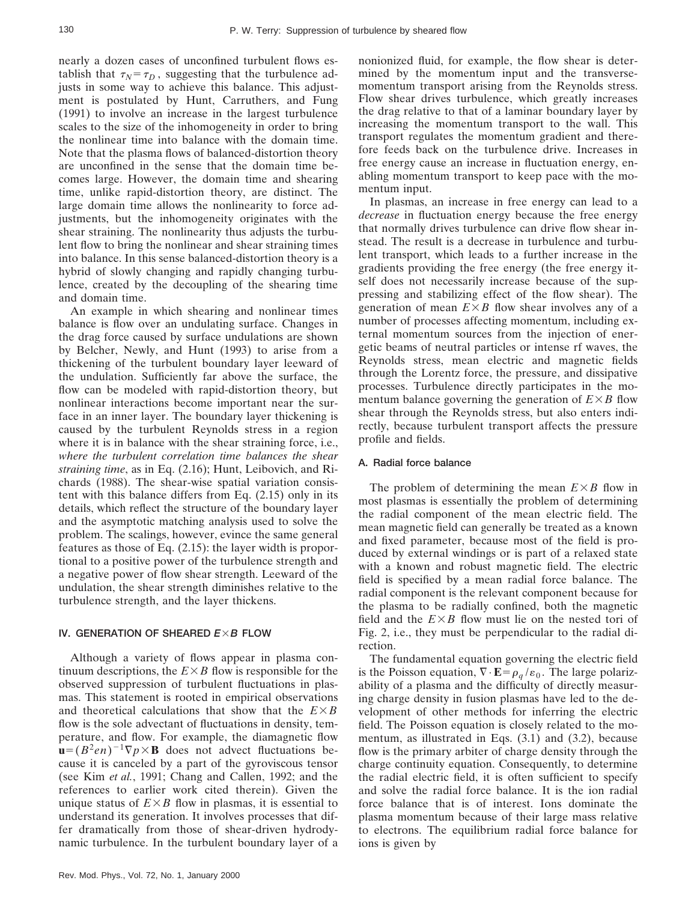nearly a dozen cases of unconfined turbulent flows establish that  $\tau_N = \tau_D$ , suggesting that the turbulence adjusts in some way to achieve this balance. This adjustment is postulated by Hunt, Carruthers, and Fung (1991) to involve an increase in the largest turbulence scales to the size of the inhomogeneity in order to bring the nonlinear time into balance with the domain time. Note that the plasma flows of balanced-distortion theory are unconfined in the sense that the domain time becomes large. However, the domain time and shearing time, unlike rapid-distortion theory, are distinct. The large domain time allows the nonlinearity to force adjustments, but the inhomogeneity originates with the shear straining. The nonlinearity thus adjusts the turbulent flow to bring the nonlinear and shear straining times into balance. In this sense balanced-distortion theory is a hybrid of slowly changing and rapidly changing turbulence, created by the decoupling of the shearing time and domain time.

An example in which shearing and nonlinear times balance is flow over an undulating surface. Changes in the drag force caused by surface undulations are shown by Belcher, Newly, and Hunt (1993) to arise from a thickening of the turbulent boundary layer leeward of the undulation. Sufficiently far above the surface, the flow can be modeled with rapid-distortion theory, but nonlinear interactions become important near the surface in an inner layer. The boundary layer thickening is caused by the turbulent Reynolds stress in a region where it is in balance with the shear straining force, i.e., *where the turbulent correlation time balances the shear straining time*, as in Eq. (2.16); Hunt, Leibovich, and Richards (1988). The shear-wise spatial variation consistent with this balance differs from Eq. (2.15) only in its details, which reflect the structure of the boundary layer and the asymptotic matching analysis used to solve the problem. The scalings, however, evince the same general features as those of Eq. (2.15): the layer width is proportional to a positive power of the turbulence strength and a negative power of flow shear strength. Leeward of the undulation, the shear strength diminishes relative to the turbulence strength, and the layer thickens.

# **IV. GENERATION OF SHEARED** *E*3*B* **FLOW**

Although a variety of flows appear in plasma continuum descriptions, the  $E \times B$  flow is responsible for the observed suppression of turbulent fluctuations in plasmas. This statement is rooted in empirical observations and theoretical calculations that show that the  $E \times B$ flow is the sole advectant of fluctuations in density, temperature, and flow. For example, the diamagnetic flow  $\mathbf{u} = (B^2 e n)^{-1} \nabla p \times \mathbf{B}$  does not advect fluctuations because it is canceled by a part of the gyroviscous tensor (see Kim *et al.*, 1991; Chang and Callen, 1992; and the references to earlier work cited therein). Given the unique status of  $E \times B$  flow in plasmas, it is essential to understand its generation. It involves processes that differ dramatically from those of shear-driven hydrodynamic turbulence. In the turbulent boundary layer of a nonionized fluid, for example, the flow shear is determined by the momentum input and the transversemomentum transport arising from the Reynolds stress. Flow shear drives turbulence, which greatly increases the drag relative to that of a laminar boundary layer by increasing the momentum transport to the wall. This transport regulates the momentum gradient and therefore feeds back on the turbulence drive. Increases in free energy cause an increase in fluctuation energy, enabling momentum transport to keep pace with the momentum input.

In plasmas, an increase in free energy can lead to a *decrease* in fluctuation energy because the free energy that normally drives turbulence can drive flow shear instead. The result is a decrease in turbulence and turbulent transport, which leads to a further increase in the gradients providing the free energy (the free energy itself does not necessarily increase because of the suppressing and stabilizing effect of the flow shear). The generation of mean  $E \times B$  flow shear involves any of a number of processes affecting momentum, including external momentum sources from the injection of energetic beams of neutral particles or intense rf waves, the Reynolds stress, mean electric and magnetic fields through the Lorentz force, the pressure, and dissipative processes. Turbulence directly participates in the momentum balance governing the generation of  $E \times B$  flow shear through the Reynolds stress, but also enters indirectly, because turbulent transport affects the pressure profile and fields.

# **A. Radial force balance**

The problem of determining the mean  $E \times B$  flow in most plasmas is essentially the problem of determining the radial component of the mean electric field. The mean magnetic field can generally be treated as a known and fixed parameter, because most of the field is produced by external windings or is part of a relaxed state with a known and robust magnetic field. The electric field is specified by a mean radial force balance. The radial component is the relevant component because for the plasma to be radially confined, both the magnetic field and the  $E \times B$  flow must lie on the nested tori of Fig. 2, i.e., they must be perpendicular to the radial direction.

The fundamental equation governing the electric field is the Poisson equation,  $\nabla \cdot \mathbf{E} = \rho_q / \varepsilon_0$ . The large polarizability of a plasma and the difficulty of directly measuring charge density in fusion plasmas have led to the development of other methods for inferring the electric field. The Poisson equation is closely related to the momentum, as illustrated in Eqs. (3.1) and (3.2), because flow is the primary arbiter of charge density through the charge continuity equation. Consequently, to determine the radial electric field, it is often sufficient to specify and solve the radial force balance. It is the ion radial force balance that is of interest. Ions dominate the plasma momentum because of their large mass relative to electrons. The equilibrium radial force balance for ions is given by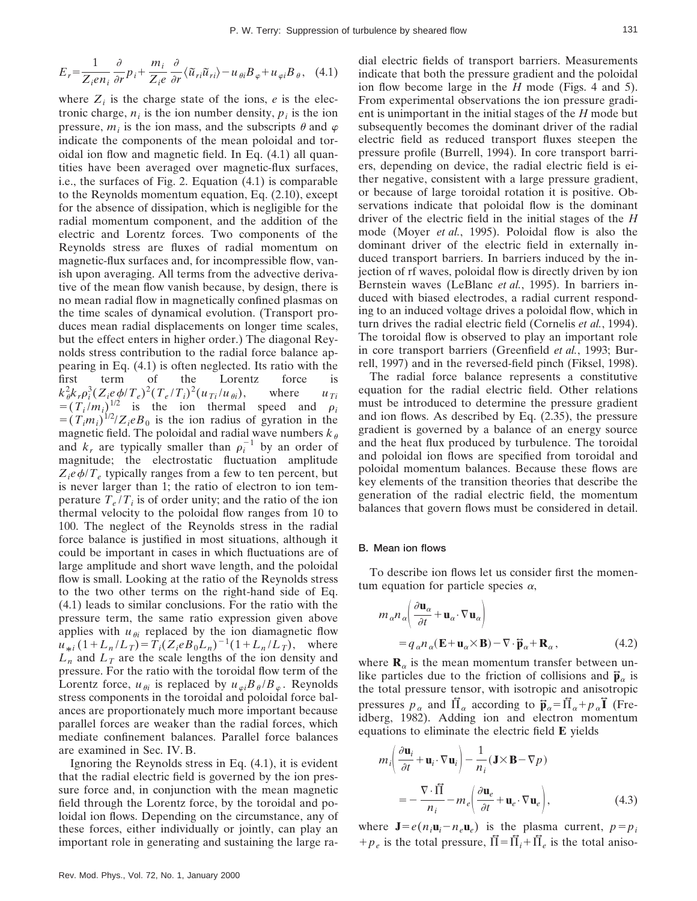$$
E_r = \frac{1}{Z_i e n_i} \frac{\partial}{\partial r} p_i + \frac{m_i}{Z_i e} \frac{\partial}{\partial r} \langle \tilde{u}_{ri} \tilde{u}_{ri} \rangle - u_{\theta i} B_{\varphi} + u_{\varphi i} B_{\theta}, \quad (4.1)
$$

where  $Z_i$  is the charge state of the ions,  $e$  is the electronic charge,  $n_i$  is the ion number density,  $p_i$  is the ion pressure,  $m_i$  is the ion mass, and the subscripts  $\theta$  and  $\varphi$ indicate the components of the mean poloidal and toroidal ion flow and magnetic field. In Eq. (4.1) all quantities have been averaged over magnetic-flux surfaces, i.e., the surfaces of Fig. 2. Equation (4.1) is comparable to the Reynolds momentum equation, Eq. (2.10), except for the absence of dissipation, which is negligible for the radial momentum component, and the addition of the electric and Lorentz forces. Two components of the Reynolds stress are fluxes of radial momentum on magnetic-flux surfaces and, for incompressible flow, vanish upon averaging. All terms from the advective derivative of the mean flow vanish because, by design, there is no mean radial flow in magnetically confined plasmas on the time scales of dynamical evolution. (Transport produces mean radial displacements on longer time scales, but the effect enters in higher order.) The diagonal Reynolds stress contribution to the radial force balance appearing in Eq. (4.1) is often neglected. Its ratio with the first term of the Lorentz force is  $k_{\theta}^{2} k_{r} \rho_{i}^{3} (Z_{i} e_{\phi} / T_{e})^{2} (T_{e} / T_{i})^{2} (u_{Ti} / u_{\theta i}),$  where  $u_{Ti}$  $=(T_i/m_i)^{1/2}$  is the ion thermal speed and  $\rho_i$  $=(T_i m_i)^{1/2}/Z_i e B_0$  is the ion radius of gyration in the magnetic field. The poloidal and radial wave numbers  $k_{\theta}$ and  $k_r$  are typically smaller than  $\rho_i^{-1}$  by an order of magnitude; the electrostatic fluctuation amplitude  $Z_i e \phi / T_e$  typically ranges from a few to ten percent, but is never larger than 1; the ratio of electron to ion temperature  $T_e/T_i$  is of order unity; and the ratio of the ion thermal velocity to the poloidal flow ranges from 10 to 100. The neglect of the Reynolds stress in the radial force balance is justified in most situations, although it could be important in cases in which fluctuations are of large amplitude and short wave length, and the poloidal flow is small. Looking at the ratio of the Reynolds stress to the two other terms on the right-hand side of Eq. (4.1) leads to similar conclusions. For the ratio with the pressure term, the same ratio expression given above applies with  $u_{\theta i}$  replaced by the ion diamagnetic flow  $u_{*i} (1 + L_n/L_T) = T_i (Z_i e B_0 L_n)^{-1} (1 + L_n/L_T)$ , where  $L_n$  and  $L_n$  are the scale lengths of the ion density and pressure. For the ratio with the toroidal flow term of the Lorentz force,  $u_{\theta i}$  is replaced by  $u_{\phi i} B_{\theta} / B_{\phi}$ . Reynolds stress components in the toroidal and poloidal force balances are proportionately much more important because parallel forces are weaker than the radial forces, which mediate confinement balances. Parallel force balances are examined in Sec. IV. B.

Ignoring the Reynolds stress in Eq. (4.1), it is evident that the radial electric field is governed by the ion pressure force and, in conjunction with the mean magnetic field through the Lorentz force, by the toroidal and poloidal ion flows. Depending on the circumstance, any of these forces, either individually or jointly, can play an important role in generating and sustaining the large radial electric fields of transport barriers. Measurements indicate that both the pressure gradient and the poloidal ion flow become large in the *H* mode (Figs. 4 and 5). From experimental observations the ion pressure gradient is unimportant in the initial stages of the *H* mode but subsequently becomes the dominant driver of the radial electric field as reduced transport fluxes steepen the pressure profile (Burrell, 1994). In core transport barriers, depending on device, the radial electric field is either negative, consistent with a large pressure gradient, or because of large toroidal rotation it is positive. Observations indicate that poloidal flow is the dominant driver of the electric field in the initial stages of the *H* mode (Moyer *et al.*, 1995). Poloidal flow is also the dominant driver of the electric field in externally induced transport barriers. In barriers induced by the injection of rf waves, poloidal flow is directly driven by ion Bernstein waves (LeBlanc *et al.*, 1995). In barriers induced with biased electrodes, a radial current responding to an induced voltage drives a poloidal flow, which in turn drives the radial electric field (Cornelis *et al.*, 1994). The toroidal flow is observed to play an important role in core transport barriers (Greenfield *et al.*, 1993; Burrell, 1997) and in the reversed-field pinch (Fiksel, 1998).

The radial force balance represents a constitutive equation for the radial electric field. Other relations must be introduced to determine the pressure gradient and ion flows. As described by Eq. (2.35), the pressure gradient is governed by a balance of an energy source and the heat flux produced by turbulence. The toroidal and poloidal ion flows are specified from toroidal and poloidal momentum balances. Because these flows are key elements of the transition theories that describe the generation of the radial electric field, the momentum balances that govern flows must be considered in detail.

## **B. Mean ion flows**

To describe ion flows let us consider first the momentum equation for particle species  $\alpha$ ,

$$
m_{\alpha}n_{\alpha} \left( \frac{\partial \mathbf{u}_{\alpha}}{\partial t} + \mathbf{u}_{\alpha} \cdot \nabla \mathbf{u}_{\alpha} \right)
$$
  
=  $q_{\alpha}n_{\alpha}(\mathbf{E} + \mathbf{u}_{\alpha} \times \mathbf{B}) - \nabla \cdot \tilde{\mathbf{p}}_{\alpha} + \mathbf{R}_{\alpha},$  (4.2)

where  $\mathbf{R}_{\alpha}$  is the mean momentum transfer between unlike particles due to the friction of collisions and  $\vec{p}_\alpha$  is the total pressure tensor, with isotropic and anisotropic pressures  $p_{\alpha}$  and  $\Pi_{\alpha}$  according to  $\vec{p}_{\alpha} = \Pi_{\alpha} + p_{\alpha} \vec{I}$  (Freidberg, 1982). Adding ion and electron momentum equations to eliminate the electric field **E** yields

$$
m_i \left( \frac{\partial \mathbf{u}_i}{\partial t} + \mathbf{u}_i \cdot \nabla \mathbf{u}_i \right) - \frac{1}{n_i} (\mathbf{J} \times \mathbf{B} - \nabla p)
$$
  
= 
$$
- \frac{\nabla \cdot \tilde{\Pi}}{n_i} - m_e \left( \frac{\partial \mathbf{u}_e}{\partial t} + \mathbf{u}_e \cdot \nabla \mathbf{u}_e \right),
$$
(4.3)

where  $\mathbf{J} = e(n_i \mathbf{u}_i - n_e \mathbf{u}_e)$  is the plasma current,  $p = p_i$  $+p_e$  is the total pressure,  $\vec{\Pi} = \vec{\Pi}_i + \vec{\Pi}_e$  is the total aniso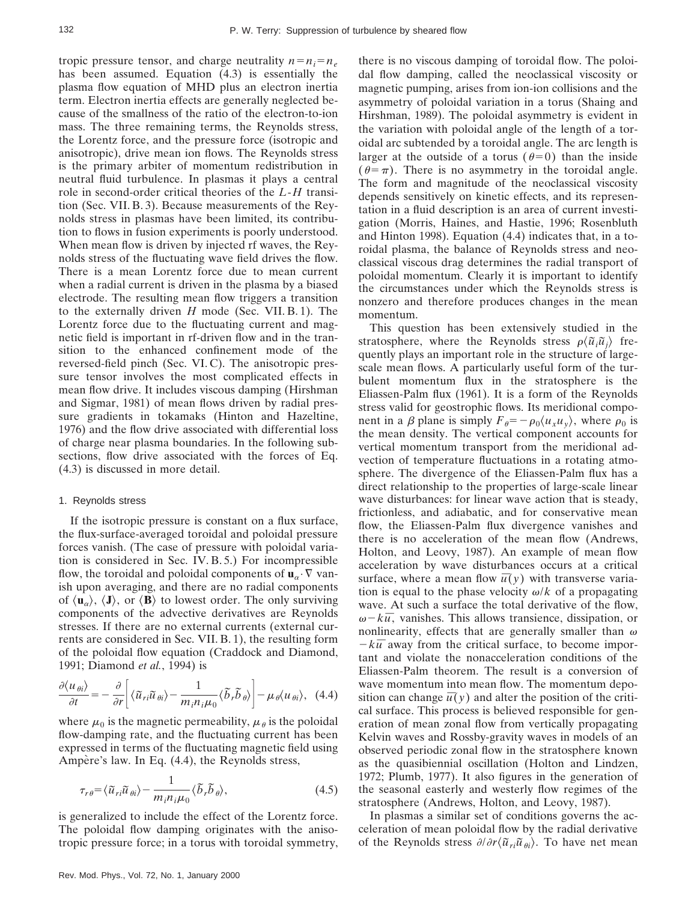tropic pressure tensor, and charge neutrality  $n=n_i=n_e$ has been assumed. Equation (4.3) is essentially the plasma flow equation of MHD plus an electron inertia term. Electron inertia effects are generally neglected because of the smallness of the ratio of the electron-to-ion mass. The three remaining terms, the Reynolds stress, the Lorentz force, and the pressure force (isotropic and anisotropic), drive mean ion flows. The Reynolds stress is the primary arbiter of momentum redistribution in neutral fluid turbulence. In plasmas it plays a central role in second-order critical theories of the *L*-*H* transition (Sec. VII. B. 3). Because measurements of the Reynolds stress in plasmas have been limited, its contribution to flows in fusion experiments is poorly understood. When mean flow is driven by injected rf waves, the Reynolds stress of the fluctuating wave field drives the flow. There is a mean Lorentz force due to mean current when a radial current is driven in the plasma by a biased electrode. The resulting mean flow triggers a transition to the externally driven *H* mode (Sec. VII. B. 1). The Lorentz force due to the fluctuating current and magnetic field is important in rf-driven flow and in the transition to the enhanced confinement mode of the reversed-field pinch (Sec. VI. C). The anisotropic pressure tensor involves the most complicated effects in mean flow drive. It includes viscous damping (Hirshman and Sigmar, 1981) of mean flows driven by radial pressure gradients in tokamaks (Hinton and Hazeltine, 1976) and the flow drive associated with differential loss of charge near plasma boundaries. In the following subsections, flow drive associated with the forces of Eq. (4.3) is discussed in more detail.

# 1. Reynolds stress

If the isotropic pressure is constant on a flux surface, the flux-surface-averaged toroidal and poloidal pressure forces vanish. (The case of pressure with poloidal variation is considered in Sec. IV. B. 5.) For incompressible flow, the toroidal and poloidal components of  $\mathbf{u}_{\alpha} \cdot \nabla$  vanish upon averaging, and there are no radial components of  $\langle \mathbf{u}_{\alpha} \rangle$ ,  $\langle \mathbf{J} \rangle$ , or  $\langle \mathbf{B} \rangle$  to lowest order. The only surviving components of the advective derivatives are Reynolds stresses. If there are no external currents (external currents are considered in Sec. VII. B. 1), the resulting form of the poloidal flow equation (Craddock and Diamond, 1991; Diamond *et al.*, 1994) is

$$
\frac{\partial \langle u_{\theta i} \rangle}{\partial t} = -\frac{\partial}{\partial r} \bigg[ \langle \tilde{u}_{ri} \tilde{u}_{\theta i} \rangle - \frac{1}{m_i n_i \mu_0} \langle \tilde{b}_r \tilde{b}_{\theta} \rangle \bigg] - \mu_{\theta} \langle u_{\theta i} \rangle, \quad (4.4)
$$

where  $\mu_0$  is the magnetic permeability,  $\mu_\theta$  is the poloidal flow-damping rate, and the fluctuating current has been expressed in terms of the fluctuating magnetic field using Ampère's law. In Eq. (4.4), the Reynolds stress,

$$
\tau_{r\theta} = \langle \tilde{u}_{ri}\tilde{u}_{\theta i} \rangle - \frac{1}{m_i n_i \mu_0} \langle \tilde{b}_r \tilde{b}_\theta \rangle, \tag{4.5}
$$

is generalized to include the effect of the Lorentz force. The poloidal flow damping originates with the anisotropic pressure force; in a torus with toroidal symmetry, there is no viscous damping of toroidal flow. The poloidal flow damping, called the neoclassical viscosity or magnetic pumping, arises from ion-ion collisions and the asymmetry of poloidal variation in a torus (Shaing and Hirshman, 1989). The poloidal asymmetry is evident in the variation with poloidal angle of the length of a toroidal arc subtended by a toroidal angle. The arc length is larger at the outside of a torus ( $\theta=0$ ) than the inside  $(\theta = \pi)$ . There is no asymmetry in the toroidal angle. The form and magnitude of the neoclassical viscosity depends sensitively on kinetic effects, and its representation in a fluid description is an area of current investigation (Morris, Haines, and Hastie, 1996; Rosenbluth and Hinton 1998). Equation (4.4) indicates that, in a toroidal plasma, the balance of Reynolds stress and neoclassical viscous drag determines the radial transport of poloidal momentum. Clearly it is important to identify the circumstances under which the Reynolds stress is nonzero and therefore produces changes in the mean momentum.

This question has been extensively studied in the stratosphere, where the Reynolds stress  $\rho \langle \tilde{u}_i \tilde{u}_j \rangle$  frequently plays an important role in the structure of largescale mean flows. A particularly useful form of the turbulent momentum flux in the stratosphere is the Eliassen-Palm flux (1961). It is a form of the Reynolds stress valid for geostrophic flows. Its meridional component in a  $\beta$  plane is simply  $F_{\theta} = -\rho_0 \langle u_x u_y \rangle$ , where  $\rho_0$  is the mean density. The vertical component accounts for vertical momentum transport from the meridional advection of temperature fluctuations in a rotating atmosphere. The divergence of the Eliassen-Palm flux has a direct relationship to the properties of large-scale linear wave disturbances: for linear wave action that is steady, frictionless, and adiabatic, and for conservative mean flow, the Eliassen-Palm flux divergence vanishes and there is no acceleration of the mean flow (Andrews, Holton, and Leovy, 1987). An example of mean flow acceleration by wave disturbances occurs at a critical surface, where a mean flow  $\bar{u}(y)$  with transverse variation is equal to the phase velocity  $\omega/k$  of a propagating wave. At such a surface the total derivative of the flow,  $\omega - k\bar{u}$ , vanishes. This allows transience, dissipation, or nonlinearity, effects that are generally smaller than  $\omega$  $-k\bar{u}$  away from the critical surface, to become important and violate the nonacceleration conditions of the Eliassen-Palm theorem. The result is a conversion of wave momentum into mean flow. The momentum deposition can change  $\bar{u}(y)$  and alter the position of the critical surface. This process is believed responsible for generation of mean zonal flow from vertically propagating Kelvin waves and Rossby-gravity waves in models of an observed periodic zonal flow in the stratosphere known as the quasibiennial oscillation (Holton and Lindzen, 1972; Plumb, 1977). It also figures in the generation of the seasonal easterly and westerly flow regimes of the stratosphere (Andrews, Holton, and Leovy, 1987).

In plasmas a similar set of conditions governs the acceleration of mean poloidal flow by the radial derivative of the Reynolds stress  $\partial/\partial r\langle\tilde{u}_{ri}\tilde{u}_{\theta i}\rangle$ . To have net mean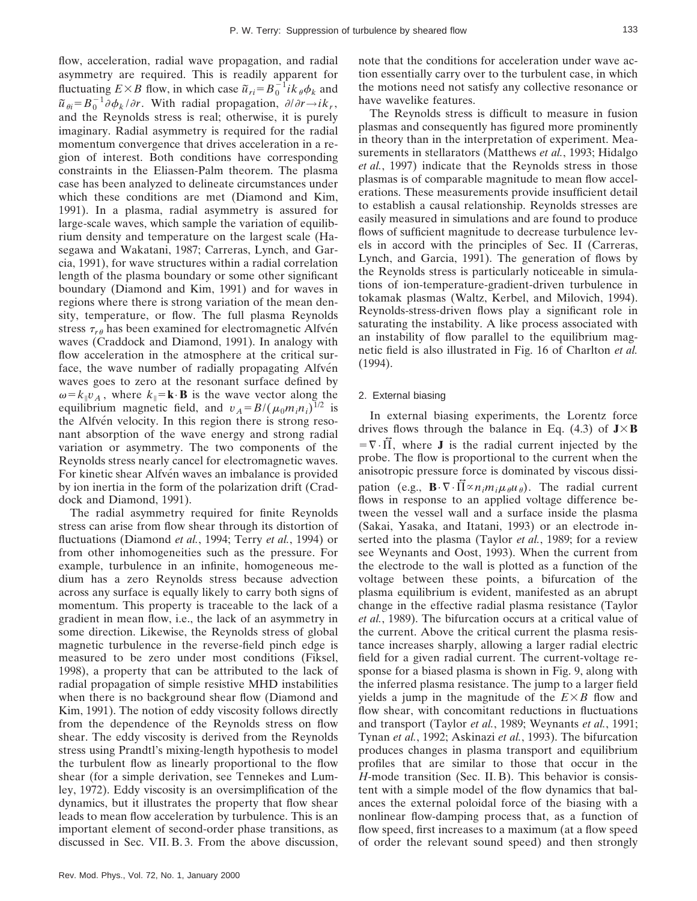flow, acceleration, radial wave propagation, and radial asymmetry are required. This is readily apparent for fluctuating  $E \times B$  flow, in which case  $\tilde{u}_{ri} = B_0^{-1} i k_\theta \phi_k$  and  $\tilde{u}_{\theta i} = B_0^{-1} \partial \phi_k / \partial r$ . With radial propagation,  $\partial/\partial r \rightarrow i k_r$ , and the Reynolds stress is real; otherwise, it is purely imaginary. Radial asymmetry is required for the radial momentum convergence that drives acceleration in a region of interest. Both conditions have corresponding constraints in the Eliassen-Palm theorem. The plasma case has been analyzed to delineate circumstances under which these conditions are met (Diamond and Kim, 1991). In a plasma, radial asymmetry is assured for large-scale waves, which sample the variation of equilibrium density and temperature on the largest scale (Hasegawa and Wakatani, 1987; Carreras, Lynch, and Garcia, 1991), for wave structures within a radial correlation length of the plasma boundary or some other significant boundary (Diamond and Kim, 1991) and for waves in regions where there is strong variation of the mean density, temperature, or flow. The full plasma Reynolds stress  $\tau_{r\theta}$  has been examined for electromagnetic Alfven waves (Craddock and Diamond, 1991). In analogy with flow acceleration in the atmosphere at the critical surface, the wave number of radially propagating Alfven waves goes to zero at the resonant surface defined by  $\omega = k_{\parallel}v_A$ , where  $k_{\parallel} = \mathbf{k} \cdot \mathbf{B}$  is the wave vector along the equilibrium magnetic field, and  $v_A = B/(\mu_0 m_i n_i)^{1/2}$  is the Alfvén velocity. In this region there is strong resonant absorption of the wave energy and strong radial variation or asymmetry. The two components of the Reynolds stress nearly cancel for electromagnetic waves. For kinetic shear Alfvén waves an imbalance is provided by ion inertia in the form of the polarization drift (Craddock and Diamond, 1991).

The radial asymmetry required for finite Reynolds stress can arise from flow shear through its distortion of fluctuations (Diamond *et al.*, 1994; Terry *et al.*, 1994) or from other inhomogeneities such as the pressure. For example, turbulence in an infinite, homogeneous medium has a zero Reynolds stress because advection across any surface is equally likely to carry both signs of momentum. This property is traceable to the lack of a gradient in mean flow, i.e., the lack of an asymmetry in some direction. Likewise, the Reynolds stress of global magnetic turbulence in the reverse-field pinch edge is measured to be zero under most conditions (Fiksel, 1998), a property that can be attributed to the lack of radial propagation of simple resistive MHD instabilities when there is no background shear flow (Diamond and Kim, 1991). The notion of eddy viscosity follows directly from the dependence of the Reynolds stress on flow shear. The eddy viscosity is derived from the Reynolds stress using Prandtl's mixing-length hypothesis to model the turbulent flow as linearly proportional to the flow shear (for a simple derivation, see Tennekes and Lumley, 1972). Eddy viscosity is an oversimplification of the dynamics, but it illustrates the property that flow shear leads to mean flow acceleration by turbulence. This is an important element of second-order phase transitions, as discussed in Sec. VII. B. 3. From the above discussion,

The Reynolds stress is difficult to measure in fusion plasmas and consequently has figured more prominently in theory than in the interpretation of experiment. Measurements in stellarators (Matthews *et al.*, 1993; Hidalgo *et al.*, 1997) indicate that the Reynolds stress in those plasmas is of comparable magnitude to mean flow accelerations. These measurements provide insufficient detail to establish a causal relationship. Reynolds stresses are easily measured in simulations and are found to produce flows of sufficient magnitude to decrease turbulence levels in accord with the principles of Sec. II (Carreras, Lynch, and Garcia, 1991). The generation of flows by the Reynolds stress is particularly noticeable in simulations of ion-temperature-gradient-driven turbulence in tokamak plasmas (Waltz, Kerbel, and Milovich, 1994). Reynolds-stress-driven flows play a significant role in saturating the instability. A like process associated with an instability of flow parallel to the equilibrium magnetic field is also illustrated in Fig. 16 of Charlton *et al.* (1994).

## 2. External biasing

In external biasing experiments, the Lorentz force drives flows through the balance in Eq. (4.3) of  $J \times B$  $= \nabla \cdot \vec{\Pi}$ , where **J** is the radial current injected by the probe. The flow is proportional to the current when the anisotropic pressure force is dominated by viscous dissipation (e.g.,  $\mathbf{B} \cdot \nabla \cdot \vec{\Pi} \propto n_i m_i \mu_i \mu_i$ ). The radial current flows in response to an applied voltage difference between the vessel wall and a surface inside the plasma (Sakai, Yasaka, and Itatani, 1993) or an electrode inserted into the plasma (Taylor *et al.*, 1989; for a review see Weynants and Oost, 1993). When the current from the electrode to the wall is plotted as a function of the voltage between these points, a bifurcation of the plasma equilibrium is evident, manifested as an abrupt change in the effective radial plasma resistance (Taylor *et al.*, 1989). The bifurcation occurs at a critical value of the current. Above the critical current the plasma resistance increases sharply, allowing a larger radial electric field for a given radial current. The current-voltage response for a biased plasma is shown in Fig. 9, along with the inferred plasma resistance. The jump to a larger field yields a jump in the magnitude of the  $E \times B$  flow and flow shear, with concomitant reductions in fluctuations and transport (Taylor *et al.*, 1989; Weynants *et al.*, 1991; Tynan *et al.*, 1992; Askinazi *et al.*, 1993). The bifurcation produces changes in plasma transport and equilibrium profiles that are similar to those that occur in the *H*-mode transition (Sec. II. B). This behavior is consistent with a simple model of the flow dynamics that balances the external poloidal force of the biasing with a nonlinear flow-damping process that, as a function of flow speed, first increases to a maximum (at a flow speed of order the relevant sound speed) and then strongly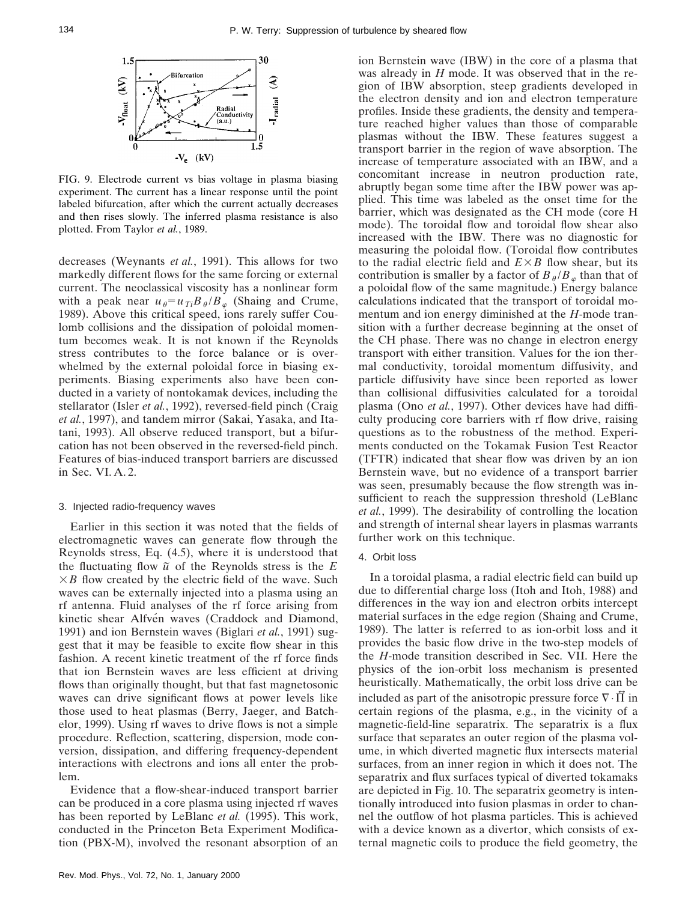

FIG. 9. Electrode current vs bias voltage in plasma biasing experiment. The current has a linear response until the point labeled bifurcation, after which the current actually decreases and then rises slowly. The inferred plasma resistance is also plotted. From Taylor *et al.*, 1989.

decreases (Weynants *et al.*, 1991). This allows for two markedly different flows for the same forcing or external current. The neoclassical viscosity has a nonlinear form with a peak near  $u_{\theta} = u_{Ti} B_{\theta} / B_{\varphi}$  (Shaing and Crume, 1989). Above this critical speed, ions rarely suffer Coulomb collisions and the dissipation of poloidal momentum becomes weak. It is not known if the Reynolds stress contributes to the force balance or is overwhelmed by the external poloidal force in biasing experiments. Biasing experiments also have been conducted in a variety of nontokamak devices, including the stellarator (Isler *et al.*, 1992), reversed-field pinch (Craig *et al.*, 1997), and tandem mirror (Sakai, Yasaka, and Itatani, 1993). All observe reduced transport, but a bifurcation has not been observed in the reversed-field pinch. Features of bias-induced transport barriers are discussed in Sec. VI. A. 2.

## 3. Injected radio-frequency waves

Earlier in this section it was noted that the fields of electromagnetic waves can generate flow through the Reynolds stress, Eq. (4.5), where it is understood that the fluctuating flow  $\tilde{u}$  of the Reynolds stress is the *E*  $\times$ *B* flow created by the electric field of the wave. Such waves can be externally injected into a plasma using an rf antenna. Fluid analyses of the rf force arising from kinetic shear Alfvén waves (Craddock and Diamond, 1991) and ion Bernstein waves (Biglari *et al.*, 1991) suggest that it may be feasible to excite flow shear in this fashion. A recent kinetic treatment of the rf force finds that ion Bernstein waves are less efficient at driving flows than originally thought, but that fast magnetosonic waves can drive significant flows at power levels like those used to heat plasmas (Berry, Jaeger, and Batchelor, 1999). Using rf waves to drive flows is not a simple procedure. Reflection, scattering, dispersion, mode conversion, dissipation, and differing frequency-dependent interactions with electrons and ions all enter the problem.

Evidence that a flow-shear-induced transport barrier can be produced in a core plasma using injected rf waves has been reported by LeBlanc *et al.* (1995). This work, conducted in the Princeton Beta Experiment Modification (PBX-M), involved the resonant absorption of an ion Bernstein wave (IBW) in the core of a plasma that was already in *H* mode. It was observed that in the region of IBW absorption, steep gradients developed in the electron density and ion and electron temperature profiles. Inside these gradients, the density and temperature reached higher values than those of comparable plasmas without the IBW. These features suggest a transport barrier in the region of wave absorption. The increase of temperature associated with an IBW, and a concomitant increase in neutron production rate, abruptly began some time after the IBW power was applied. This time was labeled as the onset time for the barrier, which was designated as the CH mode (core H mode). The toroidal flow and toroidal flow shear also increased with the IBW. There was no diagnostic for measuring the poloidal flow. (Toroidal flow contributes to the radial electric field and  $E \times B$  flow shear, but its contribution is smaller by a factor of  $B_{\theta}/B_{\varphi}$  than that of a poloidal flow of the same magnitude.) Energy balance calculations indicated that the transport of toroidal momentum and ion energy diminished at the *H*-mode transition with a further decrease beginning at the onset of the CH phase. There was no change in electron energy transport with either transition. Values for the ion thermal conductivity, toroidal momentum diffusivity, and particle diffusivity have since been reported as lower than collisional diffusivities calculated for a toroidal plasma (Ono *et al.*, 1997). Other devices have had difficulty producing core barriers with rf flow drive, raising questions as to the robustness of the method. Experiments conducted on the Tokamak Fusion Test Reactor (TFTR) indicated that shear flow was driven by an ion Bernstein wave, but no evidence of a transport barrier was seen, presumably because the flow strength was insufficient to reach the suppression threshold (LeBlanc *et al.*, 1999). The desirability of controlling the location and strength of internal shear layers in plasmas warrants further work on this technique.

# 4. Orbit loss

In a toroidal plasma, a radial electric field can build up due to differential charge loss (Itoh and Itoh, 1988) and differences in the way ion and electron orbits intercept material surfaces in the edge region (Shaing and Crume, 1989). The latter is referred to as ion-orbit loss and it provides the basic flow drive in the two-step models of the *H*-mode transition described in Sec. VII. Here the physics of the ion-orbit loss mechanism is presented heuristically. Mathematically, the orbit loss drive can be included as part of the anisotropic pressure force  $\nabla \cdot \Pi$  in certain regions of the plasma, e.g., in the vicinity of a magnetic-field-line separatrix. The separatrix is a flux surface that separates an outer region of the plasma volume, in which diverted magnetic flux intersects material surfaces, from an inner region in which it does not. The separatrix and flux surfaces typical of diverted tokamaks are depicted in Fig. 10. The separatrix geometry is intentionally introduced into fusion plasmas in order to channel the outflow of hot plasma particles. This is achieved with a device known as a divertor, which consists of external magnetic coils to produce the field geometry, the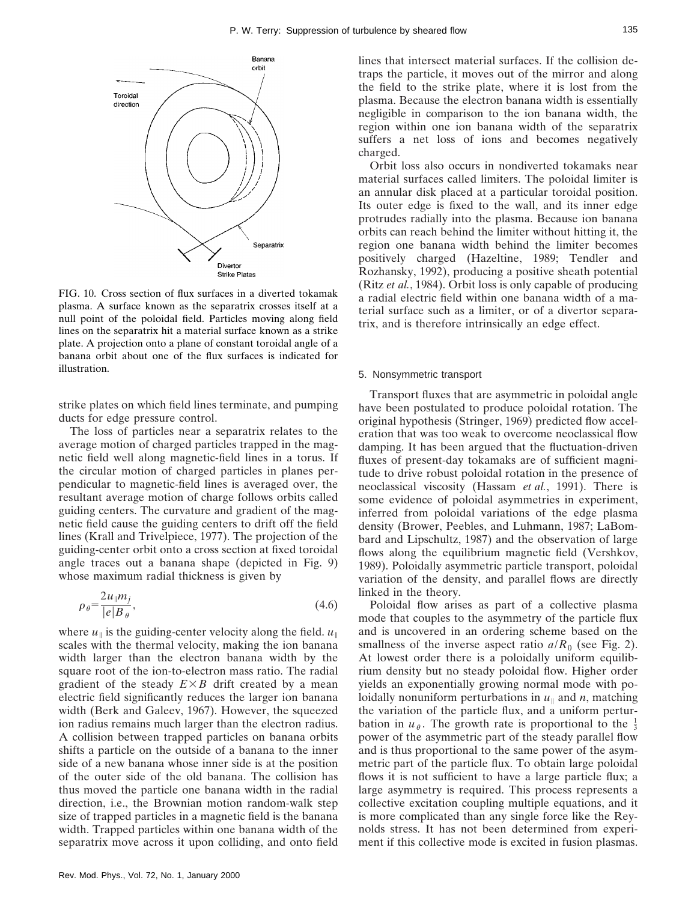

FIG. 10. Cross section of flux surfaces in a diverted tokamak plasma. A surface known as the separatrix crosses itself at a null point of the poloidal field. Particles moving along field lines on the separatrix hit a material surface known as a strike plate. A projection onto a plane of constant toroidal angle of a banana orbit about one of the flux surfaces is indicated for illustration.

strike plates on which field lines terminate, and pumping ducts for edge pressure control.

The loss of particles near a separatrix relates to the average motion of charged particles trapped in the magnetic field well along magnetic-field lines in a torus. If the circular motion of charged particles in planes perpendicular to magnetic-field lines is averaged over, the resultant average motion of charge follows orbits called guiding centers. The curvature and gradient of the magnetic field cause the guiding centers to drift off the field lines (Krall and Trivelpiece, 1977). The projection of the guiding-center orbit onto a cross section at fixed toroidal angle traces out a banana shape (depicted in Fig. 9) whose maximum radial thickness is given by

$$
\rho_{\theta} = \frac{2u_{\parallel}m_j}{|e|B_{\theta}},\tag{4.6}
$$

where  $u_{\parallel}$  is the guiding-center velocity along the field.  $u_{\parallel}$ scales with the thermal velocity, making the ion banana width larger than the electron banana width by the square root of the ion-to-electron mass ratio. The radial gradient of the steady  $E \times B$  drift created by a mean electric field significantly reduces the larger ion banana width (Berk and Galeev, 1967). However, the squeezed ion radius remains much larger than the electron radius. A collision between trapped particles on banana orbits shifts a particle on the outside of a banana to the inner side of a new banana whose inner side is at the position of the outer side of the old banana. The collision has thus moved the particle one banana width in the radial direction, i.e., the Brownian motion random-walk step size of trapped particles in a magnetic field is the banana width. Trapped particles within one banana width of the separatrix move across it upon colliding, and onto field lines that intersect material surfaces. If the collision detraps the particle, it moves out of the mirror and along the field to the strike plate, where it is lost from the plasma. Because the electron banana width is essentially negligible in comparison to the ion banana width, the region within one ion banana width of the separatrix suffers a net loss of ions and becomes negatively charged.

Orbit loss also occurs in nondiverted tokamaks near material surfaces called limiters. The poloidal limiter is an annular disk placed at a particular toroidal position. Its outer edge is fixed to the wall, and its inner edge protrudes radially into the plasma. Because ion banana orbits can reach behind the limiter without hitting it, the region one banana width behind the limiter becomes positively charged (Hazeltine, 1989; Tendler and Rozhansky, 1992), producing a positive sheath potential (Ritz *et al.*, 1984). Orbit loss is only capable of producing a radial electric field within one banana width of a material surface such as a limiter, or of a divertor separatrix, and is therefore intrinsically an edge effect.

#### 5. Nonsymmetric transport

Transport fluxes that are asymmetric in poloidal angle have been postulated to produce poloidal rotation. The original hypothesis (Stringer, 1969) predicted flow acceleration that was too weak to overcome neoclassical flow damping. It has been argued that the fluctuation-driven fluxes of present-day tokamaks are of sufficient magnitude to drive robust poloidal rotation in the presence of neoclassical viscosity (Hassam *et al.*, 1991). There is some evidence of poloidal asymmetries in experiment, inferred from poloidal variations of the edge plasma density (Brower, Peebles, and Luhmann, 1987; LaBombard and Lipschultz, 1987) and the observation of large flows along the equilibrium magnetic field (Vershkov, 1989). Poloidally asymmetric particle transport, poloidal variation of the density, and parallel flows are directly linked in the theory.

Poloidal flow arises as part of a collective plasma mode that couples to the asymmetry of the particle flux and is uncovered in an ordering scheme based on the smallness of the inverse aspect ratio  $a/R_0$  (see Fig. 2). At lowest order there is a poloidally uniform equilibrium density but no steady poloidal flow. Higher order yields an exponentially growing normal mode with poloidally nonuniform perturbations in  $u_{\parallel}$  and *n*, matching the variation of the particle flux, and a uniform perturbation in  $u_{\theta}$ . The growth rate is proportional to the  $\frac{1}{3}$ power of the asymmetric part of the steady parallel flow and is thus proportional to the same power of the asymmetric part of the particle flux. To obtain large poloidal flows it is not sufficient to have a large particle flux; a large asymmetry is required. This process represents a collective excitation coupling multiple equations, and it is more complicated than any single force like the Reynolds stress. It has not been determined from experiment if this collective mode is excited in fusion plasmas.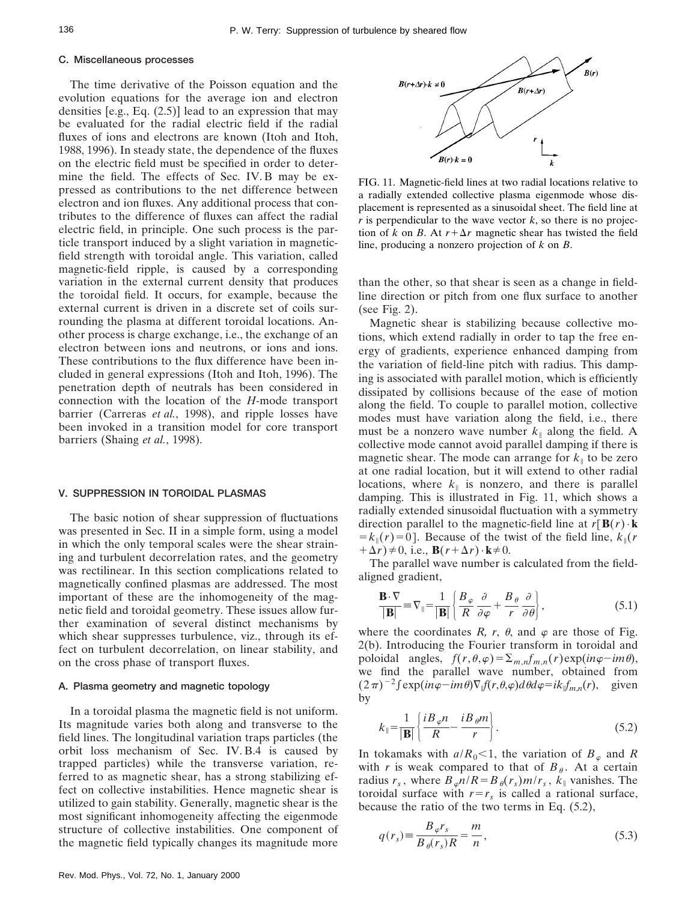## **C. Miscellaneous processes**

The time derivative of the Poisson equation and the evolution equations for the average ion and electron densities [e.g., Eq. (2.5)] lead to an expression that may be evaluated for the radial electric field if the radial fluxes of ions and electrons are known (Itoh and Itoh, 1988, 1996). In steady state, the dependence of the fluxes on the electric field must be specified in order to determine the field. The effects of Sec. IV. B may be expressed as contributions to the net difference between electron and ion fluxes. Any additional process that contributes to the difference of fluxes can affect the radial electric field, in principle. One such process is the particle transport induced by a slight variation in magneticfield strength with toroidal angle. This variation, called magnetic-field ripple, is caused by a corresponding variation in the external current density that produces the toroidal field. It occurs, for example, because the external current is driven in a discrete set of coils surrounding the plasma at different toroidal locations. Another process is charge exchange, i.e., the exchange of an electron between ions and neutrons, or ions and ions. These contributions to the flux difference have been included in general expressions (Itoh and Itoh, 1996). The penetration depth of neutrals has been considered in connection with the location of the *H*-mode transport barrier (Carreras *et al.*, 1998), and ripple losses have been invoked in a transition model for core transport barriers (Shaing *et al.*, 1998).

## **V. SUPPRESSION IN TOROIDAL PLASMAS**

The basic notion of shear suppression of fluctuations was presented in Sec. II in a simple form, using a model in which the only temporal scales were the shear straining and turbulent decorrelation rates, and the geometry was rectilinear. In this section complications related to magnetically confined plasmas are addressed. The most important of these are the inhomogeneity of the magnetic field and toroidal geometry. These issues allow further examination of several distinct mechanisms by which shear suppresses turbulence, viz., through its effect on turbulent decorrelation, on linear stability, and on the cross phase of transport fluxes.

## **A. Plasma geometry and magnetic topology**

In a toroidal plasma the magnetic field is not uniform. Its magnitude varies both along and transverse to the field lines. The longitudinal variation traps particles (the orbit loss mechanism of Sec. IV. B.4 is caused by trapped particles) while the transverse variation, referred to as magnetic shear, has a strong stabilizing effect on collective instabilities. Hence magnetic shear is utilized to gain stability. Generally, magnetic shear is the most significant inhomogeneity affecting the eigenmode structure of collective instabilities. One component of the magnetic field typically changes its magnitude more



FIG. 11. Magnetic-field lines at two radial locations relative to a radially extended collective plasma eigenmode whose displacement is represented as a sinusoidal sheet. The field line at *r* is perpendicular to the wave vector *k*, so there is no projection of *k* on *B*. At  $r + \Delta r$  magnetic shear has twisted the field line, producing a nonzero projection of *k* on *B*.

than the other, so that shear is seen as a change in fieldline direction or pitch from one flux surface to another (see Fig. 2).

Magnetic shear is stabilizing because collective motions, which extend radially in order to tap the free energy of gradients, experience enhanced damping from the variation of field-line pitch with radius. This damping is associated with parallel motion, which is efficiently dissipated by collisions because of the ease of motion along the field. To couple to parallel motion, collective modes must have variation along the field, i.e., there must be a nonzero wave number  $k_{\parallel}$  along the field. A collective mode cannot avoid parallel damping if there is magnetic shear. The mode can arrange for  $k_{\parallel}$  to be zero at one radial location, but it will extend to other radial locations, where  $k_{\parallel}$  is nonzero, and there is parallel damping. This is illustrated in Fig. 11, which shows a radially extended sinusoidal fluctuation with a symmetry direction parallel to the magnetic-field line at  $r[\mathbf{B}(r) \cdot \mathbf{k}]$  $=k_{\parallel}(r)=0$ ]. Because of the twist of the field line,  $k_{\parallel}(r)$  $+(\Delta r) \neq 0$ , i.e., **B** $(r + \Delta r) \cdot \mathbf{k} \neq 0$ .

The parallel wave number is calculated from the fieldaligned gradient,

$$
\frac{\mathbf{B} \cdot \nabla}{|\mathbf{B}|} = \nabla_{\parallel} = \frac{1}{|\mathbf{B}|} \left\{ \frac{B_{\varphi}}{R} \frac{\partial}{\partial \varphi} + \frac{B_{\theta}}{r} \frac{\partial}{\partial \theta} \right\},\tag{5.1}
$$

where the coordinates *R*, *r*,  $\theta$ , and  $\varphi$  are those of Fig. 2(b). Introducing the Fourier transform in toroidal and poloidal angles,  $f(r, \theta, \varphi) = \sum_{m,n} f_{m,n}(r) \exp(in\varphi - im\theta),$ we find the parallel wave number, obtained from  $(2\pi)^{-2} \int \exp(in\varphi - im\theta) \nabla_{\psi} f(r,\theta,\varphi) d\theta d\varphi = ik_{\psi} f_{m,n}(r)$ , given by

$$
k_{\parallel} = \frac{1}{|\mathbf{B}|} \left\{ \frac{i B_{\varphi} n}{R} - \frac{i B_{\theta} m}{r} \right\}.
$$
 (5.2)

In tokamaks with  $a/R_0 < 1$ , the variation of  $B_{\varphi}$  and *R* with *r* is weak compared to that of  $B_\theta$ . At a certain radius  $r_s$ , where  $B_{\varphi} n/R = B_{\theta}(r_s) m/r_s$ ,  $k_{\parallel}$  vanishes. The toroidal surface with  $r=r_s$  is called a rational surface, because the ratio of the two terms in Eq. (5.2),

$$
q(r_s) \equiv \frac{B_\varphi r_s}{B_\theta(r_s)R} = \frac{m}{n},\tag{5.3}
$$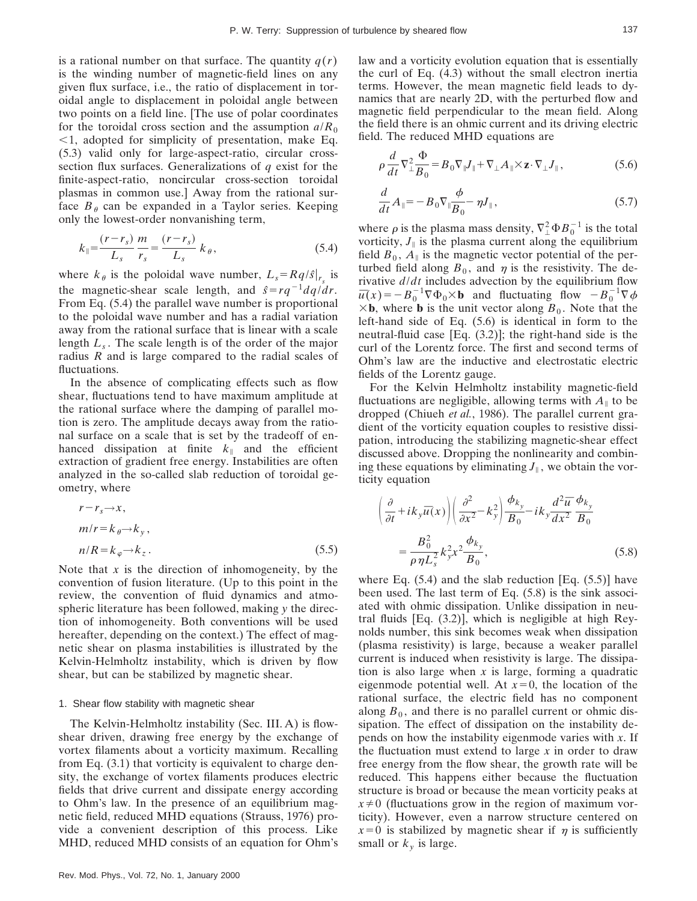is a rational number on that surface. The quantity  $q(r)$ is the winding number of magnetic-field lines on any given flux surface, i.e., the ratio of displacement in toroidal angle to displacement in poloidal angle between two points on a field line. [The use of polar coordinates for the toroidal cross section and the assumption  $a/R_0$  $\leq$ 1, adopted for simplicity of presentation, make Eq. (5.3) valid only for large-aspect-ratio, circular crosssection flux surfaces. Generalizations of *q* exist for the finite-aspect-ratio, noncircular cross-section toroidal plasmas in common use.] Away from the rational surface  $B_\theta$  can be expanded in a Taylor series. Keeping only the lowest-order nonvanishing term,

$$
k_{\parallel} = \frac{(r - r_s)}{L_s} \frac{m}{r_s} = \frac{(r - r_s)}{L_s} k_{\theta},
$$
\n(5.4)

where  $k_{\theta}$  is the poloidal wave number,  $L_s = Rq/\hat{s}|_{r_s}$  is the magnetic-shear scale length, and  $\hat{s} = rq^{-1}dq/dr$ . From Eq. (5.4) the parallel wave number is proportional to the poloidal wave number and has a radial variation away from the rational surface that is linear with a scale length  $L_s$ . The scale length is of the order of the major radius *R* and is large compared to the radial scales of fluctuations.

In the absence of complicating effects such as flow shear, fluctuations tend to have maximum amplitude at the rational surface where the damping of parallel motion is zero. The amplitude decays away from the rational surface on a scale that is set by the tradeoff of enhanced dissipation at finite  $k_{\parallel}$  and the efficient extraction of gradient free energy. Instabilities are often analyzed in the so-called slab reduction of toroidal geometry, where

$$
r-r_s \to x,
$$
  
\n
$$
m/r = k_{\theta} \to k_y,
$$
  
\n
$$
n/R = k_{\varphi} \to k_z.
$$
\n(5.5)

Note that *x* is the direction of inhomogeneity, by the convention of fusion literature. (Up to this point in the review, the convention of fluid dynamics and atmospheric literature has been followed, making *y* the direction of inhomogeneity. Both conventions will be used hereafter, depending on the context.) The effect of magnetic shear on plasma instabilities is illustrated by the Kelvin-Helmholtz instability, which is driven by flow shear, but can be stabilized by magnetic shear.

## 1. Shear flow stability with magnetic shear

The Kelvin-Helmholtz instability (Sec. III. A) is flowshear driven, drawing free energy by the exchange of vortex filaments about a vorticity maximum. Recalling from Eq. (3.1) that vorticity is equivalent to charge density, the exchange of vortex filaments produces electric fields that drive current and dissipate energy according to Ohm's law. In the presence of an equilibrium magnetic field, reduced MHD equations (Strauss, 1976) provide a convenient description of this process. Like MHD, reduced MHD consists of an equation for Ohm's

Rev. Mod. Phys., Vol. 72, No. 1, January 2000

law and a vorticity evolution equation that is essentially the curl of Eq. (4.3) without the small electron inertia terms. However, the mean magnetic field leads to dynamics that are nearly 2D, with the perturbed flow and magnetic field perpendicular to the mean field. Along the field there is an ohmic current and its driving electric field. The reduced MHD equations are

$$
\rho \frac{d}{dt} \nabla_{\perp}^2 \frac{\Phi}{B_0} = B_0 \nabla_{\parallel} J_{\parallel} + \nabla_{\perp} A_{\parallel} \times \mathbf{z} \cdot \nabla_{\perp} J_{\parallel},
$$
\n(5.6)

$$
\frac{d}{dt}A_{\parallel} = -B_0 \nabla_{\parallel} \frac{\phi}{B_0} - \eta J_{\parallel},
$$
\n(5.7)

where  $\rho$  is the plasma mass density,  $\nabla_{\perp}^2 \Phi B_0^{-1}$  is the total vorticity,  $J_{\parallel}$  is the plasma current along the equilibrium field  $B_0$ ,  $A_{\parallel}$  is the magnetic vector potential of the perturbed field along  $B_0$ , and  $\eta$  is the resistivity. The derivative *d*/*dt* includes advection by the equilibrium flow  $\overline{u}(x) = -B_0^{-1} \nabla \Phi_0 \times \mathbf{b}$  and fluctuating flow  $-B_0^{-1} \nabla \Phi$  $\times$ **b**, where **b** is the unit vector along  $B_0$ . Note that the left-hand side of Eq. (5.6) is identical in form to the neutral-fluid case [Eq. (3.2)]; the right-hand side is the curl of the Lorentz force. The first and second terms of Ohm's law are the inductive and electrostatic electric fields of the Lorentz gauge.

For the Kelvin Helmholtz instability magnetic-field fluctuations are negligible, allowing terms with  $A_{\parallel}$  to be dropped (Chiueh *et al.*, 1986). The parallel current gradient of the vorticity equation couples to resistive dissipation, introducing the stabilizing magnetic-shear effect discussed above. Dropping the nonlinearity and combining these equations by eliminating  $J_{\parallel}$ , we obtain the vorticity equation

$$
\left(\frac{\partial}{\partial t} + ik_y \overline{u}(x)\right) \left(\frac{\partial^2}{\partial x^2} - k_y^2\right) \frac{\phi_{k_y}}{B_0} - ik_y \frac{d^2 \overline{u}}{dx^2} \frac{\phi_{k_y}}{B_0}
$$

$$
= \frac{B_0^2}{\rho \eta L_s^2} k_y^2 x^2 \frac{\phi_{k_y}}{B_0},\tag{5.8}
$$

where Eq.  $(5.4)$  and the slab reduction [Eq.  $(5.5)$ ] have been used. The last term of Eq. (5.8) is the sink associated with ohmic dissipation. Unlike dissipation in neutral fluids [Eq. (3.2)], which is negligible at high Reynolds number, this sink becomes weak when dissipation (plasma resistivity) is large, because a weaker parallel current is induced when resistivity is large. The dissipation is also large when *x* is large, forming a quadratic eigenmode potential well. At  $x=0$ , the location of the rational surface, the electric field has no component along  $B_0$ , and there is no parallel current or ohmic dissipation. The effect of dissipation on the instability depends on how the instability eigenmode varies with *x*. If the fluctuation must extend to large *x* in order to draw free energy from the flow shear, the growth rate will be reduced. This happens either because the fluctuation structure is broad or because the mean vorticity peaks at  $x\neq0$  (fluctuations grow in the region of maximum vorticity). However, even a narrow structure centered on  $x=0$  is stabilized by magnetic shear if  $\eta$  is sufficiently small or  $k_y$  is large.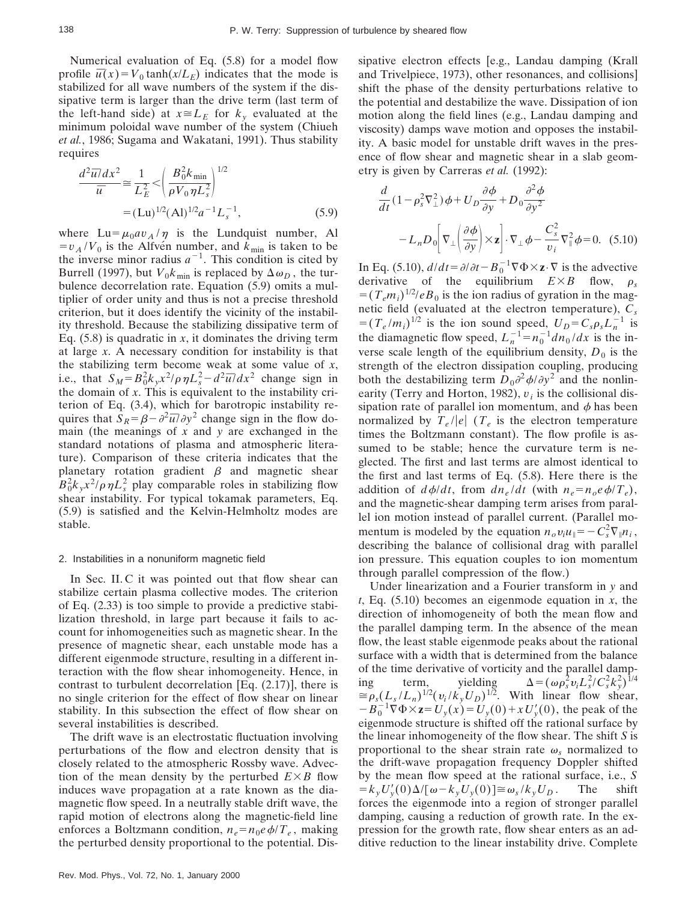Numerical evaluation of Eq. (5.8) for a model flow profile  $\bar{u}(x) = V_0 \tanh(x/L_E)$  indicates that the mode is stabilized for all wave numbers of the system if the dissipative term is larger than the drive term (last term of the left-hand side) at  $x \approx L_E$  for  $k_y$  evaluated at the minimum poloidal wave number of the system (Chiueh *et al.*, 1986; Sugama and Wakatani, 1991). Thus stability requires

$$
\frac{d^2 \bar{u}/dx^2}{\bar{u}} \approx \frac{1}{L_E^2} < \left(\frac{B_0^2 k_{\text{min}}}{\rho V_0 \eta L_s^2}\right)^{1/2} \n= (\text{Lu})^{1/2} (\text{Al})^{1/2} a^{-1} L_s^{-1},
$$
\n(5.9)

where  $Lu = \mu_0 a v_A / \eta$  is the Lundquist number, Al  $=v_A/V_0$  is the Alfve<sup>n</sup> number, and  $k_{\text{min}}$  is taken to be the inverse minor radius  $a^{-1}$ . This condition is cited by Burrell (1997), but  $V_0 k_{\text{min}}$  is replaced by  $\Delta \omega_D$ , the turbulence decorrelation rate. Equation (5.9) omits a multiplier of order unity and thus is not a precise threshold criterion, but it does identify the vicinity of the instability threshold. Because the stabilizing dissipative term of Eq. (5.8) is quadratic in *x*, it dominates the driving term at large *x*. A necessary condition for instability is that the stabilizing term become weak at some value of *x*, i.e., that  $S_M = B_0^2 k_y x^2 / \rho \eta L_s^2 - d^2 \overline{u}/dx^2$  change sign in the domain of *x*. This is equivalent to the instability criterion of Eq. (3.4), which for barotropic instability requires that  $S_R = \beta - \frac{\partial^2 \bar{u}}{\partial y^2}$  change sign in the flow domain (the meanings of *x* and *y* are exchanged in the standard notations of plasma and atmospheric literature). Comparison of these criteria indicates that the planetary rotation gradient  $\beta$  and magnetic shear  $B_0^2 k_y x^2 / \rho \eta L_s^2$  play comparable roles in stabilizing flow shear instability. For typical tokamak parameters, Eq. (5.9) is satisfied and the Kelvin-Helmholtz modes are stable.

# 2. Instabilities in a nonuniform magnetic field

In Sec. II. C it was pointed out that flow shear can stabilize certain plasma collective modes. The criterion of Eq. (2.33) is too simple to provide a predictive stabilization threshold, in large part because it fails to account for inhomogeneities such as magnetic shear. In the presence of magnetic shear, each unstable mode has a different eigenmode structure, resulting in a different interaction with the flow shear inhomogeneity. Hence, in contrast to turbulent decorrelation [Eq. (2.17)], there is no single criterion for the effect of flow shear on linear stability. In this subsection the effect of flow shear on several instabilities is described.

The drift wave is an electrostatic fluctuation involving perturbations of the flow and electron density that is closely related to the atmospheric Rossby wave. Advection of the mean density by the perturbed  $E \times B$  flow induces wave propagation at a rate known as the diamagnetic flow speed. In a neutrally stable drift wave, the rapid motion of electrons along the magnetic-field line enforces a Boltzmann condition,  $n_e = n_0 e \phi / T_e$ , making the perturbed density proportional to the potential. Dissipative electron effects [e.g., Landau damping (Krall and Trivelpiece, 1973), other resonances, and collisions] shift the phase of the density perturbations relative to the potential and destabilize the wave. Dissipation of ion motion along the field lines (e.g., Landau damping and viscosity) damps wave motion and opposes the instability. A basic model for unstable drift waves in the presence of flow shear and magnetic shear in a slab geometry is given by Carreras *et al.* (1992):

$$
\frac{d}{dt} (1 - \rho_s^2 \nabla_{\perp}^2) \phi + U_D \frac{\partial \phi}{\partial y} + D_0 \frac{\partial^2 \phi}{\partial y^2} \n- L_n D_0 \left[ \nabla_{\perp} \left( \frac{\partial \phi}{\partial y} \right) \times \mathbf{z} \right] \cdot \nabla_{\perp} \phi - \frac{C_s^2}{v_i} \nabla_{\parallel}^2 \phi = 0. \quad (5.10)
$$

In Eq. (5.10),  $d/dt = \partial/\partial t - B_0^{-1} \nabla \Phi \times \mathbf{z} \cdot \nabla$  is the advective derivative of the equilibrium  $E \times B$  flow,  $\rho_s$  $=(T_e m_i)^{1/2}/eB_0$  is the ion radius of gyration in the magnetic field (evaluated at the electron temperature), *Cs*  $=(T_e/m_i)^{1/2}$  is the ion sound speed,  $U_D = C_s \rho_s L_n^{-1}$  is the diamagnetic flow speed,  $L_n^{-1} = n_0^{-1} d n_0 / dx$  is the inverse scale length of the equilibrium density,  $D_0$  is the strength of the electron dissipation coupling, producing both the destabilizing term  $D_0\partial^2\phi/\partial y^2$  and the nonlinearity (Terry and Horton, 1982), *v<sup>i</sup>* is the collisional dissipation rate of parallel ion momentum, and  $\phi$  has been normalized by  $T_e/|e|$  ( $T_e$  is the electron temperature times the Boltzmann constant). The flow profile is assumed to be stable; hence the curvature term is neglected. The first and last terms are almost identical to the first and last terms of Eq. (5.8). Here there is the addition of  $d\phi/dt$ , from  $dn_e/dt$  (with  $n_e = n_0e\phi/T_e$ ), and the magnetic-shear damping term arises from parallel ion motion instead of parallel current. (Parallel momentum is modeled by the equation  $n_0 v_i u_{\parallel} = -C_s^2 \nabla_{\parallel} n_i$ , describing the balance of collisional drag with parallel ion pressure. This equation couples to ion momentum through parallel compression of the flow.)

Under linearization and a Fourier transform in *y* and *t*, Eq. (5.10) becomes an eigenmode equation in *x*, the direction of inhomogeneity of both the mean flow and the parallel damping term. In the absence of the mean flow, the least stable eigenmode peaks about the rational surface with a width that is determined from the balance of the time derivative of vorticity and the parallel damping term, yielding  $\Delta = (\omega \rho_s^2)$  $\frac{2}{s}v_{i}L_{s}^{2}/C_{s}^{2}k_{y}^{2})^{1/4}$  $\approx \rho_s (L_s/L_n)^{1/2} (v_i/k_yU_D)^{1/2}$ . With linear flow shear,  $-B_0^{-1}\nabla \Phi \times \mathbf{z} = U_y(x) = U_y(0) + xU'_y(0)$ , the peak of the eigenmode structure is shifted off the rational surface by the linear inhomogeneity of the flow shear. The shift *S* is proportional to the shear strain rate  $\omega_s$  normalized to the drift-wave propagation frequency Doppler shifted by the mean flow speed at the rational surface, i.e., *S*  $= k_y U'_y(0) \Delta / [\omega - k_y U_y(0)] \approx \omega_s / k_y U_D$ . The shift forces the eigenmode into a region of stronger parallel damping, causing a reduction of growth rate. In the expression for the growth rate, flow shear enters as an additive reduction to the linear instability drive. Complete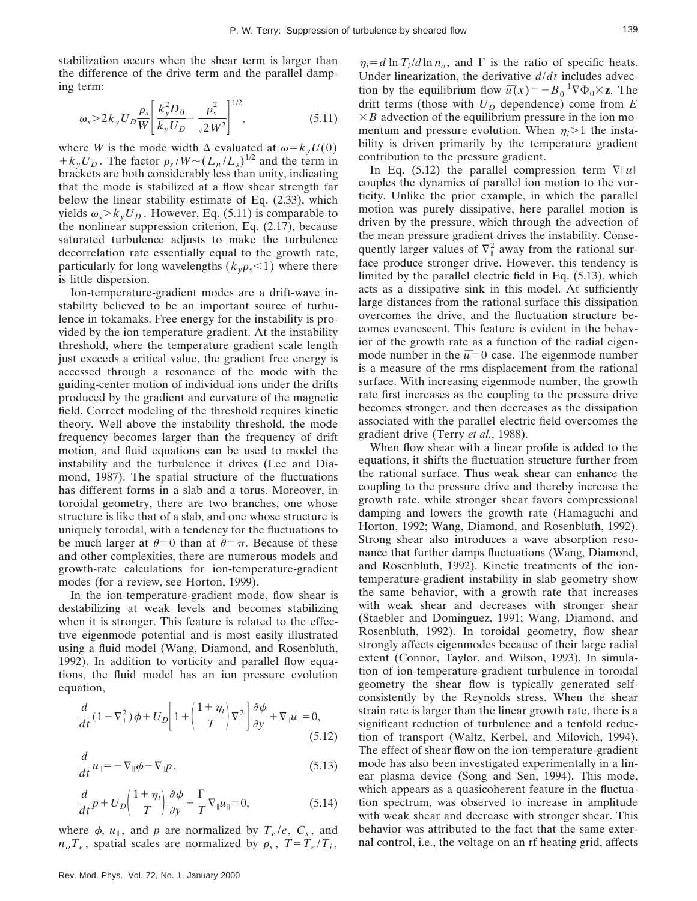stabilization occurs when the shear term is larger than the difference of the drive term and the parallel damping term:

$$
\omega_s > 2k_y U_D \frac{\rho_s}{W} \left[ \frac{k_y^2 D_0}{k_y U_D} - \frac{\rho_s^2}{\sqrt{2} W^2} \right]^{1/2},
$$
 (5.11)

where *W* is the mode width  $\Delta$  evaluated at  $\omega = k_y U(0)$  $+k_yU_D$ . The factor  $\rho_s/W \sim (L_n/L_s)^{1/2}$  and the term in brackets are both considerably less than unity, indicating that the mode is stabilized at a flow shear strength far below the linear stability estimate of Eq. (2.33), which yields  $\omega_s > k_v U_D$ . However, Eq. (5.11) is comparable to the nonlinear suppression criterion, Eq. (2.17), because saturated turbulence adjusts to make the turbulence decorrelation rate essentially equal to the growth rate, particularly for long wavelengths  $(k_v\rho_s < 1)$  where there is little dispersion.

Ion-temperature-gradient modes are a drift-wave instability believed to be an important source of turbulence in tokamaks. Free energy for the instability is provided by the ion temperature gradient. At the instability threshold, where the temperature gradient scale length just exceeds a critical value, the gradient free energy is accessed through a resonance of the mode with the guiding-center motion of individual ions under the drifts produced by the gradient and curvature of the magnetic field. Correct modeling of the threshold requires kinetic theory. Well above the instability threshold, the mode frequency becomes larger than the frequency of drift motion, and fluid equations can be used to model the instability and the turbulence it drives (Lee and Diamond, 1987). The spatial structure of the fluctuations has different forms in a slab and a torus. Moreover, in toroidal geometry, there are two branches, one whose structure is like that of a slab, and one whose structure is uniquely toroidal, with a tendency for the fluctuations to be much larger at  $\theta=0$  than at  $\theta=\pi$ . Because of these and other complexities, there are numerous models and growth-rate calculations for ion-temperature-gradient modes (for a review, see Horton, 1999).

In the ion-temperature-gradient mode, flow shear is destabilizing at weak levels and becomes stabilizing when it is stronger. This feature is related to the effective eigenmode potential and is most easily illustrated using a fluid model (Wang, Diamond, and Rosenbluth, 1992). In addition to vorticity and parallel flow equations, the fluid model has an ion pressure evolution equation,

$$
\frac{d}{dt}(1-\nabla_{\perp}^{2})\phi + U_{D}\left[1+\left(\frac{1+\eta_{i}}{T}\right)\nabla_{\perp}^{2}\right]\frac{\partial\phi}{\partial y} + \nabla_{\parallel}u_{\parallel} = 0, \tag{5.12}
$$

$$
\frac{d}{dt}u_{\parallel} = -\nabla_{\parallel}\phi - \nabla_{\parallel}p,\tag{5.13}
$$

$$
\frac{d}{dt}p + U_D \left(\frac{1+\eta_i}{T}\right) \frac{\partial \phi}{\partial y} + \frac{\Gamma}{T} \nabla_{\parallel} u_{\parallel} = 0, \tag{5.14}
$$

where  $\phi$ ,  $u_{\parallel}$ , and *p* are normalized by  $T_e/e$ ,  $C_s$ , and  $n_o T_e$ , spatial scales are normalized by  $\rho_s$ ,  $T = T_e / T_i$ ,

 $\eta_i = d \ln T_i / d \ln n_o$ , and  $\Gamma$  is the ratio of specific heats. Under linearization, the derivative *d*/*dt* includes advection by the equilibrium flow  $\bar{u}(x) = -B_0^{-1} \nabla \Phi_0 \times \mathbf{z}$ . The drift terms (those with  $U_D$  dependence) come from  $E$  $\times B$  advection of the equilibrium pressure in the ion momentum and pressure evolution. When  $\eta_i$  is the instability is driven primarily by the temperature gradient contribution to the pressure gradient.

In Eq. (5.12) the parallel compression term  $\nabla ||u||$ couples the dynamics of parallel ion motion to the vorticity. Unlike the prior example, in which the parallel motion was purely dissipative, here parallel motion is driven by the pressure, which through the advection of the mean pressure gradient drives the instability. Consequently larger values of  $\nabla^2_{\parallel}$  away from the rational surface produce stronger drive. However, this tendency is limited by the parallel electric field in Eq. (5.13), which acts as a dissipative sink in this model. At sufficiently large distances from the rational surface this dissipation overcomes the drive, and the fluctuation structure becomes evanescent. This feature is evident in the behavior of the growth rate as a function of the radial eigenmode number in the  $\bar{u}=0$  case. The eigenmode number is a measure of the rms displacement from the rational surface. With increasing eigenmode number, the growth rate first increases as the coupling to the pressure drive becomes stronger, and then decreases as the dissipation associated with the parallel electric field overcomes the gradient drive (Terry *et al.*, 1988).

When flow shear with a linear profile is added to the equations, it shifts the fluctuation structure further from the rational surface. Thus weak shear can enhance the coupling to the pressure drive and thereby increase the growth rate, while stronger shear favors compressional damping and lowers the growth rate (Hamaguchi and Horton, 1992; Wang, Diamond, and Rosenbluth, 1992). Strong shear also introduces a wave absorption resonance that further damps fluctuations (Wang, Diamond, and Rosenbluth, 1992). Kinetic treatments of the iontemperature-gradient instability in slab geometry show the same behavior, with a growth rate that increases with weak shear and decreases with stronger shear (Staebler and Dominguez, 1991; Wang, Diamond, and Rosenbluth, 1992). In toroidal geometry, flow shear strongly affects eigenmodes because of their large radial extent (Connor, Taylor, and Wilson, 1993). In simulation of ion-temperature-gradient turbulence in toroidal geometry the shear flow is typically generated selfconsistently by the Reynolds stress. When the shear strain rate is larger than the linear growth rate, there is a significant reduction of turbulence and a tenfold reduction of transport (Waltz, Kerbel, and Milovich, 1994). The effect of shear flow on the ion-temperature-gradient mode has also been investigated experimentally in a linear plasma device (Song and Sen, 1994). This mode, which appears as a quasicoherent feature in the fluctuation spectrum, was observed to increase in amplitude with weak shear and decrease with stronger shear. This behavior was attributed to the fact that the same external control, i.e., the voltage on an rf heating grid, affects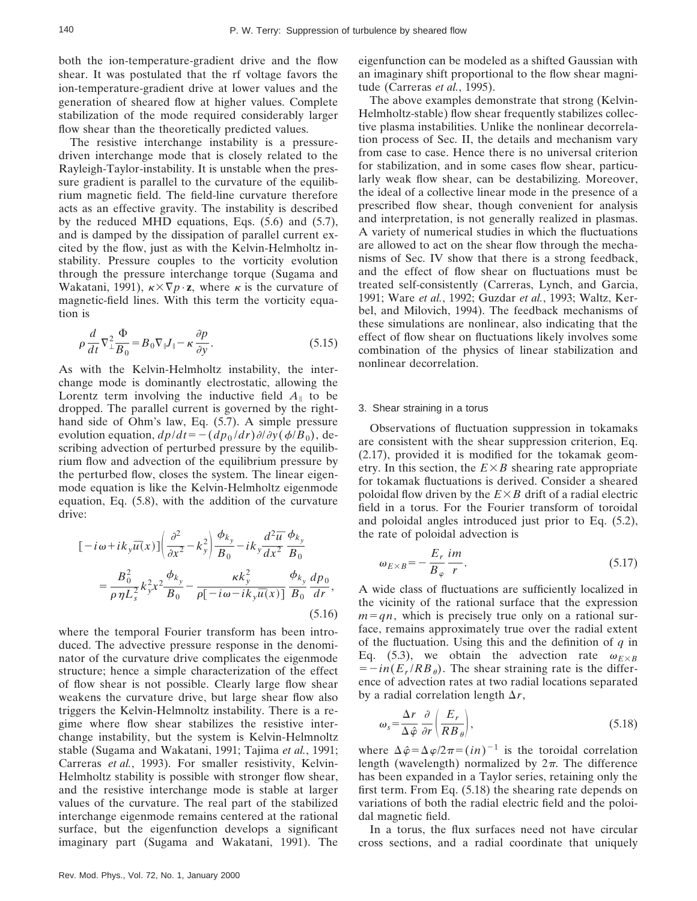both the ion-temperature-gradient drive and the flow shear. It was postulated that the rf voltage favors the ion-temperature-gradient drive at lower values and the generation of sheared flow at higher values. Complete stabilization of the mode required considerably larger flow shear than the theoretically predicted values.

The resistive interchange instability is a pressuredriven interchange mode that is closely related to the Rayleigh-Taylor-instability. It is unstable when the pressure gradient is parallel to the curvature of the equilibrium magnetic field. The field-line curvature therefore acts as an effective gravity. The instability is described by the reduced MHD equations, Eqs. (5.6) and (5.7), and is damped by the dissipation of parallel current excited by the flow, just as with the Kelvin-Helmholtz instability. Pressure couples to the vorticity evolution through the pressure interchange torque (Sugama and Wakatani, 1991),  $\kappa \times \nabla p \cdot z$ , where  $\kappa$  is the curvature of magnetic-field lines. With this term the vorticity equation is

$$
\rho \frac{d}{dt} \nabla_{\perp}^{2} \frac{\Phi}{B_{0}} = B_{0} \nabla_{\parallel} J_{\parallel} - \kappa \frac{\partial p}{\partial y}.
$$
\n(5.15)

As with the Kelvin-Helmholtz instability, the interchange mode is dominantly electrostatic, allowing the Lorentz term involving the inductive field  $A_{\parallel}$  to be dropped. The parallel current is governed by the righthand side of Ohm's law, Eq. (5.7). A simple pressure evolution equation,  $dp/dt = -(dp_0/dr) \partial/\partial y(\phi/B_0)$ , describing advection of perturbed pressure by the equilibrium flow and advection of the equilibrium pressure by the perturbed flow, closes the system. The linear eigenmode equation is like the Kelvin-Helmholtz eigenmode equation, Eq. (5.8), with the addition of the curvature drive:

$$
[-i\omega + ik_{y}\bar{u}(x)]\left(\frac{\partial^{2}}{\partial x^{2}} - k_{y}^{2}\right)\frac{\phi_{k_{y}}}{B_{0}} - ik_{y}\frac{d^{2}\bar{u}}{dx^{2}}\frac{\phi_{k_{y}}}{B_{0}}
$$

$$
= \frac{B_{0}^{2}}{\rho\eta L_{s}^{2}}k_{y}^{2}x^{2}\frac{\phi_{k_{y}}}{B_{0}} - \frac{\kappa k_{y}^{2}}{\rho[-i\omega - ik_{y}\bar{u}(x)]}\frac{\phi_{k_{y}}}{B_{0}}\frac{dp_{0}}{dr},
$$
(5.16)

where the temporal Fourier transform has been introduced. The advective pressure response in the denominator of the curvature drive complicates the eigenmode structure; hence a simple characterization of the effect of flow shear is not possible. Clearly large flow shear weakens the curvature drive, but large shear flow also triggers the Kelvin-Helmnoltz instability. There is a regime where flow shear stabilizes the resistive interchange instability, but the system is Kelvin-Helmnoltz stable (Sugama and Wakatani, 1991; Tajima *et al.*, 1991; Carreras *et al.*, 1993). For smaller resistivity, Kelvin-Helmholtz stability is possible with stronger flow shear, and the resistive interchange mode is stable at larger values of the curvature. The real part of the stabilized interchange eigenmode remains centered at the rational surface, but the eigenfunction develops a significant imaginary part (Sugama and Wakatani, 1991). The eigenfunction can be modeled as a shifted Gaussian with an imaginary shift proportional to the flow shear magnitude (Carreras *et al.*, 1995).

The above examples demonstrate that strong (Kelvin-Helmholtz-stable) flow shear frequently stabilizes collective plasma instabilities. Unlike the nonlinear decorrelation process of Sec. II, the details and mechanism vary from case to case. Hence there is no universal criterion for stabilization, and in some cases flow shear, particularly weak flow shear, can be destabilizing. Moreover, the ideal of a collective linear mode in the presence of a prescribed flow shear, though convenient for analysis and interpretation, is not generally realized in plasmas. A variety of numerical studies in which the fluctuations are allowed to act on the shear flow through the mechanisms of Sec. IV show that there is a strong feedback, and the effect of flow shear on fluctuations must be treated self-consistently (Carreras, Lynch, and Garcia, 1991; Ware *et al.*, 1992; Guzdar *et al.*, 1993; Waltz, Kerbel, and Milovich, 1994). The feedback mechanisms of these simulations are nonlinear, also indicating that the effect of flow shear on fluctuations likely involves some combination of the physics of linear stabilization and nonlinear decorrelation.

## 3. Shear straining in a torus

Observations of fluctuation suppression in tokamaks are consistent with the shear suppression criterion, Eq. (2.17), provided it is modified for the tokamak geometry. In this section, the  $E \times B$  shearing rate appropriate for tokamak fluctuations is derived. Consider a sheared poloidal flow driven by the  $E \times B$  drift of a radial electric field in a torus. For the Fourier transform of toroidal and poloidal angles introduced just prior to Eq. (5.2), the rate of poloidal advection is

$$
\omega_{E \times B} = -\frac{E_r}{B_\varphi} \frac{im}{r}.\tag{5.17}
$$

A wide class of fluctuations are sufficiently localized in the vicinity of the rational surface that the expression  $m=qn$ , which is precisely true only on a rational surface, remains approximately true over the radial extent of the fluctuation. Using this and the definition of *q* in Eq. (5.3), we obtain the advection rate  $\omega_{E \times B}$  $\overline{F} = -i n(E_r /RB_\theta)$ . The shear straining rate is the difference of advection rates at two radial locations separated by a radial correlation length  $\Delta r$ ,

$$
\omega_s = \frac{\Delta r}{\Delta \hat{\varphi}} \frac{\partial}{\partial r} \left( \frac{E_r}{RB_\theta} \right),\tag{5.18}
$$

where  $\Delta \hat{\varphi} = \Delta \varphi / 2\pi = (i n)^{-1}$  is the toroidal correlation length (wavelength) normalized by  $2\pi$ . The difference has been expanded in a Taylor series, retaining only the first term. From Eq. (5.18) the shearing rate depends on variations of both the radial electric field and the poloidal magnetic field.

In a torus, the flux surfaces need not have circular cross sections, and a radial coordinate that uniquely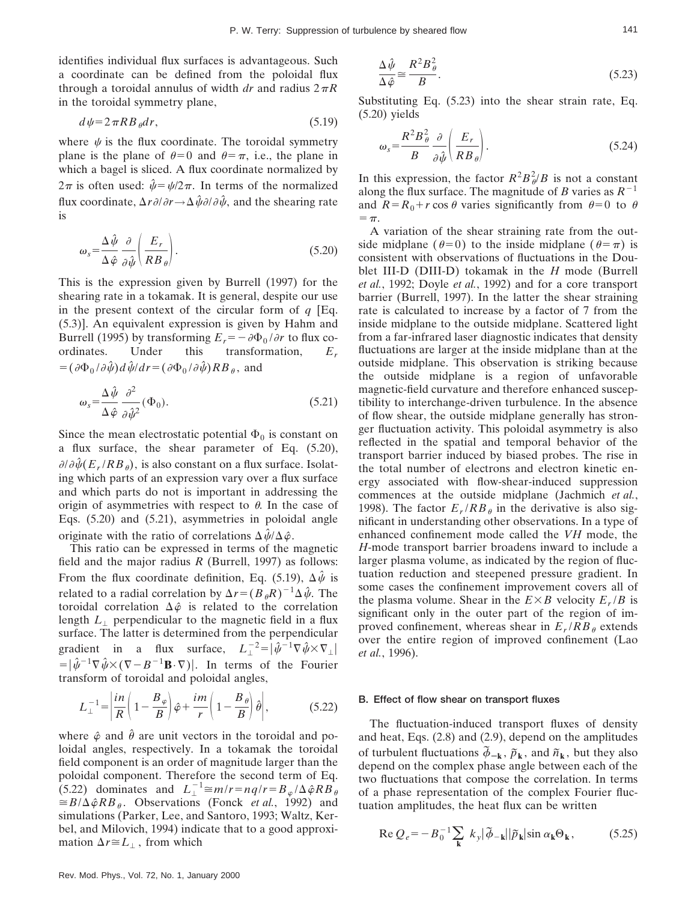identifies individual flux surfaces is advantageous. Such a coordinate can be defined from the poloidal flux through a toroidal annulus of width  $dr$  and radius  $2 \pi R$ in the toroidal symmetry plane,

$$
d\psi = 2\pi RB_{\theta} dr,\tag{5.19}
$$

where  $\psi$  is the flux coordinate. The toroidal symmetry plane is the plane of  $\theta=0$  and  $\theta=\pi$ , i.e., the plane in which a bagel is sliced. A flux coordinate normalized by  $2\pi$  is often used:  $\hat{\psi} = \psi/2\pi$ . In terms of the normalized flux coordinate,  $\Delta r \partial/\partial r \rightarrow \Delta \hat{\psi} \partial/\partial \hat{\psi}$ , and the shearing rate is

$$
\omega_s = \frac{\Delta \hat{\psi}}{\Delta \hat{\varphi}} \frac{\partial}{\partial \hat{\psi}} \left( \frac{E_r}{RB_\theta} \right). \tag{5.20}
$$

This is the expression given by Burrell (1997) for the shearing rate in a tokamak. It is general, despite our use in the present context of the circular form of *q* [Eq. (5.3)]. An equivalent expression is given by Hahm and Burrell (1995) by transforming  $E_r = -\partial \Phi_0 / \partial r$  to flux coordinates. Under this transformation,  $E_r$ this transformation,  $E_r$  $=$   $(\partial \Phi_0 / \partial \hat{\psi}) d\hat{\psi} / dr = (\partial \Phi_0 / \partial \hat{\psi}) R B_\theta$ , and

$$
\omega_s = \frac{\Delta \hat{\psi}}{\Delta \hat{\varphi}} \frac{\partial^2}{\partial \hat{\psi}^2} (\Phi_0).
$$
\n(5.21)

Since the mean electrostatic potential  $\Phi_0$  is constant on a flux surface, the shear parameter of Eq. (5.20),  $\partial/\partial \hat{\psi}(E_r/RB_\theta)$ , is also constant on a flux surface. Isolating which parts of an expression vary over a flux surface and which parts do not is important in addressing the origin of asymmetries with respect to  $\theta$ . In the case of Eqs. (5.20) and (5.21), asymmetries in poloidal angle originate with the ratio of correlations  $\Delta \hat{\psi}/\Delta \hat{\varphi}$ .

This ratio can be expressed in terms of the magnetic field and the major radius *R* (Burrell, 1997) as follows: From the flux coordinate definition, Eq. (5.19),  $\Delta \hat{\psi}$  is related to a radial correlation by  $\Delta r = (B_{\theta}R)^{-1}\Delta \hat{\psi}$ . The toroidal correlation  $\Delta \hat{\varphi}$  is related to the correlation length  $L_{\perp}$  perpendicular to the magnetic field in a flux surface. The latter is determined from the perpendicular gradient in a flux surface,  $L_{\perp}^{-2} = |\hat{\psi}^{-1} \nabla \hat{\psi} \times \nabla_{\perp}|$  $=|\hat{\psi}^{-1}\nabla \hat{\psi} \times (\nabla - B^{-1}\mathbf{B} \cdot \nabla)|$ . In terms of the Fourier transform of toroidal and poloidal angles,

$$
L_{\perp}^{-1} = \left| \frac{in}{R} \left( 1 - \frac{B_{\varphi}}{B} \right) \hat{\varphi} + \frac{im}{r} \left( 1 - \frac{B_{\theta}}{B} \right) \hat{\theta} \right|,
$$
 (5.22)

where  $\hat{\varphi}$  and  $\hat{\theta}$  are unit vectors in the toroidal and poloidal angles, respectively. In a tokamak the toroidal field component is an order of magnitude larger than the poloidal component. Therefore the second term of Eq. (5.22) dominates and  $L_{\perp}^{-1} \cong m/r = nq/r = B_{\varphi}/\Delta \hat{\varphi} R B_{\theta}$  $\cong B/\Delta \hat{\varphi} R B_{\theta}$ . Observations (Fonck *et al.*, 1992) and simulations (Parker, Lee, and Santoro, 1993; Waltz, Kerbel, and Milovich, 1994) indicate that to a good approximation  $\Delta r \cong L_{\perp}$ , from which

$$
\frac{\Delta \hat{\psi}}{\Delta \hat{\varphi}} \approx \frac{R^2 B_{\theta}^2}{B}.
$$
\n(5.23)

Substituting Eq. (5.23) into the shear strain rate, Eq.  $(5.20)$  yields

$$
\omega_s = \frac{R^2 B_\theta^2}{B} \frac{\partial}{\partial \hat{\psi}} \left( \frac{E_r}{RB_\theta} \right). \tag{5.24}
$$

In this expression, the factor  $R^2 B^2_{\theta} / B$  is not a constant along the flux surface. The magnitude of *B* varies as  $R^{-1}$ and  $R = R_0 + r \cos \theta$  varies significantly from  $\theta = 0$  to  $\theta$  $=\pi$ .

A variation of the shear straining rate from the outside midplane ( $\theta=0$ ) to the inside midplane ( $\theta=\pi$ ) is consistent with observations of fluctuations in the Doublet III-D (DIII-D) tokamak in the *H* mode (Burrell *et al.*, 1992; Doyle *et al.*, 1992) and for a core transport barrier (Burrell, 1997). In the latter the shear straining rate is calculated to increase by a factor of 7 from the inside midplane to the outside midplane. Scattered light from a far-infrared laser diagnostic indicates that density fluctuations are larger at the inside midplane than at the outside midplane. This observation is striking because the outside midplane is a region of unfavorable magnetic-field curvature and therefore enhanced susceptibility to interchange-driven turbulence. In the absence of flow shear, the outside midplane generally has stronger fluctuation activity. This poloidal asymmetry is also reflected in the spatial and temporal behavior of the transport barrier induced by biased probes. The rise in the total number of electrons and electron kinetic energy associated with flow-shear-induced suppression commences at the outside midplane (Jachmich *et al.*, 1998). The factor  $E_r / R B_\theta$  in the derivative is also significant in understanding other observations. In a type of enhanced confinement mode called the *VH* mode, the *H*-mode transport barrier broadens inward to include a larger plasma volume, as indicated by the region of fluctuation reduction and steepened pressure gradient. In some cases the confinement improvement covers all of the plasma volume. Shear in the  $E \times B$  velocity  $E_r / B$  is significant only in the outer part of the region of improved confinement, whereas shear in  $E_r / RB_a$  extends over the entire region of improved confinement (Lao *et al.*, 1996).

# **B. Effect of flow shear on transport fluxes**

The fluctuation-induced transport fluxes of density and heat, Eqs. (2.8) and (2.9), depend on the amplitudes of turbulent fluctuations  $\phi_{-\mathbf{k}}$ ,  $\tilde{p}_{\mathbf{k}}$ , and  $\tilde{n}_{\mathbf{k}}$ , but they also depend on the complex phase angle between each of the two fluctuations that compose the correlation. In terms of a phase representation of the complex Fourier fluctuation amplitudes, the heat flux can be written

$$
\operatorname{Re} Q_e = -B_0^{-1} \sum_{\mathbf{k}} k_y |\tilde{\phi}_{-\mathbf{k}}| |\tilde{p}_{\mathbf{k}}| \sin \alpha_{\mathbf{k}} \Theta_{\mathbf{k}},
$$
 (5.25)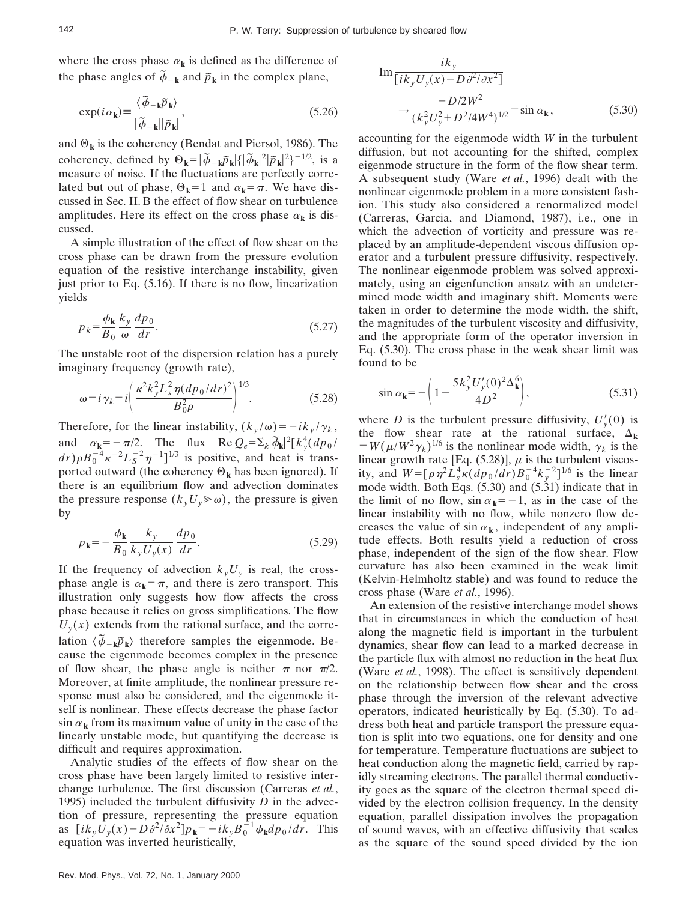where the cross phase  $\alpha_k$  is defined as the difference of the phase angles of  $\tilde{\phi}_{-\mathbf{k}}$  and  $\tilde{p}_{\mathbf{k}}$  in the complex plane,

$$
\exp(i\alpha_{\mathbf{k}}) \equiv \frac{\langle \tilde{\phi}_{-\mathbf{k}} \tilde{p}_{\mathbf{k}} \rangle}{|\tilde{\phi}_{-\mathbf{k}}||\tilde{p}_{\mathbf{k}}|},
$$
(5.26)

and  $\Theta_k$  is the coherency (Bendat and Piersol, 1986). The coherency, defined by  $\Theta_{\mathbf{k}} = |\tilde{\phi}_{-\mathbf{k}} \tilde{p}_{\mathbf{k}}| \{ |\tilde{\phi}_{\mathbf{k}}|^2 | \tilde{p}_{\mathbf{k}}|^2 \}^{-1/2}$ , is a measure of noise. If the fluctuations are perfectly correlated but out of phase,  $\Theta_k = 1$  and  $\alpha_k = \pi$ . We have discussed in Sec. II. B the effect of flow shear on turbulence amplitudes. Here its effect on the cross phase  $\alpha_k$  is discussed.

A simple illustration of the effect of flow shear on the cross phase can be drawn from the pressure evolution equation of the resistive interchange instability, given just prior to Eq. (5.16). If there is no flow, linearization yields

$$
p_k = \frac{\phi_k}{B_0} \frac{k_y}{\omega} \frac{dp_0}{dr}.
$$
\n(5.27)

The unstable root of the dispersion relation has a purely imaginary frequency (growth rate),

$$
\omega = i \gamma_k = i \left( \frac{\kappa^2 k_y^2 L_s^2 \eta (dp_0/dr)^2}{B_0^2 \rho} \right)^{1/3}.
$$
 (5.28)

Therefore, for the linear instability,  $(k_v/\omega) = -ik_v/\gamma_k$ , and  $\alpha_{\mathbf{k}} = -\pi/2$ . The flux  $\text{Re } Q_e = \sum_k |\tilde{\phi}_{\mathbf{k}}|^2 [k_y^4 (dp_0 /$  $dr$ ) $\rho B_0^{-4} \kappa^{-2} L_S^{-2} \eta^{-1}$ ]<sup>1/3</sup> is positive, and heat is transported outward (the coherency  $\Theta_k$  has been ignored). If there is an equilibrium flow and advection dominates the pressure response  $(k_yU_y \ge \omega)$ , the pressure is given by

$$
p_{\mathbf{k}} = -\frac{\phi_{\mathbf{k}}}{B_0} \frac{k_y}{k_y U_y(x)} \frac{dp_0}{dr}.
$$
 (5.29)

If the frequency of advection  $k_yU_y$  is real, the crossphase angle is  $\alpha_k = \pi$ , and there is zero transport. This illustration only suggests how flow affects the cross phase because it relies on gross simplifications. The flow  $U_y(x)$  extends from the rational surface, and the correlation  $\langle \phi_{-\mathbf{k}} \tilde{\rho}_{\mathbf{k}} \rangle$  therefore samples the eigenmode. Because the eigenmode becomes complex in the presence of flow shear, the phase angle is neither  $\pi$  nor  $\pi/2$ . Moreover, at finite amplitude, the nonlinear pressure response must also be considered, and the eigenmode itself is nonlinear. These effects decrease the phase factor  $\sin \alpha_k$  from its maximum value of unity in the case of the linearly unstable mode, but quantifying the decrease is difficult and requires approximation.

Analytic studies of the effects of flow shear on the cross phase have been largely limited to resistive interchange turbulence. The first discussion (Carreras *et al.*, 1995) included the turbulent diffusivity *D* in the advection of pressure, representing the pressure equation as  $[ik_yU_y(x) - D\frac{\partial^2}{\partial x^2}p_k = -ik_yB_0^{-1}\phi_kdp_0/dr$ . This equation was inverted heuristically,

$$
\operatorname{Im} \frac{ik_y}{[ik_y U_y(x) - D \frac{\partial^2}{\partial x^2}]}\n\to \frac{-D/2W^2}{(k_y^2 U_y^2 + D^2/4W^4)^{1/2}} = \sin \alpha_{\mathbf{k}},
$$
\n(5.30)

accounting for the eigenmode width *W* in the turbulent diffusion, but not accounting for the shifted, complex eigenmode structure in the form of the flow shear term. A subsequent study (Ware *et al.*, 1996) dealt with the nonlinear eigenmode problem in a more consistent fashion. This study also considered a renormalized model (Carreras, Garcia, and Diamond, 1987), i.e., one in which the advection of vorticity and pressure was replaced by an amplitude-dependent viscous diffusion operator and a turbulent pressure diffusivity, respectively. The nonlinear eigenmode problem was solved approximately, using an eigenfunction ansatz with an undetermined mode width and imaginary shift. Moments were taken in order to determine the mode width, the shift, the magnitudes of the turbulent viscosity and diffusivity, and the appropriate form of the operator inversion in Eq. (5.30). The cross phase in the weak shear limit was found to be

$$
\sin \alpha_{\mathbf{k}} = -\left(1 - \frac{5k_y^2 U_y'(0)^2 \Delta_{\mathbf{k}}^6}{4D^2}\right),\tag{5.31}
$$

where *D* is the turbulent pressure diffusivity,  $U'_y(0)$  is the flow shear rate at the rational surface,  $\Delta_{\bf k}$  $W(\mu/W^2\gamma_k)^{1/6}$  is the nonlinear mode width,  $\gamma_k$  is the linear growth rate [Eq. (5.28)],  $\mu$  is the turbulent viscosity, and  $W = [\rho \eta^2 L_s^4 \kappa (dp_0/dr) B_0^{-4} k_y^{-2}]^{1/6}$  is the linear mode width. Both Eqs. (5.30) and (5.31) indicate that in the limit of no flow,  $\sin \alpha_k = -1$ , as in the case of the linear instability with no flow, while nonzero flow decreases the value of  $\sin \alpha_k$ , independent of any amplitude effects. Both results yield a reduction of cross phase, independent of the sign of the flow shear. Flow curvature has also been examined in the weak limit (Kelvin-Helmholtz stable) and was found to reduce the cross phase (Ware *et al.*, 1996).

An extension of the resistive interchange model shows that in circumstances in which the conduction of heat along the magnetic field is important in the turbulent dynamics, shear flow can lead to a marked decrease in the particle flux with almost no reduction in the heat flux (Ware *et al.*, 1998). The effect is sensitively dependent on the relationship between flow shear and the cross phase through the inversion of the relevant advective operators, indicated heuristically by Eq. (5.30). To address both heat and particle transport the pressure equation is split into two equations, one for density and one for temperature. Temperature fluctuations are subject to heat conduction along the magnetic field, carried by rapidly streaming electrons. The parallel thermal conductivity goes as the square of the electron thermal speed divided by the electron collision frequency. In the density equation, parallel dissipation involves the propagation of sound waves, with an effective diffusivity that scales as the square of the sound speed divided by the ion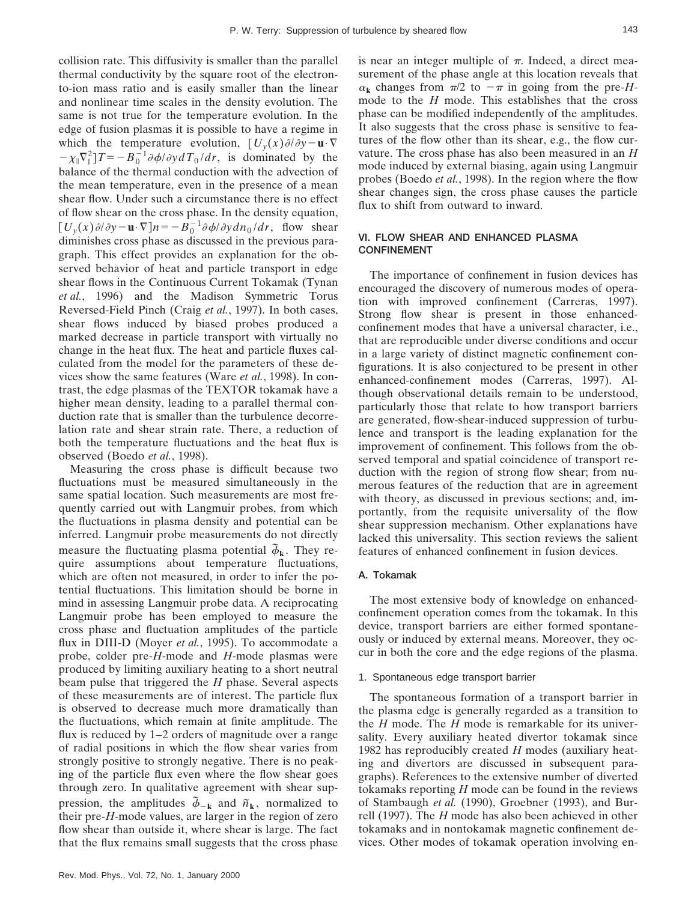collision rate. This diffusivity is smaller than the parallel thermal conductivity by the square root of the electronto-ion mass ratio and is easily smaller than the linear and nonlinear time scales in the density evolution. The same is not true for the temperature evolution. In the edge of fusion plasmas it is possible to have a regime in which the temperature evolution,  $[U_y(x)\partial/\partial y - \mathbf{u}\cdot\nabla$  $-\chi_{\parallel} \nabla_{\parallel}^2 T = -B_0^{-1} \partial \phi / \partial y dT_0 / dr$ , is dominated by the balance of the thermal conduction with the advection of the mean temperature, even in the presence of a mean shear flow. Under such a circumstance there is no effect of flow shear on the cross phase. In the density equation,  $[U_y(x)\partial/\partial y - \mathbf{u} \cdot \nabla]n = -B_0^{-1}\partial \phi/\partial ydn_0/dr$ , flow shear diminishes cross phase as discussed in the previous paragraph. This effect provides an explanation for the observed behavior of heat and particle transport in edge shear flows in the Continuous Current Tokamak (Tynan *et al.*, 1996) and the Madison Symmetric Torus Reversed-Field Pinch (Craig *et al.*, 1997). In both cases, shear flows induced by biased probes produced a marked decrease in particle transport with virtually no change in the heat flux. The heat and particle fluxes calculated from the model for the parameters of these devices show the same features (Ware *et al.*, 1998). In contrast, the edge plasmas of the TEXTOR tokamak have a higher mean density, leading to a parallel thermal conduction rate that is smaller than the turbulence decorrelation rate and shear strain rate. There, a reduction of both the temperature fluctuations and the heat flux is observed (Boedo *et al.*, 1998).

Measuring the cross phase is difficult because two fluctuations must be measured simultaneously in the same spatial location. Such measurements are most frequently carried out with Langmuir probes, from which the fluctuations in plasma density and potential can be inferred. Langmuir probe measurements do not directly measure the fluctuating plasma potential  $\phi_k$ . They require assumptions about temperature fluctuations, which are often not measured, in order to infer the potential fluctuations. This limitation should be borne in mind in assessing Langmuir probe data. A reciprocating Langmuir probe has been employed to measure the cross phase and fluctuation amplitudes of the particle flux in DIII-D (Moyer *et al.*, 1995). To accommodate a probe, colder pre-*H*-mode and *H*-mode plasmas were produced by limiting auxiliary heating to a short neutral beam pulse that triggered the *H* phase. Several aspects of these measurements are of interest. The particle flux is observed to decrease much more dramatically than the fluctuations, which remain at finite amplitude. The flux is reduced by 1–2 orders of magnitude over a range of radial positions in which the flow shear varies from strongly positive to strongly negative. There is no peaking of the particle flux even where the flow shear goes through zero. In qualitative agreement with shear suppression, the amplitudes  $\tilde{\phi}_{-k}$  and  $\tilde{n}_k$ , normalized to their pre-*H*-mode values, are larger in the region of zero flow shear than outside it, where shear is large. The fact that the flux remains small suggests that the cross phase is near an integer multiple of  $\pi$ . Indeed, a direct measurement of the phase angle at this location reveals that  $\alpha_k$  changes from  $\pi/2$  to  $-\pi$  in going from the pre-*H*mode to the *H* mode. This establishes that the cross phase can be modified independently of the amplitudes. It also suggests that the cross phase is sensitive to features of the flow other than its shear, e.g., the flow curvature. The cross phase has also been measured in an *H* mode induced by external biasing, again using Langmuir probes (Boedo *et al.*, 1998). In the region where the flow shear changes sign, the cross phase causes the particle flux to shift from outward to inward.

# **VI. FLOW SHEAR AND ENHANCED PLASMA CONFINEMENT**

The importance of confinement in fusion devices has encouraged the discovery of numerous modes of operation with improved confinement (Carreras, 1997). Strong flow shear is present in those enhancedconfinement modes that have a universal character, i.e., that are reproducible under diverse conditions and occur in a large variety of distinct magnetic confinement configurations. It is also conjectured to be present in other enhanced-confinement modes (Carreras, 1997). Although observational details remain to be understood, particularly those that relate to how transport barriers are generated, flow-shear-induced suppression of turbulence and transport is the leading explanation for the improvement of confinement. This follows from the observed temporal and spatial coincidence of transport reduction with the region of strong flow shear; from numerous features of the reduction that are in agreement with theory, as discussed in previous sections; and, importantly, from the requisite universality of the flow shear suppression mechanism. Other explanations have lacked this universality. This section reviews the salient features of enhanced confinement in fusion devices.

# **A. Tokamak**

The most extensive body of knowledge on enhancedconfinement operation comes from the tokamak. In this device, transport barriers are either formed spontaneously or induced by external means. Moreover, they occur in both the core and the edge regions of the plasma.

#### 1. Spontaneous edge transport barrier

The spontaneous formation of a transport barrier in the plasma edge is generally regarded as a transition to the *H* mode. The *H* mode is remarkable for its universality. Every auxiliary heated divertor tokamak since 1982 has reproducibly created *H* modes (auxiliary heating and divertors are discussed in subsequent paragraphs). References to the extensive number of diverted tokamaks reporting *H* mode can be found in the reviews of Stambaugh *et al.* (1990), Groebner (1993), and Burrell (1997). The *H* mode has also been achieved in other tokamaks and in nontokamak magnetic confinement devices. Other modes of tokamak operation involving en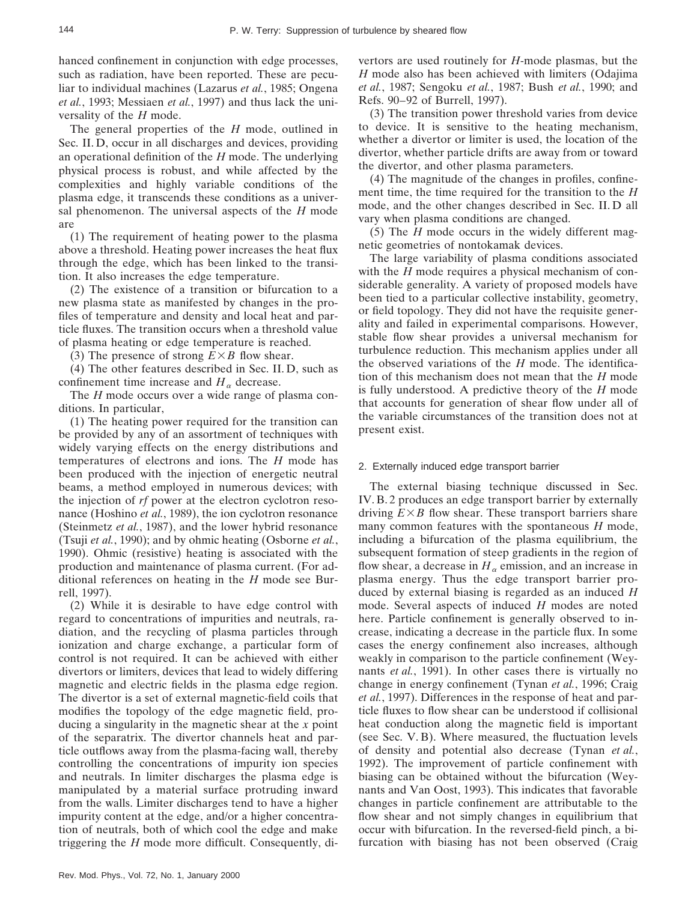hanced confinement in conjunction with edge processes, such as radiation, have been reported. These are peculiar to individual machines (Lazarus *et al.*, 1985; Ongena *et al.*, 1993; Messiaen *et al.*, 1997) and thus lack the universality of the *H* mode.

The general properties of the *H* mode, outlined in Sec. II. D, occur in all discharges and devices, providing an operational definition of the *H* mode. The underlying physical process is robust, and while affected by the complexities and highly variable conditions of the plasma edge, it transcends these conditions as a universal phenomenon. The universal aspects of the *H* mode are

(1) The requirement of heating power to the plasma above a threshold. Heating power increases the heat flux through the edge, which has been linked to the transition. It also increases the edge temperature.

(2) The existence of a transition or bifurcation to a new plasma state as manifested by changes in the profiles of temperature and density and local heat and particle fluxes. The transition occurs when a threshold value of plasma heating or edge temperature is reached.

(3) The presence of strong  $E \times B$  flow shear.

(4) The other features described in Sec. II. D, such as confinement time increase and  $H_{\alpha}$  decrease.

The *H* mode occurs over a wide range of plasma conditions. In particular,

(1) The heating power required for the transition can be provided by any of an assortment of techniques with widely varying effects on the energy distributions and temperatures of electrons and ions. The *H* mode has been produced with the injection of energetic neutral beams, a method employed in numerous devices; with the injection of *rf* power at the electron cyclotron resonance (Hoshino *et al.*, 1989), the ion cyclotron resonance (Steinmetz *et al.*, 1987), and the lower hybrid resonance (Tsuji *et al.*, 1990); and by ohmic heating (Osborne *et al.*, 1990). Ohmic (resistive) heating is associated with the production and maintenance of plasma current. (For additional references on heating in the *H* mode see Burrell, 1997).

(2) While it is desirable to have edge control with regard to concentrations of impurities and neutrals, radiation, and the recycling of plasma particles through ionization and charge exchange, a particular form of control is not required. It can be achieved with either divertors or limiters, devices that lead to widely differing magnetic and electric fields in the plasma edge region. The divertor is a set of external magnetic-field coils that modifies the topology of the edge magnetic field, producing a singularity in the magnetic shear at the *x* point of the separatrix. The divertor channels heat and particle outflows away from the plasma-facing wall, thereby controlling the concentrations of impurity ion species and neutrals. In limiter discharges the plasma edge is manipulated by a material surface protruding inward from the walls. Limiter discharges tend to have a higher impurity content at the edge, and/or a higher concentration of neutrals, both of which cool the edge and make triggering the *H* mode more difficult. Consequently, divertors are used routinely for *H*-mode plasmas, but the *H* mode also has been achieved with limiters (Odajima *et al.*, 1987; Sengoku *et al.*, 1987; Bush *et al.*, 1990; and Refs. 90–92 of Burrell, 1997).

(3) The transition power threshold varies from device to device. It is sensitive to the heating mechanism, whether a divertor or limiter is used, the location of the divertor, whether particle drifts are away from or toward the divertor, and other plasma parameters.

(4) The magnitude of the changes in profiles, confinement time, the time required for the transition to the *H* mode, and the other changes described in Sec. II. D all vary when plasma conditions are changed.

(5) The *H* mode occurs in the widely different magnetic geometries of nontokamak devices.

The large variability of plasma conditions associated with the *H* mode requires a physical mechanism of considerable generality. A variety of proposed models have been tied to a particular collective instability, geometry, or field topology. They did not have the requisite generality and failed in experimental comparisons. However, stable flow shear provides a universal mechanism for turbulence reduction. This mechanism applies under all the observed variations of the *H* mode. The identification of this mechanism does not mean that the *H* mode is fully understood. A predictive theory of the *H* mode that accounts for generation of shear flow under all of the variable circumstances of the transition does not at present exist.

# 2. Externally induced edge transport barrier

The external biasing technique discussed in Sec. IV. B. 2 produces an edge transport barrier by externally driving  $E \times B$  flow shear. These transport barriers share many common features with the spontaneous *H* mode, including a bifurcation of the plasma equilibrium, the subsequent formation of steep gradients in the region of flow shear, a decrease in  $H_\alpha$  emission, and an increase in plasma energy. Thus the edge transport barrier produced by external biasing is regarded as an induced *H* mode. Several aspects of induced *H* modes are noted here. Particle confinement is generally observed to increase, indicating a decrease in the particle flux. In some cases the energy confinement also increases, although weakly in comparison to the particle confinement (Weynants *et al.*, 1991). In other cases there is virtually no change in energy confinement (Tynan *et al.*, 1996; Craig *et al.*, 1997). Differences in the response of heat and particle fluxes to flow shear can be understood if collisional heat conduction along the magnetic field is important (see Sec. V. B). Where measured, the fluctuation levels of density and potential also decrease (Tynan *et al.*, 1992). The improvement of particle confinement with biasing can be obtained without the bifurcation (Weynants and Van Oost, 1993). This indicates that favorable changes in particle confinement are attributable to the flow shear and not simply changes in equilibrium that occur with bifurcation. In the reversed-field pinch, a bifurcation with biasing has not been observed (Craig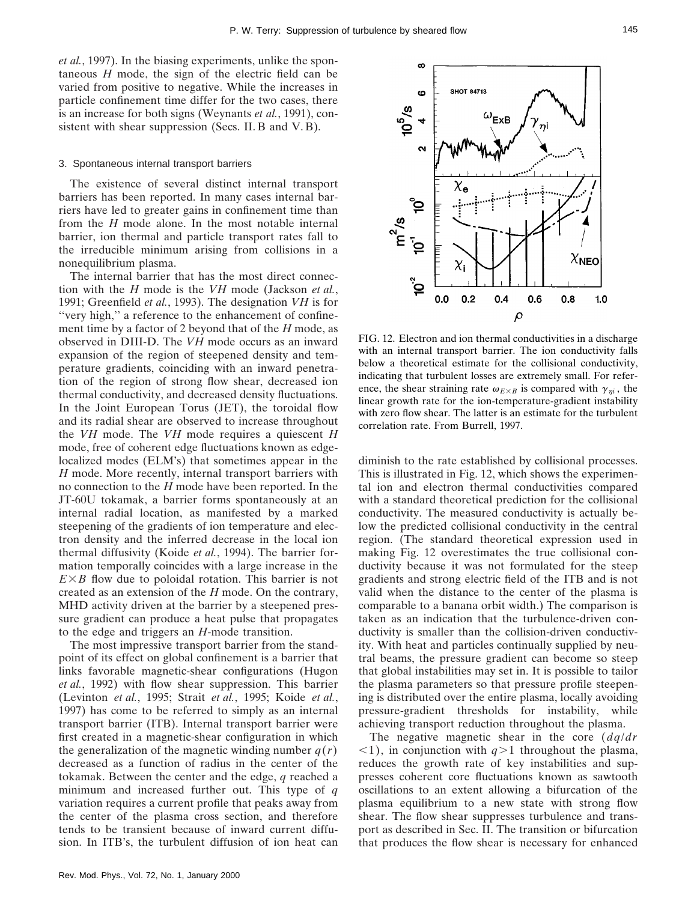*et al.*, 1997). In the biasing experiments, unlike the spontaneous *H* mode, the sign of the electric field can be varied from positive to negative. While the increases in particle confinement time differ for the two cases, there is an increase for both signs (Weynants *et al.*, 1991), consistent with shear suppression (Secs. II. B and V. B).

#### 3. Spontaneous internal transport barriers

The existence of several distinct internal transport barriers has been reported. In many cases internal barriers have led to greater gains in confinement time than from the *H* mode alone. In the most notable internal barrier, ion thermal and particle transport rates fall to the irreducible minimum arising from collisions in a nonequilibrium plasma.

The internal barrier that has the most direct connection with the *H* mode is the *VH* mode (Jackson *et al.*, 1991; Greenfield *et al.*, 1993). The designation *VH* is for ''very high,'' a reference to the enhancement of confinement time by a factor of 2 beyond that of the *H* mode, as observed in DIII-D. The *VH* mode occurs as an inward expansion of the region of steepened density and temperature gradients, coinciding with an inward penetration of the region of strong flow shear, decreased ion thermal conductivity, and decreased density fluctuations. In the Joint European Torus (JET), the toroidal flow and its radial shear are observed to increase throughout the *VH* mode. The *VH* mode requires a quiescent *H* mode, free of coherent edge fluctuations known as edgelocalized modes (ELM's) that sometimes appear in the *H* mode. More recently, internal transport barriers with no connection to the *H* mode have been reported. In the JT-60U tokamak, a barrier forms spontaneously at an internal radial location, as manifested by a marked steepening of the gradients of ion temperature and electron density and the inferred decrease in the local ion thermal diffusivity (Koide *et al.*, 1994). The barrier formation temporally coincides with a large increase in the  $E \times B$  flow due to poloidal rotation. This barrier is not created as an extension of the *H* mode. On the contrary, MHD activity driven at the barrier by a steepened pressure gradient can produce a heat pulse that propagates to the edge and triggers an *H*-mode transition.

The most impressive transport barrier from the standpoint of its effect on global confinement is a barrier that links favorable magnetic-shear configurations (Hugon *et al.*, 1992) with flow shear suppression. This barrier (Levinton *et al.*, 1995; Strait *et al.*, 1995; Koide *et al.*, 1997) has come to be referred to simply as an internal transport barrier (ITB). Internal transport barrier were first created in a magnetic-shear configuration in which the generalization of the magnetic winding number  $q(r)$ decreased as a function of radius in the center of the tokamak. Between the center and the edge, *q* reached a minimum and increased further out. This type of *q* variation requires a current profile that peaks away from the center of the plasma cross section, and therefore tends to be transient because of inward current diffusion. In ITB's, the turbulent diffusion of ion heat can



FIG. 12. Electron and ion thermal conductivities in a discharge with an internal transport barrier. The ion conductivity falls below a theoretical estimate for the collisional conductivity, indicating that turbulent losses are extremely small. For reference, the shear straining rate  $\omega_{E \times B}$  is compared with  $\gamma_{ni}$ , the linear growth rate for the ion-temperature-gradient instability with zero flow shear. The latter is an estimate for the turbulent correlation rate. From Burrell, 1997.

diminish to the rate established by collisional processes. This is illustrated in Fig. 12, which shows the experimental ion and electron thermal conductivities compared with a standard theoretical prediction for the collisional conductivity. The measured conductivity is actually below the predicted collisional conductivity in the central region. (The standard theoretical expression used in making Fig. 12 overestimates the true collisional conductivity because it was not formulated for the steep gradients and strong electric field of the ITB and is not valid when the distance to the center of the plasma is comparable to a banana orbit width.) The comparison is taken as an indication that the turbulence-driven conductivity is smaller than the collision-driven conductivity. With heat and particles continually supplied by neutral beams, the pressure gradient can become so steep that global instabilities may set in. It is possible to tailor the plasma parameters so that pressure profile steepening is distributed over the entire plasma, locally avoiding pressure-gradient thresholds for instability, while achieving transport reduction throughout the plasma.

The negative magnetic shear in the core (*dq*/*dr*  $\leq$ 1), in conjunction with *q*>1 throughout the plasma, reduces the growth rate of key instabilities and suppresses coherent core fluctuations known as sawtooth oscillations to an extent allowing a bifurcation of the plasma equilibrium to a new state with strong flow shear. The flow shear suppresses turbulence and transport as described in Sec. II. The transition or bifurcation that produces the flow shear is necessary for enhanced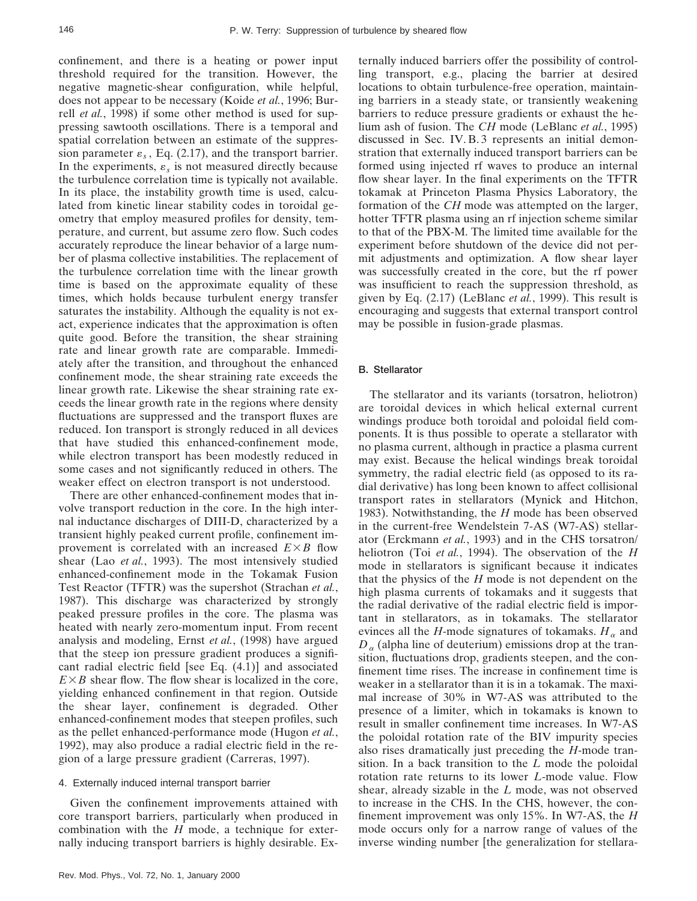confinement, and there is a heating or power input threshold required for the transition. However, the negative magnetic-shear configuration, while helpful, does not appear to be necessary (Koide *et al.*, 1996; Burrell *et al.*, 1998) if some other method is used for suppressing sawtooth oscillations. There is a temporal and spatial correlation between an estimate of the suppression parameter  $\varepsilon_s$ , Eq. (2.17), and the transport barrier. In the experiments,  $\varepsilon_s$  is not measured directly because the turbulence correlation time is typically not available. In its place, the instability growth time is used, calculated from kinetic linear stability codes in toroidal geometry that employ measured profiles for density, temperature, and current, but assume zero flow. Such codes accurately reproduce the linear behavior of a large number of plasma collective instabilities. The replacement of the turbulence correlation time with the linear growth time is based on the approximate equality of these times, which holds because turbulent energy transfer saturates the instability. Although the equality is not exact, experience indicates that the approximation is often quite good. Before the transition, the shear straining rate and linear growth rate are comparable. Immediately after the transition, and throughout the enhanced confinement mode, the shear straining rate exceeds the linear growth rate. Likewise the shear straining rate exceeds the linear growth rate in the regions where density fluctuations are suppressed and the transport fluxes are reduced. Ion transport is strongly reduced in all devices that have studied this enhanced-confinement mode, while electron transport has been modestly reduced in some cases and not significantly reduced in others. The weaker effect on electron transport is not understood.

There are other enhanced-confinement modes that involve transport reduction in the core. In the high internal inductance discharges of DIII-D, characterized by a transient highly peaked current profile, confinement improvement is correlated with an increased  $E \times B$  flow shear (Lao *et al.*, 1993). The most intensively studied enhanced-confinement mode in the Tokamak Fusion Test Reactor (TFTR) was the supershot (Strachan *et al.*, 1987). This discharge was characterized by strongly peaked pressure profiles in the core. The plasma was heated with nearly zero-momentum input. From recent analysis and modeling, Ernst *et al.*, (1998) have argued that the steep ion pressure gradient produces a significant radial electric field [see Eq. (4.1)] and associated  $E \times B$  shear flow. The flow shear is localized in the core, yielding enhanced confinement in that region. Outside the shear layer, confinement is degraded. Other enhanced-confinement modes that steepen profiles, such as the pellet enhanced-performance mode (Hugon *et al.*, 1992), may also produce a radial electric field in the region of a large pressure gradient (Carreras, 1997).

## 4. Externally induced internal transport barrier

Given the confinement improvements attained with core transport barriers, particularly when produced in combination with the *H* mode, a technique for externally inducing transport barriers is highly desirable. Externally induced barriers offer the possibility of controlling transport, e.g., placing the barrier at desired locations to obtain turbulence-free operation, maintaining barriers in a steady state, or transiently weakening barriers to reduce pressure gradients or exhaust the helium ash of fusion. The *CH* mode (LeBlanc *et al.*, 1995) discussed in Sec. IV. B. 3 represents an initial demonstration that externally induced transport barriers can be formed using injected rf waves to produce an internal flow shear layer. In the final experiments on the TFTR tokamak at Princeton Plasma Physics Laboratory, the formation of the *CH* mode was attempted on the larger, hotter TFTR plasma using an rf injection scheme similar to that of the PBX-M. The limited time available for the experiment before shutdown of the device did not permit adjustments and optimization. A flow shear layer was successfully created in the core, but the rf power was insufficient to reach the suppression threshold, as given by Eq. (2.17) (LeBlanc *et al.*, 1999). This result is encouraging and suggests that external transport control may be possible in fusion-grade plasmas.

# **B. Stellarator**

The stellarator and its variants (torsatron, heliotron) are toroidal devices in which helical external current windings produce both toroidal and poloidal field components. It is thus possible to operate a stellarator with no plasma current, although in practice a plasma current may exist. Because the helical windings break toroidal symmetry, the radial electric field (as opposed to its radial derivative) has long been known to affect collisional transport rates in stellarators (Mynick and Hitchon, 1983). Notwithstanding, the *H* mode has been observed in the current-free Wendelstein 7-AS (W7-AS) stellarator (Erckmann *et al.*, 1993) and in the CHS torsatron/ heliotron (Toi *et al.*, 1994). The observation of the *H* mode in stellarators is significant because it indicates that the physics of the *H* mode is not dependent on the high plasma currents of tokamaks and it suggests that the radial derivative of the radial electric field is important in stellarators, as in tokamaks. The stellarator evinces all the *H*-mode signatures of tokamaks.  $H_a$  and  $D_{\alpha}$  (alpha line of deuterium) emissions drop at the transition, fluctuations drop, gradients steepen, and the confinement time rises. The increase in confinement time is weaker in a stellarator than it is in a tokamak. The maximal increase of 30% in W7-AS was attributed to the presence of a limiter, which in tokamaks is known to result in smaller confinement time increases. In W7-AS the poloidal rotation rate of the BIV impurity species also rises dramatically just preceding the *H*-mode transition. In a back transition to the *L* mode the poloidal rotation rate returns to its lower *L*-mode value. Flow shear, already sizable in the *L* mode, was not observed to increase in the CHS. In the CHS, however, the confinement improvement was only 15%. In W7-AS, the *H* mode occurs only for a narrow range of values of the inverse winding number [the generalization for stellara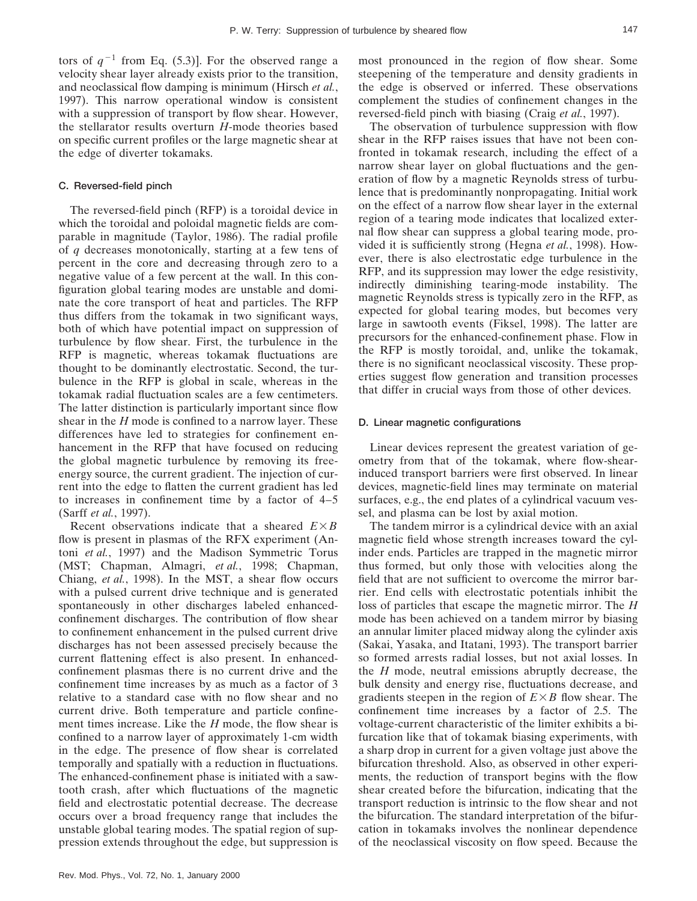tors of  $q^{-1}$  from Eq. (5.3)]. For the observed range a velocity shear layer already exists prior to the transition, and neoclassical flow damping is minimum (Hirsch *et al.*, 1997). This narrow operational window is consistent with a suppression of transport by flow shear. However, the stellarator results overturn *H*-mode theories based on specific current profiles or the large magnetic shear at the edge of diverter tokamaks.

# **C. Reversed-field pinch**

The reversed-field pinch (RFP) is a toroidal device in which the toroidal and poloidal magnetic fields are comparable in magnitude (Taylor, 1986). The radial profile of *q* decreases monotonically, starting at a few tens of percent in the core and decreasing through zero to a negative value of a few percent at the wall. In this configuration global tearing modes are unstable and dominate the core transport of heat and particles. The RFP thus differs from the tokamak in two significant ways, both of which have potential impact on suppression of turbulence by flow shear. First, the turbulence in the RFP is magnetic, whereas tokamak fluctuations are thought to be dominantly electrostatic. Second, the turbulence in the RFP is global in scale, whereas in the tokamak radial fluctuation scales are a few centimeters. The latter distinction is particularly important since flow shear in the *H* mode is confined to a narrow layer. These differences have led to strategies for confinement enhancement in the RFP that have focused on reducing the global magnetic turbulence by removing its freeenergy source, the current gradient. The injection of current into the edge to flatten the current gradient has led to increases in confinement time by a factor of 4–5 (Sarff *et al.*, 1997).

Recent observations indicate that a sheared  $E \times B$ flow is present in plasmas of the RFX experiment (Antoni *et al.*, 1997) and the Madison Symmetric Torus (MST; Chapman, Almagri, *et al.*, 1998; Chapman, Chiang, *et al.*, 1998). In the MST, a shear flow occurs with a pulsed current drive technique and is generated spontaneously in other discharges labeled enhancedconfinement discharges. The contribution of flow shear to confinement enhancement in the pulsed current drive discharges has not been assessed precisely because the current flattening effect is also present. In enhancedconfinement plasmas there is no current drive and the confinement time increases by as much as a factor of 3 relative to a standard case with no flow shear and no current drive. Both temperature and particle confinement times increase. Like the *H* mode, the flow shear is confined to a narrow layer of approximately 1-cm width in the edge. The presence of flow shear is correlated temporally and spatially with a reduction in fluctuations. The enhanced-confinement phase is initiated with a sawtooth crash, after which fluctuations of the magnetic field and electrostatic potential decrease. The decrease occurs over a broad frequency range that includes the unstable global tearing modes. The spatial region of suppression extends throughout the edge, but suppression is most pronounced in the region of flow shear. Some steepening of the temperature and density gradients in the edge is observed or inferred. These observations complement the studies of confinement changes in the reversed-field pinch with biasing (Craig *et al.*, 1997).

The observation of turbulence suppression with flow shear in the RFP raises issues that have not been confronted in tokamak research, including the effect of a narrow shear layer on global fluctuations and the generation of flow by a magnetic Reynolds stress of turbulence that is predominantly nonpropagating. Initial work on the effect of a narrow flow shear layer in the external region of a tearing mode indicates that localized external flow shear can suppress a global tearing mode, provided it is sufficiently strong (Hegna *et al.*, 1998). However, there is also electrostatic edge turbulence in the RFP, and its suppression may lower the edge resistivity, indirectly diminishing tearing-mode instability. The magnetic Reynolds stress is typically zero in the RFP, as expected for global tearing modes, but becomes very large in sawtooth events (Fiksel, 1998). The latter are precursors for the enhanced-confinement phase. Flow in the RFP is mostly toroidal, and, unlike the tokamak, there is no significant neoclassical viscosity. These properties suggest flow generation and transition processes that differ in crucial ways from those of other devices.

#### **D. Linear magnetic configurations**

Linear devices represent the greatest variation of geometry from that of the tokamak, where flow-shearinduced transport barriers were first observed. In linear devices, magnetic-field lines may terminate on material surfaces, e.g., the end plates of a cylindrical vacuum vessel, and plasma can be lost by axial motion.

The tandem mirror is a cylindrical device with an axial magnetic field whose strength increases toward the cylinder ends. Particles are trapped in the magnetic mirror thus formed, but only those with velocities along the field that are not sufficient to overcome the mirror barrier. End cells with electrostatic potentials inhibit the loss of particles that escape the magnetic mirror. The *H* mode has been achieved on a tandem mirror by biasing an annular limiter placed midway along the cylinder axis (Sakai, Yasaka, and Itatani, 1993). The transport barrier so formed arrests radial losses, but not axial losses. In the *H* mode, neutral emissions abruptly decrease, the bulk density and energy rise, fluctuations decrease, and gradients steepen in the region of  $E \times B$  flow shear. The confinement time increases by a factor of 2.5. The voltage-current characteristic of the limiter exhibits a bifurcation like that of tokamak biasing experiments, with a sharp drop in current for a given voltage just above the bifurcation threshold. Also, as observed in other experiments, the reduction of transport begins with the flow shear created before the bifurcation, indicating that the transport reduction is intrinsic to the flow shear and not the bifurcation. The standard interpretation of the bifurcation in tokamaks involves the nonlinear dependence of the neoclassical viscosity on flow speed. Because the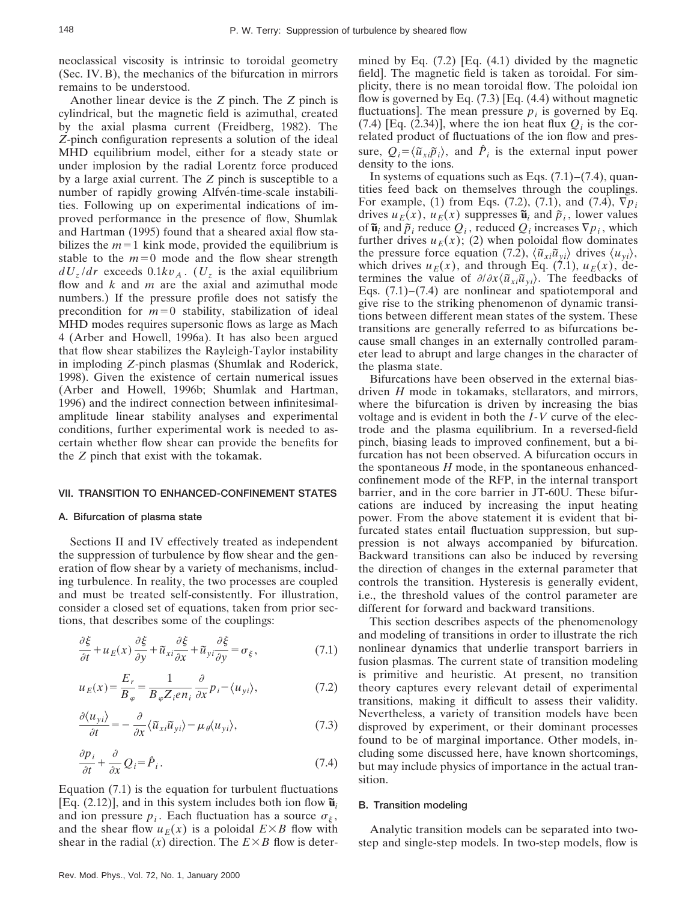neoclassical viscosity is intrinsic to toroidal geometry (Sec. IV. B), the mechanics of the bifurcation in mirrors remains to be understood.

Another linear device is the *Z* pinch. The *Z* pinch is cylindrical, but the magnetic field is azimuthal, created by the axial plasma current (Freidberg, 1982). The *Z*-pinch configuration represents a solution of the ideal MHD equilibrium model, either for a steady state or under implosion by the radial Lorentz force produced by a large axial current. The *Z* pinch is susceptible to a number of rapidly growing Alfvén-time-scale instabilities. Following up on experimental indications of improved performance in the presence of flow, Shumlak and Hartman (1995) found that a sheared axial flow stabilizes the  $m=1$  kink mode, provided the equilibrium is stable to the  $m=0$  mode and the flow shear strength  $dU_z/dr$  exceeds  $0.1kv_A$ . ( $U_z$  is the axial equilibrium flow and *k* and *m* are the axial and azimuthal mode numbers.) If the pressure profile does not satisfy the precondition for  $m=0$  stability, stabilization of ideal MHD modes requires supersonic flows as large as Mach 4 (Arber and Howell, 1996a). It has also been argued that flow shear stabilizes the Rayleigh-Taylor instability in imploding *Z*-pinch plasmas (Shumlak and Roderick, 1998). Given the existence of certain numerical issues (Arber and Howell, 1996b; Shumlak and Hartman, 1996) and the indirect connection between infinitesimalamplitude linear stability analyses and experimental conditions, further experimental work is needed to ascertain whether flow shear can provide the benefits for the *Z* pinch that exist with the tokamak.

## **VII. TRANSITION TO ENHANCED-CONFINEMENT STATES**

## **A. Bifurcation of plasma state**

Sections II and IV effectively treated as independent the suppression of turbulence by flow shear and the generation of flow shear by a variety of mechanisms, including turbulence. In reality, the two processes are coupled and must be treated self-consistently. For illustration, consider a closed set of equations, taken from prior sections, that describes some of the couplings:

$$
\frac{\partial \xi}{\partial t} + u_E(x) \frac{\partial \xi}{\partial y} + \tilde{u}_{xi} \frac{\partial \xi}{\partial x} + \tilde{u}_{yi} \frac{\partial \xi}{\partial y} = \sigma_{\xi},\tag{7.1}
$$

$$
u_E(x) = \frac{E_r}{B_\varphi} = \frac{1}{B_\varphi Z_i e n_i} \frac{\partial}{\partial x} p_i - \langle u_{yi} \rangle,\tag{7.2}
$$

$$
\frac{\partial \langle u_{yi} \rangle}{\partial t} = -\frac{\partial}{\partial x} \langle \tilde{u}_{xi} \tilde{u}_{yi} \rangle - \mu_{\theta} \langle u_{yi} \rangle, \tag{7.3}
$$

$$
\frac{\partial p_i}{\partial t} + \frac{\partial}{\partial x} Q_i = \hat{P}_i. \tag{7.4}
$$

Equation (7.1) is the equation for turbulent fluctuations  $[Eq. (2.12)]$ , and in this system includes both ion flow  $\tilde{u}_i$ and ion pressure  $p_i$ . Each fluctuation has a source  $\sigma_{\xi}$ , and the shear flow  $u_E(x)$  is a poloidal  $E \times B$  flow with shear in the radial  $(x)$  direction. The  $E \times B$  flow is deter-- mined by Eq. (7.2) [Eq. (4.1) divided by the magnetic field]. The magnetic field is taken as toroidal. For simplicity, there is no mean toroidal flow. The poloidal ion flow is governed by Eq.  $(7.3)$  [Eq.  $(4.4)$  without magnetic fluctuations]. The mean pressure  $p_i$  is governed by Eq. (7.4) [Eq. (2.34)], where the ion heat flux  $Q_i$  is the correlated product of fluctuations of the ion flow and pressure,  $Q_i = \langle \tilde{u}_{x,i} \tilde{p}_i \rangle$ , and  $\hat{P}_i$  is the external input power density to the ions.

In systems of equations such as Eqs.  $(7.1)$ – $(7.4)$ , quantities feed back on themselves through the couplings. For example, (1) from Eqs. (7.2), (7.1), and (7.4),  $\nabla p_i$ drives  $u_F(x)$ ,  $u_F(x)$  suppresses  $\tilde{u}_i$  and  $\tilde{p}_i$ , lower values of  $\tilde{\mathbf{u}}_i$  and  $\tilde{p}_i$  reduce  $Q_i$ , reduced  $Q_i$  increases  $\nabla p_i$ , which further drives  $u_E(x)$ ; (2) when poloidal flow dominates the pressure force equation (7.2),  $\langle \tilde{u}_{xi} \tilde{u}_{vi} \rangle$  drives  $\langle u_{vi} \rangle$ , which drives  $u_E(x)$ , and through Eq. (7.1),  $u_E(x)$ , determines the value of  $\partial/\partial x \langle \tilde{u}_{x} \tilde{u}_{y} \rangle$ . The feedbacks of Eqs.  $(7.1)$ – $(7.4)$  are nonlinear and spatiotemporal and give rise to the striking phenomenon of dynamic transitions between different mean states of the system. These transitions are generally referred to as bifurcations because small changes in an externally controlled parameter lead to abrupt and large changes in the character of the plasma state.

Bifurcations have been observed in the external biasdriven *H* mode in tokamaks, stellarators, and mirrors, where the bifurcation is driven by increasing the bias voltage and is evident in both the *I*-*V* curve of the electrode and the plasma equilibrium. In a reversed-field pinch, biasing leads to improved confinement, but a bifurcation has not been observed. A bifurcation occurs in the spontaneous *H* mode, in the spontaneous enhancedconfinement mode of the RFP, in the internal transport barrier, and in the core barrier in JT-60U. These bifurcations are induced by increasing the input heating power. From the above statement it is evident that bifurcated states entail fluctuation suppression, but suppression is not always accompanied by bifurcation. Backward transitions can also be induced by reversing the direction of changes in the external parameter that controls the transition. Hysteresis is generally evident, i.e., the threshold values of the control parameter are different for forward and backward transitions.

This section describes aspects of the phenomenology and modeling of transitions in order to illustrate the rich nonlinear dynamics that underlie transport barriers in fusion plasmas. The current state of transition modeling is primitive and heuristic. At present, no transition theory captures every relevant detail of experimental transitions, making it difficult to assess their validity. Nevertheless, a variety of transition models have been disproved by experiment, or their dominant processes found to be of marginal importance. Other models, including some discussed here, have known shortcomings, but may include physics of importance in the actual transition.

# **B. Transition modeling**

Analytic transition models can be separated into twostep and single-step models. In two-step models, flow is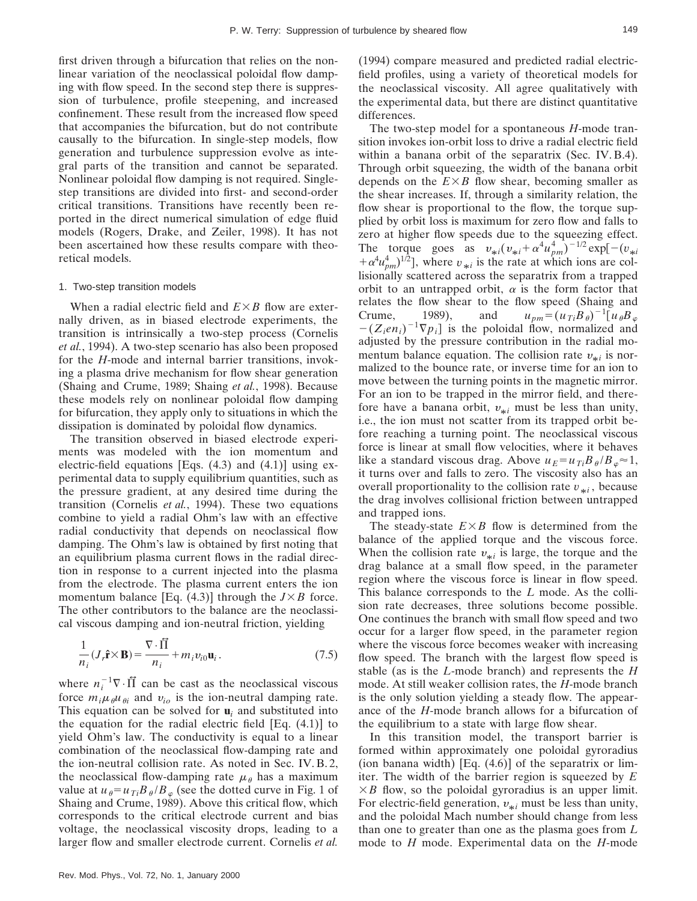first driven through a bifurcation that relies on the nonlinear variation of the neoclassical poloidal flow damping with flow speed. In the second step there is suppression of turbulence, profile steepening, and increased confinement. These result from the increased flow speed that accompanies the bifurcation, but do not contribute causally to the bifurcation. In single-step models, flow generation and turbulence suppression evolve as integral parts of the transition and cannot be separated. Nonlinear poloidal flow damping is not required. Singlestep transitions are divided into first- and second-order critical transitions. Transitions have recently been reported in the direct numerical simulation of edge fluid models (Rogers, Drake, and Zeiler, 1998). It has not been ascertained how these results compare with theoretical models.

#### 1. Two-step transition models

When a radial electric field and  $E \times B$  flow are externally driven, as in biased electrode experiments, the transition is intrinsically a two-step process (Cornelis *et al.*, 1994). A two-step scenario has also been proposed for the *H*-mode and internal barrier transitions, invoking a plasma drive mechanism for flow shear generation (Shaing and Crume, 1989; Shaing *et al.*, 1998). Because these models rely on nonlinear poloidal flow damping for bifurcation, they apply only to situations in which the dissipation is dominated by poloidal flow dynamics.

The transition observed in biased electrode experiments was modeled with the ion momentum and electric-field equations [Eqs. (4.3) and (4.1)] using experimental data to supply equilibrium quantities, such as the pressure gradient, at any desired time during the transition (Cornelis *et al.*, 1994). These two equations combine to yield a radial Ohm's law with an effective radial conductivity that depends on neoclassical flow damping. The Ohm's law is obtained by first noting that an equilibrium plasma current flows in the radial direction in response to a current injected into the plasma from the electrode. The plasma current enters the ion momentum balance [Eq.  $(4.3)$ ] through the  $J \times B$  force. The other contributors to the balance are the neoclassical viscous damping and ion-neutral friction, yielding

$$
\frac{1}{n_i}(J_r \hat{\mathbf{r}} \times \mathbf{B}) = \frac{\nabla \cdot \vec{\Pi}}{n_i} + m_i v_{i0} \mathbf{u}_i.
$$
 (7.5)

where  $n_i^{-1} \nabla \cdot \vec{\Pi}$  can be cast as the neoclassical viscous force  $m_i \mu_i \mu_i$  and  $v_i$  is the ion-neutral damping rate. This equation can be solved for **u***<sup>i</sup>* and substituted into the equation for the radial electric field [Eq. (4.1)] to yield Ohm's law. The conductivity is equal to a linear combination of the neoclassical flow-damping rate and the ion-neutral collision rate. As noted in Sec. IV. B. 2, the neoclassical flow-damping rate  $\mu_{\theta}$  has a maximum value at  $u_{\theta} = u_{Ti} B_{\theta} / B_{\varphi}$  (see the dotted curve in Fig. 1 of Shaing and Crume, 1989). Above this critical flow, which corresponds to the critical electrode current and bias voltage, the neoclassical viscosity drops, leading to a larger flow and smaller electrode current. Cornelis *et al.* (1994) compare measured and predicted radial electricfield profiles, using a variety of theoretical models for the neoclassical viscosity. All agree qualitatively with the experimental data, but there are distinct quantitative differences.

The two-step model for a spontaneous *H*-mode transition invokes ion-orbit loss to drive a radial electric field within a banana orbit of the separatrix (Sec. IV. B.4). Through orbit squeezing, the width of the banana orbit depends on the  $E \times B$  flow shear, becoming smaller as the shear increases. If, through a similarity relation, the flow shear is proportional to the flow, the torque supplied by orbit loss is maximum for zero flow and falls to zero at higher flow speeds due to the squeezing effect. The torque goes as  $v_{*i}(v_{*i} + \alpha^4 u_{pm}^4)^{-1/2} \exp[-(v_{*i} + \alpha^4 u_{+i}^4)^{-1/2}]$  $+\alpha^4 u_{pm}^4$  <sup>1/2</sup>], where  $v_{\ast i}$  is the rate at which ions are collisionally scattered across the separatrix from a trapped orbit to an untrapped orbit,  $\alpha$  is the form factor that relates the flow shear to the flow speed (Shaing and Crume, 1989), and  $u_{pm} = (u_{Ti}B_\theta)^{-1} \left[ u_\theta B_\varphi \right]$  $-(Z_i en_i)^{-1} \nabla p_i$  is the poloidal flow, normalized and adjusted by the pressure contribution in the radial momentum balance equation. The collision rate  $v_{\ast i}$  is normalized to the bounce rate, or inverse time for an ion to move between the turning points in the magnetic mirror. For an ion to be trapped in the mirror field, and therefore have a banana orbit,  $v_{\star i}$  must be less than unity, i.e., the ion must not scatter from its trapped orbit before reaching a turning point. The neoclassical viscous force is linear at small flow velocities, where it behaves like a standard viscous drag. Above  $u_E = u_{Ti} B_\theta / B_\varphi \approx 1$ , it turns over and falls to zero. The viscosity also has an overall proportionality to the collision rate  $v_{*i}$ , because the drag involves collisional friction between untrapped and trapped ions.

The steady-state  $E \times B$  flow is determined from the balance of the applied torque and the viscous force. When the collision rate  $v_{\star i}$  is large, the torque and the drag balance at a small flow speed, in the parameter region where the viscous force is linear in flow speed. This balance corresponds to the *L* mode. As the collision rate decreases, three solutions become possible. One continues the branch with small flow speed and two occur for a larger flow speed, in the parameter region where the viscous force becomes weaker with increasing flow speed. The branch with the largest flow speed is stable (as is the *L*-mode branch) and represents the *H* mode. At still weaker collision rates, the *H*-mode branch is the only solution yielding a steady flow. The appearance of the *H*-mode branch allows for a bifurcation of the equilibrium to a state with large flow shear.

In this transition model, the transport barrier is formed within approximately one poloidal gyroradius (ion banana width)  $[Eq. (4.6)]$  of the separatrix or limiter. The width of the barrier region is squeezed by *E*  $\times B$  flow, so the poloidal gyroradius is an upper limit. For electric-field generation,  $v_{\star i}$  must be less than unity, and the poloidal Mach number should change from less than one to greater than one as the plasma goes from *L* mode to *H* mode. Experimental data on the *H*-mode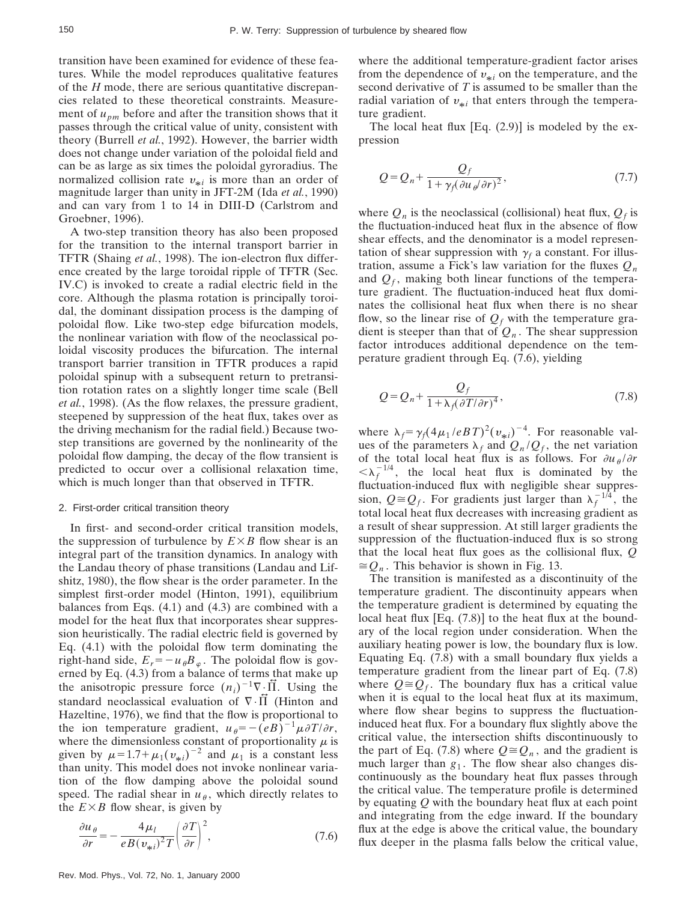transition have been examined for evidence of these features. While the model reproduces qualitative features of the *H* mode, there are serious quantitative discrepancies related to these theoretical constraints. Measurement of  $u_{nm}$  before and after the transition shows that it passes through the critical value of unity, consistent with theory (Burrell *et al.*, 1992). However, the barrier width does not change under variation of the poloidal field and can be as large as six times the poloidal gyroradius. The normalized collision rate  $v_{\ast i}$  is more than an order of magnitude larger than unity in JFT-2M (Ida *et al.*, 1990) and can vary from 1 to 14 in DIII-D (Carlstrom and Groebner, 1996).

A two-step transition theory has also been proposed for the transition to the internal transport barrier in TFTR (Shaing *et al.*, 1998). The ion-electron flux difference created by the large toroidal ripple of TFTR (Sec. IV.C) is invoked to create a radial electric field in the core. Although the plasma rotation is principally toroidal, the dominant dissipation process is the damping of poloidal flow. Like two-step edge bifurcation models, the nonlinear variation with flow of the neoclassical poloidal viscosity produces the bifurcation. The internal transport barrier transition in TFTR produces a rapid poloidal spinup with a subsequent return to pretransition rotation rates on a slightly longer time scale (Bell *et al.*, 1998). (As the flow relaxes, the pressure gradient, steepened by suppression of the heat flux, takes over as the driving mechanism for the radial field.) Because twostep transitions are governed by the nonlinearity of the poloidal flow damping, the decay of the flow transient is predicted to occur over a collisional relaxation time, which is much longer than that observed in TFTR.

## 2. First-order critical transition theory

In first- and second-order critical transition models, the suppression of turbulence by  $E \times B$  flow shear is an integral part of the transition dynamics. In analogy with the Landau theory of phase transitions (Landau and Lifshitz, 1980), the flow shear is the order parameter. In the simplest first-order model (Hinton, 1991), equilibrium balances from Eqs. (4.1) and (4.3) are combined with a model for the heat flux that incorporates shear suppression heuristically. The radial electric field is governed by Eq. (4.1) with the poloidal flow term dominating the right-hand side,  $E_r = -u_\theta B_\varphi$ . The poloidal flow is governed by Eq. (4.3) from a balance of terms that make up the anisotropic pressure force  $(n_i)^{-1} \nabla \cdot \vec{\Pi}$ . Using the standard neoclassical evaluation of  $\nabla \cdot \vec{\Pi}$  (Hinton and Hazeltine, 1976), we find that the flow is proportional to the ion temperature gradient,  $u_{\theta} = -\left(eB\right)^{-1} \mu \partial T/\partial r$ , where the dimensionless constant of proportionality  $\mu$  is given by  $\mu = 1.7 + \mu_1(v_{*i})^{-2}$  and  $\mu_1$  is a constant less<br>then unity. This model does not involve popliness veries than unity. This model does not invoke nonlinear variation of the flow damping above the poloidal sound speed. The radial shear in  $u_{\theta}$ , which directly relates to the  $E \times B$  flow shear, is given by

$$
\frac{\partial u_{\theta}}{\partial r} = -\frac{4\,\mu_l}{eB\,(v_{*i})^2 T} \left(\frac{\partial T}{\partial r}\right)^2,\tag{7.6}
$$

where the additional temperature-gradient factor arises from the dependence of  $v_{\ast i}$  on the temperature, and the second derivative of *T* is assumed to be smaller than the radial variation of  $v_{\ast i}$  that enters through the temperature gradient.

The local heat flux  $[Eq. (2.9)]$  is modeled by the expression

$$
Q = Q_n + \frac{Q_f}{1 + \gamma_f (\partial u_\theta / \partial r)^2},\tag{7.7}
$$

where  $Q_n$  is the neoclassical (collisional) heat flux,  $Q_f$  is the fluctuation-induced heat flux in the absence of flow shear effects, and the denominator is a model representation of shear suppression with  $\gamma_f$  a constant. For illustration, assume a Fick's law variation for the fluxes  $Q_n$ and  $Q_f$ , making both linear functions of the temperature gradient. The fluctuation-induced heat flux dominates the collisional heat flux when there is no shear flow, so the linear rise of  $Q_f$  with the temperature gradient is steeper than that of  $Q_n$ . The shear suppression factor introduces additional dependence on the temperature gradient through Eq. (7.6), yielding

$$
Q = Q_n + \frac{Q_f}{1 + \lambda_f (\partial T / \partial r)^4},\tag{7.8}
$$

where  $\lambda_f = \gamma_f (4\mu_1 / eBT)^2 (v_{*i})^{-4}$ . For reasonable values of the parameters  $\lambda_f$  and  $Q_n/Q_f$ , the net variation of the total local heat flux is as follows. For  $\partial u_{\theta}/\partial r$  $\langle \lambda_f^{-1/4}, \rangle$  the local heat flux is dominated by the fluctuation-induced flux with negligible shear suppression,  $Q \cong Q_f$ . For gradients just larger than  $\lambda_f^{-1/4}$ , the total local heat flux decreases with increasing gradient as a result of shear suppression. At still larger gradients the suppression of the fluctuation-induced flux is so strong that the local heat flux goes as the collisional flux, *Q*  $\cong Q_n$ . This behavior is shown in Fig. 13.

The transition is manifested as a discontinuity of the temperature gradient. The discontinuity appears when the temperature gradient is determined by equating the local heat flux [Eq. (7.8)] to the heat flux at the boundary of the local region under consideration. When the auxiliary heating power is low, the boundary flux is low. Equating Eq. (7.8) with a small boundary flux yields a temperature gradient from the linear part of Eq. (7.8) where  $Q \cong Q_f$ . The boundary flux has a critical value when it is equal to the local heat flux at its maximum, where flow shear begins to suppress the fluctuationinduced heat flux. For a boundary flux slightly above the critical value, the intersection shifts discontinuously to the part of Eq. (7.8) where  $Q \cong Q_n$ , and the gradient is much larger than  $g_1$ . The flow shear also changes discontinuously as the boundary heat flux passes through the critical value. The temperature profile is determined by equating *Q* with the boundary heat flux at each point and integrating from the edge inward. If the boundary flux at the edge is above the critical value, the boundary flux deeper in the plasma falls below the critical value,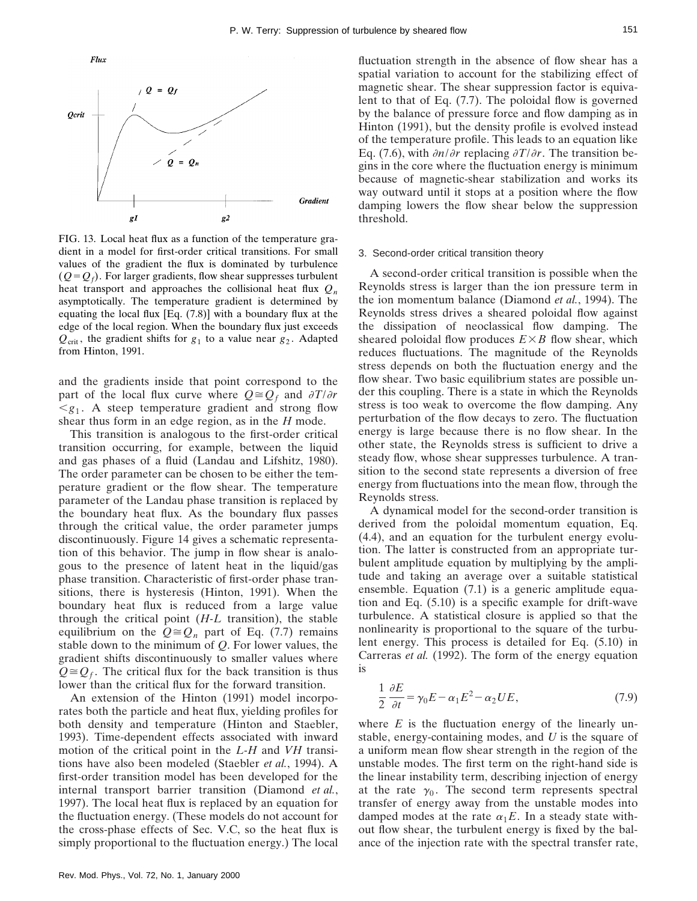

Flux

FIG. 13. Local heat flux as a function of the temperature gradient in a model for first-order critical transitions. For small values of the gradient the flux is dominated by turbulence  $(Q = Q_f)$ . For larger gradients, flow shear suppresses turbulent heat transport and approaches the collisional heat flux *Qn* asymptotically. The temperature gradient is determined by equating the local flux [Eq. (7.8)] with a boundary flux at the edge of the local region. When the boundary flux just exceeds  $Q_{\text{crit}}$ , the gradient shifts for  $g_1$  to a value near  $g_2$ . Adapted from Hinton, 1991.

and the gradients inside that point correspond to the part of the local flux curve where  $Q \cong Q_f$  and  $\partial T/\partial r$  $\leq g_1$ . A steep temperature gradient and strong flow shear thus form in an edge region, as in the *H* mode.

This transition is analogous to the first-order critical transition occurring, for example, between the liquid and gas phases of a fluid (Landau and Lifshitz, 1980). The order parameter can be chosen to be either the temperature gradient or the flow shear. The temperature parameter of the Landau phase transition is replaced by the boundary heat flux. As the boundary flux passes through the critical value, the order parameter jumps discontinuously. Figure 14 gives a schematic representation of this behavior. The jump in flow shear is analogous to the presence of latent heat in the liquid/gas phase transition. Characteristic of first-order phase transitions, there is hysteresis (Hinton, 1991). When the boundary heat flux is reduced from a large value through the critical point (*H-L* transition), the stable equilibrium on the  $Q \cong Q_n$  part of Eq. (7.7) remains stable down to the minimum of *Q*. For lower values, the gradient shifts discontinuously to smaller values where  $Q \cong Q_f$ . The critical flux for the back transition is thus lower than the critical flux for the forward transition.

An extension of the Hinton (1991) model incorporates both the particle and heat flux, yielding profiles for both density and temperature (Hinton and Staebler, 1993). Time-dependent effects associated with inward motion of the critical point in the *L-H* and *VH* transitions have also been modeled (Staebler *et al.*, 1994). A first-order transition model has been developed for the internal transport barrier transition (Diamond *et al.*, 1997). The local heat flux is replaced by an equation for the fluctuation energy. (These models do not account for the cross-phase effects of Sec. V.C, so the heat flux is simply proportional to the fluctuation energy.) The local fluctuation strength in the absence of flow shear has a spatial variation to account for the stabilizing effect of magnetic shear. The shear suppression factor is equivalent to that of Eq. (7.7). The poloidal flow is governed by the balance of pressure force and flow damping as in Hinton (1991), but the density profile is evolved instead of the temperature profile. This leads to an equation like Eq. (7.6), with  $\partial n/\partial r$  replacing  $\partial T/\partial r$ . The transition begins in the core where the fluctuation energy is minimum because of magnetic-shear stabilization and works its way outward until it stops at a position where the flow damping lowers the flow shear below the suppression threshold.

#### 3. Second-order critical transition theory

A second-order critical transition is possible when the Reynolds stress is larger than the ion pressure term in the ion momentum balance (Diamond *et al.*, 1994). The Reynolds stress drives a sheared poloidal flow against the dissipation of neoclassical flow damping. The sheared poloidal flow produces  $E \times B$  flow shear, which reduces fluctuations. The magnitude of the Reynolds stress depends on both the fluctuation energy and the flow shear. Two basic equilibrium states are possible under this coupling. There is a state in which the Reynolds stress is too weak to overcome the flow damping. Any perturbation of the flow decays to zero. The fluctuation energy is large because there is no flow shear. In the other state, the Reynolds stress is sufficient to drive a steady flow, whose shear suppresses turbulence. A transition to the second state represents a diversion of free energy from fluctuations into the mean flow, through the Reynolds stress.

A dynamical model for the second-order transition is derived from the poloidal momentum equation, Eq. (4.4), and an equation for the turbulent energy evolution. The latter is constructed from an appropriate turbulent amplitude equation by multiplying by the amplitude and taking an average over a suitable statistical ensemble. Equation (7.1) is a generic amplitude equation and Eq. (5.10) is a specific example for drift-wave turbulence. A statistical closure is applied so that the nonlinearity is proportional to the square of the turbulent energy. This process is detailed for Eq. (5.10) in Carreras *et al.* (1992). The form of the energy equation is

$$
\frac{1}{2}\frac{\partial E}{\partial t} = \gamma_0 E - \alpha_1 E^2 - \alpha_2 U E,\tag{7.9}
$$

where  $E$  is the fluctuation energy of the linearly unstable, energy-containing modes, and *U* is the square of a uniform mean flow shear strength in the region of the unstable modes. The first term on the right-hand side is the linear instability term, describing injection of energy at the rate  $\gamma_0$ . The second term represents spectral transfer of energy away from the unstable modes into damped modes at the rate  $\alpha_1 E$ . In a steady state without flow shear, the turbulent energy is fixed by the balance of the injection rate with the spectral transfer rate,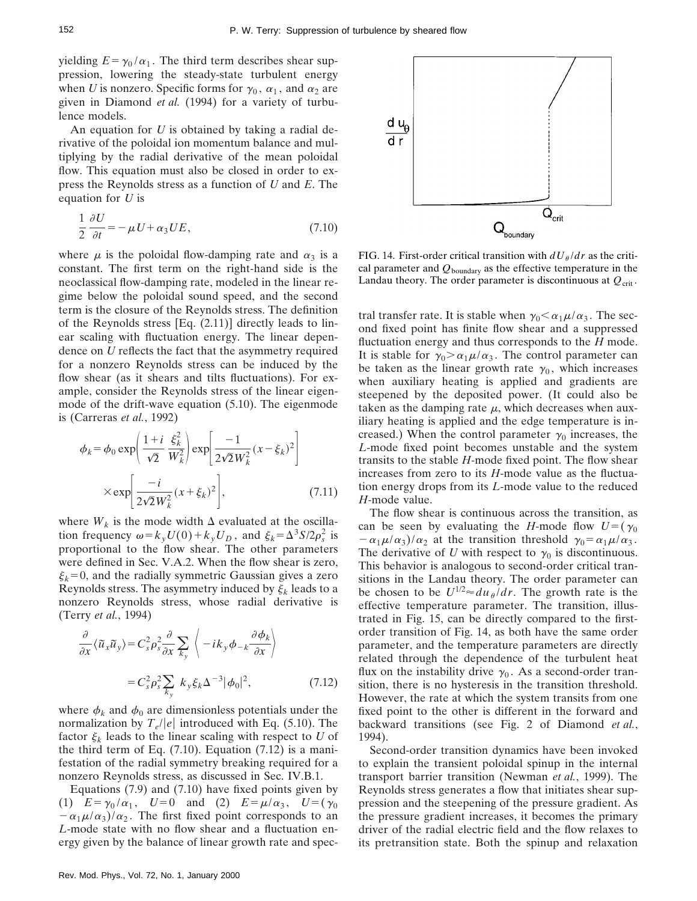yielding  $E = \gamma_0 / \alpha_1$ . The third term describes shear suppression, lowering the steady-state turbulent energy when *U* is nonzero. Specific forms for  $\gamma_0$ ,  $\alpha_1$ , and  $\alpha_2$  are given in Diamond *et al.* (1994) for a variety of turbulence models.

An equation for *U* is obtained by taking a radial derivative of the poloidal ion momentum balance and multiplying by the radial derivative of the mean poloidal flow. This equation must also be closed in order to express the Reynolds stress as a function of *U* and *E*. The equation for *U* is

$$
\frac{1}{2}\frac{\partial U}{\partial t} = -\mu U + \alpha_3 U E, \qquad (7.10)
$$

where  $\mu$  is the poloidal flow-damping rate and  $\alpha_3$  is a constant. The first term on the right-hand side is the neoclassical flow-damping rate, modeled in the linear regime below the poloidal sound speed, and the second term is the closure of the Reynolds stress. The definition of the Reynolds stress [Eq. (2.11)] directly leads to linear scaling with fluctuation energy. The linear dependence on *U* reflects the fact that the asymmetry required for a nonzero Reynolds stress can be induced by the flow shear (as it shears and tilts fluctuations). For example, consider the Reynolds stress of the linear eigenmode of the drift-wave equation (5.10). The eigenmode is (Carreras *et al.*, 1992)

$$
\phi_k = \phi_0 \exp\left(\frac{1+i}{\sqrt{2}} \frac{\xi_k^2}{W_k^2}\right) \exp\left[\frac{-1}{2\sqrt{2}W_k^2} (x - \xi_k)^2\right]
$$

$$
\times \exp\left[\frac{-i}{2\sqrt{2}W_k^2} (x + \xi_k)^2\right],
$$
(7.11)

where  $W_k$  is the mode width  $\Delta$  evaluated at the oscillation frequency  $\omega = k_y U(0) + k_y U_D$ , and  $\xi_k = \Delta^3 S / 2\rho_s^2$  is proportional to the flow shear. The other parameters were defined in Sec. V.A.2. When the flow shear is zero,  $\xi_k=0$ , and the radially symmetric Gaussian gives a zero Reynolds stress. The asymmetry induced by  $\xi_k$  leads to a nonzero Reynolds stress, whose radial derivative is (Terry *et al.*, 1994)

$$
\frac{\partial}{\partial x} \langle \tilde{u}_x \tilde{u}_y \rangle = C_s^2 \rho_s^2 \frac{\partial}{\partial x} \sum_{k_y} \left\langle -ik_y \phi_{-k} \frac{\partial \phi_k}{\partial x} \right\rangle
$$

$$
= C_s^2 \rho_s^2 \sum_{k_y} k_y \xi_k \Delta^{-3} |\phi_0|^2, \qquad (7.12)
$$

where  $\phi_k$  and  $\phi_0$  are dimensionless potentials under the normalization by  $T_e/|e|$  introduced with Eq. (5.10). The factor  $\xi_k$  leads to the linear scaling with respect to *U* of the third term of Eq.  $(7.10)$ . Equation  $(7.12)$  is a manifestation of the radial symmetry breaking required for a nonzero Reynolds stress, as discussed in Sec. IV.B.1.

Equations (7.9) and (7.10) have fixed points given by (1)  $E = \gamma_0 / \alpha_1$ ,  $U = 0$  and (2)  $E = \mu / \alpha_3$ ,  $U = (\gamma_0)$  $-\alpha_1\mu/\alpha_3/\alpha_2$ . The first fixed point corresponds to an *L*-mode state with no flow shear and a fluctuation energy given by the balance of linear growth rate and spec-



FIG. 14. First-order critical transition with  $dU_{\theta}/dr$  as the critical parameter and *Q*boundary as the effective temperature in the Landau theory. The order parameter is discontinuous at  $Q_{\text{crit}}$ .

tral transfer rate. It is stable when  $\gamma_0 \leq \alpha_1 \mu/\alpha_3$ . The second fixed point has finite flow shear and a suppressed fluctuation energy and thus corresponds to the *H* mode. It is stable for  $\gamma_0 > \alpha_1 \mu / \alpha_3$ . The control parameter can be taken as the linear growth rate  $\gamma_0$ , which increases when auxiliary heating is applied and gradients are steepened by the deposited power. (It could also be taken as the damping rate  $\mu$ , which decreases when auxiliary heating is applied and the edge temperature is increased.) When the control parameter  $\gamma_0$  increases, the *L*-mode fixed point becomes unstable and the system transits to the stable *H*-mode fixed point. The flow shear increases from zero to its *H*-mode value as the fluctuation energy drops from its *L*-mode value to the reduced *H*-mode value.

The flow shear is continuous across the transition, as can be seen by evaluating the *H*-mode flow  $U = (\gamma_0)$  $-\alpha_1\mu/\alpha_3/\alpha_2$  at the transition threshold  $\gamma_0 = \alpha_1\mu/\alpha_3$ . The derivative of *U* with respect to  $\gamma_0$  is discontinuous. This behavior is analogous to second-order critical transitions in the Landau theory. The order parameter can be chosen to be  $U^{1/2} \approx du_\theta/dr$ . The growth rate is the effective temperature parameter. The transition, illustrated in Fig. 15, can be directly compared to the firstorder transition of Fig. 14, as both have the same order parameter, and the temperature parameters are directly related through the dependence of the turbulent heat flux on the instability drive  $\gamma_0$ . As a second-order transition, there is no hysteresis in the transition threshold. However, the rate at which the system transits from one fixed point to the other is different in the forward and backward transitions (see Fig. 2 of Diamond *et al.*, 1994).

Second-order transition dynamics have been invoked to explain the transient poloidal spinup in the internal transport barrier transition (Newman *et al.*, 1999). The Reynolds stress generates a flow that initiates shear suppression and the steepening of the pressure gradient. As the pressure gradient increases, it becomes the primary driver of the radial electric field and the flow relaxes to its pretransition state. Both the spinup and relaxation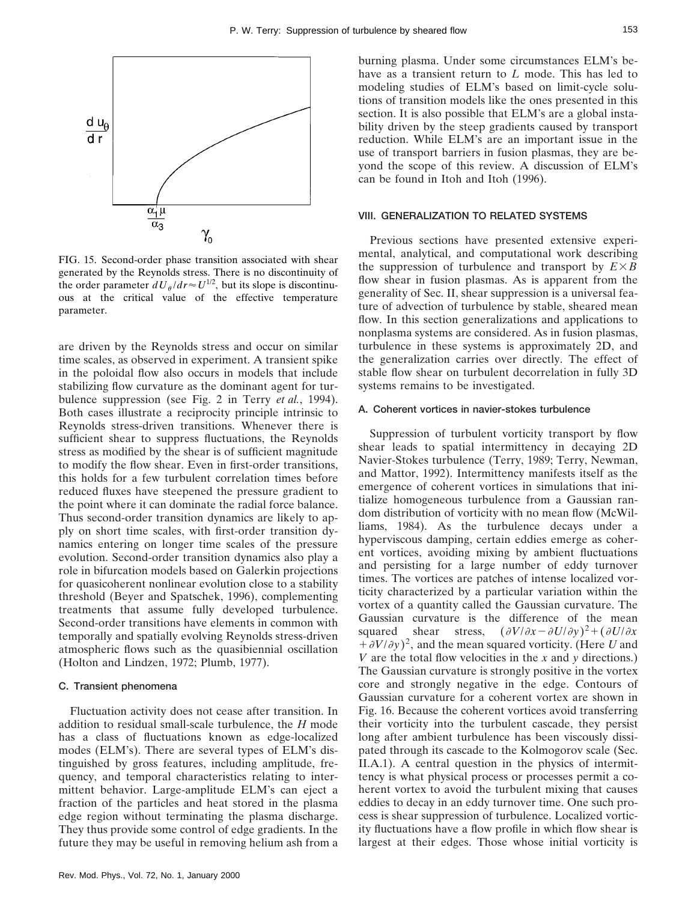

FIG. 15. Second-order phase transition associated with shear generated by the Reynolds stress. There is no discontinuity of the order parameter  $dU_{\theta}/dr \approx U^{1/2}$ , but its slope is discontinuous at the critical value of the effective temperature parameter.

are driven by the Reynolds stress and occur on similar time scales, as observed in experiment. A transient spike in the poloidal flow also occurs in models that include stabilizing flow curvature as the dominant agent for turbulence suppression (see Fig. 2 in Terry *et al.*, 1994). Both cases illustrate a reciprocity principle intrinsic to Reynolds stress-driven transitions. Whenever there is sufficient shear to suppress fluctuations, the Reynolds stress as modified by the shear is of sufficient magnitude to modify the flow shear. Even in first-order transitions, this holds for a few turbulent correlation times before reduced fluxes have steepened the pressure gradient to the point where it can dominate the radial force balance. Thus second-order transition dynamics are likely to apply on short time scales, with first-order transition dynamics entering on longer time scales of the pressure evolution. Second-order transition dynamics also play a role in bifurcation models based on Galerkin projections for quasicoherent nonlinear evolution close to a stability threshold (Beyer and Spatschek, 1996), complementing treatments that assume fully developed turbulence. Second-order transitions have elements in common with temporally and spatially evolving Reynolds stress-driven atmospheric flows such as the quasibiennial oscillation (Holton and Lindzen, 1972; Plumb, 1977).

# **C. Transient phenomena**

Fluctuation activity does not cease after transition. In addition to residual small-scale turbulence, the *H* mode has a class of fluctuations known as edge-localized modes (ELM's). There are several types of ELM's distinguished by gross features, including amplitude, frequency, and temporal characteristics relating to intermittent behavior. Large-amplitude ELM's can eject a fraction of the particles and heat stored in the plasma edge region without terminating the plasma discharge. They thus provide some control of edge gradients. In the future they may be useful in removing helium ash from a burning plasma. Under some circumstances ELM's behave as a transient return to *L* mode. This has led to modeling studies of ELM's based on limit-cycle solutions of transition models like the ones presented in this section. It is also possible that ELM's are a global instability driven by the steep gradients caused by transport reduction. While ELM's are an important issue in the use of transport barriers in fusion plasmas, they are beyond the scope of this review. A discussion of ELM's can be found in Itoh and Itoh (1996).

#### **VIII. GENERALIZATION TO RELATED SYSTEMS**

Previous sections have presented extensive experimental, analytical, and computational work describing the suppression of turbulence and transport by  $E \times B$ flow shear in fusion plasmas. As is apparent from the generality of Sec. II, shear suppression is a universal feature of advection of turbulence by stable, sheared mean flow. In this section generalizations and applications to nonplasma systems are considered. As in fusion plasmas, turbulence in these systems is approximately 2D, and the generalization carries over directly. The effect of stable flow shear on turbulent decorrelation in fully 3D systems remains to be investigated.

# **A. Coherent vortices in navier-stokes turbulence**

Suppression of turbulent vorticity transport by flow shear leads to spatial intermittency in decaying 2D Navier-Stokes turbulence (Terry, 1989; Terry, Newman, and Mattor, 1992). Intermittency manifests itself as the emergence of coherent vortices in simulations that initialize homogeneous turbulence from a Gaussian random distribution of vorticity with no mean flow (McWilliams, 1984). As the turbulence decays under a hyperviscous damping, certain eddies emerge as coherent vortices, avoiding mixing by ambient fluctuations and persisting for a large number of eddy turnover times. The vortices are patches of intense localized vorticity characterized by a particular variation within the vortex of a quantity called the Gaussian curvature. The Gaussian curvature is the difference of the mean squared shear stress,  $(\partial V/\partial x - \partial U/\partial y)^2 + (\partial U/\partial x)$  $(\partial V/\partial y)^2$ , and the mean squared vorticity. (Here *U* and *V* are the total flow velocities in the *x* and *y* directions.) The Gaussian curvature is strongly positive in the vortex core and strongly negative in the edge. Contours of Gaussian curvature for a coherent vortex are shown in Fig. 16. Because the coherent vortices avoid transferring their vorticity into the turbulent cascade, they persist long after ambient turbulence has been viscously dissipated through its cascade to the Kolmogorov scale (Sec. II.A.1). A central question in the physics of intermittency is what physical process or processes permit a coherent vortex to avoid the turbulent mixing that causes eddies to decay in an eddy turnover time. One such process is shear suppression of turbulence. Localized vorticity fluctuations have a flow profile in which flow shear is largest at their edges. Those whose initial vorticity is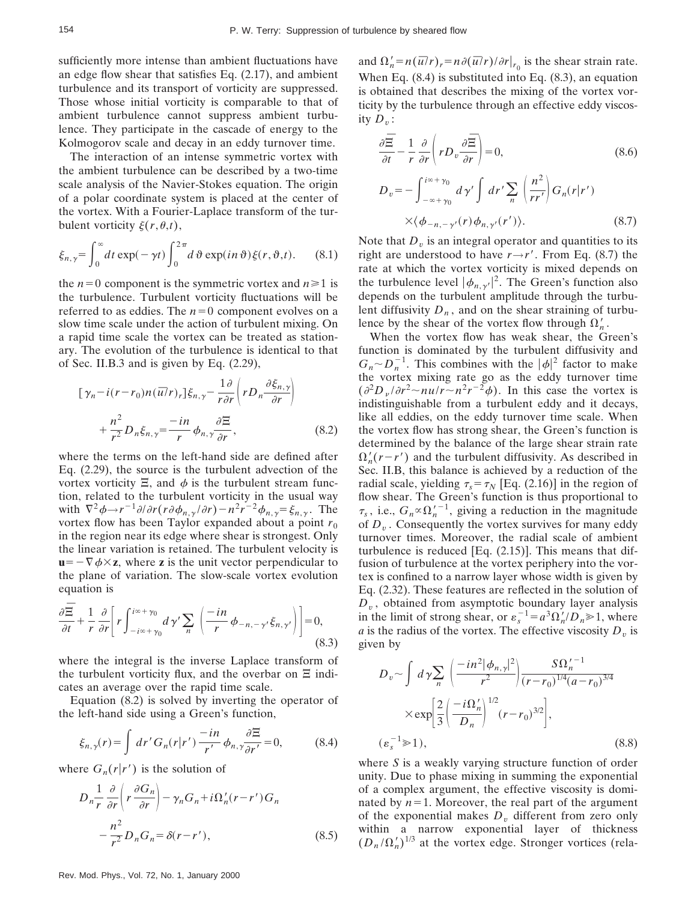sufficiently more intense than ambient fluctuations have an edge flow shear that satisfies Eq. (2.17), and ambient turbulence and its transport of vorticity are suppressed. Those whose initial vorticity is comparable to that of ambient turbulence cannot suppress ambient turbulence. They participate in the cascade of energy to the Kolmogorov scale and decay in an eddy turnover time.

The interaction of an intense symmetric vortex with the ambient turbulence can be described by a two-time scale analysis of the Navier-Stokes equation. The origin of a polar coordinate system is placed at the center of the vortex. With a Fourier-Laplace transform of the turbulent vorticity  $\xi(r,\theta,t)$ ,

$$
\xi_{n,\gamma} = \int_0^\infty dt \, \exp(-\gamma t) \int_0^{2\pi} d\vartheta \, \exp(in\vartheta) \xi(r,\vartheta,t). \tag{8.1}
$$

the  $n=0$  component is the symmetric vortex and  $n \ge 1$  is the turbulence. Turbulent vorticity fluctuations will be referred to as eddies. The  $n=0$  component evolves on a slow time scale under the action of turbulent mixing. On a rapid time scale the vortex can be treated as stationary. The evolution of the turbulence is identical to that of Sec. II.B.3 and is given by Eq. (2.29),

$$
[\gamma_n - i(r - r_0)n(\bar{u}/r)_r]\xi_{n,\gamma} - \frac{1}{r\partial r}\left(rD_n \frac{\partial \xi_{n,\gamma}}{\partial r}\right) + \frac{n^2}{r^2}D_n\xi_{n,\gamma} = -\frac{in}{r}\phi_{n,\gamma}\frac{\partial \Xi}{\partial r},
$$
(8.2)

where the terms on the left-hand side are defined after Eq. (2.29), the source is the turbulent advection of the vortex vorticity  $\Xi$ , and  $\phi$  is the turbulent stream function, related to the turbulent vorticity in the usual way with  $\nabla^2 \phi \rightarrow r^{-1} \partial/\partial r (r \partial \phi_{n,y}/\partial r) - n^2 r^{-2} \phi_{n,y} = \xi_{n,y}$ . The vortex flow has been Taylor expanded about a point  $r_0$ in the region near its edge where shear is strongest. Only the linear variation is retained. The turbulent velocity is  $\mathbf{u} = -\nabla \phi \times \mathbf{z}$ , where **z** is the unit vector perpendicular to the plane of variation. The slow-scale vortex evolution equation is

$$
\frac{\partial \vec{\Xi}}{\partial t} + \frac{1}{r} \frac{\partial}{\partial r} \bigg[ r \int_{-i\infty + \gamma_0}^{i\infty + \gamma_0} d\gamma' \sum_{n} \left( \frac{-in}{r} \phi_{-n, -\gamma'} \xi_{n, \gamma'} \right) \bigg] = 0,
$$
\n(8.3)

where the integral is the inverse Laplace transform of the turbulent vorticity flux, and the overbar on  $\Xi$  indicates an average over the rapid time scale.

Equation (8.2) is solved by inverting the operator of the left-hand side using a Green's function,

$$
\xi_{n,\gamma}(r) = \int dr' G_n(r|r') \frac{-in}{r'} \phi_{n,\gamma} \frac{\partial \Xi}{\partial r'} = 0, \quad (8.4)
$$

where  $G_n(r|r')$  is the solution of

$$
D_{n}\frac{1}{r}\frac{\partial}{\partial r}\left(r\frac{\partial G_{n}}{\partial r}\right)-\gamma_{n}G_{n}+i\Omega'_{n}(r-r')G_{n}
$$

$$
-\frac{n^{2}}{r^{2}}D_{n}G_{n}=\delta(r-r'), \qquad (8.5)
$$

and  $\Omega'_n = n(\bar{u}/r)_r = n\partial(\bar{u}/r)/\partial r|_{r_0}$  is the shear strain rate. When Eq. (8.4) is substituted into Eq. (8.3), an equation is obtained that describes the mixing of the vortex vorticity by the turbulence through an effective eddy viscosity  $D_{v}$ :

$$
\frac{\partial \vec{\Xi}}{\partial t} - \frac{1}{r} \frac{\partial}{\partial r} \left( r D_v \frac{\partial \vec{\Xi}}{\partial r} \right) = 0,
$$
\n(8.6)

$$
D_v = -\int_{-\infty+\gamma_0}^{i\infty+\gamma_0} d\gamma' \int dr' \sum_n \left(\frac{n^2}{rr'}\right) G_n(r|r')
$$
  
 
$$
\times \langle \phi_{-n,-\gamma'}(r) \phi_{n,\gamma'}(r') \rangle.
$$
 (8.7)

Note that  $D<sub>v</sub>$  is an integral operator and quantities to its right are understood to have  $r \rightarrow r'$ . From Eq. (8.7) the rate at which the vortex vorticity is mixed depends on the turbulence level  $|\phi_{n,y'}|^2$ . The Green's function also depends on the turbulent amplitude through the turbulent diffusivity  $D_n$ , and on the shear straining of turbulence by the shear of the vortex flow through  $\Omega'_n$ .

When the vortex flow has weak shear, the Green's function is dominated by the turbulent diffusivity and  $G_n \sim D_n^{-1}$ . This combines with the  $|\phi|^2$  factor to make the vortex mixing rate go as the eddy turnover time  $\left(\frac{\partial^2 D_v}{\partial r^2} \sim nu/r \sim n^2r^{-2}\phi\right)$ . In this case the vortex is indistinguishable from a turbulent eddy and it decays, like all eddies, on the eddy turnover time scale. When the vortex flow has strong shear, the Green's function is determined by the balance of the large shear strain rate  $\Omega'_n(r-r')$  and the turbulent diffusivity. As described in Sec. II.B, this balance is achieved by a reduction of the radial scale, yielding  $\tau_s = \tau_N$  [Eq. (2.16)] in the region of flow shear. The Green's function is thus proportional to  $\tau_s$ , i.e.,  $G_n \propto \Omega_n^{\prime - 1}$ , giving a reduction in the magnitude of  $D<sub>v</sub>$ . Consequently the vortex survives for many eddy turnover times. Moreover, the radial scale of ambient turbulence is reduced [Eq. (2.15)]. This means that diffusion of turbulence at the vortex periphery into the vortex is confined to a narrow layer whose width is given by Eq. (2.32). These features are reflected in the solution of  $D<sub>v</sub>$ , obtained from asymptotic boundary layer analysis in the limit of strong shear, or  $\varepsilon_s^{-1} = a^3 \Omega_n^{\prime}/D_n \gg 1$ , where *a* is the radius of the vortex. The effective viscosity  $D<sub>v</sub>$  is given by

$$
D_v \sim \int d\gamma \sum_n \left( \frac{-in^2 |\phi_{n,\gamma}|^2}{r^2} \right) \frac{S \Omega_n^{\gamma - 1}}{(r - r_0)^{1/4} (a - r_0)^{3/4}} \times \exp \left[ \frac{2}{3} \left( \frac{-i \Omega_n^{\gamma}}{D_n} \right)^{1/2} (r - r_0)^{3/2} \right],
$$
\n
$$
(\varepsilon_s^{-1} \gg 1), \tag{8.8}
$$

where *S* is a weakly varying structure function of order unity. Due to phase mixing in summing the exponential of a complex argument, the effective viscosity is dominated by  $n=1$ . Moreover, the real part of the argument of the exponential makes  $D<sub>v</sub>$  different from zero only within a narrow exponential layer of thickness  $(D_n/\Omega'_n)^{1/3}$  at the vortex edge. Stronger vortices (rela-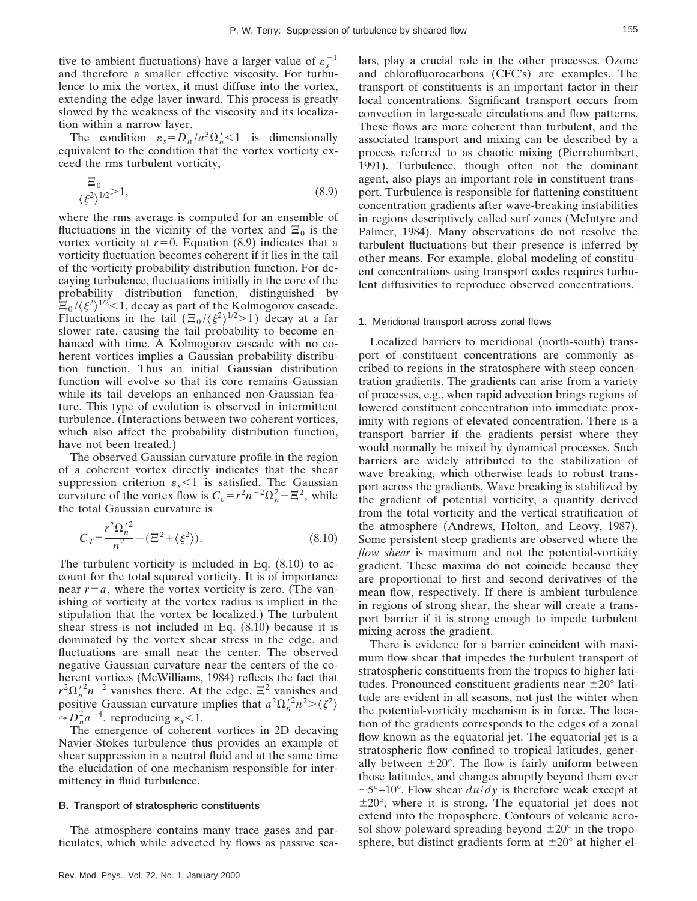tive to ambient fluctuations) have a larger value of  $\varepsilon_s^{-1}$ and therefore a smaller effective viscosity. For turbulence to mix the vortex, it must diffuse into the vortex, extending the edge layer inward. This process is greatly slowed by the weakness of the viscosity and its localization within a narrow layer.

The condition  $\varepsilon_s = D_n/a^3 \Omega'_n < 1$  is dimensionally equivalent to the condition that the vortex vorticity exceed the rms turbulent vorticity,

$$
\frac{\Xi_0}{\langle \xi^2 \rangle^{1/2}} > 1,\tag{8.9}
$$

where the rms average is computed for an ensemble of fluctuations in the vicinity of the vortex and  $\Xi_0$  is the vortex vorticity at  $r=0$ . Equation (8.9) indicates that a vorticity fluctuation becomes coherent if it lies in the tail of the vorticity probability distribution function. For decaying turbulence, fluctuations initially in the core of the probability distribution function, distinguished by  $\Xi_0/\langle \xi^2 \rangle^{1/2}$  < 1, decay as part of the Kolmogorov cascade. Fluctuations in the tail  $(\Xi_0 / \langle \xi^2 \rangle^{1/2} > 1)$  decay at a far slower rate, causing the tail probability to become enhanced with time. A Kolmogorov cascade with no coherent vortices implies a Gaussian probability distribution function. Thus an initial Gaussian distribution function will evolve so that its core remains Gaussian while its tail develops an enhanced non-Gaussian feature. This type of evolution is observed in intermittent turbulence. (Interactions between two coherent vortices, which also affect the probability distribution function, have not been treated.)

The observed Gaussian curvature profile in the region of a coherent vortex directly indicates that the shear suppression criterion  $\varepsilon_s$ <1 is satisfied. The Gaussian curvature of the vortex flow is  $C_v = r^2 n^{-2} \Omega_n^2 - \Xi^2$ , while the total Gaussian curvature is

$$
C_T = \frac{r^2 \Omega_n^2}{n^2} - (\Xi^2 + \langle \xi^2 \rangle). \tag{8.10}
$$

The turbulent vorticity is included in Eq. (8.10) to account for the total squared vorticity. It is of importance near  $r=a$ , where the vortex vorticity is zero. (The vanishing of vorticity at the vortex radius is implicit in the stipulation that the vortex be localized.) The turbulent shear stress is not included in Eq. (8.10) because it is dominated by the vortex shear stress in the edge, and fluctuations are small near the center. The observed negative Gaussian curvature near the centers of the coherent vortices (McWilliams, 1984) reflects the fact that  $r^2 \Omega_n^2 n^{-2}$  vanishes there. At the edge,  $\Xi^2$  vanishes and positive Gaussian curvature implies that  $a^2 \Omega_n^2 n^2 > \langle \zeta^2 \rangle$  $\approx D_n^2 a^{-4}$ , reproducing  $\varepsilon_s$ <1.

The emergence of coherent vortices in 2D decaying Navier-Stokes turbulence thus provides an example of shear suppression in a neutral fluid and at the same time the elucidation of one mechanism responsible for intermittency in fluid turbulence.

#### **B. Transport of stratospheric constituents**

The atmosphere contains many trace gases and particulates, which while advected by flows as passive sca-

Rev. Mod. Phys., Vol. 72, No. 1, January 2000

lars, play a crucial role in the other processes. Ozone and chlorofluorocarbons (CFC's) are examples. The transport of constituents is an important factor in their local concentrations. Significant transport occurs from convection in large-scale circulations and flow patterns. These flows are more coherent than turbulent, and the associated transport and mixing can be described by a process referred to as chaotic mixing (Pierrehumbert, 1991). Turbulence, though often not the dominant agent, also plays an important role in constituent transport. Turbulence is responsible for flattening constituent concentration gradients after wave-breaking instabilities in regions descriptively called surf zones (McIntyre and Palmer, 1984). Many observations do not resolve the turbulent fluctuations but their presence is inferred by other means. For example, global modeling of constituent concentrations using transport codes requires turbulent diffusivities to reproduce observed concentrations.

#### 1. Meridional transport across zonal flows

Localized barriers to meridional (north-south) transport of constituent concentrations are commonly ascribed to regions in the stratosphere with steep concentration gradients. The gradients can arise from a variety of processes, e.g., when rapid advection brings regions of lowered constituent concentration into immediate proximity with regions of elevated concentration. There is a transport barrier if the gradients persist where they would normally be mixed by dynamical processes. Such barriers are widely attributed to the stabilization of wave breaking, which otherwise leads to robust transport across the gradients. Wave breaking is stabilized by the gradient of potential vorticity, a quantity derived from the total vorticity and the vertical stratification of the atmosphere (Andrews, Holton, and Leovy, 1987). Some persistent steep gradients are observed where the *flow shear* is maximum and not the potential-vorticity gradient. These maxima do not coincide because they are proportional to first and second derivatives of the mean flow, respectively. If there is ambient turbulence in regions of strong shear, the shear will create a transport barrier if it is strong enough to impede turbulent mixing across the gradient.

There is evidence for a barrier coincident with maximum flow shear that impedes the turbulent transport of stratospheric constituents from the tropics to higher latitudes. Pronounced constituent gradients near  $\pm 20^{\circ}$  latitude are evident in all seasons, not just the winter when the potential-vorticity mechanism is in force. The location of the gradients corresponds to the edges of a zonal flow known as the equatorial jet. The equatorial jet is a stratospheric flow confined to tropical latitudes, generally between  $\pm 20^{\circ}$ . The flow is fairly uniform between those latitudes, and changes abruptly beyond them over  $\sim$ 5°–10°. Flow shear *du/dy* is therefore weak except at  $\pm 20^{\circ}$ , where it is strong. The equatorial jet does not extend into the troposphere. Contours of volcanic aerosol show poleward spreading beyond  $\pm 20^{\circ}$  in the troposphere, but distinct gradients form at  $\pm 20^\circ$  at higher el-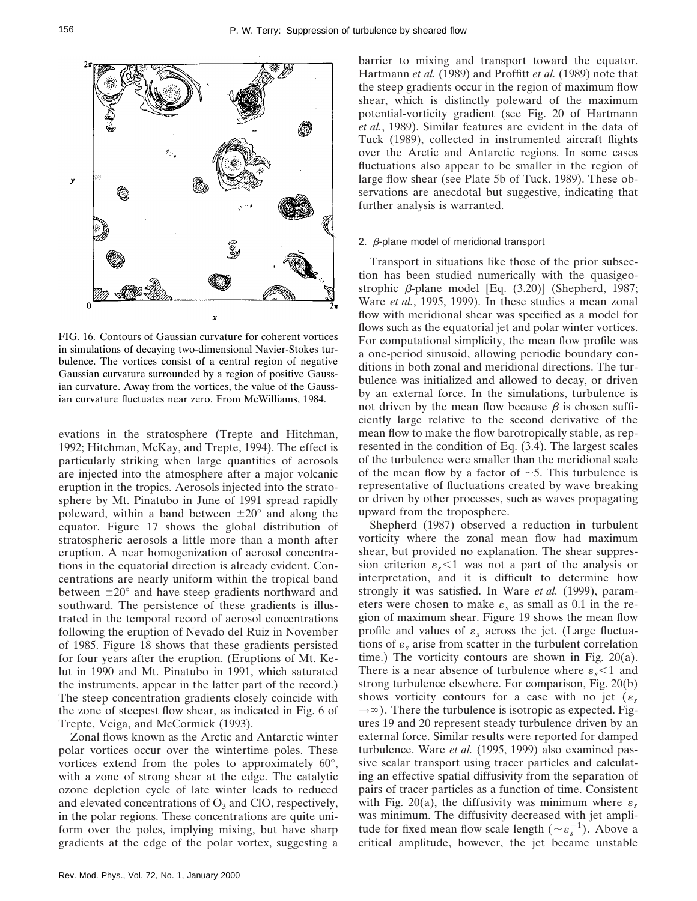

FIG. 16. Contours of Gaussian curvature for coherent vortices in simulations of decaying two-dimensional Navier-Stokes turbulence. The vortices consist of a central region of negative Gaussian curvature surrounded by a region of positive Gaussian curvature. Away from the vortices, the value of the Gaussian curvature fluctuates near zero. From McWilliams, 1984.

evations in the stratosphere (Trepte and Hitchman, 1992; Hitchman, McKay, and Trepte, 1994). The effect is particularly striking when large quantities of aerosols are injected into the atmosphere after a major volcanic eruption in the tropics. Aerosols injected into the stratosphere by Mt. Pinatubo in June of 1991 spread rapidly poleward, within a band between  $\pm 20^\circ$  and along the equator. Figure 17 shows the global distribution of stratospheric aerosols a little more than a month after eruption. A near homogenization of aerosol concentrations in the equatorial direction is already evident. Concentrations are nearly uniform within the tropical band between  $\pm 20^{\circ}$  and have steep gradients northward and southward. The persistence of these gradients is illustrated in the temporal record of aerosol concentrations following the eruption of Nevado del Ruiz in November of 1985. Figure 18 shows that these gradients persisted for four years after the eruption. (Eruptions of Mt. Kelut in 1990 and Mt. Pinatubo in 1991, which saturated the instruments, appear in the latter part of the record.) The steep concentration gradients closely coincide with the zone of steepest flow shear, as indicated in Fig. 6 of Trepte, Veiga, and McCormick (1993).

Zonal flows known as the Arctic and Antarctic winter polar vortices occur over the wintertime poles. These vortices extend from the poles to approximately 60°, with a zone of strong shear at the edge. The catalytic ozone depletion cycle of late winter leads to reduced and elevated concentrations of  $O_3$  and ClO, respectively, in the polar regions. These concentrations are quite uniform over the poles, implying mixing, but have sharp gradients at the edge of the polar vortex, suggesting a barrier to mixing and transport toward the equator. Hartmann *et al.* (1989) and Proffitt *et al.* (1989) note that the steep gradients occur in the region of maximum flow shear, which is distinctly poleward of the maximum potential-vorticity gradient (see Fig. 20 of Hartmann *et al.*, 1989). Similar features are evident in the data of Tuck (1989), collected in instrumented aircraft flights over the Arctic and Antarctic regions. In some cases fluctuations also appear to be smaller in the region of large flow shear (see Plate 5b of Tuck, 1989). These observations are anecdotal but suggestive, indicating that further analysis is warranted.

#### 2.  $\beta$ -plane model of meridional transport

Transport in situations like those of the prior subsection has been studied numerically with the quasigeostrophic  $\beta$ -plane model [Eq. (3.20)] (Shepherd, 1987; Ware *et al.*, 1995, 1999). In these studies a mean zonal flow with meridional shear was specified as a model for flows such as the equatorial jet and polar winter vortices. For computational simplicity, the mean flow profile was a one-period sinusoid, allowing periodic boundary conditions in both zonal and meridional directions. The turbulence was initialized and allowed to decay, or driven by an external force. In the simulations, turbulence is not driven by the mean flow because  $\beta$  is chosen sufficiently large relative to the second derivative of the mean flow to make the flow barotropically stable, as represented in the condition of Eq. (3.4). The largest scales of the turbulence were smaller than the meridional scale of the mean flow by a factor of  $\sim$ 5. This turbulence is representative of fluctuations created by wave breaking or driven by other processes, such as waves propagating upward from the troposphere.

Shepherd (1987) observed a reduction in turbulent vorticity where the zonal mean flow had maximum shear, but provided no explanation. The shear suppression criterion  $\varepsilon_s$ <1 was not a part of the analysis or interpretation, and it is difficult to determine how strongly it was satisfied. In Ware *et al.* (1999), parameters were chosen to make  $\varepsilon_s$  as small as 0.1 in the region of maximum shear. Figure 19 shows the mean flow profile and values of  $\varepsilon_s$  across the jet. (Large fluctuations of  $\varepsilon$ <sub>s</sub> arise from scatter in the turbulent correlation time.) The vorticity contours are shown in Fig. 20(a). There is a near absence of turbulence where  $\varepsilon_s$  < 1 and strong turbulence elsewhere. For comparison, Fig. 20(b) shows vorticity contours for a case with no jet  $(\varepsilon_s)$  $\rightarrow \infty$ ). There the turbulence is isotropic as expected. Figures 19 and 20 represent steady turbulence driven by an external force. Similar results were reported for damped turbulence. Ware *et al.* (1995, 1999) also examined passive scalar transport using tracer particles and calculating an effective spatial diffusivity from the separation of pairs of tracer particles as a function of time. Consistent with Fig. 20(a), the diffusivity was minimum where  $\varepsilon$ <sub>s</sub> was minimum. The diffusivity decreased with jet amplitude for fixed mean flow scale length  $({\sim} \varepsilon_s^{-1})$ . Above a critical amplitude, however, the jet became unstable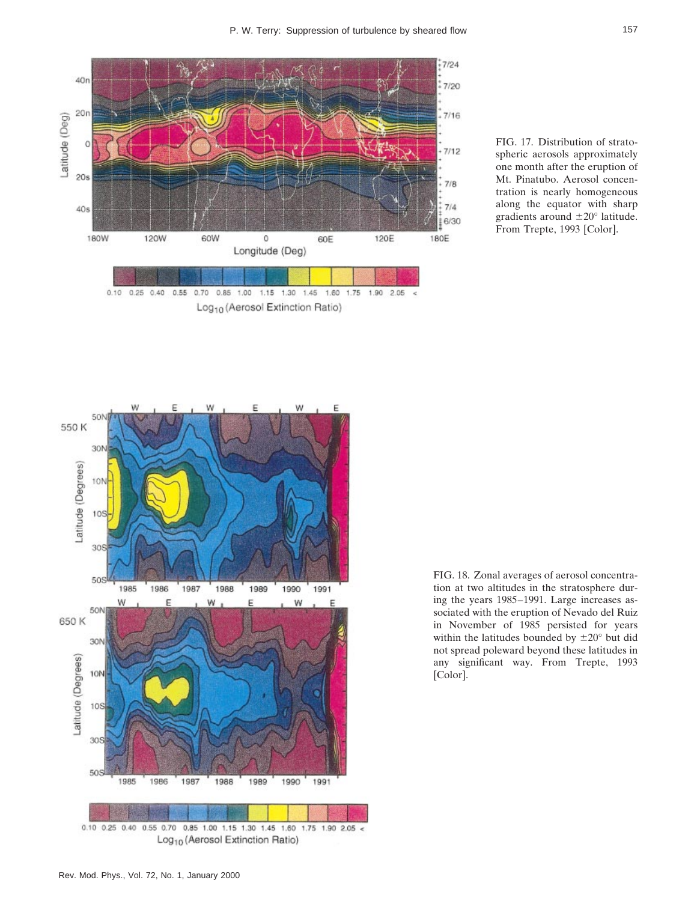

FIG. 17. Distribution of stratospheric aerosols approximately one month after the eruption of Mt. Pinatubo. Aerosol concentration is nearly homogeneous along the equator with sharp gradients around  $\pm 20^{\circ}$  latitude. From Trepte, 1993 [Color].



FIG. 18. Zonal averages of aerosol concentration at two altitudes in the stratosphere during the years 1985–1991. Large increases associated with the eruption of Nevado del Ruiz in November of 1985 persisted for years within the latitudes bounded by  $\pm 20^\circ$  but did not spread poleward beyond these latitudes in any significant way. From Trepte, 1993 [Color].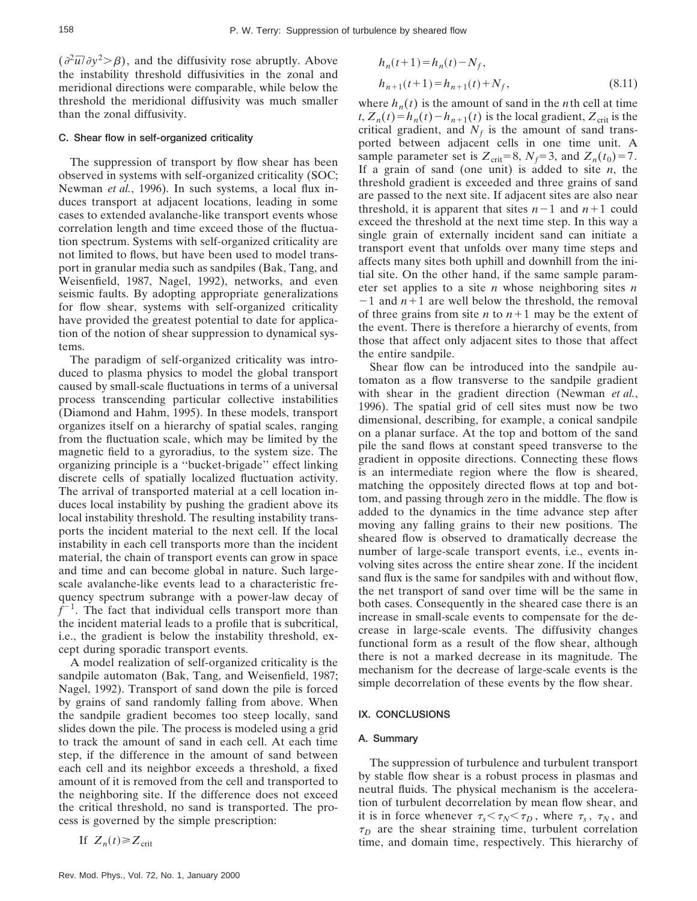$(\partial^2 \bar{u}/\partial y^2 > \beta)$ , and the diffusivity rose abruptly. Above the instability threshold diffusivities in the zonal and meridional directions were comparable, while below the threshold the meridional diffusivity was much smaller than the zonal diffusivity.

# **C. Shear flow in self-organized criticality**

The suppression of transport by flow shear has been observed in systems with self-organized criticality (SOC; Newman *et al.*, 1996). In such systems, a local flux induces transport at adjacent locations, leading in some cases to extended avalanche-like transport events whose correlation length and time exceed those of the fluctuation spectrum. Systems with self-organized criticality are not limited to flows, but have been used to model transport in granular media such as sandpiles (Bak, Tang, and Weisenfield, 1987, Nagel, 1992), networks, and even seismic faults. By adopting appropriate generalizations for flow shear, systems with self-organized criticality have provided the greatest potential to date for application of the notion of shear suppression to dynamical systems.

The paradigm of self-organized criticality was introduced to plasma physics to model the global transport caused by small-scale fluctuations in terms of a universal process transcending particular collective instabilities (Diamond and Hahm, 1995). In these models, transport organizes itself on a hierarchy of spatial scales, ranging from the fluctuation scale, which may be limited by the magnetic field to a gyroradius, to the system size. The organizing principle is a ''bucket-brigade'' effect linking discrete cells of spatially localized fluctuation activity. The arrival of transported material at a cell location induces local instability by pushing the gradient above its local instability threshold. The resulting instability transports the incident material to the next cell. If the local instability in each cell transports more than the incident material, the chain of transport events can grow in space and time and can become global in nature. Such largescale avalanche-like events lead to a characteristic frequency spectrum subrange with a power-law decay of  $f^{-1}$ . The fact that individual cells transport more than the incident material leads to a profile that is subcritical, i.e., the gradient is below the instability threshold, except during sporadic transport events.

A model realization of self-organized criticality is the sandpile automaton (Bak, Tang, and Weisenfield, 1987; Nagel, 1992). Transport of sand down the pile is forced by grains of sand randomly falling from above. When the sandpile gradient becomes too steep locally, sand slides down the pile. The process is modeled using a grid to track the amount of sand in each cell. At each time step, if the difference in the amount of sand between each cell and its neighbor exceeds a threshold, a fixed amount of it is removed from the cell and transported to the neighboring site. If the difference does not exceed the critical threshold, no sand is transported. The process is governed by the simple prescription:

If  $Z_n(t) \ge Z_{\text{crit}}$ 

$$
h_n(t+1) = h_n(t) - N_f,
$$
  
\n
$$
h_{n+1}(t+1) = h_{n+1}(t) + N_f,
$$
\n(8.11)

where  $h_n(t)$  is the amount of sand in the *n*th cell at time  $t, Z_n(t) = h_n(t) - h_{n+1}(t)$  is the local gradient,  $Z_{crit}$  is the critical gradient, and  $N_f$  is the amount of sand transported between adjacent cells in one time unit. A sample parameter set is  $Z_{\text{crit}}=8$ ,  $N_f=3$ , and  $Z_n(t_0)=7$ . If a grain of sand (one unit) is added to site *n*, the threshold gradient is exceeded and three grains of sand are passed to the next site. If adjacent sites are also near threshold, it is apparent that sites  $n-1$  and  $n+1$  could exceed the threshold at the next time step. In this way a single grain of externally incident sand can initiate a transport event that unfolds over many time steps and affects many sites both uphill and downhill from the initial site. On the other hand, if the same sample parameter set applies to a site *n* whose neighboring sites *n*  $-1$  and  $n+1$  are well below the threshold, the removal of three grains from site *n* to  $n+1$  may be the extent of the event. There is therefore a hierarchy of events, from those that affect only adjacent sites to those that affect the entire sandpile.

Shear flow can be introduced into the sandpile automaton as a flow transverse to the sandpile gradient with shear in the gradient direction (Newman *et al.*, 1996). The spatial grid of cell sites must now be two dimensional, describing, for example, a conical sandpile on a planar surface. At the top and bottom of the sand pile the sand flows at constant speed transverse to the gradient in opposite directions. Connecting these flows is an intermediate region where the flow is sheared, matching the oppositely directed flows at top and bottom, and passing through zero in the middle. The flow is added to the dynamics in the time advance step after moving any falling grains to their new positions. The sheared flow is observed to dramatically decrease the number of large-scale transport events, i.e., events involving sites across the entire shear zone. If the incident sand flux is the same for sandpiles with and without flow, the net transport of sand over time will be the same in both cases. Consequently in the sheared case there is an increase in small-scale events to compensate for the decrease in large-scale events. The diffusivity changes functional form as a result of the flow shear, although there is not a marked decrease in its magnitude. The mechanism for the decrease of large-scale events is the simple decorrelation of these events by the flow shear.

# **IX. CONCLUSIONS**

#### **A. Summary**

The suppression of turbulence and turbulent transport by stable flow shear is a robust process in plasmas and neutral fluids. The physical mechanism is the acceleration of turbulent decorrelation by mean flow shear, and it is in force whenever  $\tau_s < \tau_N < \tau_D$ , where  $\tau_s$ ,  $\tau_N$ , and  $\tau_D$  are the shear straining time, turbulent correlation time, and domain time, respectively. This hierarchy of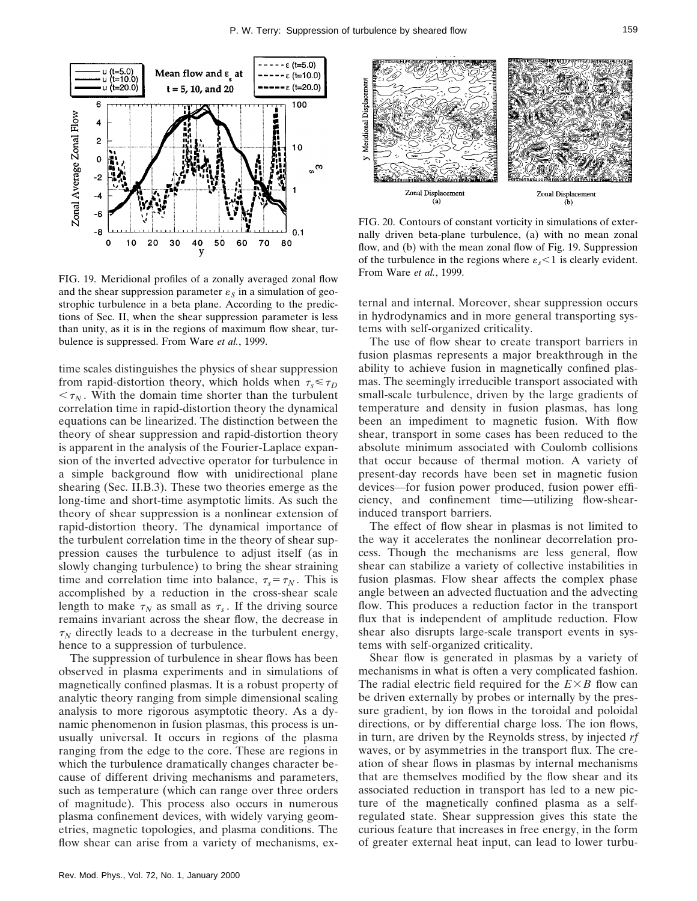

FIG. 19. Meridional profiles of a zonally averaged zonal flow and the shear suppression parameter  $\varepsilon_s$  in a simulation of geostrophic turbulence in a beta plane. According to the predictions of Sec. II, when the shear suppression parameter is less than unity, as it is in the regions of maximum flow shear, turbulence is suppressed. From Ware *et al.*, 1999.

time scales distinguishes the physics of shear suppression from rapid-distortion theory, which holds when  $\tau_s \leq \tau_D$  $\langle \tau_N$ . With the domain time shorter than the turbulent correlation time in rapid-distortion theory the dynamical equations can be linearized. The distinction between the theory of shear suppression and rapid-distortion theory is apparent in the analysis of the Fourier-Laplace expansion of the inverted advective operator for turbulence in a simple background flow with unidirectional plane shearing (Sec. II.B.3). These two theories emerge as the long-time and short-time asymptotic limits. As such the theory of shear suppression is a nonlinear extension of rapid-distortion theory. The dynamical importance of the turbulent correlation time in the theory of shear suppression causes the turbulence to adjust itself (as in slowly changing turbulence) to bring the shear straining time and correlation time into balance,  $\tau_s = \tau_N$ . This is accomplished by a reduction in the cross-shear scale length to make  $\tau_N$  as small as  $\tau_s$ . If the driving source remains invariant across the shear flow, the decrease in  $\tau_N$  directly leads to a decrease in the turbulent energy, hence to a suppression of turbulence.

The suppression of turbulence in shear flows has been observed in plasma experiments and in simulations of magnetically confined plasmas. It is a robust property of analytic theory ranging from simple dimensional scaling analysis to more rigorous asymptotic theory. As a dynamic phenomenon in fusion plasmas, this process is unusually universal. It occurs in regions of the plasma ranging from the edge to the core. These are regions in which the turbulence dramatically changes character because of different driving mechanisms and parameters, such as temperature (which can range over three orders of magnitude). This process also occurs in numerous plasma confinement devices, with widely varying geometries, magnetic topologies, and plasma conditions. The flow shear can arise from a variety of mechanisms, ex-



FIG. 20. Contours of constant vorticity in simulations of externally driven beta-plane turbulence, (a) with no mean zonal flow, and (b) with the mean zonal flow of Fig. 19. Suppression of the turbulence in the regions where  $\varepsilon_s$  < 1 is clearly evident. From Ware *et al.*, 1999.

ternal and internal. Moreover, shear suppression occurs in hydrodynamics and in more general transporting systems with self-organized criticality.

The use of flow shear to create transport barriers in fusion plasmas represents a major breakthrough in the ability to achieve fusion in magnetically confined plasmas. The seemingly irreducible transport associated with small-scale turbulence, driven by the large gradients of temperature and density in fusion plasmas, has long been an impediment to magnetic fusion. With flow shear, transport in some cases has been reduced to the absolute minimum associated with Coulomb collisions that occur because of thermal motion. A variety of present-day records have been set in magnetic fusion devices—for fusion power produced, fusion power efficiency, and confinement time—utilizing flow-shearinduced transport barriers.

The effect of flow shear in plasmas is not limited to the way it accelerates the nonlinear decorrelation process. Though the mechanisms are less general, flow shear can stabilize a variety of collective instabilities in fusion plasmas. Flow shear affects the complex phase angle between an advected fluctuation and the advecting flow. This produces a reduction factor in the transport flux that is independent of amplitude reduction. Flow shear also disrupts large-scale transport events in systems with self-organized criticality.

Shear flow is generated in plasmas by a variety of mechanisms in what is often a very complicated fashion. The radial electric field required for the  $E \times B$  flow can be driven externally by probes or internally by the pressure gradient, by ion flows in the toroidal and poloidal directions, or by differential charge loss. The ion flows, in turn, are driven by the Reynolds stress, by injected *rf* waves, or by asymmetries in the transport flux. The creation of shear flows in plasmas by internal mechanisms that are themselves modified by the flow shear and its associated reduction in transport has led to a new picture of the magnetically confined plasma as a selfregulated state. Shear suppression gives this state the curious feature that increases in free energy, in the form of greater external heat input, can lead to lower turbu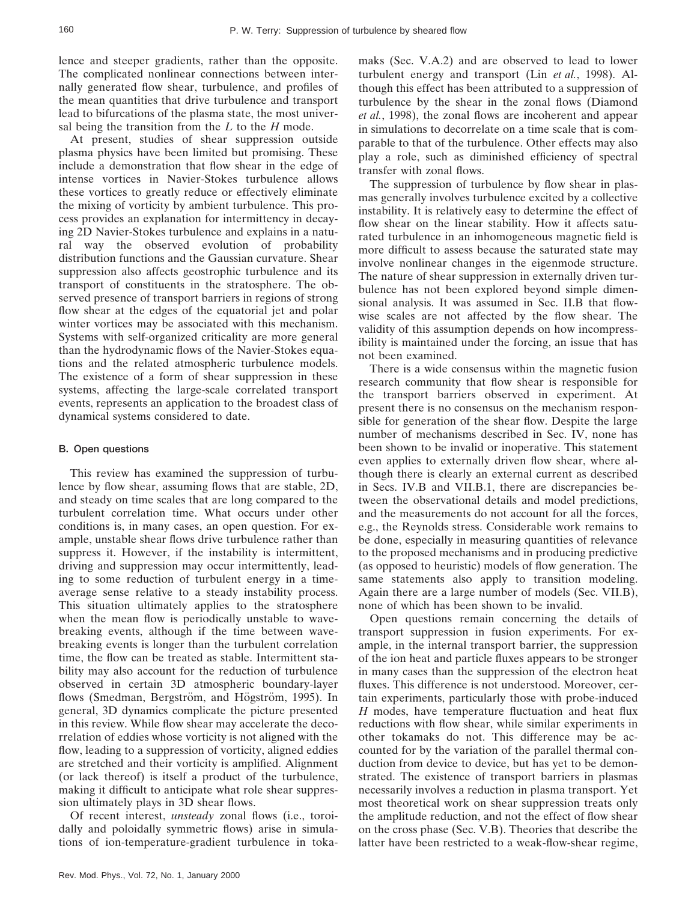lence and steeper gradients, rather than the opposite. The complicated nonlinear connections between internally generated flow shear, turbulence, and profiles of the mean quantities that drive turbulence and transport lead to bifurcations of the plasma state, the most universal being the transition from the *L* to the *H* mode.

At present, studies of shear suppression outside plasma physics have been limited but promising. These include a demonstration that flow shear in the edge of intense vortices in Navier-Stokes turbulence allows these vortices to greatly reduce or effectively eliminate the mixing of vorticity by ambient turbulence. This process provides an explanation for intermittency in decaying 2D Navier-Stokes turbulence and explains in a natural way the observed evolution of probability distribution functions and the Gaussian curvature. Shear suppression also affects geostrophic turbulence and its transport of constituents in the stratosphere. The observed presence of transport barriers in regions of strong flow shear at the edges of the equatorial jet and polar winter vortices may be associated with this mechanism. Systems with self-organized criticality are more general than the hydrodynamic flows of the Navier-Stokes equations and the related atmospheric turbulence models. The existence of a form of shear suppression in these systems, affecting the large-scale correlated transport events, represents an application to the broadest class of dynamical systems considered to date.

# **B. Open questions**

This review has examined the suppression of turbulence by flow shear, assuming flows that are stable, 2D, and steady on time scales that are long compared to the turbulent correlation time. What occurs under other conditions is, in many cases, an open question. For example, unstable shear flows drive turbulence rather than suppress it. However, if the instability is intermittent, driving and suppression may occur intermittently, leading to some reduction of turbulent energy in a timeaverage sense relative to a steady instability process. This situation ultimately applies to the stratosphere when the mean flow is periodically unstable to wavebreaking events, although if the time between wavebreaking events is longer than the turbulent correlation time, the flow can be treated as stable. Intermittent stability may also account for the reduction of turbulence observed in certain 3D atmospheric boundary-layer flows (Smedman, Bergström, and Högström, 1995). In general, 3D dynamics complicate the picture presented in this review. While flow shear may accelerate the decorrelation of eddies whose vorticity is not aligned with the flow, leading to a suppression of vorticity, aligned eddies are stretched and their vorticity is amplified. Alignment (or lack thereof) is itself a product of the turbulence, making it difficult to anticipate what role shear suppression ultimately plays in 3D shear flows.

Of recent interest, *unsteady* zonal flows (i.e., toroidally and poloidally symmetric flows) arise in simulations of ion-temperature-gradient turbulence in tokamaks (Sec. V.A.2) and are observed to lead to lower turbulent energy and transport (Lin *et al.*, 1998). Although this effect has been attributed to a suppression of turbulence by the shear in the zonal flows (Diamond *et al.*, 1998), the zonal flows are incoherent and appear in simulations to decorrelate on a time scale that is comparable to that of the turbulence. Other effects may also play a role, such as diminished efficiency of spectral transfer with zonal flows.

The suppression of turbulence by flow shear in plasmas generally involves turbulence excited by a collective instability. It is relatively easy to determine the effect of flow shear on the linear stability. How it affects saturated turbulence in an inhomogeneous magnetic field is more difficult to assess because the saturated state may involve nonlinear changes in the eigenmode structure. The nature of shear suppression in externally driven turbulence has not been explored beyond simple dimensional analysis. It was assumed in Sec. II.B that flowwise scales are not affected by the flow shear. The validity of this assumption depends on how incompressibility is maintained under the forcing, an issue that has not been examined.

There is a wide consensus within the magnetic fusion research community that flow shear is responsible for the transport barriers observed in experiment. At present there is no consensus on the mechanism responsible for generation of the shear flow. Despite the large number of mechanisms described in Sec. IV, none has been shown to be invalid or inoperative. This statement even applies to externally driven flow shear, where although there is clearly an external current as described in Secs. IV.B and VII.B.1, there are discrepancies between the observational details and model predictions, and the measurements do not account for all the forces, e.g., the Reynolds stress. Considerable work remains to be done, especially in measuring quantities of relevance to the proposed mechanisms and in producing predictive (as opposed to heuristic) models of flow generation. The same statements also apply to transition modeling. Again there are a large number of models (Sec. VII.B), none of which has been shown to be invalid.

Open questions remain concerning the details of transport suppression in fusion experiments. For example, in the internal transport barrier, the suppression of the ion heat and particle fluxes appears to be stronger in many cases than the suppression of the electron heat fluxes. This difference is not understood. Moreover, certain experiments, particularly those with probe-induced *H* modes, have temperature fluctuation and heat flux reductions with flow shear, while similar experiments in other tokamaks do not. This difference may be accounted for by the variation of the parallel thermal conduction from device to device, but has yet to be demonstrated. The existence of transport barriers in plasmas necessarily involves a reduction in plasma transport. Yet most theoretical work on shear suppression treats only the amplitude reduction, and not the effect of flow shear on the cross phase (Sec. V.B). Theories that describe the latter have been restricted to a weak-flow-shear regime,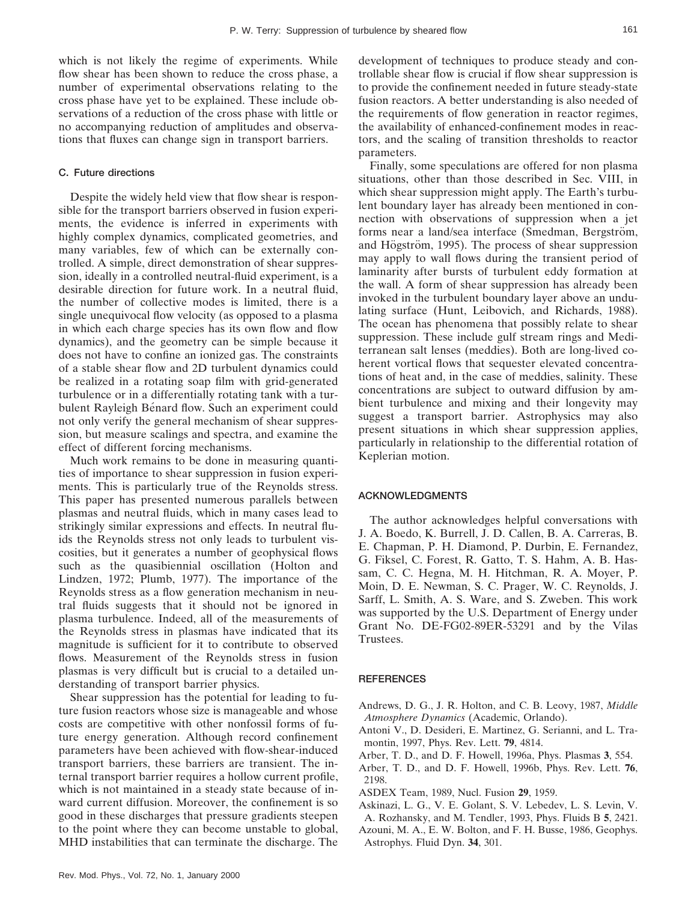which is not likely the regime of experiments. While flow shear has been shown to reduce the cross phase, a number of experimental observations relating to the cross phase have yet to be explained. These include observations of a reduction of the cross phase with little or no accompanying reduction of amplitudes and observations that fluxes can change sign in transport barriers.

# **C. Future directions**

Despite the widely held view that flow shear is responsible for the transport barriers observed in fusion experiments, the evidence is inferred in experiments with highly complex dynamics, complicated geometries, and many variables, few of which can be externally controlled. A simple, direct demonstration of shear suppression, ideally in a controlled neutral-fluid experiment, is a desirable direction for future work. In a neutral fluid, the number of collective modes is limited, there is a single unequivocal flow velocity (as opposed to a plasma in which each charge species has its own flow and flow dynamics), and the geometry can be simple because it does not have to confine an ionized gas. The constraints of a stable shear flow and 2D turbulent dynamics could be realized in a rotating soap film with grid-generated turbulence or in a differentially rotating tank with a turbulent Rayleigh Bénard flow. Such an experiment could not only verify the general mechanism of shear suppression, but measure scalings and spectra, and examine the effect of different forcing mechanisms.

Much work remains to be done in measuring quantities of importance to shear suppression in fusion experiments. This is particularly true of the Reynolds stress. This paper has presented numerous parallels between plasmas and neutral fluids, which in many cases lead to strikingly similar expressions and effects. In neutral fluids the Reynolds stress not only leads to turbulent viscosities, but it generates a number of geophysical flows such as the quasibiennial oscillation (Holton and Lindzen, 1972; Plumb, 1977). The importance of the Reynolds stress as a flow generation mechanism in neutral fluids suggests that it should not be ignored in plasma turbulence. Indeed, all of the measurements of the Reynolds stress in plasmas have indicated that its magnitude is sufficient for it to contribute to observed flows. Measurement of the Reynolds stress in fusion plasmas is very difficult but is crucial to a detailed understanding of transport barrier physics.

Shear suppression has the potential for leading to future fusion reactors whose size is manageable and whose costs are competitive with other nonfossil forms of future energy generation. Although record confinement parameters have been achieved with flow-shear-induced transport barriers, these barriers are transient. The internal transport barrier requires a hollow current profile, which is not maintained in a steady state because of inward current diffusion. Moreover, the confinement is so good in these discharges that pressure gradients steepen to the point where they can become unstable to global, MHD instabilities that can terminate the discharge. The

development of techniques to produce steady and controllable shear flow is crucial if flow shear suppression is to provide the confinement needed in future steady-state fusion reactors. A better understanding is also needed of the requirements of flow generation in reactor regimes, the availability of enhanced-confinement modes in reactors, and the scaling of transition thresholds to reactor parameters.

Finally, some speculations are offered for non plasma situations, other than those described in Sec. VIII, in which shear suppression might apply. The Earth's turbulent boundary layer has already been mentioned in connection with observations of suppression when a jet forms near a land/sea interface (Smedman, Bergström, and Högström, 1995). The process of shear suppression may apply to wall flows during the transient period of laminarity after bursts of turbulent eddy formation at the wall. A form of shear suppression has already been invoked in the turbulent boundary layer above an undulating surface (Hunt, Leibovich, and Richards, 1988). The ocean has phenomena that possibly relate to shear suppression. These include gulf stream rings and Mediterranean salt lenses (meddies). Both are long-lived coherent vortical flows that sequester elevated concentrations of heat and, in the case of meddies, salinity. These concentrations are subject to outward diffusion by ambient turbulence and mixing and their longevity may suggest a transport barrier. Astrophysics may also present situations in which shear suppression applies, particularly in relationship to the differential rotation of Keplerian motion.

# **ACKNOWLEDGMENTS**

The author acknowledges helpful conversations with J. A. Boedo, K. Burrell, J. D. Callen, B. A. Carreras, B. E. Chapman, P. H. Diamond, P. Durbin, E. Fernandez, G. Fiksel, C. Forest, R. Gatto, T. S. Hahm, A. B. Hassam, C. C. Hegna, M. H. Hitchman, R. A. Moyer, P. Moin, D. E. Newman, S. C. Prager, W. C. Reynolds, J. Sarff, L. Smith, A. S. Ware, and S. Zweben. This work was supported by the U.S. Department of Energy under Grant No. DE-FG02-89ER-53291 and by the Vilas Trustees.

## **REFERENCES**

- Andrews, D. G., J. R. Holton, and C. B. Leovy, 1987, *Middle Atmosphere Dynamics* (Academic, Orlando).
- Antoni V., D. Desideri, E. Martinez, G. Serianni, and L. Tramontin, 1997, Phys. Rev. Lett. **79**, 4814.
- Arber, T. D., and D. F. Howell, 1996a, Phys. Plasmas **3**, 554.
- Arber, T. D., and D. F. Howell, 1996b, Phys. Rev. Lett. **76**, 2198.
- ASDEX Team, 1989, Nucl. Fusion **29**, 1959.
- Askinazi, L. G., V. E. Golant, S. V. Lebedev, L. S. Levin, V. A. Rozhansky, and M. Tendler, 1993, Phys. Fluids B **5**, 2421.
- Azouni, M. A., E. W. Bolton, and F. H. Busse, 1986, Geophys. Astrophys. Fluid Dyn. **34**, 301.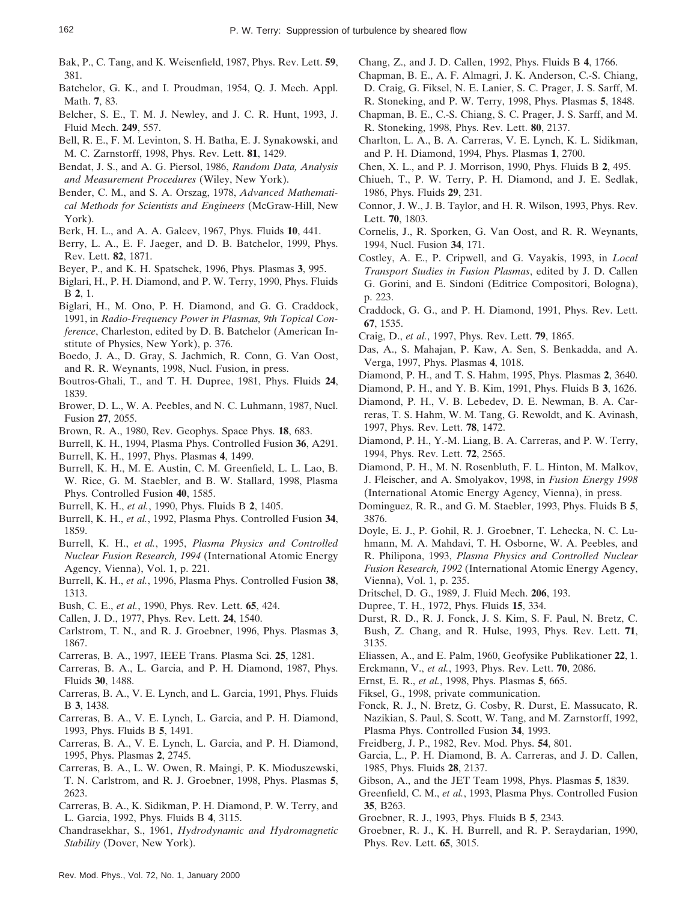Bak, P., C. Tang, and K. Weisenfield, 1987, Phys. Rev. Lett. **59**, 381.

- Batchelor, G. K., and I. Proudman, 1954, Q. J. Mech. Appl. Math. **7**, 83.
- Belcher, S. E., T. M. J. Newley, and J. C. R. Hunt, 1993, J. Fluid Mech. **249**, 557.
- Bell, R. E., F. M. Levinton, S. H. Batha, E. J. Synakowski, and M. C. Zarnstorff, 1998, Phys. Rev. Lett. **81**, 1429.
- Bendat, J. S., and A. G. Piersol, 1986, *Random Data, Analysis and Measurement Procedures* (Wiley, New York).
- Bender, C. M., and S. A. Orszag, 1978, *Advanced Mathematical Methods for Scientists and Engineers* (McGraw-Hill, New York).
- Berk, H. L., and A. A. Galeev, 1967, Phys. Fluids **10**, 441.
- Berry, L. A., E. F. Jaeger, and D. B. Batchelor, 1999, Phys. Rev. Lett. **82**, 1871.
- Beyer, P., and K. H. Spatschek, 1996, Phys. Plasmas **3**, 995.
- Biglari, H., P. H. Diamond, and P. W. Terry, 1990, Phys. Fluids B **2**, 1.
- Biglari, H., M. Ono, P. H. Diamond, and G. G. Craddock, 1991, in *Radio-Frequency Power in Plasmas, 9th Topical Conference*, Charleston, edited by D. B. Batchelor (American Institute of Physics, New York), p. 376.
- Boedo, J. A., D. Gray, S. Jachmich, R. Conn, G. Van Oost, and R. R. Weynants, 1998, Nucl. Fusion, in press.
- Boutros-Ghali, T., and T. H. Dupree, 1981, Phys. Fluids **24**, 1839.
- Brower, D. L., W. A. Peebles, and N. C. Luhmann, 1987, Nucl. Fusion **27**, 2055.
- Brown, R. A., 1980, Rev. Geophys. Space Phys. **18**, 683.
- Burrell, K. H., 1994, Plasma Phys. Controlled Fusion **36**, A291.
- Burrell, K. H., 1997, Phys. Plasmas **4**, 1499.
- Burrell, K. H., M. E. Austin, C. M. Greenfield, L. L. Lao, B. W. Rice, G. M. Staebler, and B. W. Stallard, 1998, Plasma Phys. Controlled Fusion **40**, 1585.
- Burrell, K. H., *et al.*, 1990, Phys. Fluids B **2**, 1405.
- Burrell, K. H., *et al.*, 1992, Plasma Phys. Controlled Fusion **34**, 1859.
- Burrell, K. H., *et al.*, 1995, *Plasma Physics and Controlled Nuclear Fusion Research, 1994* (International Atomic Energy Agency, Vienna), Vol. 1, p. 221.
- Burrell, K. H., *et al.*, 1996, Plasma Phys. Controlled Fusion **38**, 1313.
- Bush, C. E., *et al.*, 1990, Phys. Rev. Lett. **65**, 424.
- Callen, J. D., 1977, Phys. Rev. Lett. **24**, 1540.
- Carlstrom, T. N., and R. J. Groebner, 1996, Phys. Plasmas **3**, 1867.
- Carreras, B. A., 1997, IEEE Trans. Plasma Sci. **25**, 1281.
- Carreras, B. A., L. Garcia, and P. H. Diamond, 1987, Phys. Fluids **30**, 1488.
- Carreras, B. A., V. E. Lynch, and L. Garcia, 1991, Phys. Fluids B **3**, 1438.
- Carreras, B. A., V. E. Lynch, L. Garcia, and P. H. Diamond, 1993, Phys. Fluids B **5**, 1491.
- Carreras, B. A., V. E. Lynch, L. Garcia, and P. H. Diamond, 1995, Phys. Plasmas **2**, 2745.
- Carreras, B. A., L. W. Owen, R. Maingi, P. K. Mioduszewski, T. N. Carlstrom, and R. J. Groebner, 1998, Phys. Plasmas **5**, 2623.
- Carreras, B. A., K. Sidikman, P. H. Diamond, P. W. Terry, and L. Garcia, 1992, Phys. Fluids B **4**, 3115.
- Chandrasekhar, S., 1961, *Hydrodynamic and Hydromagnetic Stability* (Dover, New York).
- Chang, Z., and J. D. Callen, 1992, Phys. Fluids B **4**, 1766.
- Chapman, B. E., A. F. Almagri, J. K. Anderson, C.-S. Chiang, D. Craig, G. Fiksel, N. E. Lanier, S. C. Prager, J. S. Sarff, M. R. Stoneking, and P. W. Terry, 1998, Phys. Plasmas **5**, 1848.
- Chapman, B. E., C.-S. Chiang, S. C. Prager, J. S. Sarff, and M. R. Stoneking, 1998, Phys. Rev. Lett. **80**, 2137.
- Charlton, L. A., B. A. Carreras, V. E. Lynch, K. L. Sidikman, and P. H. Diamond, 1994, Phys. Plasmas **1**, 2700.
- Chen, X. L., and P. J. Morrison, 1990, Phys. Fluids B **2**, 495.
- Chiueh, T., P. W. Terry, P. H. Diamond, and J. E. Sedlak, 1986, Phys. Fluids **29**, 231.
- Connor, J. W., J. B. Taylor, and H. R. Wilson, 1993, Phys. Rev. Lett. **70**, 1803.
- Cornelis, J., R. Sporken, G. Van Oost, and R. R. Weynants, 1994, Nucl. Fusion **34**, 171.
- Costley, A. E., P. Cripwell, and G. Vayakis, 1993, in *Local Transport Studies in Fusion Plasmas*, edited by J. D. Callen G. Gorini, and E. Sindoni (Editrice Compositori, Bologna), p. 223.
- Craddock, G. G., and P. H. Diamond, 1991, Phys. Rev. Lett. **67**, 1535.
- Craig, D., *et al.*, 1997, Phys. Rev. Lett. **79**, 1865.
- Das, A., S. Mahajan, P. Kaw, A. Sen, S. Benkadda, and A. Verga, 1997, Phys. Plasmas **4**, 1018.
- Diamond, P. H., and T. S. Hahm, 1995, Phys. Plasmas **2**, 3640.
- Diamond, P. H., and Y. B. Kim, 1991, Phys. Fluids B **3**, 1626.
- Diamond, P. H., V. B. Lebedev, D. E. Newman, B. A. Carreras, T. S. Hahm, W. M. Tang, G. Rewoldt, and K. Avinash, 1997, Phys. Rev. Lett. **78**, 1472.
- Diamond, P. H., Y.-M. Liang, B. A. Carreras, and P. W. Terry, 1994, Phys. Rev. Lett. **72**, 2565.
- Diamond, P. H., M. N. Rosenbluth, F. L. Hinton, M. Malkov, J. Fleischer, and A. Smolyakov, 1998, in *Fusion Energy 1998* (International Atomic Energy Agency, Vienna), in press.
- Dominguez, R. R., and G. M. Staebler, 1993, Phys. Fluids B **5**, 3876.
- Doyle, E. J., P. Gohil, R. J. Groebner, T. Lehecka, N. C. Luhmann, M. A. Mahdavi, T. H. Osborne, W. A. Peebles, and R. Philipona, 1993, *Plasma Physics and Controlled Nuclear Fusion Research, 1992* (International Atomic Energy Agency, Vienna), Vol. 1, p. 235.
- Dritschel, D. G., 1989, J. Fluid Mech. **206**, 193.
- Dupree, T. H., 1972, Phys. Fluids **15**, 334.
- Durst, R. D., R. J. Fonck, J. S. Kim, S. F. Paul, N. Bretz, C. Bush, Z. Chang, and R. Hulse, 1993, Phys. Rev. Lett. **71**, 3135.
- Eliassen, A., and E. Palm, 1960, Geofysike Publikationer **22**, 1.
- Erckmann, V., *et al.*, 1993, Phys. Rev. Lett. **70**, 2086.
- Ernst, E. R., *et al.*, 1998, Phys. Plasmas **5**, 665.
- Fiksel, G., 1998, private communication.
- Fonck, R. J., N. Bretz, G. Cosby, R. Durst, E. Massucato, R. Nazikian, S. Paul, S. Scott, W. Tang, and M. Zarnstorff, 1992, Plasma Phys. Controlled Fusion **34**, 1993.
- Freidberg, J. P., 1982, Rev. Mod. Phys. **54**, 801.
- Garcia, L., P. H. Diamond, B. A. Carreras, and J. D. Callen, 1985, Phys. Fluids **28**, 2137.
- Gibson, A., and the JET Team 1998, Phys. Plasmas **5**, 1839.
- Greenfield, C. M., *et al.*, 1993, Plasma Phys. Controlled Fusion **35**, B263.
- Groebner, R. J., 1993, Phys. Fluids B **5**, 2343.
- Groebner, R. J., K. H. Burrell, and R. P. Seraydarian, 1990, Phys. Rev. Lett. **65**, 3015.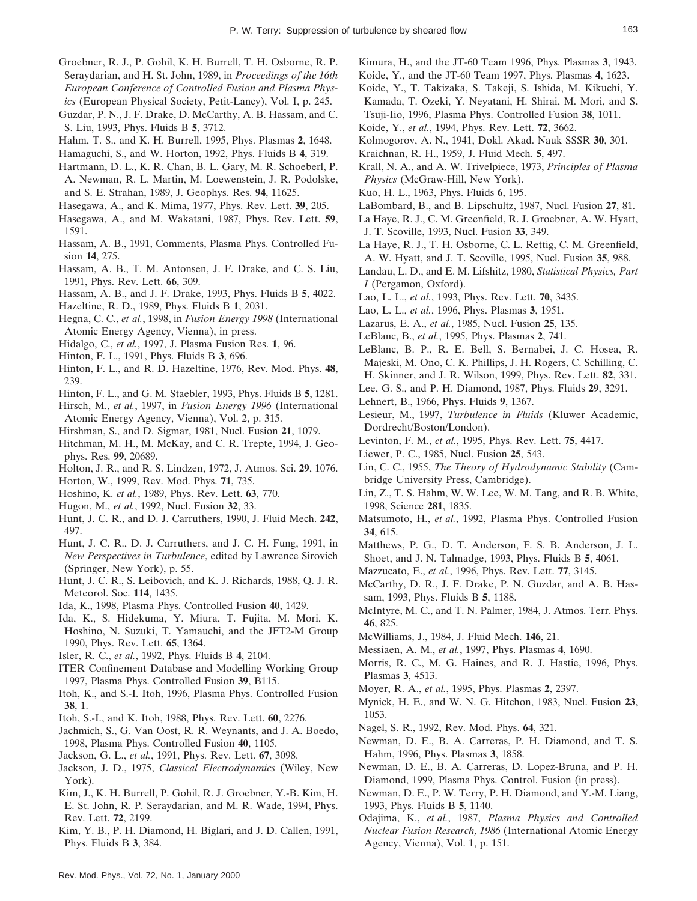- Groebner, R. J., P. Gohil, K. H. Burrell, T. H. Osborne, R. P. Seraydarian, and H. St. John, 1989, in *Proceedings of the 16th European Conference of Controlled Fusion and Plasma Physics* (European Physical Society, Petit-Lancy), Vol. I, p. 245.
- Guzdar, P. N., J. F. Drake, D. McCarthy, A. B. Hassam, and C. S. Liu, 1993, Phys. Fluids B **5**, 3712.
- Hahm, T. S., and K. H. Burrell, 1995, Phys. Plasmas **2**, 1648.
- Hamaguchi, S., and W. Horton, 1992, Phys. Fluids B **4**, 319.
- Hartmann, D. L., K. R. Chan, B. L. Gary, M. R. Schoeberl, P. A. Newman, R. L. Martin, M. Loewenstein, J. R. Podolske, and S. E. Strahan, 1989, J. Geophys. Res. **94**, 11625.
- Hasegawa, A., and K. Mima, 1977, Phys. Rev. Lett. **39**, 205.
- Hasegawa, A., and M. Wakatani, 1987, Phys. Rev. Lett. **59**, 1591.
- Hassam, A. B., 1991, Comments, Plasma Phys. Controlled Fusion **14**, 275.
- Hassam, A. B., T. M. Antonsen, J. F. Drake, and C. S. Liu, 1991, Phys. Rev. Lett. **66**, 309.
- Hassam, A. B., and J. F. Drake, 1993, Phys. Fluids B **5**, 4022.
- Hazeltine, R. D., 1989, Phys. Fluids B **1**, 2031.
- Hegna, C. C., *et al.*, 1998, in *Fusion Energy 1998* (International Atomic Energy Agency, Vienna), in press.
- Hidalgo, C., *et al.*, 1997, J. Plasma Fusion Res. **1**, 96.
- Hinton, F. L., 1991, Phys. Fluids B **3**, 696.
- Hinton, F. L., and R. D. Hazeltine, 1976, Rev. Mod. Phys. **48**, 239.
- Hinton, F. L., and G. M. Staebler, 1993, Phys. Fluids B **5**, 1281.
- Hirsch, M., *et al.*, 1997, in *Fusion Energy 1996* (International Atomic Energy Agency, Vienna), Vol. 2, p. 315.
- Hirshman, S., and D. Sigmar, 1981, Nucl. Fusion **21**, 1079.
- Hitchman, M. H., M. McKay, and C. R. Trepte, 1994, J. Geophys. Res. **99**, 20689.
- Holton, J. R., and R. S. Lindzen, 1972, J. Atmos. Sci. **29**, 1076.
- Horton, W., 1999, Rev. Mod. Phys. **71**, 735.
- Hoshino, K. *et al.*, 1989, Phys. Rev. Lett. **63**, 770.
- Hugon, M., *et al.*, 1992, Nucl. Fusion **32**, 33.
- Hunt, J. C. R., and D. J. Carruthers, 1990, J. Fluid Mech. **242**, 497.
- Hunt, J. C. R., D. J. Carruthers, and J. C. H. Fung, 1991, in *New Perspectives in Turbulence*, edited by Lawrence Sirovich (Springer, New York), p. 55.
- Hunt, J. C. R., S. Leibovich, and K. J. Richards, 1988, Q. J. R. Meteorol. Soc. **114**, 1435.
- Ida, K., 1998, Plasma Phys. Controlled Fusion **40**, 1429.
- Ida, K., S. Hidekuma, Y. Miura, T. Fujita, M. Mori, K. Hoshino, N. Suzuki, T. Yamauchi, and the JFT2-M Group 1990, Phys. Rev. Lett. **65**, 1364.
- Isler, R. C., *et al.*, 1992, Phys. Fluids B **4**, 2104.
- ITER Confinement Database and Modelling Working Group 1997, Plasma Phys. Controlled Fusion **39**, B115.
- Itoh, K., and S.-I. Itoh, 1996, Plasma Phys. Controlled Fusion **38**, 1.
- Itoh, S.-I., and K. Itoh, 1988, Phys. Rev. Lett. **60**, 2276.
- Jachmich, S., G. Van Oost, R. R. Weynants, and J. A. Boedo, 1998, Plasma Phys. Controlled Fusion **40**, 1105.
- Jackson, G. L., *et al.*, 1991, Phys. Rev. Lett. **67**, 3098.
- Jackson, J. D., 1975, *Classical Electrodynamics* (Wiley, New York).
- Kim, J., K. H. Burrell, P. Gohil, R. J. Groebner, Y.-B. Kim, H.
- E. St. John, R. P. Seraydarian, and M. R. Wade, 1994, Phys. Rev. Lett. **72**, 2199.
- Kim, Y. B., P. H. Diamond, H. Biglari, and J. D. Callen, 1991, Phys. Fluids B **3**, 384.
- Kimura, H., and the JT-60 Team 1996, Phys. Plasmas **3**, 1943.
- Koide, Y., and the JT-60 Team 1997, Phys. Plasmas **4**, 1623.
- Koide, Y., T. Takizaka, S. Takeji, S. Ishida, M. Kikuchi, Y. Kamada, T. Ozeki, Y. Neyatani, H. Shirai, M. Mori, and S. Tsuji-Iio, 1996, Plasma Phys. Controlled Fusion **38**, 1011.
- Koide, Y., *et al.*, 1994, Phys. Rev. Lett. **72**, 3662.
- Kolmogorov, A. N., 1941, Dokl. Akad. Nauk SSSR **30**, 301.
- Kraichnan, R. H., 1959, J. Fluid Mech. **5**, 497.
- Krall, N. A., and A. W. Trivelpiece, 1973, *Principles of Plasma Physics* (McGraw-Hill, New York).
- Kuo, H. L., 1963, Phys. Fluids **6**, 195.
- LaBombard, B., and B. Lipschultz, 1987, Nucl. Fusion **27**, 81.
- La Haye, R. J., C. M. Greenfield, R. J. Groebner, A. W. Hyatt, J. T. Scoville, 1993, Nucl. Fusion **33**, 349.
- La Haye, R. J., T. H. Osborne, C. L. Rettig, C. M. Greenfield, A. W. Hyatt, and J. T. Scoville, 1995, Nucl. Fusion **35**, 988.
- Landau, L. D., and E. M. Lifshitz, 1980, *Statistical Physics, Part I* (Pergamon, Oxford).
- Lao, L. L., *et al.*, 1993, Phys. Rev. Lett. **70**, 3435.
- Lao, L. L., *et al.*, 1996, Phys. Plasmas **3**, 1951.
- Lazarus, E. A., *et al.*, 1985, Nucl. Fusion **25**, 135.
- LeBlanc, B., *et al.*, 1995, Phys. Plasmas **2**, 741.
- LeBlanc, B. P., R. E. Bell, S. Bernabei, J. C. Hosea, R. Majeski, M. Ono, C. K. Phillips, J. H. Rogers, C. Schilling, C. H. Skinner, and J. R. Wilson, 1999, Phys. Rev. Lett. **82**, 331.
- Lee, G. S., and P. H. Diamond, 1987, Phys. Fluids **29**, 3291.
- Lehnert, B., 1966, Phys. Fluids **9**, 1367.
- Lesieur, M., 1997, *Turbulence in Fluids* (Kluwer Academic, Dordrecht/Boston/London).
- Levinton, F. M., *et al.*, 1995, Phys. Rev. Lett. **75**, 4417.
- Liewer, P. C., 1985, Nucl. Fusion **25**, 543.
- Lin, C. C., 1955, *The Theory of Hydrodynamic Stability* (Cambridge University Press, Cambridge).
- Lin, Z., T. S. Hahm, W. W. Lee, W. M. Tang, and R. B. White, 1998, Science **281**, 1835.
- Matsumoto, H., *et al.*, 1992, Plasma Phys. Controlled Fusion **34**, 615.
- Matthews, P. G., D. T. Anderson, F. S. B. Anderson, J. L. Shoet, and J. N. Talmadge, 1993, Phys. Fluids B **5**, 4061.
- Mazzucato, E., *et al.*, 1996, Phys. Rev. Lett. **77**, 3145.
- McCarthy, D. R., J. F. Drake, P. N. Guzdar, and A. B. Hassam, 1993, Phys. Fluids B **5**, 1188.
- McIntyre, M. C., and T. N. Palmer, 1984, J. Atmos. Terr. Phys. **46**, 825.
- McWilliams, J., 1984, J. Fluid Mech. **146**, 21.
- Messiaen, A. M., *et al.*, 1997, Phys. Plasmas **4**, 1690.
- Morris, R. C., M. G. Haines, and R. J. Hastie, 1996, Phys. Plasmas **3**, 4513.
- Moyer, R. A., *et al.*, 1995, Phys. Plasmas **2**, 2397.
- Mynick, H. E., and W. N. G. Hitchon, 1983, Nucl. Fusion **23**, 1053.
- Nagel, S. R., 1992, Rev. Mod. Phys. **64**, 321.
- Newman, D. E., B. A. Carreras, P. H. Diamond, and T. S. Hahm, 1996, Phys. Plasmas **3**, 1858.
- Newman, D. E., B. A. Carreras, D. Lopez-Bruna, and P. H. Diamond, 1999, Plasma Phys. Control. Fusion (in press).
- Newman, D. E., P. W. Terry, P. H. Diamond, and Y.-M. Liang, 1993, Phys. Fluids B **5**, 1140.
- Odajima, K., *et al.*, 1987, *Plasma Physics and Controlled Nuclear Fusion Research, 1986* (International Atomic Energy Agency, Vienna), Vol. 1, p. 151.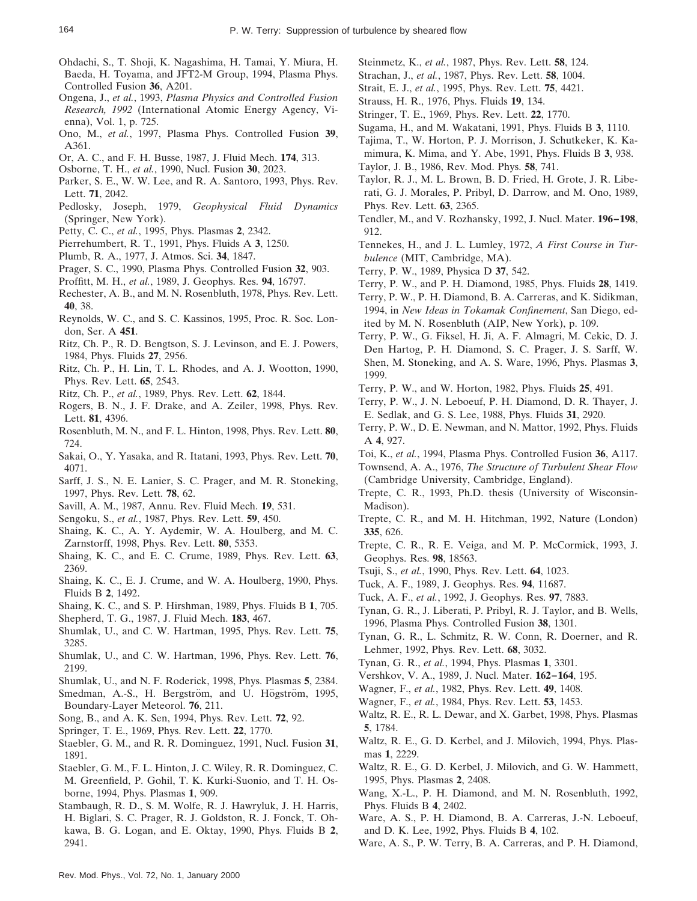- Ohdachi, S., T. Shoji, K. Nagashima, H. Tamai, Y. Miura, H. Baeda, H. Toyama, and JFT2-M Group, 1994, Plasma Phys. Controlled Fusion **36**, A201.
- Ongena, J., *et al.*, 1993, *Plasma Physics and Controlled Fusion Research, 1992* (International Atomic Energy Agency, Vienna), Vol. 1, p. 725.
- Ono, M., *et al.*, 1997, Plasma Phys. Controlled Fusion **39**, A361.
- Or, A. C., and F. H. Busse, 1987, J. Fluid Mech. **174**, 313.
- Osborne, T. H., *et al.*, 1990, Nucl. Fusion **30**, 2023.
- Parker, S. E., W. W. Lee, and R. A. Santoro, 1993, Phys. Rev. Lett. **71**, 2042.
- Pedlosky, Joseph, 1979, *Geophysical Fluid Dynamics* (Springer, New York).
- Petty, C. C., *et al.*, 1995, Phys. Plasmas **2**, 2342.
- Pierrehumbert, R. T., 1991, Phys. Fluids A **3**, 1250.
- Plumb, R. A., 1977, J. Atmos. Sci. **34**, 1847.
- Prager, S. C., 1990, Plasma Phys. Controlled Fusion **32**, 903.
- Proffitt, M. H., *et al.*, 1989, J. Geophys. Res. **94**, 16797.
- Rechester, A. B., and M. N. Rosenbluth, 1978, Phys. Rev. Lett. **40**, 38.
- Reynolds, W. C., and S. C. Kassinos, 1995, Proc. R. Soc. London, Ser. A **451**.
- Ritz, Ch. P., R. D. Bengtson, S. J. Levinson, and E. J. Powers, 1984, Phys. Fluids **27**, 2956.
- Ritz, Ch. P., H. Lin, T. L. Rhodes, and A. J. Wootton, 1990, Phys. Rev. Lett. **65**, 2543.
- Ritz, Ch. P., *et al.*, 1989, Phys. Rev. Lett. **62**, 1844.
- Rogers, B. N., J. F. Drake, and A. Zeiler, 1998, Phys. Rev. Lett. **81**, 4396.
- Rosenbluth, M. N., and F. L. Hinton, 1998, Phys. Rev. Lett. **80**, 724.
- Sakai, O., Y. Yasaka, and R. Itatani, 1993, Phys. Rev. Lett. **70**, 4071.
- Sarff, J. S., N. E. Lanier, S. C. Prager, and M. R. Stoneking, 1997, Phys. Rev. Lett. **78**, 62.
- Savill, A. M., 1987, Annu. Rev. Fluid Mech. **19**, 531.
- Sengoku, S., *et al.*, 1987, Phys. Rev. Lett. **59**, 450.
- Shaing, K. C., A. Y. Aydemir, W. A. Houlberg, and M. C. Zarnstorff, 1998, Phys. Rev. Lett. **80**, 5353.
- Shaing, K. C., and E. C. Crume, 1989, Phys. Rev. Lett. **63**, 2369.
- Shaing, K. C., E. J. Crume, and W. A. Houlberg, 1990, Phys. Fluids B **2**, 1492.
- Shaing, K. C., and S. P. Hirshman, 1989, Phys. Fluids B **1**, 705.
- Shepherd, T. G., 1987, J. Fluid Mech. **183**, 467.
- Shumlak, U., and C. W. Hartman, 1995, Phys. Rev. Lett. **75**, 3285.
- Shumlak, U., and C. W. Hartman, 1996, Phys. Rev. Lett. **76**, 2199.
- Shumlak, U., and N. F. Roderick, 1998, Phys. Plasmas **5**, 2384.
- Smedman, A.-S., H. Bergström, and U. Högström, 1995, Boundary-Layer Meteorol. **76**, 211.
- Song, B., and A. K. Sen, 1994, Phys. Rev. Lett. **72**, 92.
- Springer, T. E., 1969, Phys. Rev. Lett. **22**, 1770.
- Staebler, G. M., and R. R. Dominguez, 1991, Nucl. Fusion **31**, 1891.
- Staebler, G. M., F. L. Hinton, J. C. Wiley, R. R. Dominguez, C. M. Greenfield, P. Gohil, T. K. Kurki-Suonio, and T. H. Osborne, 1994, Phys. Plasmas **1**, 909.
- Stambaugh, R. D., S. M. Wolfe, R. J. Hawryluk, J. H. Harris, H. Biglari, S. C. Prager, R. J. Goldston, R. J. Fonck, T. Ohkawa, B. G. Logan, and E. Oktay, 1990, Phys. Fluids B **2**, 2941.
- Steinmetz, K., *et al.*, 1987, Phys. Rev. Lett. **58**, 124.
- Strachan, J., *et al.*, 1987, Phys. Rev. Lett. **58**, 1004.
- Strait, E. J., *et al.*, 1995, Phys. Rev. Lett. **75**, 4421.
- Strauss, H. R., 1976, Phys. Fluids **19**, 134.
- Stringer, T. E., 1969, Phys. Rev. Lett. **22**, 1770.
- Sugama, H., and M. Wakatani, 1991, Phys. Fluids B **3**, 1110. Tajima, T., W. Horton, P. J. Morrison, J. Schutkeker, K. Kamimura, K. Mima, and Y. Abe, 1991, Phys. Fluids B **3**, 938.
- Taylor, J. B., 1986, Rev. Mod. Phys. **58**, 741.
- Taylor, R. J., M. L. Brown, B. D. Fried, H. Grote, J. R. Liberati, G. J. Morales, P. Pribyl, D. Darrow, and M. Ono, 1989, Phys. Rev. Lett. **63**, 2365.
- Tendler, M., and V. Rozhansky, 1992, J. Nucl. Mater. **196–198**, 912.
- Tennekes, H., and J. L. Lumley, 1972, *A First Course in Turbulence* (MIT, Cambridge, MA).
- Terry, P. W., 1989, Physica D **37**, 542.
- Terry, P. W., and P. H. Diamond, 1985, Phys. Fluids **28**, 1419.
- Terry, P. W., P. H. Diamond, B. A. Carreras, and K. Sidikman, 1994, in *New Ideas in Tokamak Confinement*, San Diego, edited by M. N. Rosenbluth (AIP, New York), p. 109.
- Terry, P. W., G. Fiksel, H. Ji, A. F. Almagri, M. Cekic, D. J. Den Hartog, P. H. Diamond, S. C. Prager, J. S. Sarff, W. Shen, M. Stoneking, and A. S. Ware, 1996, Phys. Plasmas **3**, 1999.
- Terry, P. W., and W. Horton, 1982, Phys. Fluids **25**, 491.
- Terry, P. W., J. N. Leboeuf, P. H. Diamond, D. R. Thayer, J. E. Sedlak, and G. S. Lee, 1988, Phys. Fluids **31**, 2920.
- Terry, P. W., D. E. Newman, and N. Mattor, 1992, Phys. Fluids A **4**, 927.
- Toi, K., *et al.*, 1994, Plasma Phys. Controlled Fusion **36**, A117.
- Townsend, A. A., 1976, *The Structure of Turbulent Shear Flow* (Cambridge University, Cambridge, England).
- Trepte, C. R., 1993, Ph.D. thesis (University of Wisconsin-Madison).
- Trepte, C. R., and M. H. Hitchman, 1992, Nature (London) **335**, 626.
- Trepte, C. R., R. E. Veiga, and M. P. McCormick, 1993, J. Geophys. Res. **98**, 18563.
- Tsuji, S., *et al.*, 1990, Phys. Rev. Lett. **64**, 1023.
- Tuck, A. F., 1989, J. Geophys. Res. **94**, 11687.
- Tuck, A. F., *et al.*, 1992, J. Geophys. Res. **97**, 7883.
- Tynan, G. R., J. Liberati, P. Pribyl, R. J. Taylor, and B. Wells, 1996, Plasma Phys. Controlled Fusion **38**, 1301.
- Tynan, G. R., L. Schmitz, R. W. Conn, R. Doerner, and R. Lehmer, 1992, Phys. Rev. Lett. **68**, 3032.
- Tynan, G. R., *et al.*, 1994, Phys. Plasmas **1**, 3301.
- Vershkov, V. A., 1989, J. Nucl. Mater. **162–164**, 195.
- Wagner, F., *et al.*, 1982, Phys. Rev. Lett. **49**, 1408.
- Wagner, F., *et al.*, 1984, Phys. Rev. Lett. **53**, 1453.
- Waltz, R. E., R. L. Dewar, and X. Garbet, 1998, Phys. Plasmas **5**, 1784.
- Waltz, R. E., G. D. Kerbel, and J. Milovich, 1994, Phys. Plasmas **1**, 2229.
- Waltz, R. E., G. D. Kerbel, J. Milovich, and G. W. Hammett, 1995, Phys. Plasmas **2**, 2408.
- Wang, X.-L., P. H. Diamond, and M. N. Rosenbluth, 1992, Phys. Fluids B **4**, 2402.
- Ware, A. S., P. H. Diamond, B. A. Carreras, J.-N. Leboeuf, and D. K. Lee, 1992, Phys. Fluids B **4**, 102.
- Ware, A. S., P. W. Terry, B. A. Carreras, and P. H. Diamond,